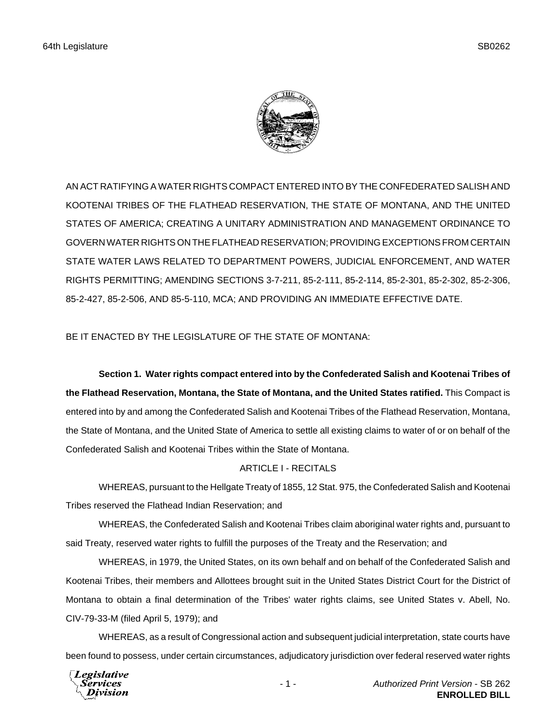

AN ACT RATIFYING A WATER RIGHTS COMPACT ENTERED INTO BY THE CONFEDERATED SALISH AND KOOTENAI TRIBES OF THE FLATHEAD RESERVATION, THE STATE OF MONTANA, AND THE UNITED STATES OF AMERICA; CREATING A UNITARY ADMINISTRATION AND MANAGEMENT ORDINANCE TO GOVERN WATER RIGHTS ON THE FLATHEAD RESERVATION; PROVIDING EXCEPTIONS FROM CERTAIN STATE WATER LAWS RELATED TO DEPARTMENT POWERS, JUDICIAL ENFORCEMENT, AND WATER RIGHTS PERMITTING; AMENDING SECTIONS 3-7-211, 85-2-111, 85-2-114, 85-2-301, 85-2-302, 85-2-306, 85-2-427, 85-2-506, AND 85-5-110, MCA; AND PROVIDING AN IMMEDIATE EFFECTIVE DATE.

BE IT ENACTED BY THE LEGISLATURE OF THE STATE OF MONTANA:

**Section 1. Water rights compact entered into by the Confederated Salish and Kootenai Tribes of the Flathead Reservation, Montana, the State of Montana, and the United States ratified.** This Compact is entered into by and among the Confederated Salish and Kootenai Tribes of the Flathead Reservation, Montana, the State of Montana, and the United State of America to settle all existing claims to water of or on behalf of the Confederated Salish and Kootenai Tribes within the State of Montana.

# ARTICLE I - RECITALS

WHEREAS, pursuant to the Hellgate Treaty of 1855, 12 Stat. 975, the Confederated Salish and Kootenai Tribes reserved the Flathead Indian Reservation; and

WHEREAS, the Confederated Salish and Kootenai Tribes claim aboriginal water rights and, pursuant to said Treaty, reserved water rights to fulfill the purposes of the Treaty and the Reservation; and

WHEREAS, in 1979, the United States, on its own behalf and on behalf of the Confederated Salish and Kootenai Tribes, their members and Allottees brought suit in the United States District Court for the District of Montana to obtain a final determination of the Tribes' water rights claims, see United States v. Abell, No. CIV-79-33-M (filed April 5, 1979); and

WHEREAS, as a result of Congressional action and subsequent judicial interpretation, state courts have been found to possess, under certain circumstances, adjudicatory jurisdiction over federal reserved water rights

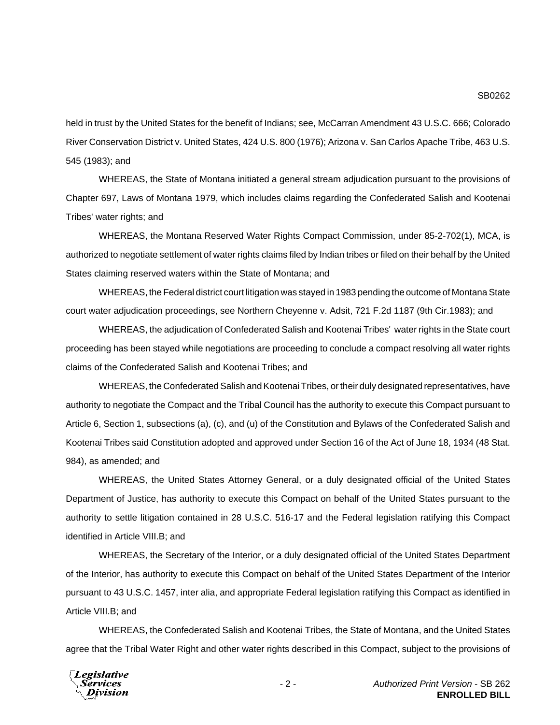held in trust by the United States for the benefit of Indians; see, McCarran Amendment 43 U.S.C. 666; Colorado River Conservation District v. United States, 424 U.S. 800 (1976); Arizona v. San Carlos Apache Tribe, 463 U.S. 545 (1983); and

WHEREAS, the State of Montana initiated a general stream adjudication pursuant to the provisions of Chapter 697, Laws of Montana 1979, which includes claims regarding the Confederated Salish and Kootenai Tribes' water rights; and

WHEREAS, the Montana Reserved Water Rights Compact Commission, under 85-2-702(1), MCA, is authorized to negotiate settlement of water rights claims filed by Indian tribes or filed on their behalf by the United States claiming reserved waters within the State of Montana; and

WHEREAS, the Federal district court litigation was stayed in 1983 pending the outcome of Montana State court water adjudication proceedings, see Northern Cheyenne v. Adsit, 721 F.2d 1187 (9th Cir.1983); and

WHEREAS, the adjudication of Confederated Salish and Kootenai Tribes' water rights in the State court proceeding has been stayed while negotiations are proceeding to conclude a compact resolving all water rights claims of the Confederated Salish and Kootenai Tribes; and

WHEREAS, the Confederated Salish and Kootenai Tribes, or their duly designated representatives, have authority to negotiate the Compact and the Tribal Council has the authority to execute this Compact pursuant to Article 6, Section 1, subsections (a), (c), and (u) of the Constitution and Bylaws of the Confederated Salish and Kootenai Tribes said Constitution adopted and approved under Section 16 of the Act of June 18, 1934 (48 Stat. 984), as amended; and

WHEREAS, the United States Attorney General, or a duly designated official of the United States Department of Justice, has authority to execute this Compact on behalf of the United States pursuant to the authority to settle litigation contained in 28 U.S.C. 516-17 and the Federal legislation ratifying this Compact identified in Article VIII.B; and

WHEREAS, the Secretary of the Interior, or a duly designated official of the United States Department of the Interior, has authority to execute this Compact on behalf of the United States Department of the Interior pursuant to 43 U.S.C. 1457, inter alia, and appropriate Federal legislation ratifying this Compact as identified in Article VIII.B; and

WHEREAS, the Confederated Salish and Kootenai Tribes, the State of Montana, and the United States agree that the Tribal Water Right and other water rights described in this Compact, subject to the provisions of

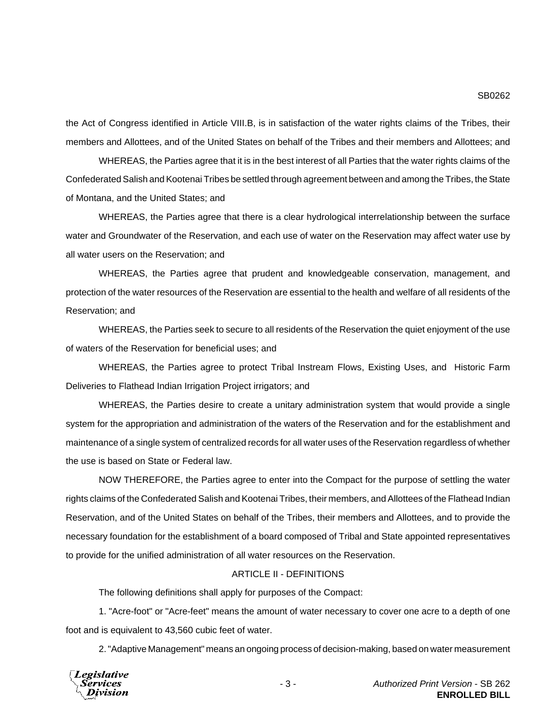the Act of Congress identified in Article VIII.B, is in satisfaction of the water rights claims of the Tribes, their members and Allottees, and of the United States on behalf of the Tribes and their members and Allottees; and

WHEREAS, the Parties agree that it is in the best interest of all Parties that the water rights claims of the Confederated Salish and Kootenai Tribes be settled through agreement between and among the Tribes, the State of Montana, and the United States; and

WHEREAS, the Parties agree that there is a clear hydrological interrelationship between the surface water and Groundwater of the Reservation, and each use of water on the Reservation may affect water use by all water users on the Reservation; and

WHEREAS, the Parties agree that prudent and knowledgeable conservation, management, and protection of the water resources of the Reservation are essential to the health and welfare of all residents of the Reservation; and

WHEREAS, the Parties seek to secure to all residents of the Reservation the quiet enjoyment of the use of waters of the Reservation for beneficial uses; and

WHEREAS, the Parties agree to protect Tribal Instream Flows, Existing Uses, and Historic Farm Deliveries to Flathead Indian Irrigation Project irrigators; and

WHEREAS, the Parties desire to create a unitary administration system that would provide a single system for the appropriation and administration of the waters of the Reservation and for the establishment and maintenance of a single system of centralized records for all water uses of the Reservation regardless of whether the use is based on State or Federal law.

NOW THEREFORE, the Parties agree to enter into the Compact for the purpose of settling the water rights claims of the Confederated Salish and Kootenai Tribes, their members, and Allottees of the Flathead Indian Reservation, and of the United States on behalf of the Tribes, their members and Allottees, and to provide the necessary foundation for the establishment of a board composed of Tribal and State appointed representatives to provide for the unified administration of all water resources on the Reservation.

#### ARTICLE II - DEFINITIONS

The following definitions shall apply for purposes of the Compact:

1. "Acre-foot" or "Acre-feet" means the amount of water necessary to cover one acre to a depth of one foot and is equivalent to 43,560 cubic feet of water.

2. "Adaptive Management" means an ongoing process of decision-making, based on water measurement



- 3 - *Authorized Print Version* - SB 262 **ENROLLED BILL**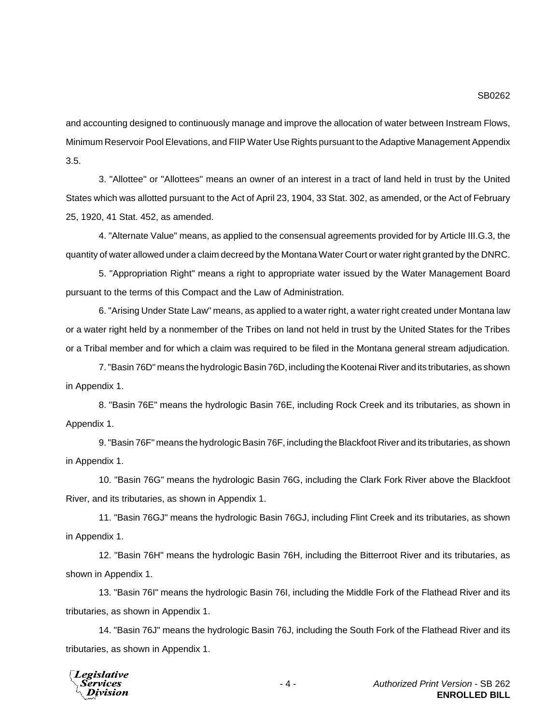and accounting designed to continuously manage and improve the allocation of water between Instream Flows, Minimum Reservoir Pool Elevations, and FIIP Water Use Rights pursuant to the Adaptive Management Appendix 3.5.

3. "Allottee" or "Allottees" means an owner of an interest in a tract of land held in trust by the United States which was allotted pursuant to the Act of April 23, 1904, 33 Stat. 302, as amended, or the Act of February 25, 1920, 41 Stat. 452, as amended.

4. "Alternate Value" means, as applied to the consensual agreements provided for by Article III.G.3, the quantity of water allowed under a claim decreed by the Montana Water Court or water right granted by the DNRC.

5. "Appropriation Right" means a right to appropriate water issued by the Water Management Board pursuant to the terms of this Compact and the Law of Administration.

6. "Arising Under State Law" means, as applied to a water right, a water right created under Montana law or a water right held by a nonmember of the Tribes on land not held in trust by the United States for the Tribes or a Tribal member and for which a claim was required to be filed in the Montana general stream adjudication.

7. "Basin 76D" means the hydrologic Basin 76D, including the Kootenai River and its tributaries, as shown in Appendix 1.

8. "Basin 76E" means the hydrologic Basin 76E, including Rock Creek and its tributaries, as shown in Appendix 1.

9. "Basin 76F" means the hydrologic Basin 76F, including the Blackfoot River and its tributaries, as shown in Appendix 1.

10. "Basin 76G" means the hydrologic Basin 76G, including the Clark Fork River above the Blackfoot River, and its tributaries, as shown in Appendix 1.

11. "Basin 76GJ" means the hydrologic Basin 76GJ, including Flint Creek and its tributaries, as shown in Appendix 1.

12. "Basin 76H" means the hydrologic Basin 76H, including the Bitterroot River and its tributaries, as shown in Appendix 1.

13. "Basin 76I" means the hydrologic Basin 76I, including the Middle Fork of the Flathead River and its tributaries, as shown in Appendix 1.

14. "Basin 76J" means the hydrologic Basin 76J, including the South Fork of the Flathead River and its tributaries, as shown in Appendix 1.

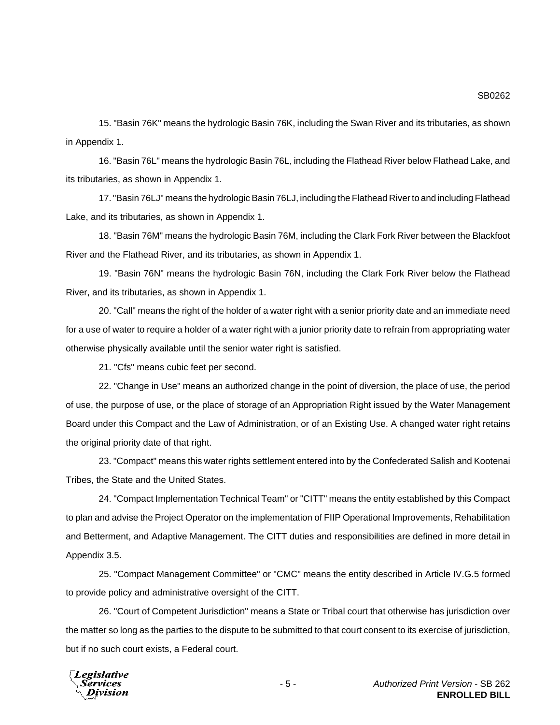15. "Basin 76K" means the hydrologic Basin 76K, including the Swan River and its tributaries, as shown in Appendix 1.

16. "Basin 76L" means the hydrologic Basin 76L, including the Flathead River below Flathead Lake, and its tributaries, as shown in Appendix 1.

17. "Basin 76LJ" means the hydrologic Basin 76LJ, including the Flathead River to and including Flathead Lake, and its tributaries, as shown in Appendix 1.

18. "Basin 76M" means the hydrologic Basin 76M, including the Clark Fork River between the Blackfoot River and the Flathead River, and its tributaries, as shown in Appendix 1.

19. "Basin 76N" means the hydrologic Basin 76N, including the Clark Fork River below the Flathead River, and its tributaries, as shown in Appendix 1.

20. "Call" means the right of the holder of a water right with a senior priority date and an immediate need for a use of water to require a holder of a water right with a junior priority date to refrain from appropriating water otherwise physically available until the senior water right is satisfied.

21. "Cfs" means cubic feet per second.

22. "Change in Use" means an authorized change in the point of diversion, the place of use, the period of use, the purpose of use, or the place of storage of an Appropriation Right issued by the Water Management Board under this Compact and the Law of Administration, or of an Existing Use. A changed water right retains the original priority date of that right.

23. "Compact" means this water rights settlement entered into by the Confederated Salish and Kootenai Tribes, the State and the United States.

24. "Compact Implementation Technical Team" or "CITT" means the entity established by this Compact to plan and advise the Project Operator on the implementation of FIIP Operational Improvements, Rehabilitation and Betterment, and Adaptive Management. The CITT duties and responsibilities are defined in more detail in Appendix 3.5.

25. "Compact Management Committee" or "CMC" means the entity described in Article IV.G.5 formed to provide policy and administrative oversight of the CITT.

26. "Court of Competent Jurisdiction" means a State or Tribal court that otherwise has jurisdiction over the matter so long as the parties to the dispute to be submitted to that court consent to its exercise of jurisdiction, but if no such court exists, a Federal court.

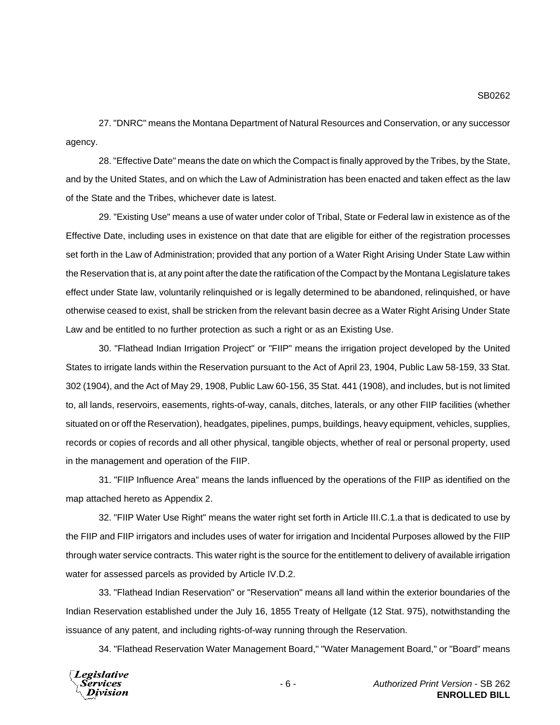27. "DNRC" means the Montana Department of Natural Resources and Conservation, or any successor agency.

28. "Effective Date" means the date on which the Compact is finally approved by the Tribes, by the State, and by the United States, and on which the Law of Administration has been enacted and taken effect as the law of the State and the Tribes, whichever date is latest.

29. "Existing Use" means a use of water under color of Tribal, State or Federal law in existence as of the Effective Date, including uses in existence on that date that are eligible for either of the registration processes set forth in the Law of Administration; provided that any portion of a Water Right Arising Under State Law within the Reservation that is, at any point after the date the ratification of the Compact by the Montana Legislature takes effect under State law, voluntarily relinquished or is legally determined to be abandoned, relinquished, or have otherwise ceased to exist, shall be stricken from the relevant basin decree as a Water Right Arising Under State Law and be entitled to no further protection as such a right or as an Existing Use.

30. "Flathead Indian Irrigation Project" or "FIIP" means the irrigation project developed by the United States to irrigate lands within the Reservation pursuant to the Act of April 23, 1904, Public Law 58-159, 33 Stat. 302 (1904), and the Act of May 29, 1908, Public Law 60-156, 35 Stat. 441 (1908), and includes, but is not limited to, all lands, reservoirs, easements, rights-of-way, canals, ditches, laterals, or any other FIIP facilities (whether situated on or off the Reservation), headgates, pipelines, pumps, buildings, heavy equipment, vehicles, supplies, records or copies of records and all other physical, tangible objects, whether of real or personal property, used in the management and operation of the FIIP.

31. "FIIP Influence Area" means the lands influenced by the operations of the FIIP as identified on the map attached hereto as Appendix 2.

32. "FIIP Water Use Right" means the water right set forth in Article III.C.1.a that is dedicated to use by the FIIP and FIIP irrigators and includes uses of water for irrigation and Incidental Purposes allowed by the FIIP through water service contracts. This water right is the source for the entitlement to delivery of available irrigation water for assessed parcels as provided by Article IV.D.2.

33. "Flathead Indian Reservation" or "Reservation" means all land within the exterior boundaries of the Indian Reservation established under the July 16, 1855 Treaty of Hellgate (12 Stat. 975), notwithstanding the issuance of any patent, and including rights-of-way running through the Reservation.

34. "Flathead Reservation Water Management Board," "Water Management Board," or "Board" means

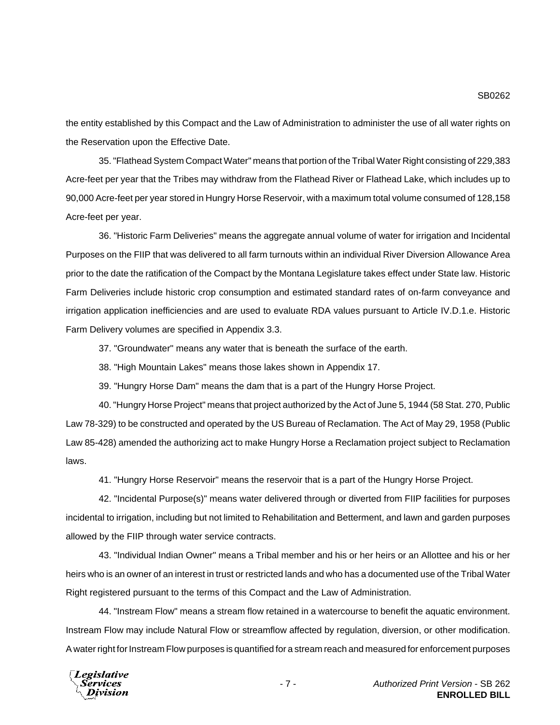the entity established by this Compact and the Law of Administration to administer the use of all water rights on the Reservation upon the Effective Date.

35. "Flathead System Compact Water" means that portion of the Tribal Water Right consisting of 229,383 Acre-feet per year that the Tribes may withdraw from the Flathead River or Flathead Lake, which includes up to 90,000 Acre-feet per year stored in Hungry Horse Reservoir, with a maximum total volume consumed of 128,158 Acre-feet per year.

36. "Historic Farm Deliveries" means the aggregate annual volume of water for irrigation and Incidental Purposes on the FIIP that was delivered to all farm turnouts within an individual River Diversion Allowance Area prior to the date the ratification of the Compact by the Montana Legislature takes effect under State law. Historic Farm Deliveries include historic crop consumption and estimated standard rates of on-farm conveyance and irrigation application inefficiencies and are used to evaluate RDA values pursuant to Article IV.D.1.e. Historic Farm Delivery volumes are specified in Appendix 3.3.

37. "Groundwater" means any water that is beneath the surface of the earth.

38. "High Mountain Lakes" means those lakes shown in Appendix 17.

39. "Hungry Horse Dam" means the dam that is a part of the Hungry Horse Project.

40. "Hungry Horse Project" means that project authorized by the Act of June 5, 1944 (58 Stat. 270, Public Law 78-329) to be constructed and operated by the US Bureau of Reclamation. The Act of May 29, 1958 (Public Law 85-428) amended the authorizing act to make Hungry Horse a Reclamation project subject to Reclamation laws.

41. "Hungry Horse Reservoir" means the reservoir that is a part of the Hungry Horse Project.

42. "Incidental Purpose(s)" means water delivered through or diverted from FIIP facilities for purposes incidental to irrigation, including but not limited to Rehabilitation and Betterment, and lawn and garden purposes allowed by the FIIP through water service contracts.

43. "Individual Indian Owner" means a Tribal member and his or her heirs or an Allottee and his or her heirs who is an owner of an interest in trust or restricted lands and who has a documented use of the Tribal Water Right registered pursuant to the terms of this Compact and the Law of Administration.

44. "Instream Flow" means a stream flow retained in a watercourse to benefit the aquatic environment. Instream Flow may include Natural Flow or streamflow affected by regulation, diversion, or other modification. A water right for Instream Flow purposes is quantified for a stream reach and measured for enforcement purposes

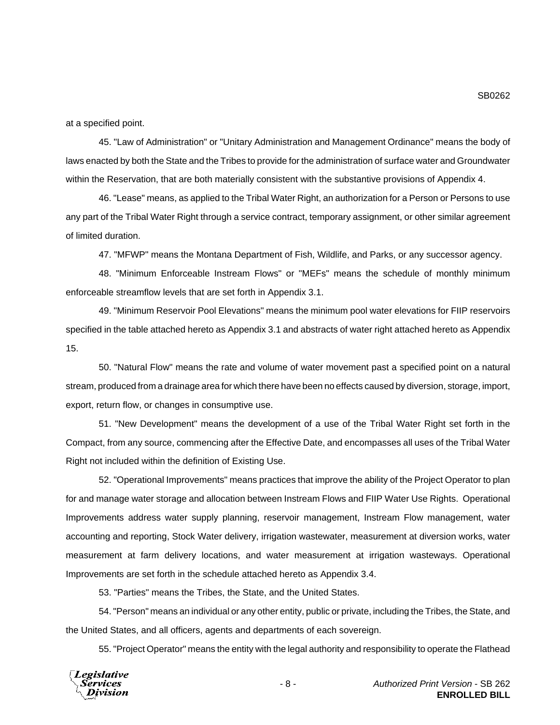at a specified point.

45. "Law of Administration" or "Unitary Administration and Management Ordinance" means the body of laws enacted by both the State and the Tribes to provide for the administration of surface water and Groundwater within the Reservation, that are both materially consistent with the substantive provisions of Appendix 4.

46. "Lease" means, as applied to the Tribal Water Right, an authorization for a Person or Persons to use any part of the Tribal Water Right through a service contract, temporary assignment, or other similar agreement of limited duration.

47. "MFWP" means the Montana Department of Fish, Wildlife, and Parks, or any successor agency.

48. "Minimum Enforceable Instream Flows" or "MEFs" means the schedule of monthly minimum enforceable streamflow levels that are set forth in Appendix 3.1.

49. "Minimum Reservoir Pool Elevations" means the minimum pool water elevations for FIIP reservoirs specified in the table attached hereto as Appendix 3.1 and abstracts of water right attached hereto as Appendix 15.

50. "Natural Flow" means the rate and volume of water movement past a specified point on a natural stream, produced from a drainage area for which there have been no effects caused by diversion, storage, import, export, return flow, or changes in consumptive use.

51. "New Development" means the development of a use of the Tribal Water Right set forth in the Compact, from any source, commencing after the Effective Date, and encompasses all uses of the Tribal Water Right not included within the definition of Existing Use.

52. "Operational Improvements" means practices that improve the ability of the Project Operator to plan for and manage water storage and allocation between Instream Flows and FIIP Water Use Rights. Operational Improvements address water supply planning, reservoir management, Instream Flow management, water accounting and reporting, Stock Water delivery, irrigation wastewater, measurement at diversion works, water measurement at farm delivery locations, and water measurement at irrigation wasteways. Operational Improvements are set forth in the schedule attached hereto as Appendix 3.4.

53. "Parties" means the Tribes, the State, and the United States.

54. "Person" means an individual or any other entity, public or private, including the Tribes, the State, and the United States, and all officers, agents and departments of each sovereign.

55. "Project Operator" means the entity with the legal authority and responsibility to operate the Flathead



SB0262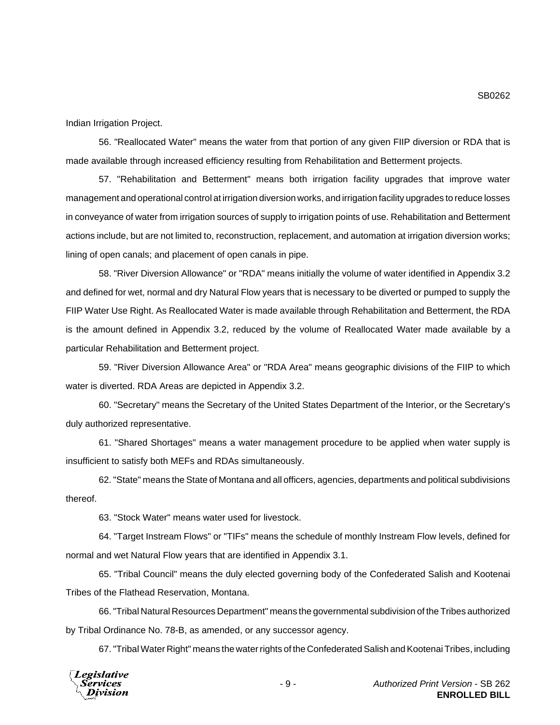Indian Irrigation Project.

56. "Reallocated Water" means the water from that portion of any given FIIP diversion or RDA that is made available through increased efficiency resulting from Rehabilitation and Betterment projects.

57. "Rehabilitation and Betterment" means both irrigation facility upgrades that improve water management and operational control at irrigation diversion works, and irrigation facility upgrades to reduce losses in conveyance of water from irrigation sources of supply to irrigation points of use. Rehabilitation and Betterment actions include, but are not limited to, reconstruction, replacement, and automation at irrigation diversion works; lining of open canals; and placement of open canals in pipe.

58. "River Diversion Allowance" or "RDA" means initially the volume of water identified in Appendix 3.2 and defined for wet, normal and dry Natural Flow years that is necessary to be diverted or pumped to supply the FIIP Water Use Right. As Reallocated Water is made available through Rehabilitation and Betterment, the RDA is the amount defined in Appendix 3.2, reduced by the volume of Reallocated Water made available by a particular Rehabilitation and Betterment project.

59. "River Diversion Allowance Area" or "RDA Area" means geographic divisions of the FIIP to which water is diverted. RDA Areas are depicted in Appendix 3.2.

60. "Secretary" means the Secretary of the United States Department of the Interior, or the Secretary's duly authorized representative.

61. "Shared Shortages" means a water management procedure to be applied when water supply is insufficient to satisfy both MEFs and RDAs simultaneously.

62. "State" means the State of Montana and all officers, agencies, departments and political subdivisions thereof.

63. "Stock Water" means water used for livestock.

64. "Target Instream Flows" or "TIFs" means the schedule of monthly Instream Flow levels, defined for normal and wet Natural Flow years that are identified in Appendix 3.1.

65. "Tribal Council" means the duly elected governing body of the Confederated Salish and Kootenai Tribes of the Flathead Reservation, Montana.

66. "Tribal Natural Resources Department" means the governmental subdivision of the Tribes authorized by Tribal Ordinance No. 78-B, as amended, or any successor agency.

67. "Tribal Water Right" means the water rights of the Confederated Salish and Kootenai Tribes, including

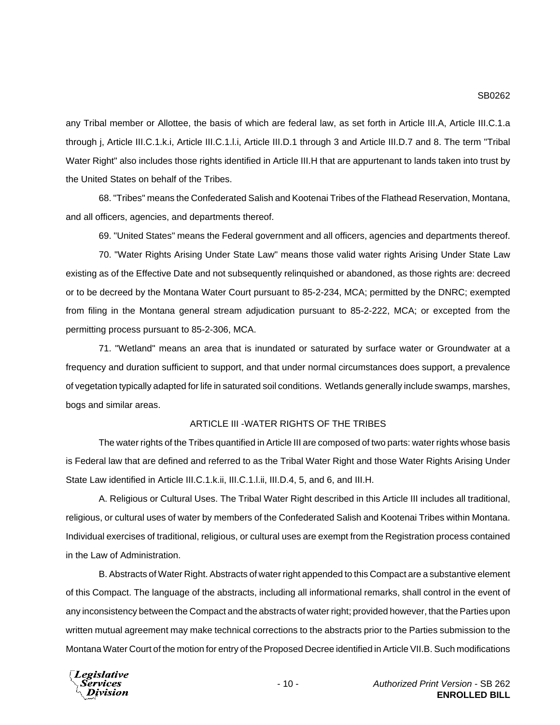any Tribal member or Allottee, the basis of which are federal law, as set forth in Article III.A, Article III.C.1.a through j, Article III.C.1.k.i, Article III.C.1.l.i, Article III.D.1 through 3 and Article III.D.7 and 8. The term "Tribal Water Right" also includes those rights identified in Article III.H that are appurtenant to lands taken into trust by the United States on behalf of the Tribes.

68. "Tribes" means the Confederated Salish and Kootenai Tribes of the Flathead Reservation, Montana, and all officers, agencies, and departments thereof.

69. "United States" means the Federal government and all officers, agencies and departments thereof.

70. "Water Rights Arising Under State Law" means those valid water rights Arising Under State Law existing as of the Effective Date and not subsequently relinquished or abandoned, as those rights are: decreed or to be decreed by the Montana Water Court pursuant to 85-2-234, MCA; permitted by the DNRC; exempted from filing in the Montana general stream adjudication pursuant to 85-2-222, MCA; or excepted from the permitting process pursuant to 85-2-306, MCA.

71. "Wetland" means an area that is inundated or saturated by surface water or Groundwater at a frequency and duration sufficient to support, and that under normal circumstances does support, a prevalence of vegetation typically adapted for life in saturated soil conditions. Wetlands generally include swamps, marshes, bogs and similar areas.

## ARTICLE III -WATER RIGHTS OF THE TRIBES

The water rights of the Tribes quantified in Article III are composed of two parts: water rights whose basis is Federal law that are defined and referred to as the Tribal Water Right and those Water Rights Arising Under State Law identified in Article III.C.1.k.ii, III.C.1.l.ii, III.D.4, 5, and 6, and III.H.

A. Religious or Cultural Uses. The Tribal Water Right described in this Article III includes all traditional, religious, or cultural uses of water by members of the Confederated Salish and Kootenai Tribes within Montana. Individual exercises of traditional, religious, or cultural uses are exempt from the Registration process contained in the Law of Administration.

B. Abstracts of Water Right. Abstracts of water right appended to this Compact are a substantive element of this Compact. The language of the abstracts, including all informational remarks, shall control in the event of any inconsistency between the Compact and the abstracts of water right; provided however, that the Parties upon written mutual agreement may make technical corrections to the abstracts prior to the Parties submission to the Montana Water Court of the motion for entry of the Proposed Decree identified in Article VII.B. Such modifications

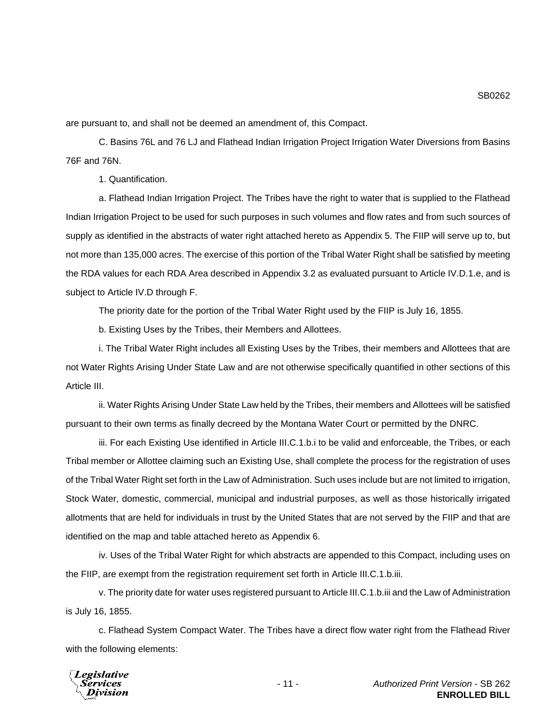are pursuant to, and shall not be deemed an amendment of, this Compact.

C. Basins 76L and 76 LJ and Flathead Indian Irrigation Project Irrigation Water Diversions from Basins 76F and 76N.

1. Quantification.

a. Flathead Indian Irrigation Project. The Tribes have the right to water that is supplied to the Flathead Indian Irrigation Project to be used for such purposes in such volumes and flow rates and from such sources of supply as identified in the abstracts of water right attached hereto as Appendix 5. The FIIP will serve up to, but not more than 135,000 acres. The exercise of this portion of the Tribal Water Right shall be satisfied by meeting the RDA values for each RDA Area described in Appendix 3.2 as evaluated pursuant to Article IV.D.1.e, and is subject to Article IV.D through F.

The priority date for the portion of the Tribal Water Right used by the FIIP is July 16, 1855.

b. Existing Uses by the Tribes, their Members and Allottees.

i. The Tribal Water Right includes all Existing Uses by the Tribes, their members and Allottees that are not Water Rights Arising Under State Law and are not otherwise specifically quantified in other sections of this Article III.

ii. Water Rights Arising Under State Law held by the Tribes, their members and Allottees will be satisfied pursuant to their own terms as finally decreed by the Montana Water Court or permitted by the DNRC.

iii. For each Existing Use identified in Article III.C.1.b.i to be valid and enforceable, the Tribes, or each Tribal member or Allottee claiming such an Existing Use, shall complete the process for the registration of uses of the Tribal Water Right set forth in the Law of Administration. Such uses include but are not limited to irrigation, Stock Water, domestic, commercial, municipal and industrial purposes, as well as those historically irrigated allotments that are held for individuals in trust by the United States that are not served by the FIIP and that are identified on the map and table attached hereto as Appendix 6.

iv. Uses of the Tribal Water Right for which abstracts are appended to this Compact, including uses on the FIIP, are exempt from the registration requirement set forth in Article III.C.1.b.iii.

v. The priority date for water uses registered pursuant to Article III.C.1.b.iii and the Law of Administration is July 16, 1855.

c. Flathead System Compact Water. The Tribes have a direct flow water right from the Flathead River with the following elements:

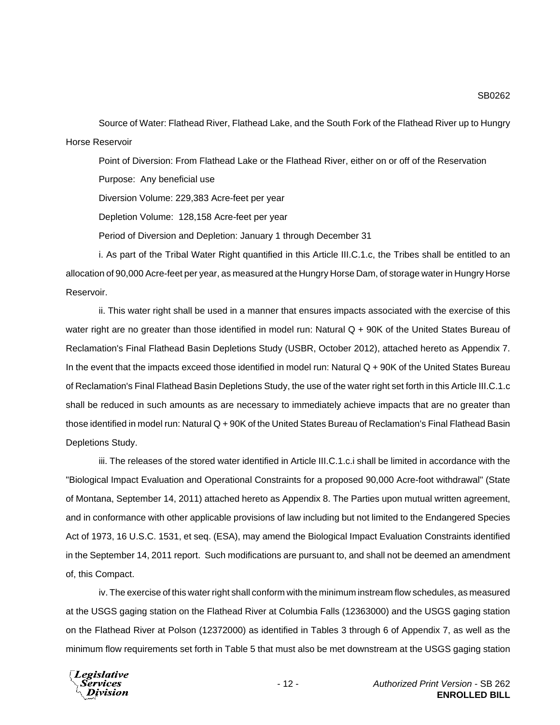Source of Water: Flathead River, Flathead Lake, and the South Fork of the Flathead River up to Hungry Horse Reservoir

Point of Diversion: From Flathead Lake or the Flathead River, either on or off of the Reservation Purpose: Any beneficial use

Diversion Volume: 229,383 Acre-feet per year

Depletion Volume: 128,158 Acre-feet per year

Period of Diversion and Depletion: January 1 through December 31

i. As part of the Tribal Water Right quantified in this Article III.C.1.c, the Tribes shall be entitled to an allocation of 90,000 Acre-feet per year, as measured at the Hungry Horse Dam, of storage water in Hungry Horse Reservoir.

ii. This water right shall be used in a manner that ensures impacts associated with the exercise of this water right are no greater than those identified in model run: Natural Q + 90K of the United States Bureau of Reclamation's Final Flathead Basin Depletions Study (USBR, October 2012), attached hereto as Appendix 7. In the event that the impacts exceed those identified in model run: Natural Q + 90K of the United States Bureau of Reclamation's Final Flathead Basin Depletions Study, the use of the water right set forth in this Article III.C.1.c shall be reduced in such amounts as are necessary to immediately achieve impacts that are no greater than those identified in model run: Natural Q + 90K of the United States Bureau of Reclamation's Final Flathead Basin Depletions Study.

iii. The releases of the stored water identified in Article III.C.1.c.i shall be limited in accordance with the "Biological Impact Evaluation and Operational Constraints for a proposed 90,000 Acre-foot withdrawal" (State of Montana, September 14, 2011) attached hereto as Appendix 8. The Parties upon mutual written agreement, and in conformance with other applicable provisions of law including but not limited to the Endangered Species Act of 1973, 16 U.S.C. 1531, et seq. (ESA), may amend the Biological Impact Evaluation Constraints identified in the September 14, 2011 report. Such modifications are pursuant to, and shall not be deemed an amendment of, this Compact.

iv. The exercise of this water right shall conform with the minimum instream flow schedules, as measured at the USGS gaging station on the Flathead River at Columbia Falls (12363000) and the USGS gaging station on the Flathead River at Polson (12372000) as identified in Tables 3 through 6 of Appendix 7, as well as the minimum flow requirements set forth in Table 5 that must also be met downstream at the USGS gaging station

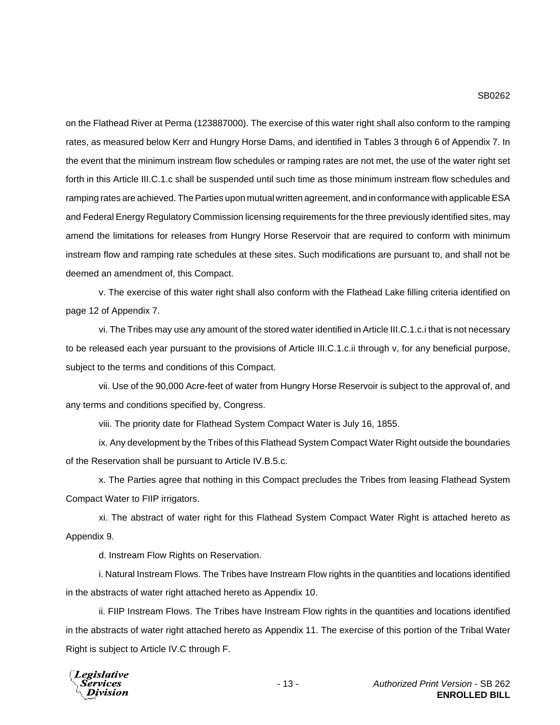on the Flathead River at Perma (123887000). The exercise of this water right shall also conform to the ramping rates, as measured below Kerr and Hungry Horse Dams, and identified in Tables 3 through 6 of Appendix 7. In the event that the minimum instream flow schedules or ramping rates are not met, the use of the water right set forth in this Article III.C.1.c shall be suspended until such time as those minimum instream flow schedules and ramping rates are achieved. The Parties upon mutual written agreement, and in conformance with applicable ESA and Federal Energy Regulatory Commission licensing requirements for the three previously identified sites, may amend the limitations for releases from Hungry Horse Reservoir that are required to conform with minimum instream flow and ramping rate schedules at these sites. Such modifications are pursuant to, and shall not be deemed an amendment of, this Compact.

v. The exercise of this water right shall also conform with the Flathead Lake filling criteria identified on page 12 of Appendix 7.

vi. The Tribes may use any amount of the stored water identified in Article III.C.1.c.i that is not necessary to be released each year pursuant to the provisions of Article III.C.1.c.ii through v, for any beneficial purpose, subject to the terms and conditions of this Compact.

vii. Use of the 90,000 Acre-feet of water from Hungry Horse Reservoir is subject to the approval of, and any terms and conditions specified by, Congress.

viii. The priority date for Flathead System Compact Water is July 16, 1855.

ix. Any development by the Tribes of this Flathead System Compact Water Right outside the boundaries of the Reservation shall be pursuant to Article IV.B.5.c.

x. The Parties agree that nothing in this Compact precludes the Tribes from leasing Flathead System Compact Water to FIIP irrigators.

xi. The abstract of water right for this Flathead System Compact Water Right is attached hereto as Appendix 9.

d. Instream Flow Rights on Reservation.

i. Natural Instream Flows. The Tribes have Instream Flow rights in the quantities and locations identified in the abstracts of water right attached hereto as Appendix 10.

ii. FIIP Instream Flows. The Tribes have Instream Flow rights in the quantities and locations identified in the abstracts of water right attached hereto as Appendix 11. The exercise of this portion of the Tribal Water Right is subject to Article IV.C through F.

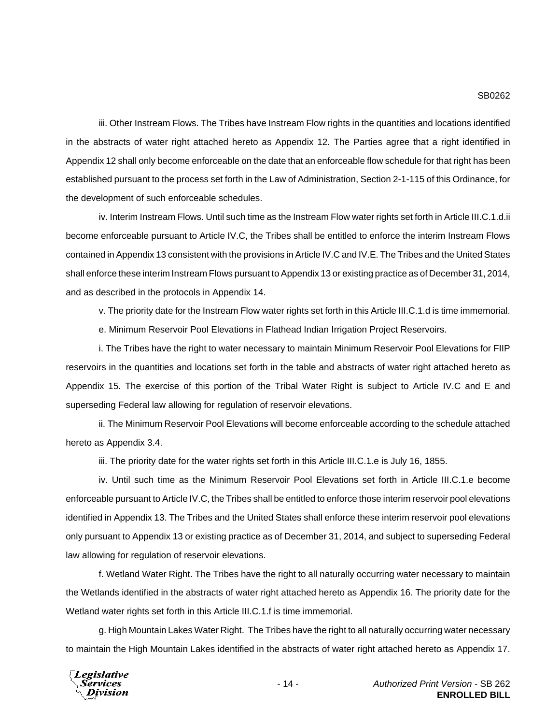iii. Other Instream Flows. The Tribes have Instream Flow rights in the quantities and locations identified in the abstracts of water right attached hereto as Appendix 12. The Parties agree that a right identified in Appendix 12 shall only become enforceable on the date that an enforceable flow schedule for that right has been established pursuant to the process set forth in the Law of Administration, Section 2-1-115 of this Ordinance, for the development of such enforceable schedules.

iv. Interim Instream Flows. Until such time as the Instream Flow water rights set forth in Article III.C.1.d.ii become enforceable pursuant to Article IV.C, the Tribes shall be entitled to enforce the interim Instream Flows contained in Appendix 13 consistent with the provisions in Article IV.C and IV.E. The Tribes and the United States shall enforce these interim Instream Flows pursuant to Appendix 13 or existing practice as of December 31, 2014, and as described in the protocols in Appendix 14.

v. The priority date for the Instream Flow water rights set forth in this Article III.C.1.d is time immemorial.

e. Minimum Reservoir Pool Elevations in Flathead Indian Irrigation Project Reservoirs.

i. The Tribes have the right to water necessary to maintain Minimum Reservoir Pool Elevations for FIIP reservoirs in the quantities and locations set forth in the table and abstracts of water right attached hereto as Appendix 15. The exercise of this portion of the Tribal Water Right is subject to Article IV.C and E and superseding Federal law allowing for regulation of reservoir elevations.

ii. The Minimum Reservoir Pool Elevations will become enforceable according to the schedule attached hereto as Appendix 3.4.

iii. The priority date for the water rights set forth in this Article III.C.1.e is July 16, 1855.

iv. Until such time as the Minimum Reservoir Pool Elevations set forth in Article III.C.1.e become enforceable pursuant to Article IV.C, the Tribes shall be entitled to enforce those interim reservoir pool elevations identified in Appendix 13. The Tribes and the United States shall enforce these interim reservoir pool elevations only pursuant to Appendix 13 or existing practice as of December 31, 2014, and subject to superseding Federal law allowing for regulation of reservoir elevations.

f. Wetland Water Right. The Tribes have the right to all naturally occurring water necessary to maintain the Wetlands identified in the abstracts of water right attached hereto as Appendix 16. The priority date for the Wetland water rights set forth in this Article III.C.1.f is time immemorial.

g. High Mountain Lakes Water Right. The Tribes have the right to all naturally occurring water necessary to maintain the High Mountain Lakes identified in the abstracts of water right attached hereto as Appendix 17.

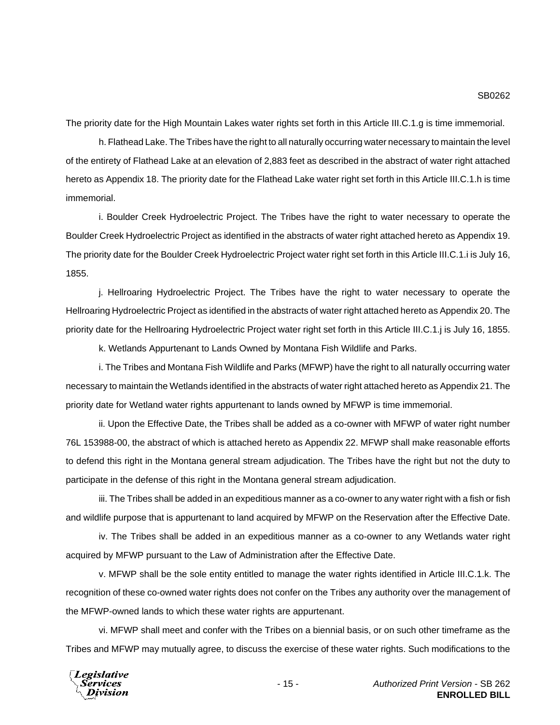The priority date for the High Mountain Lakes water rights set forth in this Article III.C.1.g is time immemorial.

h. Flathead Lake. The Tribes have the right to all naturally occurring water necessary to maintain the level of the entirety of Flathead Lake at an elevation of 2,883 feet as described in the abstract of water right attached hereto as Appendix 18. The priority date for the Flathead Lake water right set forth in this Article III.C.1.h is time immemorial.

i. Boulder Creek Hydroelectric Project. The Tribes have the right to water necessary to operate the Boulder Creek Hydroelectric Project as identified in the abstracts of water right attached hereto as Appendix 19. The priority date for the Boulder Creek Hydroelectric Project water right set forth in this Article III.C.1.i is July 16, 1855.

j. Hellroaring Hydroelectric Project. The Tribes have the right to water necessary to operate the Hellroaring Hydroelectric Project as identified in the abstracts of water right attached hereto as Appendix 20. The priority date for the Hellroaring Hydroelectric Project water right set forth in this Article III.C.1.j is July 16, 1855.

k. Wetlands Appurtenant to Lands Owned by Montana Fish Wildlife and Parks.

i. The Tribes and Montana Fish Wildlife and Parks (MFWP) have the right to all naturally occurring water necessary to maintain the Wetlands identified in the abstracts of water right attached hereto as Appendix 21. The priority date for Wetland water rights appurtenant to lands owned by MFWP is time immemorial.

ii. Upon the Effective Date, the Tribes shall be added as a co-owner with MFWP of water right number 76L 153988-00, the abstract of which is attached hereto as Appendix 22. MFWP shall make reasonable efforts to defend this right in the Montana general stream adjudication. The Tribes have the right but not the duty to participate in the defense of this right in the Montana general stream adjudication.

iii. The Tribes shall be added in an expeditious manner as a co-owner to any water right with a fish or fish and wildlife purpose that is appurtenant to land acquired by MFWP on the Reservation after the Effective Date.

iv. The Tribes shall be added in an expeditious manner as a co-owner to any Wetlands water right acquired by MFWP pursuant to the Law of Administration after the Effective Date.

v. MFWP shall be the sole entity entitled to manage the water rights identified in Article III.C.1.k. The recognition of these co-owned water rights does not confer on the Tribes any authority over the management of the MFWP-owned lands to which these water rights are appurtenant.

vi. MFWP shall meet and confer with the Tribes on a biennial basis, or on such other timeframe as the Tribes and MFWP may mutually agree, to discuss the exercise of these water rights. Such modifications to the

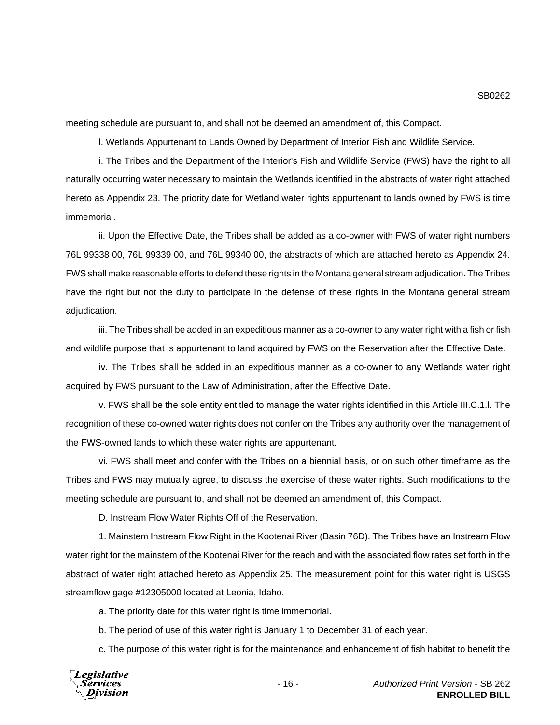meeting schedule are pursuant to, and shall not be deemed an amendment of, this Compact.

l. Wetlands Appurtenant to Lands Owned by Department of Interior Fish and Wildlife Service.

i. The Tribes and the Department of the Interior's Fish and Wildlife Service (FWS) have the right to all naturally occurring water necessary to maintain the Wetlands identified in the abstracts of water right attached hereto as Appendix 23. The priority date for Wetland water rights appurtenant to lands owned by FWS is time immemorial.

ii. Upon the Effective Date, the Tribes shall be added as a co-owner with FWS of water right numbers 76L 99338 00, 76L 99339 00, and 76L 99340 00, the abstracts of which are attached hereto as Appendix 24. FWS shall make reasonable efforts to defend these rights in the Montana general stream adjudication. The Tribes have the right but not the duty to participate in the defense of these rights in the Montana general stream adjudication.

iii. The Tribes shall be added in an expeditious manner as a co-owner to any water right with a fish or fish and wildlife purpose that is appurtenant to land acquired by FWS on the Reservation after the Effective Date.

iv. The Tribes shall be added in an expeditious manner as a co-owner to any Wetlands water right acquired by FWS pursuant to the Law of Administration, after the Effective Date.

v. FWS shall be the sole entity entitled to manage the water rights identified in this Article III.C.1.l. The recognition of these co-owned water rights does not confer on the Tribes any authority over the management of the FWS-owned lands to which these water rights are appurtenant.

vi. FWS shall meet and confer with the Tribes on a biennial basis, or on such other timeframe as the Tribes and FWS may mutually agree, to discuss the exercise of these water rights. Such modifications to the meeting schedule are pursuant to, and shall not be deemed an amendment of, this Compact.

D. Instream Flow Water Rights Off of the Reservation.

1. Mainstem Instream Flow Right in the Kootenai River (Basin 76D). The Tribes have an Instream Flow water right for the mainstem of the Kootenai River for the reach and with the associated flow rates set forth in the abstract of water right attached hereto as Appendix 25. The measurement point for this water right is USGS streamflow gage #12305000 located at Leonia, Idaho.

a. The priority date for this water right is time immemorial.

b. The period of use of this water right is January 1 to December 31 of each year.

c. The purpose of this water right is for the maintenance and enhancement of fish habitat to benefit the

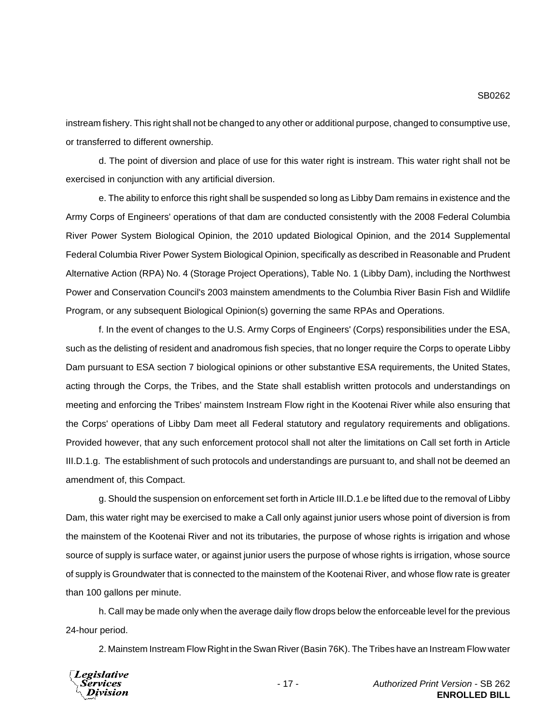instream fishery. This right shall not be changed to any other or additional purpose, changed to consumptive use, or transferred to different ownership.

d. The point of diversion and place of use for this water right is instream. This water right shall not be exercised in conjunction with any artificial diversion.

e. The ability to enforce this right shall be suspended so long as Libby Dam remains in existence and the Army Corps of Engineers' operations of that dam are conducted consistently with the 2008 Federal Columbia River Power System Biological Opinion, the 2010 updated Biological Opinion, and the 2014 Supplemental Federal Columbia River Power System Biological Opinion, specifically as described in Reasonable and Prudent Alternative Action (RPA) No. 4 (Storage Project Operations), Table No. 1 (Libby Dam), including the Northwest Power and Conservation Council's 2003 mainstem amendments to the Columbia River Basin Fish and Wildlife Program, or any subsequent Biological Opinion(s) governing the same RPAs and Operations.

f. In the event of changes to the U.S. Army Corps of Engineers' (Corps) responsibilities under the ESA, such as the delisting of resident and anadromous fish species, that no longer require the Corps to operate Libby Dam pursuant to ESA section 7 biological opinions or other substantive ESA requirements, the United States, acting through the Corps, the Tribes, and the State shall establish written protocols and understandings on meeting and enforcing the Tribes' mainstem Instream Flow right in the Kootenai River while also ensuring that the Corps' operations of Libby Dam meet all Federal statutory and regulatory requirements and obligations. Provided however, that any such enforcement protocol shall not alter the limitations on Call set forth in Article III.D.1.g. The establishment of such protocols and understandings are pursuant to, and shall not be deemed an amendment of, this Compact.

g. Should the suspension on enforcement set forth in Article III.D.1.e be lifted due to the removal of Libby Dam, this water right may be exercised to make a Call only against junior users whose point of diversion is from the mainstem of the Kootenai River and not its tributaries, the purpose of whose rights is irrigation and whose source of supply is surface water, or against junior users the purpose of whose rights is irrigation, whose source of supply is Groundwater that is connected to the mainstem of the Kootenai River, and whose flow rate is greater than 100 gallons per minute.

h. Call may be made only when the average daily flow drops below the enforceable level for the previous 24-hour period.

2. Mainstem Instream Flow Right in the Swan River (Basin 76K). The Tribes have an Instream Flow water



- 17 - *Authorized Print Version* - SB 262 **ENROLLED BILL**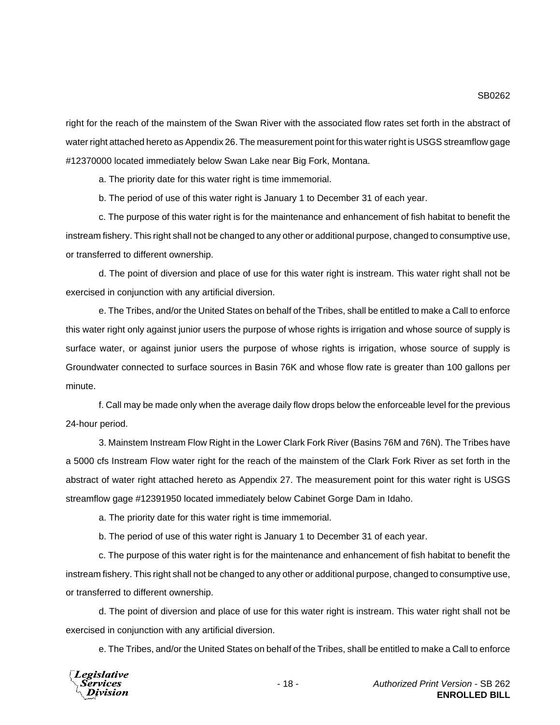right for the reach of the mainstem of the Swan River with the associated flow rates set forth in the abstract of water right attached hereto as Appendix 26. The measurement point for this water right is USGS streamflow gage

#12370000 located immediately below Swan Lake near Big Fork, Montana. a. The priority date for this water right is time immemorial.

b. The period of use of this water right is January 1 to December 31 of each year.

c. The purpose of this water right is for the maintenance and enhancement of fish habitat to benefit the instream fishery. This right shall not be changed to any other or additional purpose, changed to consumptive use, or transferred to different ownership.

d. The point of diversion and place of use for this water right is instream. This water right shall not be exercised in conjunction with any artificial diversion.

e. The Tribes, and/or the United States on behalf of the Tribes, shall be entitled to make a Call to enforce this water right only against junior users the purpose of whose rights is irrigation and whose source of supply is surface water, or against junior users the purpose of whose rights is irrigation, whose source of supply is Groundwater connected to surface sources in Basin 76K and whose flow rate is greater than 100 gallons per minute.

f. Call may be made only when the average daily flow drops below the enforceable level for the previous 24-hour period.

3. Mainstem Instream Flow Right in the Lower Clark Fork River (Basins 76M and 76N). The Tribes have a 5000 cfs Instream Flow water right for the reach of the mainstem of the Clark Fork River as set forth in the abstract of water right attached hereto as Appendix 27. The measurement point for this water right is USGS streamflow gage #12391950 located immediately below Cabinet Gorge Dam in Idaho.

a. The priority date for this water right is time immemorial.

b. The period of use of this water right is January 1 to December 31 of each year.

c. The purpose of this water right is for the maintenance and enhancement of fish habitat to benefit the instream fishery. This right shall not be changed to any other or additional purpose, changed to consumptive use, or transferred to different ownership.

d. The point of diversion and place of use for this water right is instream. This water right shall not be exercised in conjunction with any artificial diversion.

e. The Tribes, and/or the United States on behalf of the Tribes, shall be entitled to make a Call to enforce

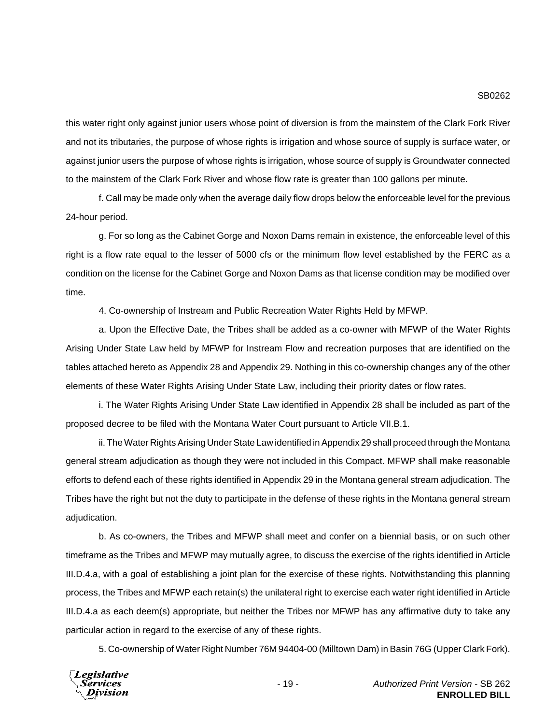this water right only against junior users whose point of diversion is from the mainstem of the Clark Fork River and not its tributaries, the purpose of whose rights is irrigation and whose source of supply is surface water, or against junior users the purpose of whose rights is irrigation, whose source of supply is Groundwater connected to the mainstem of the Clark Fork River and whose flow rate is greater than 100 gallons per minute.

f. Call may be made only when the average daily flow drops below the enforceable level for the previous 24-hour period.

g. For so long as the Cabinet Gorge and Noxon Dams remain in existence, the enforceable level of this right is a flow rate equal to the lesser of 5000 cfs or the minimum flow level established by the FERC as a condition on the license for the Cabinet Gorge and Noxon Dams as that license condition may be modified over time.

4. Co-ownership of Instream and Public Recreation Water Rights Held by MFWP.

a. Upon the Effective Date, the Tribes shall be added as a co-owner with MFWP of the Water Rights Arising Under State Law held by MFWP for Instream Flow and recreation purposes that are identified on the tables attached hereto as Appendix 28 and Appendix 29. Nothing in this co-ownership changes any of the other elements of these Water Rights Arising Under State Law, including their priority dates or flow rates.

i. The Water Rights Arising Under State Law identified in Appendix 28 shall be included as part of the proposed decree to be filed with the Montana Water Court pursuant to Article VII.B.1.

ii. The Water Rights Arising Under State Law identified in Appendix 29 shall proceed through the Montana general stream adjudication as though they were not included in this Compact. MFWP shall make reasonable efforts to defend each of these rights identified in Appendix 29 in the Montana general stream adjudication. The Tribes have the right but not the duty to participate in the defense of these rights in the Montana general stream adjudication.

b. As co-owners, the Tribes and MFWP shall meet and confer on a biennial basis, or on such other timeframe as the Tribes and MFWP may mutually agree, to discuss the exercise of the rights identified in Article III.D.4.a, with a goal of establishing a joint plan for the exercise of these rights. Notwithstanding this planning process, the Tribes and MFWP each retain(s) the unilateral right to exercise each water right identified in Article III.D.4.a as each deem(s) appropriate, but neither the Tribes nor MFWP has any affirmative duty to take any particular action in regard to the exercise of any of these rights.

5. Co-ownership of Water Right Number 76M 94404-00 (Milltown Dam) in Basin 76G (Upper Clark Fork).

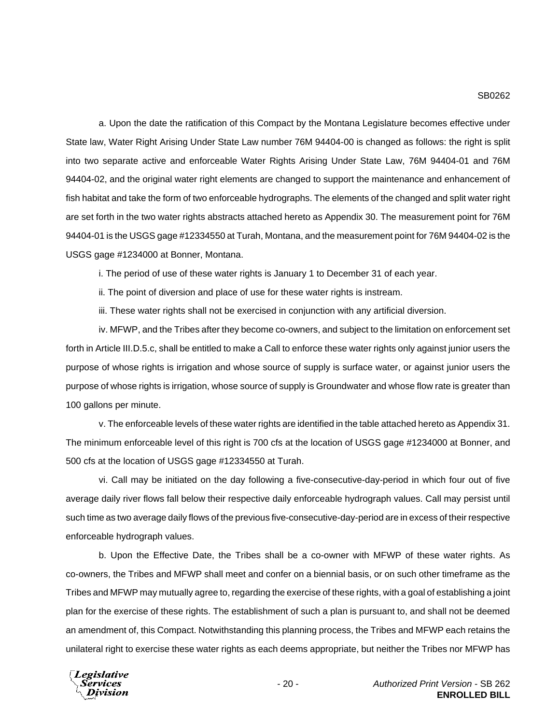a. Upon the date the ratification of this Compact by the Montana Legislature becomes effective under State law, Water Right Arising Under State Law number 76M 94404-00 is changed as follows: the right is split into two separate active and enforceable Water Rights Arising Under State Law, 76M 94404-01 and 76M 94404-02, and the original water right elements are changed to support the maintenance and enhancement of fish habitat and take the form of two enforceable hydrographs. The elements of the changed and split water right are set forth in the two water rights abstracts attached hereto as Appendix 30. The measurement point for 76M 94404-01 is the USGS gage #12334550 at Turah, Montana, and the measurement point for 76M 94404-02 is the USGS gage #1234000 at Bonner, Montana.

i. The period of use of these water rights is January 1 to December 31 of each year.

ii. The point of diversion and place of use for these water rights is instream.

iii. These water rights shall not be exercised in conjunction with any artificial diversion.

iv. MFWP, and the Tribes after they become co-owners, and subject to the limitation on enforcement set forth in Article III.D.5.c, shall be entitled to make a Call to enforce these water rights only against junior users the purpose of whose rights is irrigation and whose source of supply is surface water, or against junior users the purpose of whose rights is irrigation, whose source of supply is Groundwater and whose flow rate is greater than 100 gallons per minute.

v. The enforceable levels of these water rights are identified in the table attached hereto as Appendix 31. The minimum enforceable level of this right is 700 cfs at the location of USGS gage #1234000 at Bonner, and 500 cfs at the location of USGS gage #12334550 at Turah.

vi. Call may be initiated on the day following a five-consecutive-day-period in which four out of five average daily river flows fall below their respective daily enforceable hydrograph values. Call may persist until such time as two average daily flows of the previous five-consecutive-day-period are in excess of their respective enforceable hydrograph values.

b. Upon the Effective Date, the Tribes shall be a co-owner with MFWP of these water rights. As co-owners, the Tribes and MFWP shall meet and confer on a biennial basis, or on such other timeframe as the Tribes and MFWP may mutually agree to, regarding the exercise of these rights, with a goal of establishing a joint plan for the exercise of these rights. The establishment of such a plan is pursuant to, and shall not be deemed an amendment of, this Compact. Notwithstanding this planning process, the Tribes and MFWP each retains the unilateral right to exercise these water rights as each deems appropriate, but neither the Tribes nor MFWP has

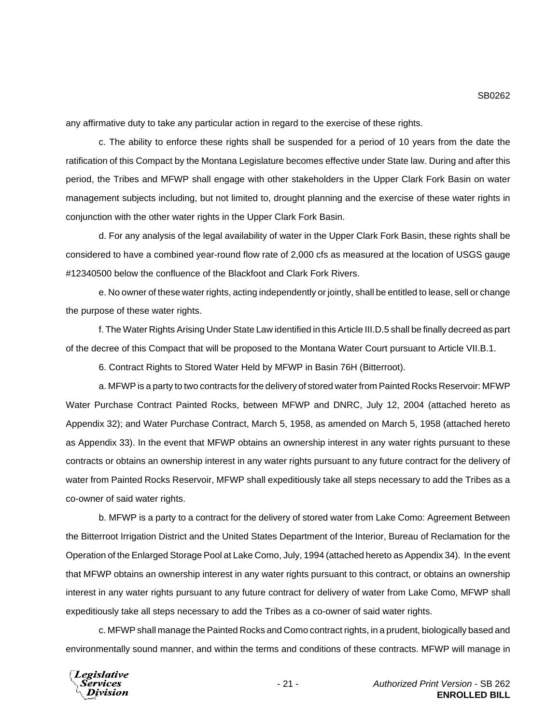any affirmative duty to take any particular action in regard to the exercise of these rights.

c. The ability to enforce these rights shall be suspended for a period of 10 years from the date the ratification of this Compact by the Montana Legislature becomes effective under State law. During and after this period, the Tribes and MFWP shall engage with other stakeholders in the Upper Clark Fork Basin on water management subjects including, but not limited to, drought planning and the exercise of these water rights in conjunction with the other water rights in the Upper Clark Fork Basin.

d. For any analysis of the legal availability of water in the Upper Clark Fork Basin, these rights shall be considered to have a combined year-round flow rate of 2,000 cfs as measured at the location of USGS gauge #12340500 below the confluence of the Blackfoot and Clark Fork Rivers.

e. No owner of these water rights, acting independently or jointly, shall be entitled to lease, sell or change the purpose of these water rights.

f. The Water Rights Arising Under State Law identified in this Article III.D.5 shall be finally decreed as part of the decree of this Compact that will be proposed to the Montana Water Court pursuant to Article VII.B.1.

6. Contract Rights to Stored Water Held by MFWP in Basin 76H (Bitterroot).

a. MFWP is a party to two contracts for the delivery of stored water from Painted Rocks Reservoir: MFWP Water Purchase Contract Painted Rocks, between MFWP and DNRC, July 12, 2004 (attached hereto as Appendix 32); and Water Purchase Contract, March 5, 1958, as amended on March 5, 1958 (attached hereto as Appendix 33). In the event that MFWP obtains an ownership interest in any water rights pursuant to these contracts or obtains an ownership interest in any water rights pursuant to any future contract for the delivery of water from Painted Rocks Reservoir, MFWP shall expeditiously take all steps necessary to add the Tribes as a co-owner of said water rights.

b. MFWP is a party to a contract for the delivery of stored water from Lake Como: Agreement Between the Bitterroot Irrigation District and the United States Department of the Interior, Bureau of Reclamation for the Operation of the Enlarged Storage Pool at Lake Como, July, 1994 (attached hereto as Appendix 34). In the event that MFWP obtains an ownership interest in any water rights pursuant to this contract, or obtains an ownership interest in any water rights pursuant to any future contract for delivery of water from Lake Como, MFWP shall expeditiously take all steps necessary to add the Tribes as a co-owner of said water rights.

c. MFWP shall manage the Painted Rocks and Como contract rights, in a prudent, biologically based and environmentally sound manner, and within the terms and conditions of these contracts. MFWP will manage in

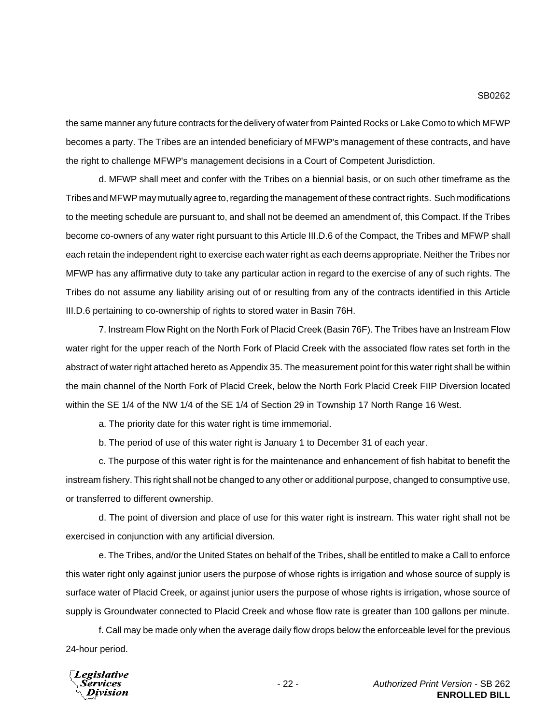the same manner any future contracts for the delivery of water from Painted Rocks or Lake Como to which MFWP becomes a party. The Tribes are an intended beneficiary of MFWP's management of these contracts, and have the right to challenge MFWP's management decisions in a Court of Competent Jurisdiction.

d. MFWP shall meet and confer with the Tribes on a biennial basis, or on such other timeframe as the Tribes and MFWP may mutually agree to, regarding the management of these contract rights. Such modifications to the meeting schedule are pursuant to, and shall not be deemed an amendment of, this Compact. If the Tribes become co-owners of any water right pursuant to this Article III.D.6 of the Compact, the Tribes and MFWP shall each retain the independent right to exercise each water right as each deems appropriate. Neither the Tribes nor MFWP has any affirmative duty to take any particular action in regard to the exercise of any of such rights. The Tribes do not assume any liability arising out of or resulting from any of the contracts identified in this Article III.D.6 pertaining to co-ownership of rights to stored water in Basin 76H.

7. Instream Flow Right on the North Fork of Placid Creek (Basin 76F). The Tribes have an Instream Flow water right for the upper reach of the North Fork of Placid Creek with the associated flow rates set forth in the abstract of water right attached hereto as Appendix 35. The measurement point for this water right shall be within the main channel of the North Fork of Placid Creek, below the North Fork Placid Creek FIIP Diversion located within the SE 1/4 of the NW 1/4 of the SE 1/4 of Section 29 in Township 17 North Range 16 West.

a. The priority date for this water right is time immemorial.

b. The period of use of this water right is January 1 to December 31 of each year.

c. The purpose of this water right is for the maintenance and enhancement of fish habitat to benefit the instream fishery. This right shall not be changed to any other or additional purpose, changed to consumptive use, or transferred to different ownership.

d. The point of diversion and place of use for this water right is instream. This water right shall not be exercised in conjunction with any artificial diversion.

e. The Tribes, and/or the United States on behalf of the Tribes, shall be entitled to make a Call to enforce this water right only against junior users the purpose of whose rights is irrigation and whose source of supply is surface water of Placid Creek, or against junior users the purpose of whose rights is irrigation, whose source of supply is Groundwater connected to Placid Creek and whose flow rate is greater than 100 gallons per minute.

f. Call may be made only when the average daily flow drops below the enforceable level for the previous 24-hour period.

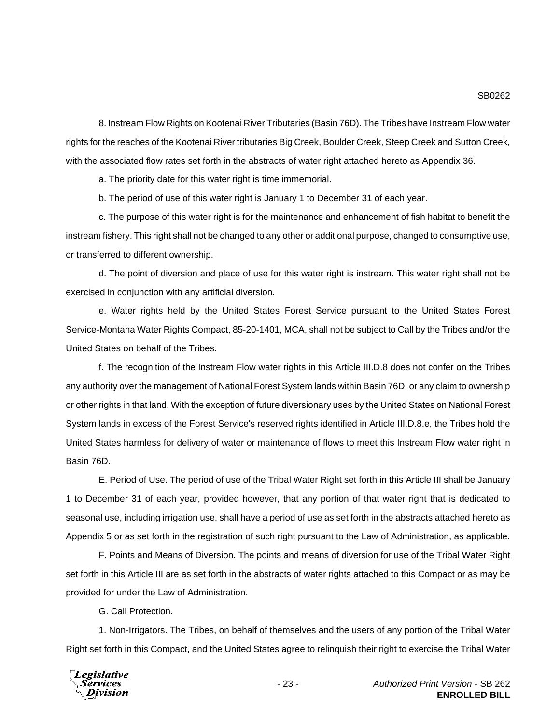8. Instream Flow Rights on Kootenai River Tributaries (Basin 76D). The Tribes have Instream Flow water rights for the reaches of the Kootenai River tributaries Big Creek, Boulder Creek, Steep Creek and Sutton Creek, with the associated flow rates set forth in the abstracts of water right attached hereto as Appendix 36.

a. The priority date for this water right is time immemorial.

b. The period of use of this water right is January 1 to December 31 of each year.

c. The purpose of this water right is for the maintenance and enhancement of fish habitat to benefit the instream fishery. This right shall not be changed to any other or additional purpose, changed to consumptive use, or transferred to different ownership.

d. The point of diversion and place of use for this water right is instream. This water right shall not be exercised in conjunction with any artificial diversion.

e. Water rights held by the United States Forest Service pursuant to the United States Forest Service-Montana Water Rights Compact, 85-20-1401, MCA, shall not be subject to Call by the Tribes and/or the United States on behalf of the Tribes.

f. The recognition of the Instream Flow water rights in this Article III.D.8 does not confer on the Tribes any authority over the management of National Forest System lands within Basin 76D, or any claim to ownership or other rights in that land. With the exception of future diversionary uses by the United States on National Forest System lands in excess of the Forest Service's reserved rights identified in Article III.D.8.e, the Tribes hold the United States harmless for delivery of water or maintenance of flows to meet this Instream Flow water right in Basin 76D.

E. Period of Use. The period of use of the Tribal Water Right set forth in this Article III shall be January 1 to December 31 of each year, provided however, that any portion of that water right that is dedicated to seasonal use, including irrigation use, shall have a period of use as set forth in the abstracts attached hereto as Appendix 5 or as set forth in the registration of such right pursuant to the Law of Administration, as applicable.

F. Points and Means of Diversion. The points and means of diversion for use of the Tribal Water Right set forth in this Article III are as set forth in the abstracts of water rights attached to this Compact or as may be provided for under the Law of Administration.

G. Call Protection.

1. Non-Irrigators. The Tribes, on behalf of themselves and the users of any portion of the Tribal Water Right set forth in this Compact, and the United States agree to relinquish their right to exercise the Tribal Water

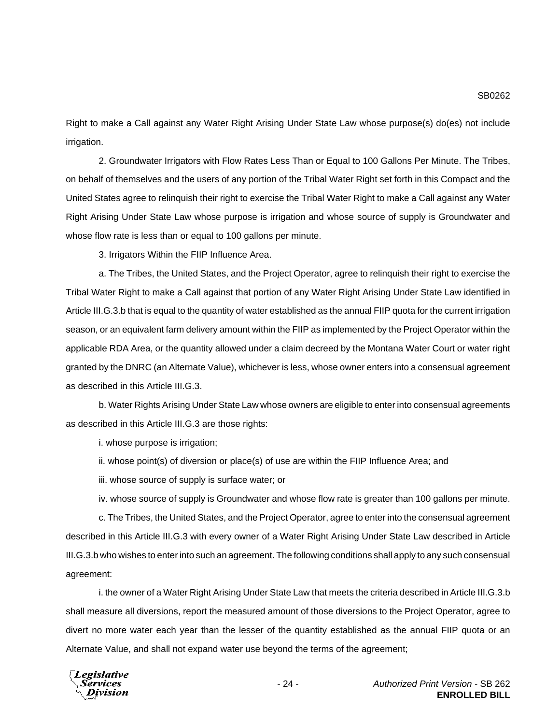Right to make a Call against any Water Right Arising Under State Law whose purpose(s) do(es) not include irrigation.

2. Groundwater Irrigators with Flow Rates Less Than or Equal to 100 Gallons Per Minute. The Tribes, on behalf of themselves and the users of any portion of the Tribal Water Right set forth in this Compact and the United States agree to relinquish their right to exercise the Tribal Water Right to make a Call against any Water Right Arising Under State Law whose purpose is irrigation and whose source of supply is Groundwater and whose flow rate is less than or equal to 100 gallons per minute.

3. Irrigators Within the FIIP Influence Area.

a. The Tribes, the United States, and the Project Operator, agree to relinquish their right to exercise the Tribal Water Right to make a Call against that portion of any Water Right Arising Under State Law identified in Article III.G.3.b that is equal to the quantity of water established as the annual FIIP quota for the current irrigation season, or an equivalent farm delivery amount within the FIIP as implemented by the Project Operator within the applicable RDA Area, or the quantity allowed under a claim decreed by the Montana Water Court or water right granted by the DNRC (an Alternate Value), whichever is less, whose owner enters into a consensual agreement as described in this Article III.G.3.

b. Water Rights Arising Under State Law whose owners are eligible to enter into consensual agreements as described in this Article III.G.3 are those rights:

i. whose purpose is irrigation;

ii. whose point(s) of diversion or place(s) of use are within the FIIP Influence Area; and

iii. whose source of supply is surface water; or

iv. whose source of supply is Groundwater and whose flow rate is greater than 100 gallons per minute.

c. The Tribes, the United States, and the Project Operator, agree to enter into the consensual agreement described in this Article III.G.3 with every owner of a Water Right Arising Under State Law described in Article III.G.3.b who wishes to enter into such an agreement. The following conditions shall apply to any such consensual agreement:

i. the owner of a Water Right Arising Under State Law that meets the criteria described in Article III.G.3.b shall measure all diversions, report the measured amount of those diversions to the Project Operator, agree to divert no more water each year than the lesser of the quantity established as the annual FIIP quota or an Alternate Value, and shall not expand water use beyond the terms of the agreement;

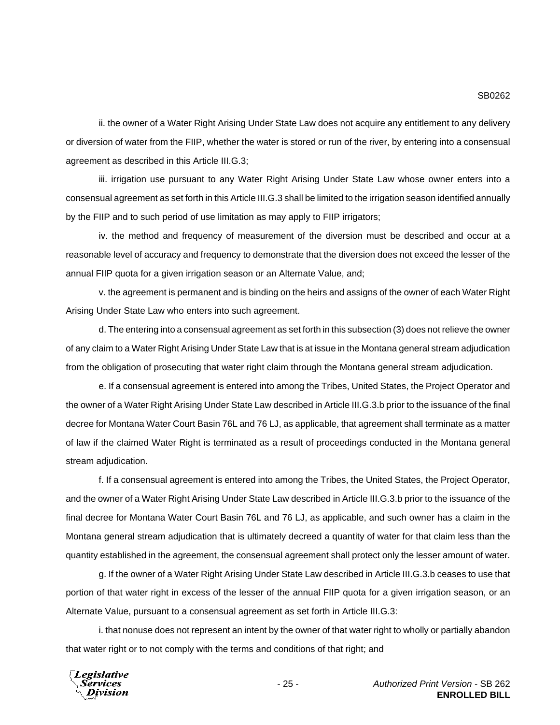ii. the owner of a Water Right Arising Under State Law does not acquire any entitlement to any delivery or diversion of water from the FIIP, whether the water is stored or run of the river, by entering into a consensual agreement as described in this Article III.G.3;

iii. irrigation use pursuant to any Water Right Arising Under State Law whose owner enters into a consensual agreement as set forth in this Article III.G.3 shall be limited to the irrigation season identified annually by the FIIP and to such period of use limitation as may apply to FIIP irrigators;

iv. the method and frequency of measurement of the diversion must be described and occur at a reasonable level of accuracy and frequency to demonstrate that the diversion does not exceed the lesser of the annual FIIP quota for a given irrigation season or an Alternate Value, and;

v. the agreement is permanent and is binding on the heirs and assigns of the owner of each Water Right Arising Under State Law who enters into such agreement.

d. The entering into a consensual agreement as set forth in this subsection (3) does not relieve the owner of any claim to a Water Right Arising Under State Law that is at issue in the Montana general stream adjudication from the obligation of prosecuting that water right claim through the Montana general stream adjudication.

e. If a consensual agreement is entered into among the Tribes, United States, the Project Operator and the owner of a Water Right Arising Under State Law described in Article III.G.3.b prior to the issuance of the final decree for Montana Water Court Basin 76L and 76 LJ, as applicable, that agreement shall terminate as a matter of law if the claimed Water Right is terminated as a result of proceedings conducted in the Montana general stream adjudication.

f. If a consensual agreement is entered into among the Tribes, the United States, the Project Operator, and the owner of a Water Right Arising Under State Law described in Article III.G.3.b prior to the issuance of the final decree for Montana Water Court Basin 76L and 76 LJ, as applicable, and such owner has a claim in the Montana general stream adjudication that is ultimately decreed a quantity of water for that claim less than the quantity established in the agreement, the consensual agreement shall protect only the lesser amount of water.

g. If the owner of a Water Right Arising Under State Law described in Article III.G.3.b ceases to use that portion of that water right in excess of the lesser of the annual FIIP quota for a given irrigation season, or an Alternate Value, pursuant to a consensual agreement as set forth in Article III.G.3:

i. that nonuse does not represent an intent by the owner of that water right to wholly or partially abandon that water right or to not comply with the terms and conditions of that right; and

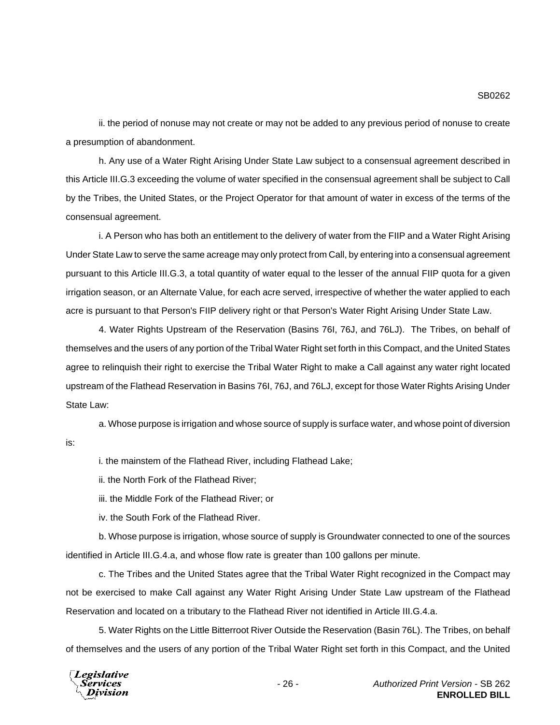ii. the period of nonuse may not create or may not be added to any previous period of nonuse to create a presumption of abandonment.

h. Any use of a Water Right Arising Under State Law subject to a consensual agreement described in this Article III.G.3 exceeding the volume of water specified in the consensual agreement shall be subject to Call by the Tribes, the United States, or the Project Operator for that amount of water in excess of the terms of the consensual agreement.

i. A Person who has both an entitlement to the delivery of water from the FIIP and a Water Right Arising Under State Law to serve the same acreage may only protect from Call, by entering into a consensual agreement pursuant to this Article III.G.3, a total quantity of water equal to the lesser of the annual FIIP quota for a given irrigation season, or an Alternate Value, for each acre served, irrespective of whether the water applied to each acre is pursuant to that Person's FIIP delivery right or that Person's Water Right Arising Under State Law.

4. Water Rights Upstream of the Reservation (Basins 76I, 76J, and 76LJ). The Tribes, on behalf of themselves and the users of any portion of the Tribal Water Right set forth in this Compact, and the United States agree to relinquish their right to exercise the Tribal Water Right to make a Call against any water right located upstream of the Flathead Reservation in Basins 76I, 76J, and 76LJ, except for those Water Rights Arising Under State Law:

a. Whose purpose is irrigation and whose source of supply is surface water, and whose point of diversion is:

i. the mainstem of the Flathead River, including Flathead Lake;

ii. the North Fork of the Flathead River;

iii. the Middle Fork of the Flathead River; or

iv. the South Fork of the Flathead River.

b. Whose purpose is irrigation, whose source of supply is Groundwater connected to one of the sources identified in Article III.G.4.a, and whose flow rate is greater than 100 gallons per minute.

c. The Tribes and the United States agree that the Tribal Water Right recognized in the Compact may not be exercised to make Call against any Water Right Arising Under State Law upstream of the Flathead Reservation and located on a tributary to the Flathead River not identified in Article III.G.4.a.

5. Water Rights on the Little Bitterroot River Outside the Reservation (Basin 76L). The Tribes, on behalf of themselves and the users of any portion of the Tribal Water Right set forth in this Compact, and the United

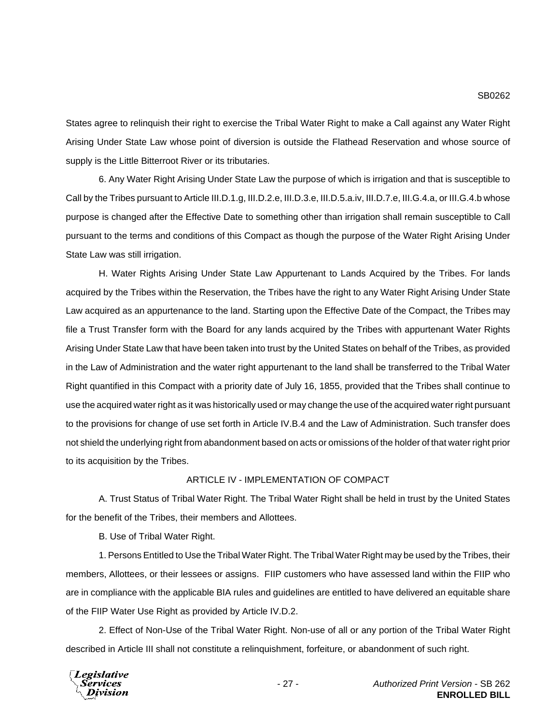States agree to relinquish their right to exercise the Tribal Water Right to make a Call against any Water Right Arising Under State Law whose point of diversion is outside the Flathead Reservation and whose source of supply is the Little Bitterroot River or its tributaries.

6. Any Water Right Arising Under State Law the purpose of which is irrigation and that is susceptible to Call by the Tribes pursuant to Article III.D.1.g, III.D.2.e, III.D.3.e, III.D.5.a.iv, III.D.7.e, III.G.4.a, or III.G.4.b whose purpose is changed after the Effective Date to something other than irrigation shall remain susceptible to Call pursuant to the terms and conditions of this Compact as though the purpose of the Water Right Arising Under State Law was still irrigation.

H. Water Rights Arising Under State Law Appurtenant to Lands Acquired by the Tribes. For lands acquired by the Tribes within the Reservation, the Tribes have the right to any Water Right Arising Under State Law acquired as an appurtenance to the land. Starting upon the Effective Date of the Compact, the Tribes may file a Trust Transfer form with the Board for any lands acquired by the Tribes with appurtenant Water Rights Arising Under State Law that have been taken into trust by the United States on behalf of the Tribes, as provided in the Law of Administration and the water right appurtenant to the land shall be transferred to the Tribal Water Right quantified in this Compact with a priority date of July 16, 1855, provided that the Tribes shall continue to use the acquired water right as it was historically used or may change the use of the acquired water right pursuant to the provisions for change of use set forth in Article IV.B.4 and the Law of Administration. Such transfer does not shield the underlying right from abandonment based on acts or omissions of the holder of that water right prior to its acquisition by the Tribes.

## ARTICLE IV - IMPLEMENTATION OF COMPACT

A. Trust Status of Tribal Water Right. The Tribal Water Right shall be held in trust by the United States for the benefit of the Tribes, their members and Allottees.

B. Use of Tribal Water Right.

1. Persons Entitled to Use the Tribal Water Right. The Tribal Water Right may be used by the Tribes, their members, Allottees, or their lessees or assigns. FIIP customers who have assessed land within the FIIP who are in compliance with the applicable BIA rules and guidelines are entitled to have delivered an equitable share of the FIIP Water Use Right as provided by Article IV.D.2.

2. Effect of Non-Use of the Tribal Water Right. Non-use of all or any portion of the Tribal Water Right described in Article III shall not constitute a relinquishment, forfeiture, or abandonment of such right.

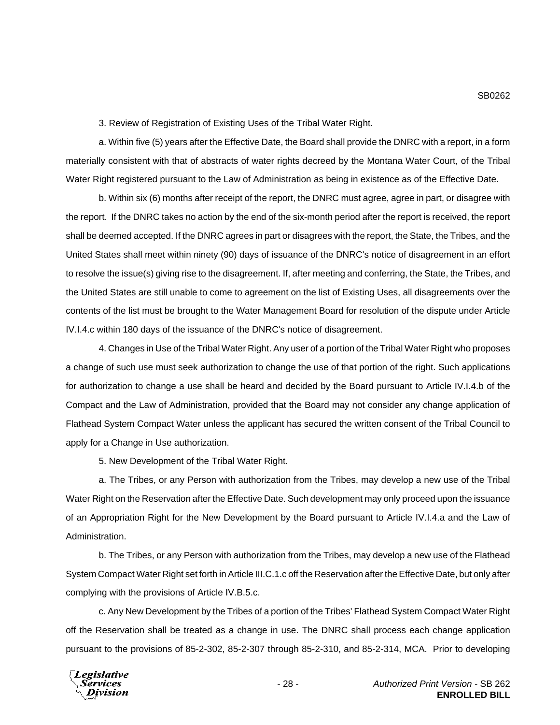3. Review of Registration of Existing Uses of the Tribal Water Right.

a. Within five (5) years after the Effective Date, the Board shall provide the DNRC with a report, in a form materially consistent with that of abstracts of water rights decreed by the Montana Water Court, of the Tribal Water Right registered pursuant to the Law of Administration as being in existence as of the Effective Date.

b. Within six (6) months after receipt of the report, the DNRC must agree, agree in part, or disagree with the report. If the DNRC takes no action by the end of the six-month period after the report is received, the report shall be deemed accepted. If the DNRC agrees in part or disagrees with the report, the State, the Tribes, and the United States shall meet within ninety (90) days of issuance of the DNRC's notice of disagreement in an effort to resolve the issue(s) giving rise to the disagreement. If, after meeting and conferring, the State, the Tribes, and the United States are still unable to come to agreement on the list of Existing Uses, all disagreements over the contents of the list must be brought to the Water Management Board for resolution of the dispute under Article IV.I.4.c within 180 days of the issuance of the DNRC's notice of disagreement.

4. Changes in Use of the Tribal Water Right. Any user of a portion of the Tribal Water Right who proposes a change of such use must seek authorization to change the use of that portion of the right. Such applications for authorization to change a use shall be heard and decided by the Board pursuant to Article IV.I.4.b of the Compact and the Law of Administration, provided that the Board may not consider any change application of Flathead System Compact Water unless the applicant has secured the written consent of the Tribal Council to apply for a Change in Use authorization.

5. New Development of the Tribal Water Right.

a. The Tribes, or any Person with authorization from the Tribes, may develop a new use of the Tribal Water Right on the Reservation after the Effective Date. Such development may only proceed upon the issuance of an Appropriation Right for the New Development by the Board pursuant to Article IV.I.4.a and the Law of Administration.

b. The Tribes, or any Person with authorization from the Tribes, may develop a new use of the Flathead System Compact Water Right set forth in Article III.C.1.c off the Reservation after the Effective Date, but only after complying with the provisions of Article IV.B.5.c.

c. Any New Development by the Tribes of a portion of the Tribes' Flathead System Compact Water Right off the Reservation shall be treated as a change in use. The DNRC shall process each change application pursuant to the provisions of 85-2-302, 85-2-307 through 85-2-310, and 85-2-314, MCA. Prior to developing

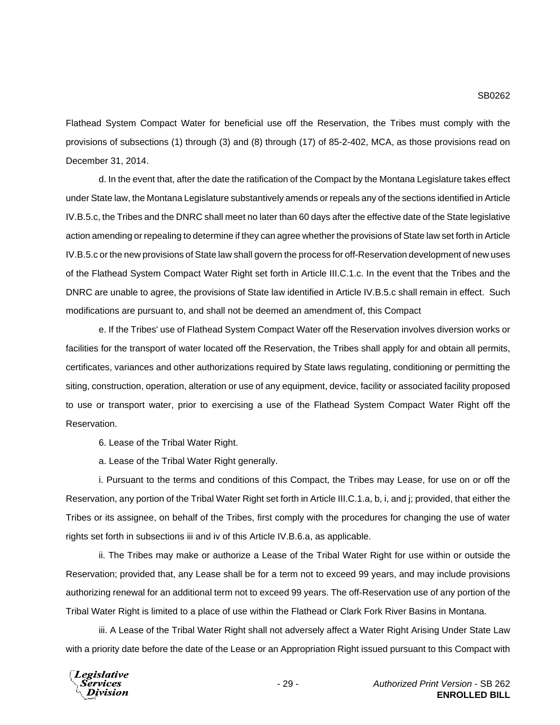Flathead System Compact Water for beneficial use off the Reservation, the Tribes must comply with the provisions of subsections (1) through (3) and (8) through (17) of 85-2-402, MCA, as those provisions read on December 31, 2014.

d. In the event that, after the date the ratification of the Compact by the Montana Legislature takes effect under State law, the Montana Legislature substantively amends or repeals any of the sections identified in Article IV.B.5.c, the Tribes and the DNRC shall meet no later than 60 days after the effective date of the State legislative action amending or repealing to determine if they can agree whether the provisions of State law set forth in Article IV.B.5.c or the new provisions of State law shall govern the process for off-Reservation development of new uses of the Flathead System Compact Water Right set forth in Article III.C.1.c. In the event that the Tribes and the DNRC are unable to agree, the provisions of State law identified in Article IV.B.5.c shall remain in effect. Such modifications are pursuant to, and shall not be deemed an amendment of, this Compact

e. If the Tribes' use of Flathead System Compact Water off the Reservation involves diversion works or facilities for the transport of water located off the Reservation, the Tribes shall apply for and obtain all permits, certificates, variances and other authorizations required by State laws regulating, conditioning or permitting the siting, construction, operation, alteration or use of any equipment, device, facility or associated facility proposed to use or transport water, prior to exercising a use of the Flathead System Compact Water Right off the Reservation.

6. Lease of the Tribal Water Right.

a. Lease of the Tribal Water Right generally.

i. Pursuant to the terms and conditions of this Compact, the Tribes may Lease, for use on or off the Reservation, any portion of the Tribal Water Right set forth in Article III.C.1.a, b, i, and j; provided, that either the Tribes or its assignee, on behalf of the Tribes, first comply with the procedures for changing the use of water rights set forth in subsections iii and iv of this Article IV.B.6.a, as applicable.

ii. The Tribes may make or authorize a Lease of the Tribal Water Right for use within or outside the Reservation; provided that, any Lease shall be for a term not to exceed 99 years, and may include provisions authorizing renewal for an additional term not to exceed 99 years. The off-Reservation use of any portion of the Tribal Water Right is limited to a place of use within the Flathead or Clark Fork River Basins in Montana.

iii. A Lease of the Tribal Water Right shall not adversely affect a Water Right Arising Under State Law with a priority date before the date of the Lease or an Appropriation Right issued pursuant to this Compact with

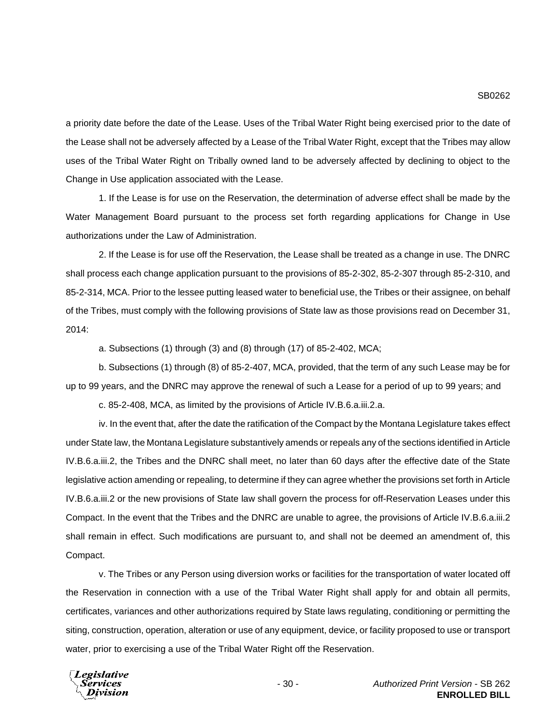a priority date before the date of the Lease. Uses of the Tribal Water Right being exercised prior to the date of the Lease shall not be adversely affected by a Lease of the Tribal Water Right, except that the Tribes may allow uses of the Tribal Water Right on Tribally owned land to be adversely affected by declining to object to the Change in Use application associated with the Lease.

1. If the Lease is for use on the Reservation, the determination of adverse effect shall be made by the Water Management Board pursuant to the process set forth regarding applications for Change in Use authorizations under the Law of Administration.

2. If the Lease is for use off the Reservation, the Lease shall be treated as a change in use. The DNRC shall process each change application pursuant to the provisions of 85-2-302, 85-2-307 through 85-2-310, and 85-2-314, MCA. Prior to the lessee putting leased water to beneficial use, the Tribes or their assignee, on behalf of the Tribes, must comply with the following provisions of State law as those provisions read on December 31, 2014:

a. Subsections (1) through (3) and (8) through (17) of 85-2-402, MCA;

b. Subsections (1) through (8) of 85-2-407, MCA, provided, that the term of any such Lease may be for up to 99 years, and the DNRC may approve the renewal of such a Lease for a period of up to 99 years; and

c. 85-2-408, MCA, as limited by the provisions of Article IV.B.6.a.iii.2.a.

iv. In the event that, after the date the ratification of the Compact by the Montana Legislature takes effect under State law, the Montana Legislature substantively amends or repeals any of the sections identified in Article IV.B.6.a.iii.2, the Tribes and the DNRC shall meet, no later than 60 days after the effective date of the State legislative action amending or repealing, to determine if they can agree whether the provisions set forth in Article IV.B.6.a.iii.2 or the new provisions of State law shall govern the process for off-Reservation Leases under this Compact. In the event that the Tribes and the DNRC are unable to agree, the provisions of Article IV.B.6.a.iii.2 shall remain in effect. Such modifications are pursuant to, and shall not be deemed an amendment of, this Compact.

v. The Tribes or any Person using diversion works or facilities for the transportation of water located off the Reservation in connection with a use of the Tribal Water Right shall apply for and obtain all permits, certificates, variances and other authorizations required by State laws regulating, conditioning or permitting the siting, construction, operation, alteration or use of any equipment, device, or facility proposed to use or transport water, prior to exercising a use of the Tribal Water Right off the Reservation.

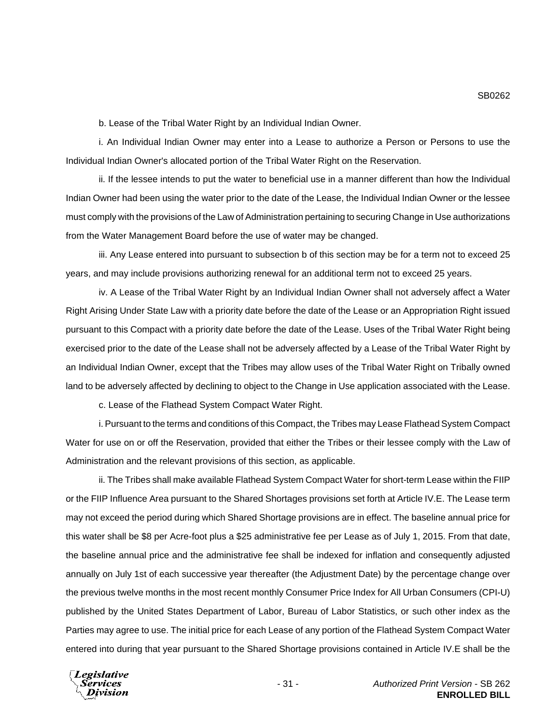b. Lease of the Tribal Water Right by an Individual Indian Owner.

i. An Individual Indian Owner may enter into a Lease to authorize a Person or Persons to use the Individual Indian Owner's allocated portion of the Tribal Water Right on the Reservation.

ii. If the lessee intends to put the water to beneficial use in a manner different than how the Individual Indian Owner had been using the water prior to the date of the Lease, the Individual Indian Owner or the lessee must comply with the provisions of the Law of Administration pertaining to securing Change in Use authorizations from the Water Management Board before the use of water may be changed.

iii. Any Lease entered into pursuant to subsection b of this section may be for a term not to exceed 25 years, and may include provisions authorizing renewal for an additional term not to exceed 25 years.

iv. A Lease of the Tribal Water Right by an Individual Indian Owner shall not adversely affect a Water Right Arising Under State Law with a priority date before the date of the Lease or an Appropriation Right issued pursuant to this Compact with a priority date before the date of the Lease. Uses of the Tribal Water Right being exercised prior to the date of the Lease shall not be adversely affected by a Lease of the Tribal Water Right by an Individual Indian Owner, except that the Tribes may allow uses of the Tribal Water Right on Tribally owned land to be adversely affected by declining to object to the Change in Use application associated with the Lease.

c. Lease of the Flathead System Compact Water Right.

i. Pursuant to the terms and conditions of this Compact, the Tribes may Lease Flathead System Compact Water for use on or off the Reservation, provided that either the Tribes or their lessee comply with the Law of Administration and the relevant provisions of this section, as applicable.

ii. The Tribes shall make available Flathead System Compact Water for short-term Lease within the FIIP or the FIIP Influence Area pursuant to the Shared Shortages provisions set forth at Article IV.E. The Lease term may not exceed the period during which Shared Shortage provisions are in effect. The baseline annual price for this water shall be \$8 per Acre-foot plus a \$25 administrative fee per Lease as of July 1, 2015. From that date, the baseline annual price and the administrative fee shall be indexed for inflation and consequently adjusted annually on July 1st of each successive year thereafter (the Adjustment Date) by the percentage change over the previous twelve months in the most recent monthly Consumer Price Index for All Urban Consumers (CPI-U) published by the United States Department of Labor, Bureau of Labor Statistics, or such other index as the Parties may agree to use. The initial price for each Lease of any portion of the Flathead System Compact Water entered into during that year pursuant to the Shared Shortage provisions contained in Article IV.E shall be the

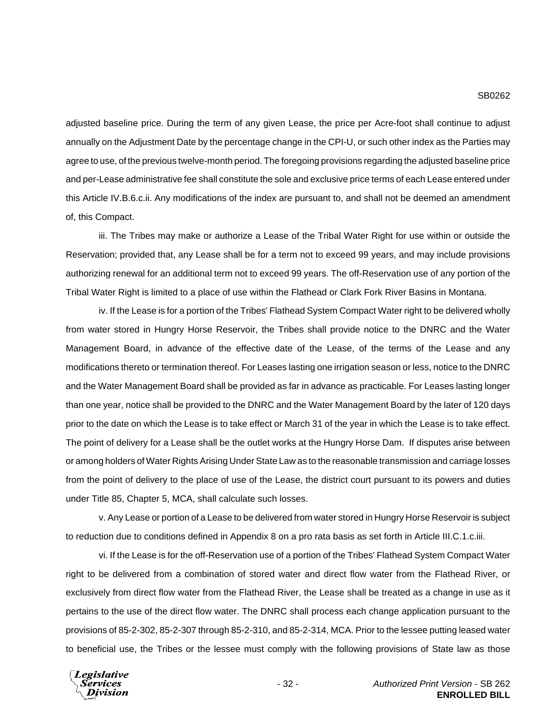adjusted baseline price. During the term of any given Lease, the price per Acre-foot shall continue to adjust annually on the Adjustment Date by the percentage change in the CPI-U, or such other index as the Parties may agree to use, of the previous twelve-month period. The foregoing provisions regarding the adjusted baseline price and per-Lease administrative fee shall constitute the sole and exclusive price terms of each Lease entered under this Article IV.B.6.c.ii. Any modifications of the index are pursuant to, and shall not be deemed an amendment of, this Compact.

iii. The Tribes may make or authorize a Lease of the Tribal Water Right for use within or outside the Reservation; provided that, any Lease shall be for a term not to exceed 99 years, and may include provisions authorizing renewal for an additional term not to exceed 99 years. The off-Reservation use of any portion of the Tribal Water Right is limited to a place of use within the Flathead or Clark Fork River Basins in Montana.

iv. If the Lease is for a portion of the Tribes' Flathead System Compact Water right to be delivered wholly from water stored in Hungry Horse Reservoir, the Tribes shall provide notice to the DNRC and the Water Management Board, in advance of the effective date of the Lease, of the terms of the Lease and any modifications thereto or termination thereof. For Leases lasting one irrigation season or less, notice to the DNRC and the Water Management Board shall be provided as far in advance as practicable. For Leases lasting longer than one year, notice shall be provided to the DNRC and the Water Management Board by the later of 120 days prior to the date on which the Lease is to take effect or March 31 of the year in which the Lease is to take effect. The point of delivery for a Lease shall be the outlet works at the Hungry Horse Dam. If disputes arise between or among holders of Water Rights Arising Under State Law as to the reasonable transmission and carriage losses from the point of delivery to the place of use of the Lease, the district court pursuant to its powers and duties under Title 85, Chapter 5, MCA, shall calculate such losses.

v. Any Lease or portion of a Lease to be delivered from water stored in Hungry Horse Reservoir is subject to reduction due to conditions defined in Appendix 8 on a pro rata basis as set forth in Article III.C.1.c.iii.

vi. If the Lease is for the off-Reservation use of a portion of the Tribes' Flathead System Compact Water right to be delivered from a combination of stored water and direct flow water from the Flathead River, or exclusively from direct flow water from the Flathead River, the Lease shall be treated as a change in use as it pertains to the use of the direct flow water. The DNRC shall process each change application pursuant to the provisions of 85-2-302, 85-2-307 through 85-2-310, and 85-2-314, MCA. Prior to the lessee putting leased water to beneficial use, the Tribes or the lessee must comply with the following provisions of State law as those

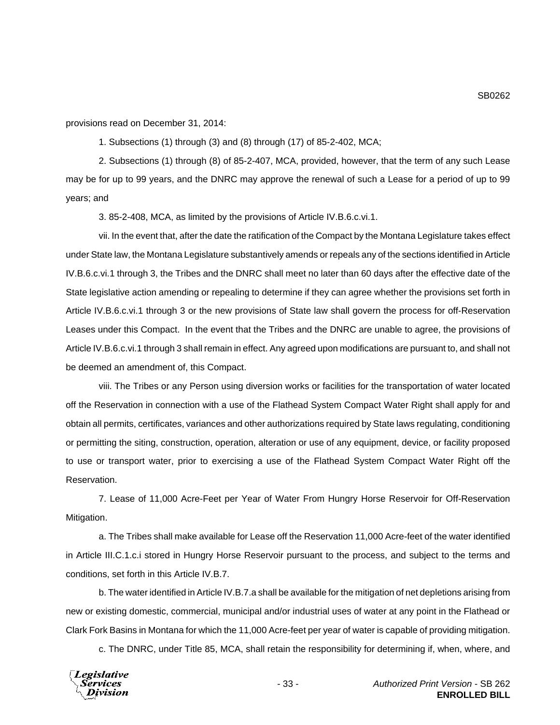provisions read on December 31, 2014:

1. Subsections (1) through (3) and (8) through (17) of 85-2-402, MCA;

2. Subsections (1) through (8) of 85-2-407, MCA, provided, however, that the term of any such Lease may be for up to 99 years, and the DNRC may approve the renewal of such a Lease for a period of up to 99 years; and

3. 85-2-408, MCA, as limited by the provisions of Article IV.B.6.c.vi.1.

vii. In the event that, after the date the ratification of the Compact by the Montana Legislature takes effect under State law, the Montana Legislature substantively amends or repeals any of the sections identified in Article IV.B.6.c.vi.1 through 3, the Tribes and the DNRC shall meet no later than 60 days after the effective date of the State legislative action amending or repealing to determine if they can agree whether the provisions set forth in Article IV.B.6.c.vi.1 through 3 or the new provisions of State law shall govern the process for off-Reservation Leases under this Compact. In the event that the Tribes and the DNRC are unable to agree, the provisions of Article IV.B.6.c.vi.1 through 3 shall remain in effect. Any agreed upon modifications are pursuant to, and shall not be deemed an amendment of, this Compact.

viii. The Tribes or any Person using diversion works or facilities for the transportation of water located off the Reservation in connection with a use of the Flathead System Compact Water Right shall apply for and obtain all permits, certificates, variances and other authorizations required by State laws regulating, conditioning or permitting the siting, construction, operation, alteration or use of any equipment, device, or facility proposed to use or transport water, prior to exercising a use of the Flathead System Compact Water Right off the Reservation.

7. Lease of 11,000 Acre-Feet per Year of Water From Hungry Horse Reservoir for Off-Reservation Mitigation.

a. The Tribes shall make available for Lease off the Reservation 11,000 Acre-feet of the water identified in Article III.C.1.c.i stored in Hungry Horse Reservoir pursuant to the process, and subject to the terms and conditions, set forth in this Article IV.B.7.

b. The water identified in Article IV.B.7.a shall be available for the mitigation of net depletions arising from new or existing domestic, commercial, municipal and/or industrial uses of water at any point in the Flathead or Clark Fork Basins in Montana for which the 11,000 Acre-feet per year of water is capable of providing mitigation.

c. The DNRC, under Title 85, MCA, shall retain the responsibility for determining if, when, where, and

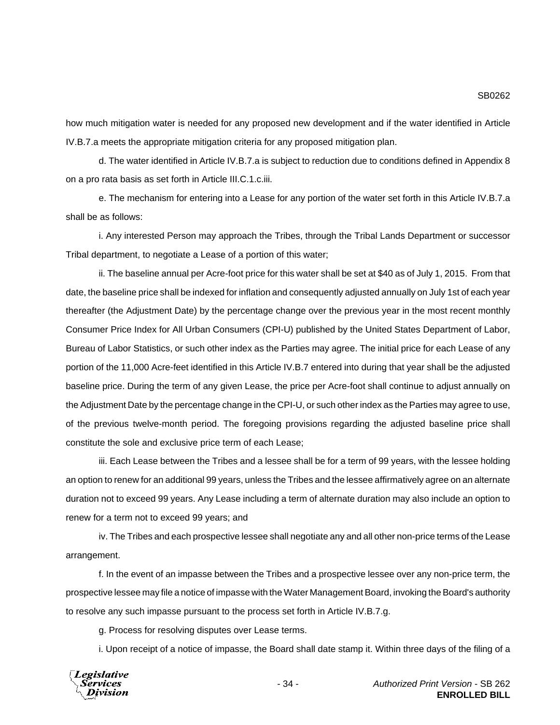how much mitigation water is needed for any proposed new development and if the water identified in Article IV.B.7.a meets the appropriate mitigation criteria for any proposed mitigation plan.

d. The water identified in Article IV.B.7.a is subject to reduction due to conditions defined in Appendix 8 on a pro rata basis as set forth in Article III.C.1.c.iii.

e. The mechanism for entering into a Lease for any portion of the water set forth in this Article IV.B.7.a shall be as follows:

i. Any interested Person may approach the Tribes, through the Tribal Lands Department or successor Tribal department, to negotiate a Lease of a portion of this water;

ii. The baseline annual per Acre-foot price for this water shall be set at \$40 as of July 1, 2015. From that date, the baseline price shall be indexed for inflation and consequently adjusted annually on July 1st of each year thereafter (the Adjustment Date) by the percentage change over the previous year in the most recent monthly Consumer Price Index for All Urban Consumers (CPI-U) published by the United States Department of Labor, Bureau of Labor Statistics, or such other index as the Parties may agree. The initial price for each Lease of any portion of the 11,000 Acre-feet identified in this Article IV.B.7 entered into during that year shall be the adjusted baseline price. During the term of any given Lease, the price per Acre-foot shall continue to adjust annually on the Adjustment Date by the percentage change in the CPI-U, or such other index as the Parties may agree to use, of the previous twelve-month period. The foregoing provisions regarding the adjusted baseline price shall constitute the sole and exclusive price term of each Lease;

iii. Each Lease between the Tribes and a lessee shall be for a term of 99 years, with the lessee holding an option to renew for an additional 99 years, unless the Tribes and the lessee affirmatively agree on an alternate duration not to exceed 99 years. Any Lease including a term of alternate duration may also include an option to renew for a term not to exceed 99 years; and

iv. The Tribes and each prospective lessee shall negotiate any and all other non-price terms of the Lease arrangement.

f. In the event of an impasse between the Tribes and a prospective lessee over any non-price term, the prospective lessee may file a notice of impasse with the Water Management Board, invoking the Board's authority to resolve any such impasse pursuant to the process set forth in Article IV.B.7.g.

g. Process for resolving disputes over Lease terms.

i. Upon receipt of a notice of impasse, the Board shall date stamp it. Within three days of the filing of a

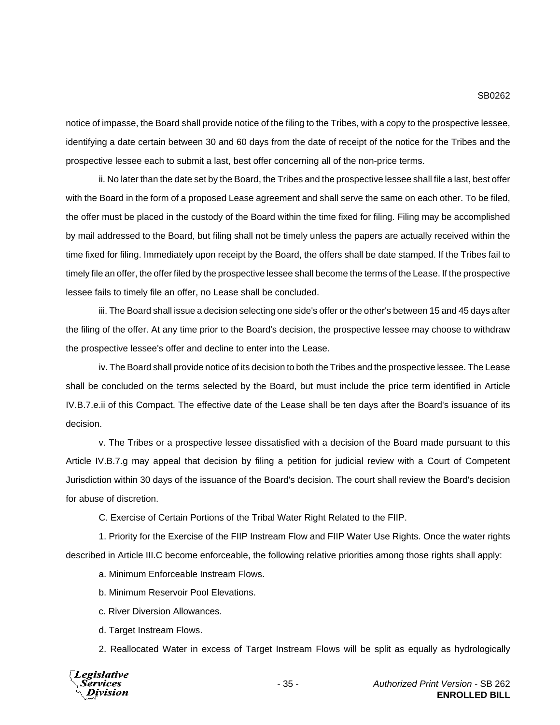notice of impasse, the Board shall provide notice of the filing to the Tribes, with a copy to the prospective lessee, identifying a date certain between 30 and 60 days from the date of receipt of the notice for the Tribes and the prospective lessee each to submit a last, best offer concerning all of the non-price terms.

ii. No later than the date set by the Board, the Tribes and the prospective lessee shall file a last, best offer with the Board in the form of a proposed Lease agreement and shall serve the same on each other. To be filed, the offer must be placed in the custody of the Board within the time fixed for filing. Filing may be accomplished by mail addressed to the Board, but filing shall not be timely unless the papers are actually received within the time fixed for filing. Immediately upon receipt by the Board, the offers shall be date stamped. If the Tribes fail to timely file an offer, the offer filed by the prospective lessee shall become the terms of the Lease. If the prospective lessee fails to timely file an offer, no Lease shall be concluded.

iii. The Board shall issue a decision selecting one side's offer or the other's between 15 and 45 days after the filing of the offer. At any time prior to the Board's decision, the prospective lessee may choose to withdraw the prospective lessee's offer and decline to enter into the Lease.

iv. The Board shall provide notice of its decision to both the Tribes and the prospective lessee. The Lease shall be concluded on the terms selected by the Board, but must include the price term identified in Article IV.B.7.e.ii of this Compact. The effective date of the Lease shall be ten days after the Board's issuance of its decision.

v. The Tribes or a prospective lessee dissatisfied with a decision of the Board made pursuant to this Article IV.B.7.g may appeal that decision by filing a petition for judicial review with a Court of Competent Jurisdiction within 30 days of the issuance of the Board's decision. The court shall review the Board's decision for abuse of discretion.

C. Exercise of Certain Portions of the Tribal Water Right Related to the FIIP.

1. Priority for the Exercise of the FIIP Instream Flow and FIIP Water Use Rights. Once the water rights described in Article III.C become enforceable, the following relative priorities among those rights shall apply:

a. Minimum Enforceable Instream Flows.

- b. Minimum Reservoir Pool Elevations.
- c. River Diversion Allowances.
- d. Target Instream Flows.

2. Reallocated Water in excess of Target Instream Flows will be split as equally as hydrologically



- 35 - *Authorized Print Version* - SB 262 **ENROLLED BILL**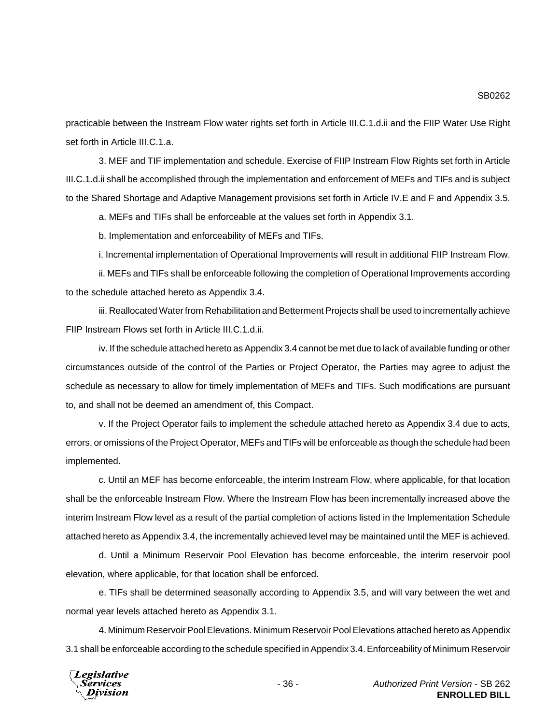practicable between the Instream Flow water rights set forth in Article III.C.1.d.ii and the FIIP Water Use Right set forth in Article III.C.1.a.

3. MEF and TIF implementation and schedule. Exercise of FIIP Instream Flow Rights set forth in Article III.C.1.d.ii shall be accomplished through the implementation and enforcement of MEFs and TIFs and is subject to the Shared Shortage and Adaptive Management provisions set forth in Article IV.E and F and Appendix 3.5.

a. MEFs and TIFs shall be enforceable at the values set forth in Appendix 3.1.

b. Implementation and enforceability of MEFs and TIFs.

i. Incremental implementation of Operational Improvements will result in additional FIIP Instream Flow.

ii. MEFs and TIFs shall be enforceable following the completion of Operational Improvements according to the schedule attached hereto as Appendix 3.4.

iii. Reallocated Water from Rehabilitation and Betterment Projects shall be used to incrementally achieve FIIP Instream Flows set forth in Article III.C.1.d.ii.

iv. If the schedule attached hereto as Appendix 3.4 cannot be met due to lack of available funding or other circumstances outside of the control of the Parties or Project Operator, the Parties may agree to adjust the schedule as necessary to allow for timely implementation of MEFs and TIFs. Such modifications are pursuant to, and shall not be deemed an amendment of, this Compact.

v. If the Project Operator fails to implement the schedule attached hereto as Appendix 3.4 due to acts, errors, or omissions of the Project Operator, MEFs and TIFs will be enforceable as though the schedule had been implemented.

c. Until an MEF has become enforceable, the interim Instream Flow, where applicable, for that location shall be the enforceable Instream Flow. Where the Instream Flow has been incrementally increased above the interim Instream Flow level as a result of the partial completion of actions listed in the Implementation Schedule attached hereto as Appendix 3.4, the incrementally achieved level may be maintained until the MEF is achieved.

d. Until a Minimum Reservoir Pool Elevation has become enforceable, the interim reservoir pool elevation, where applicable, for that location shall be enforced.

e. TIFs shall be determined seasonally according to Appendix 3.5, and will vary between the wet and normal year levels attached hereto as Appendix 3.1.

4. Minimum Reservoir Pool Elevations. Minimum Reservoir Pool Elevations attached hereto as Appendix 3.1 shall be enforceable according to the schedule specified in Appendix 3.4. Enforceability of Minimum Reservoir

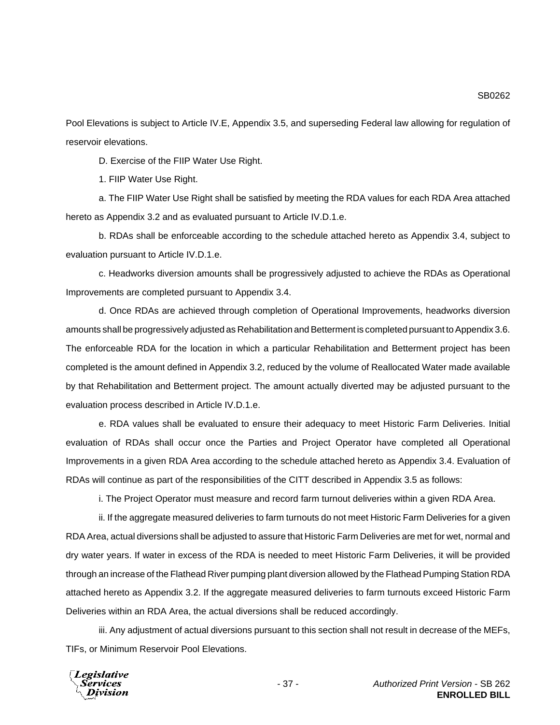Pool Elevations is subject to Article IV.E, Appendix 3.5, and superseding Federal law allowing for regulation of reservoir elevations.

D. Exercise of the FIIP Water Use Right.

1. FIIP Water Use Right.

a. The FIIP Water Use Right shall be satisfied by meeting the RDA values for each RDA Area attached hereto as Appendix 3.2 and as evaluated pursuant to Article IV.D.1.e.

b. RDAs shall be enforceable according to the schedule attached hereto as Appendix 3.4, subject to evaluation pursuant to Article IV.D.1.e.

c. Headworks diversion amounts shall be progressively adjusted to achieve the RDAs as Operational Improvements are completed pursuant to Appendix 3.4.

d. Once RDAs are achieved through completion of Operational Improvements, headworks diversion amounts shall be progressively adjusted as Rehabilitation and Betterment is completed pursuant to Appendix 3.6. The enforceable RDA for the location in which a particular Rehabilitation and Betterment project has been completed is the amount defined in Appendix 3.2, reduced by the volume of Reallocated Water made available by that Rehabilitation and Betterment project. The amount actually diverted may be adjusted pursuant to the evaluation process described in Article IV.D.1.e.

e. RDA values shall be evaluated to ensure their adequacy to meet Historic Farm Deliveries. Initial evaluation of RDAs shall occur once the Parties and Project Operator have completed all Operational Improvements in a given RDA Area according to the schedule attached hereto as Appendix 3.4. Evaluation of RDAs will continue as part of the responsibilities of the CITT described in Appendix 3.5 as follows:

i. The Project Operator must measure and record farm turnout deliveries within a given RDA Area.

ii. If the aggregate measured deliveries to farm turnouts do not meet Historic Farm Deliveries for a given RDA Area, actual diversions shall be adjusted to assure that Historic Farm Deliveries are met for wet, normal and dry water years. If water in excess of the RDA is needed to meet Historic Farm Deliveries, it will be provided through an increase of the Flathead River pumping plant diversion allowed by the Flathead Pumping Station RDA attached hereto as Appendix 3.2. If the aggregate measured deliveries to farm turnouts exceed Historic Farm Deliveries within an RDA Area, the actual diversions shall be reduced accordingly.

iii. Any adjustment of actual diversions pursuant to this section shall not result in decrease of the MEFs, TIFs, or Minimum Reservoir Pool Elevations.

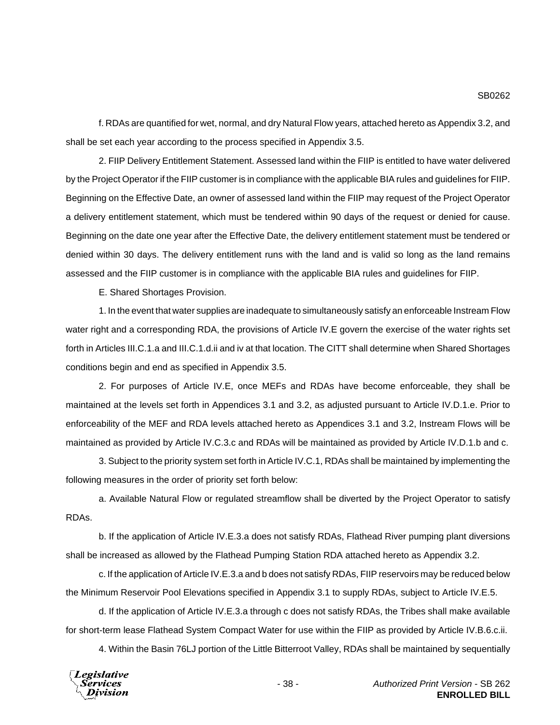f. RDAs are quantified for wet, normal, and dry Natural Flow years, attached hereto as Appendix 3.2, and shall be set each year according to the process specified in Appendix 3.5.

2. FIIP Delivery Entitlement Statement. Assessed land within the FIIP is entitled to have water delivered by the Project Operator if the FIIP customer is in compliance with the applicable BIA rules and guidelines for FIIP. Beginning on the Effective Date, an owner of assessed land within the FIIP may request of the Project Operator a delivery entitlement statement, which must be tendered within 90 days of the request or denied for cause. Beginning on the date one year after the Effective Date, the delivery entitlement statement must be tendered or denied within 30 days. The delivery entitlement runs with the land and is valid so long as the land remains assessed and the FIIP customer is in compliance with the applicable BIA rules and guidelines for FIIP.

E. Shared Shortages Provision.

1. In the event that water supplies are inadequate to simultaneously satisfy an enforceable Instream Flow water right and a corresponding RDA, the provisions of Article IV.E govern the exercise of the water rights set forth in Articles III.C.1.a and III.C.1.d.ii and iv at that location. The CITT shall determine when Shared Shortages conditions begin and end as specified in Appendix 3.5.

2. For purposes of Article IV.E, once MEFs and RDAs have become enforceable, they shall be maintained at the levels set forth in Appendices 3.1 and 3.2, as adjusted pursuant to Article IV.D.1.e. Prior to enforceability of the MEF and RDA levels attached hereto as Appendices 3.1 and 3.2, Instream Flows will be maintained as provided by Article IV.C.3.c and RDAs will be maintained as provided by Article IV.D.1.b and c.

3. Subject to the priority system set forth in Article IV.C.1, RDAs shall be maintained by implementing the following measures in the order of priority set forth below:

a. Available Natural Flow or regulated streamflow shall be diverted by the Project Operator to satisfy RDAs.

b. If the application of Article IV.E.3.a does not satisfy RDAs, Flathead River pumping plant diversions shall be increased as allowed by the Flathead Pumping Station RDA attached hereto as Appendix 3.2.

c. If the application of Article IV.E.3.a and b does not satisfy RDAs, FIIP reservoirs may be reduced below the Minimum Reservoir Pool Elevations specified in Appendix 3.1 to supply RDAs, subject to Article IV.E.5.

d. If the application of Article IV.E.3.a through c does not satisfy RDAs, the Tribes shall make available for short-term lease Flathead System Compact Water for use within the FIIP as provided by Article IV.B.6.c.ii.

4. Within the Basin 76LJ portion of the Little Bitterroot Valley, RDAs shall be maintained by sequentially

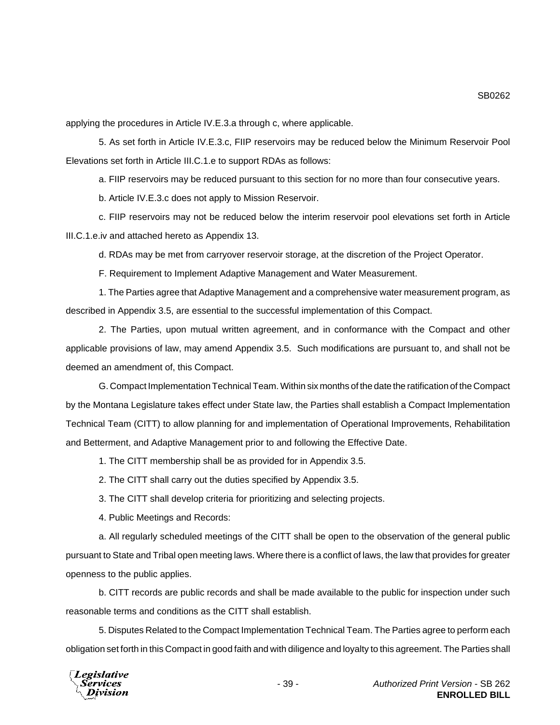applying the procedures in Article IV.E.3.a through c, where applicable.

5. As set forth in Article IV.E.3.c, FIIP reservoirs may be reduced below the Minimum Reservoir Pool Elevations set forth in Article III.C.1.e to support RDAs as follows:

a. FIIP reservoirs may be reduced pursuant to this section for no more than four consecutive years.

b. Article IV.E.3.c does not apply to Mission Reservoir.

c. FIIP reservoirs may not be reduced below the interim reservoir pool elevations set forth in Article III.C.1.e.iv and attached hereto as Appendix 13.

d. RDAs may be met from carryover reservoir storage, at the discretion of the Project Operator.

F. Requirement to Implement Adaptive Management and Water Measurement.

1. The Parties agree that Adaptive Management and a comprehensive water measurement program, as described in Appendix 3.5, are essential to the successful implementation of this Compact.

2. The Parties, upon mutual written agreement, and in conformance with the Compact and other applicable provisions of law, may amend Appendix 3.5. Such modifications are pursuant to, and shall not be deemed an amendment of, this Compact.

G. Compact Implementation Technical Team. Within six months of the date the ratification of the Compact by the Montana Legislature takes effect under State law, the Parties shall establish a Compact Implementation Technical Team (CITT) to allow planning for and implementation of Operational Improvements, Rehabilitation and Betterment, and Adaptive Management prior to and following the Effective Date.

1. The CITT membership shall be as provided for in Appendix 3.5.

2. The CITT shall carry out the duties specified by Appendix 3.5.

3. The CITT shall develop criteria for prioritizing and selecting projects.

4. Public Meetings and Records:

a. All regularly scheduled meetings of the CITT shall be open to the observation of the general public pursuant to State and Tribal open meeting laws. Where there is a conflict of laws, the law that provides for greater openness to the public applies.

b. CITT records are public records and shall be made available to the public for inspection under such reasonable terms and conditions as the CITT shall establish.

5. Disputes Related to the Compact Implementation Technical Team. The Parties agree to perform each obligation set forth in this Compact in good faith and with diligence and loyalty to this agreement. The Parties shall

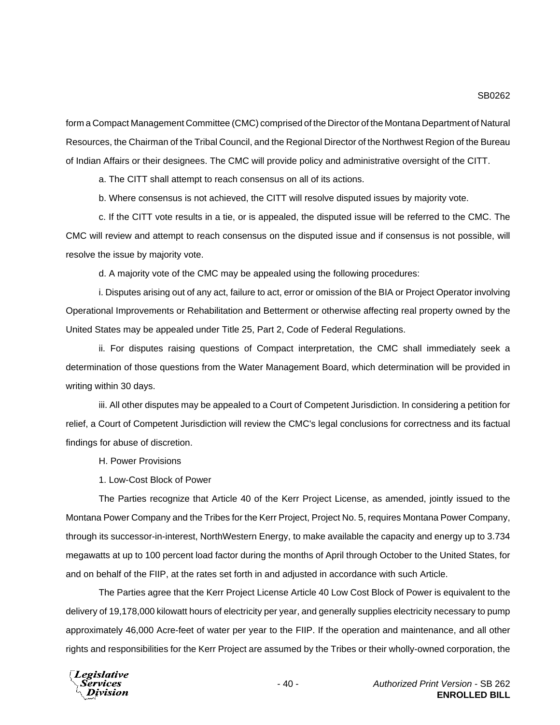form a Compact Management Committee (CMC) comprised of the Director of the Montana Department of Natural Resources, the Chairman of the Tribal Council, and the Regional Director of the Northwest Region of the Bureau of Indian Affairs or their designees. The CMC will provide policy and administrative oversight of the CITT.

a. The CITT shall attempt to reach consensus on all of its actions.

b. Where consensus is not achieved, the CITT will resolve disputed issues by majority vote.

c. If the CITT vote results in a tie, or is appealed, the disputed issue will be referred to the CMC. The CMC will review and attempt to reach consensus on the disputed issue and if consensus is not possible, will resolve the issue by majority vote.

d. A majority vote of the CMC may be appealed using the following procedures:

i. Disputes arising out of any act, failure to act, error or omission of the BIA or Project Operator involving Operational Improvements or Rehabilitation and Betterment or otherwise affecting real property owned by the United States may be appealed under Title 25, Part 2, Code of Federal Regulations.

ii. For disputes raising questions of Compact interpretation, the CMC shall immediately seek a determination of those questions from the Water Management Board, which determination will be provided in writing within 30 days.

iii. All other disputes may be appealed to a Court of Competent Jurisdiction. In considering a petition for relief, a Court of Competent Jurisdiction will review the CMC's legal conclusions for correctness and its factual findings for abuse of discretion.

H. Power Provisions

1. Low-Cost Block of Power

The Parties recognize that Article 40 of the Kerr Project License, as amended, jointly issued to the Montana Power Company and the Tribes for the Kerr Project, Project No. 5, requires Montana Power Company, through its successor-in-interest, NorthWestern Energy, to make available the capacity and energy up to 3.734 megawatts at up to 100 percent load factor during the months of April through October to the United States, for and on behalf of the FIIP, at the rates set forth in and adjusted in accordance with such Article.

The Parties agree that the Kerr Project License Article 40 Low Cost Block of Power is equivalent to the delivery of 19,178,000 kilowatt hours of electricity per year, and generally supplies electricity necessary to pump approximately 46,000 Acre-feet of water per year to the FIIP. If the operation and maintenance, and all other rights and responsibilities for the Kerr Project are assumed by the Tribes or their wholly-owned corporation, the

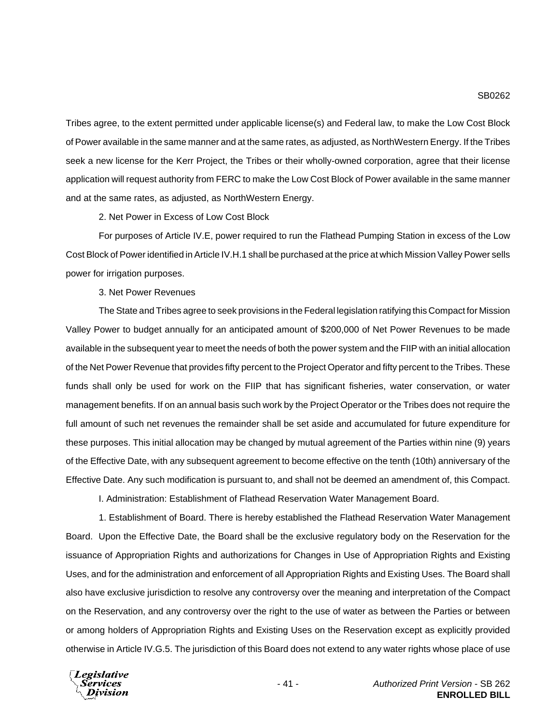Tribes agree, to the extent permitted under applicable license(s) and Federal law, to make the Low Cost Block of Power available in the same manner and at the same rates, as adjusted, as NorthWestern Energy. If the Tribes seek a new license for the Kerr Project, the Tribes or their wholly-owned corporation, agree that their license application will request authority from FERC to make the Low Cost Block of Power available in the same manner and at the same rates, as adjusted, as NorthWestern Energy.

2. Net Power in Excess of Low Cost Block

For purposes of Article IV.E, power required to run the Flathead Pumping Station in excess of the Low Cost Block of Power identified in Article IV.H.1 shall be purchased at the price at which Mission Valley Power sells power for irrigation purposes.

3. Net Power Revenues

The State and Tribes agree to seek provisions in the Federal legislation ratifying this Compact for Mission Valley Power to budget annually for an anticipated amount of \$200,000 of Net Power Revenues to be made available in the subsequent year to meet the needs of both the power system and the FIIP with an initial allocation of the Net Power Revenue that provides fifty percent to the Project Operator and fifty percent to the Tribes. These funds shall only be used for work on the FIIP that has significant fisheries, water conservation, or water management benefits. If on an annual basis such work by the Project Operator or the Tribes does not require the full amount of such net revenues the remainder shall be set aside and accumulated for future expenditure for these purposes. This initial allocation may be changed by mutual agreement of the Parties within nine (9) years of the Effective Date, with any subsequent agreement to become effective on the tenth (10th) anniversary of the Effective Date. Any such modification is pursuant to, and shall not be deemed an amendment of, this Compact.

I. Administration: Establishment of Flathead Reservation Water Management Board.

1. Establishment of Board. There is hereby established the Flathead Reservation Water Management Board. Upon the Effective Date, the Board shall be the exclusive regulatory body on the Reservation for the issuance of Appropriation Rights and authorizations for Changes in Use of Appropriation Rights and Existing Uses, and for the administration and enforcement of all Appropriation Rights and Existing Uses. The Board shall also have exclusive jurisdiction to resolve any controversy over the meaning and interpretation of the Compact on the Reservation, and any controversy over the right to the use of water as between the Parties or between or among holders of Appropriation Rights and Existing Uses on the Reservation except as explicitly provided otherwise in Article IV.G.5. The jurisdiction of this Board does not extend to any water rights whose place of use

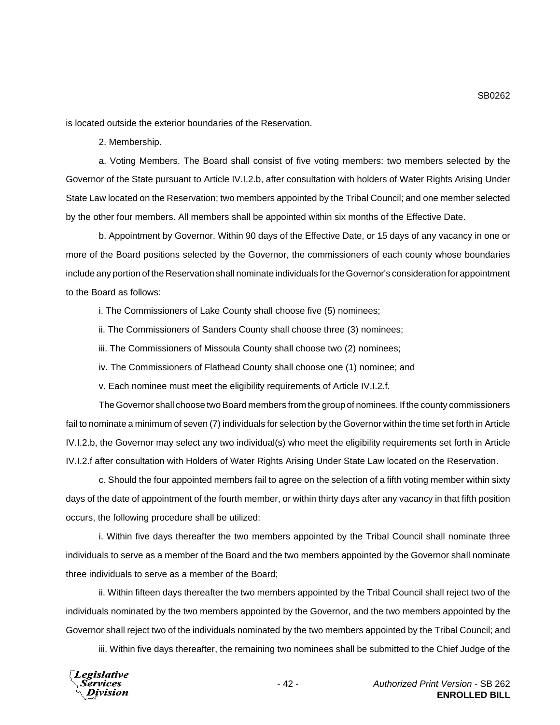is located outside the exterior boundaries of the Reservation.

2. Membership.

a. Voting Members. The Board shall consist of five voting members: two members selected by the Governor of the State pursuant to Article IV.I.2.b, after consultation with holders of Water Rights Arising Under State Law located on the Reservation; two members appointed by the Tribal Council; and one member selected by the other four members. All members shall be appointed within six months of the Effective Date.

b. Appointment by Governor. Within 90 days of the Effective Date, or 15 days of any vacancy in one or more of the Board positions selected by the Governor, the commissioners of each county whose boundaries include any portion of the Reservation shall nominate individuals for the Governor's consideration for appointment to the Board as follows:

i. The Commissioners of Lake County shall choose five (5) nominees;

ii. The Commissioners of Sanders County shall choose three (3) nominees;

iii. The Commissioners of Missoula County shall choose two (2) nominees;

iv. The Commissioners of Flathead County shall choose one (1) nominee; and

v. Each nominee must meet the eligibility requirements of Article IV.I.2.f.

The Governor shall choose two Board members from the group of nominees. If the county commissioners fail to nominate a minimum of seven (7) individuals for selection by the Governor within the time set forth in Article IV.I.2.b, the Governor may select any two individual(s) who meet the eligibility requirements set forth in Article IV.I.2.f after consultation with Holders of Water Rights Arising Under State Law located on the Reservation.

c. Should the four appointed members fail to agree on the selection of a fifth voting member within sixty days of the date of appointment of the fourth member, or within thirty days after any vacancy in that fifth position occurs, the following procedure shall be utilized:

i. Within five days thereafter the two members appointed by the Tribal Council shall nominate three individuals to serve as a member of the Board and the two members appointed by the Governor shall nominate three individuals to serve as a member of the Board;

ii. Within fifteen days thereafter the two members appointed by the Tribal Council shall reject two of the individuals nominated by the two members appointed by the Governor, and the two members appointed by the Governor shall reject two of the individuals nominated by the two members appointed by the Tribal Council; and

iii. Within five days thereafter, the remaining two nominees shall be submitted to the Chief Judge of the

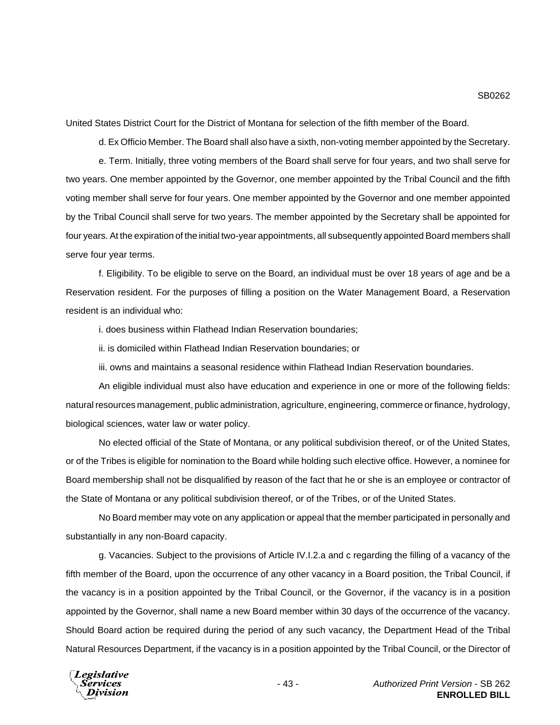United States District Court for the District of Montana for selection of the fifth member of the Board.

d. Ex Officio Member. The Board shall also have a sixth, non-voting member appointed by the Secretary.

e. Term. Initially, three voting members of the Board shall serve for four years, and two shall serve for two years. One member appointed by the Governor, one member appointed by the Tribal Council and the fifth voting member shall serve for four years. One member appointed by the Governor and one member appointed by the Tribal Council shall serve for two years. The member appointed by the Secretary shall be appointed for four years. At the expiration of the initial two-year appointments, all subsequently appointed Board members shall serve four year terms.

f. Eligibility. To be eligible to serve on the Board, an individual must be over 18 years of age and be a Reservation resident. For the purposes of filling a position on the Water Management Board, a Reservation resident is an individual who:

i. does business within Flathead Indian Reservation boundaries;

ii. is domiciled within Flathead Indian Reservation boundaries; or

iii. owns and maintains a seasonal residence within Flathead Indian Reservation boundaries.

An eligible individual must also have education and experience in one or more of the following fields: natural resources management, public administration, agriculture, engineering, commerce or finance, hydrology, biological sciences, water law or water policy.

No elected official of the State of Montana, or any political subdivision thereof, or of the United States, or of the Tribes is eligible for nomination to the Board while holding such elective office. However, a nominee for Board membership shall not be disqualified by reason of the fact that he or she is an employee or contractor of the State of Montana or any political subdivision thereof, or of the Tribes, or of the United States.

No Board member may vote on any application or appeal that the member participated in personally and substantially in any non-Board capacity.

g. Vacancies. Subject to the provisions of Article IV.I.2.a and c regarding the filling of a vacancy of the fifth member of the Board, upon the occurrence of any other vacancy in a Board position, the Tribal Council, if the vacancy is in a position appointed by the Tribal Council, or the Governor, if the vacancy is in a position appointed by the Governor, shall name a new Board member within 30 days of the occurrence of the vacancy. Should Board action be required during the period of any such vacancy, the Department Head of the Tribal Natural Resources Department, if the vacancy is in a position appointed by the Tribal Council, or the Director of

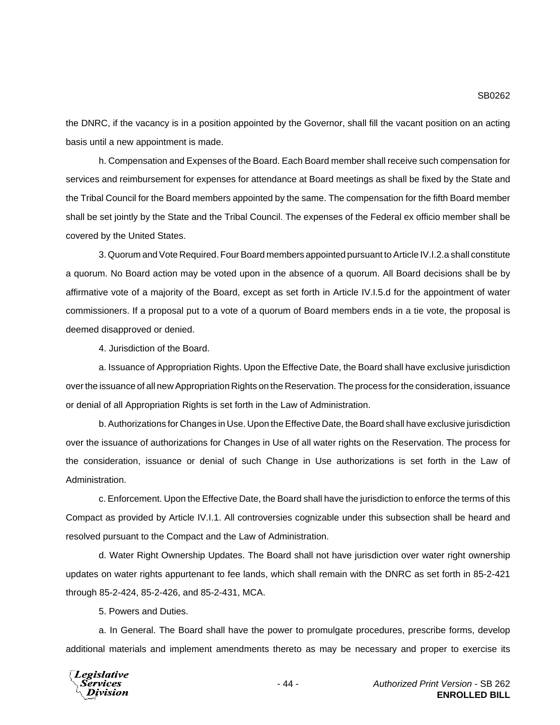#### SB0262

the DNRC, if the vacancy is in a position appointed by the Governor, shall fill the vacant position on an acting basis until a new appointment is made.

h. Compensation and Expenses of the Board. Each Board member shall receive such compensation for services and reimbursement for expenses for attendance at Board meetings as shall be fixed by the State and the Tribal Council for the Board members appointed by the same. The compensation for the fifth Board member shall be set jointly by the State and the Tribal Council. The expenses of the Federal ex officio member shall be covered by the United States.

3. Quorum and Vote Required. Four Board members appointed pursuant to Article IV.I.2.a shall constitute a quorum. No Board action may be voted upon in the absence of a quorum. All Board decisions shall be by affirmative vote of a majority of the Board, except as set forth in Article IV.I.5.d for the appointment of water commissioners. If a proposal put to a vote of a quorum of Board members ends in a tie vote, the proposal is deemed disapproved or denied.

4. Jurisdiction of the Board.

a. Issuance of Appropriation Rights. Upon the Effective Date, the Board shall have exclusive jurisdiction over the issuance of all new Appropriation Rights on the Reservation. The process for the consideration, issuance or denial of all Appropriation Rights is set forth in the Law of Administration.

b. Authorizations for Changes in Use. Upon the Effective Date, the Board shall have exclusive jurisdiction over the issuance of authorizations for Changes in Use of all water rights on the Reservation. The process for the consideration, issuance or denial of such Change in Use authorizations is set forth in the Law of Administration.

c. Enforcement. Upon the Effective Date, the Board shall have the jurisdiction to enforce the terms of this Compact as provided by Article IV.I.1. All controversies cognizable under this subsection shall be heard and resolved pursuant to the Compact and the Law of Administration.

d. Water Right Ownership Updates. The Board shall not have jurisdiction over water right ownership updates on water rights appurtenant to fee lands, which shall remain with the DNRC as set forth in 85-2-421 through 85-2-424, 85-2-426, and 85-2-431, MCA.

5. Powers and Duties.

a. In General. The Board shall have the power to promulgate procedures, prescribe forms, develop additional materials and implement amendments thereto as may be necessary and proper to exercise its

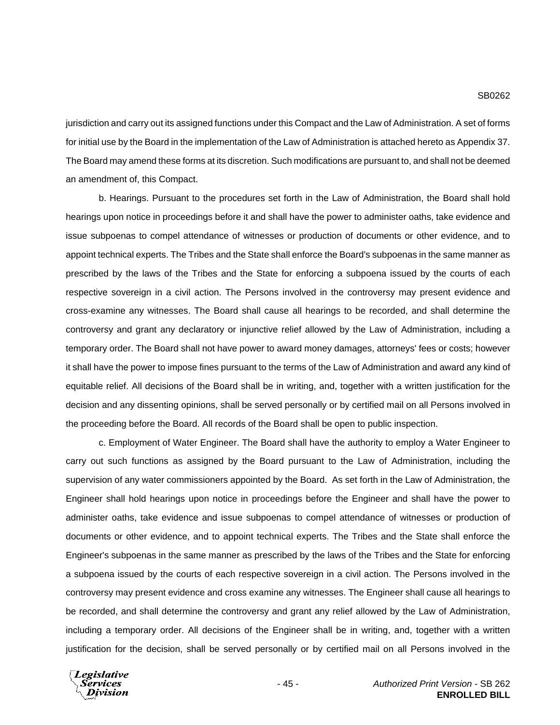jurisdiction and carry out its assigned functions under this Compact and the Law of Administration. A set of forms for initial use by the Board in the implementation of the Law of Administration is attached hereto as Appendix 37. The Board may amend these forms at its discretion. Such modifications are pursuant to, and shall not be deemed an amendment of, this Compact.

b. Hearings. Pursuant to the procedures set forth in the Law of Administration, the Board shall hold hearings upon notice in proceedings before it and shall have the power to administer oaths, take evidence and issue subpoenas to compel attendance of witnesses or production of documents or other evidence, and to appoint technical experts. The Tribes and the State shall enforce the Board's subpoenas in the same manner as prescribed by the laws of the Tribes and the State for enforcing a subpoena issued by the courts of each respective sovereign in a civil action. The Persons involved in the controversy may present evidence and cross-examine any witnesses. The Board shall cause all hearings to be recorded, and shall determine the controversy and grant any declaratory or injunctive relief allowed by the Law of Administration, including a temporary order. The Board shall not have power to award money damages, attorneys' fees or costs; however it shall have the power to impose fines pursuant to the terms of the Law of Administration and award any kind of equitable relief. All decisions of the Board shall be in writing, and, together with a written justification for the decision and any dissenting opinions, shall be served personally or by certified mail on all Persons involved in the proceeding before the Board. All records of the Board shall be open to public inspection.

c. Employment of Water Engineer. The Board shall have the authority to employ a Water Engineer to carry out such functions as assigned by the Board pursuant to the Law of Administration, including the supervision of any water commissioners appointed by the Board. As set forth in the Law of Administration, the Engineer shall hold hearings upon notice in proceedings before the Engineer and shall have the power to administer oaths, take evidence and issue subpoenas to compel attendance of witnesses or production of documents or other evidence, and to appoint technical experts. The Tribes and the State shall enforce the Engineer's subpoenas in the same manner as prescribed by the laws of the Tribes and the State for enforcing a subpoena issued by the courts of each respective sovereign in a civil action. The Persons involved in the controversy may present evidence and cross examine any witnesses. The Engineer shall cause all hearings to be recorded, and shall determine the controversy and grant any relief allowed by the Law of Administration, including a temporary order. All decisions of the Engineer shall be in writing, and, together with a written justification for the decision, shall be served personally or by certified mail on all Persons involved in the

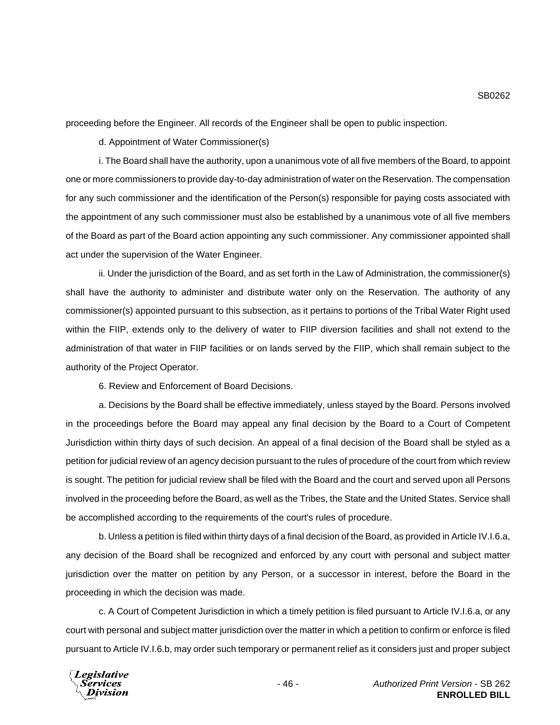proceeding before the Engineer. All records of the Engineer shall be open to public inspection.

d. Appointment of Water Commissioner(s)

i. The Board shall have the authority, upon a unanimous vote of all five members of the Board, to appoint one or more commissioners to provide day-to-day administration of water on the Reservation. The compensation for any such commissioner and the identification of the Person(s) responsible for paying costs associated with the appointment of any such commissioner must also be established by a unanimous vote of all five members of the Board as part of the Board action appointing any such commissioner. Any commissioner appointed shall act under the supervision of the Water Engineer.

ii. Under the jurisdiction of the Board, and as set forth in the Law of Administration, the commissioner(s) shall have the authority to administer and distribute water only on the Reservation. The authority of any commissioner(s) appointed pursuant to this subsection, as it pertains to portions of the Tribal Water Right used within the FIIP, extends only to the delivery of water to FIIP diversion facilities and shall not extend to the administration of that water in FIIP facilities or on lands served by the FIIP, which shall remain subject to the authority of the Project Operator.

6. Review and Enforcement of Board Decisions.

a. Decisions by the Board shall be effective immediately, unless stayed by the Board. Persons involved in the proceedings before the Board may appeal any final decision by the Board to a Court of Competent Jurisdiction within thirty days of such decision. An appeal of a final decision of the Board shall be styled as a petition for judicial review of an agency decision pursuant to the rules of procedure of the court from which review is sought. The petition for judicial review shall be filed with the Board and the court and served upon all Persons involved in the proceeding before the Board, as well as the Tribes, the State and the United States. Service shall be accomplished according to the requirements of the court's rules of procedure.

b. Unless a petition is filed within thirty days of a final decision of the Board, as provided in Article IV.I.6.a, any decision of the Board shall be recognized and enforced by any court with personal and subject matter jurisdiction over the matter on petition by any Person, or a successor in interest, before the Board in the proceeding in which the decision was made.

c. A Court of Competent Jurisdiction in which a timely petition is filed pursuant to Article IV.I.6.a, or any court with personal and subject matter jurisdiction over the matter in which a petition to confirm or enforce is filed pursuant to Article IV.I.6.b, may order such temporary or permanent relief as it considers just and proper subject

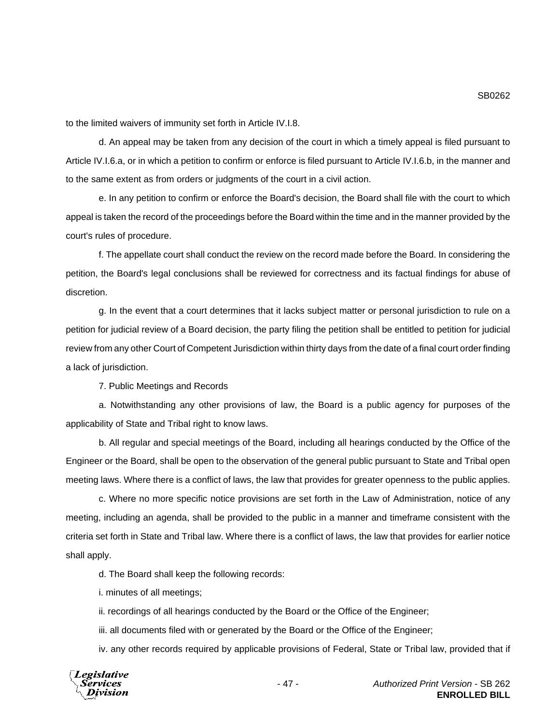SB0262

to the limited waivers of immunity set forth in Article IV.I.8.

d. An appeal may be taken from any decision of the court in which a timely appeal is filed pursuant to Article IV.I.6.a, or in which a petition to confirm or enforce is filed pursuant to Article IV.I.6.b, in the manner and to the same extent as from orders or judgments of the court in a civil action.

e. In any petition to confirm or enforce the Board's decision, the Board shall file with the court to which appeal is taken the record of the proceedings before the Board within the time and in the manner provided by the court's rules of procedure.

f. The appellate court shall conduct the review on the record made before the Board. In considering the petition, the Board's legal conclusions shall be reviewed for correctness and its factual findings for abuse of discretion.

g. In the event that a court determines that it lacks subject matter or personal jurisdiction to rule on a petition for judicial review of a Board decision, the party filing the petition shall be entitled to petition for judicial review from any other Court of Competent Jurisdiction within thirty days from the date of a final court order finding a lack of jurisdiction.

7. Public Meetings and Records

a. Notwithstanding any other provisions of law, the Board is a public agency for purposes of the applicability of State and Tribal right to know laws.

b. All regular and special meetings of the Board, including all hearings conducted by the Office of the Engineer or the Board, shall be open to the observation of the general public pursuant to State and Tribal open meeting laws. Where there is a conflict of laws, the law that provides for greater openness to the public applies.

c. Where no more specific notice provisions are set forth in the Law of Administration, notice of any meeting, including an agenda, shall be provided to the public in a manner and timeframe consistent with the criteria set forth in State and Tribal law. Where there is a conflict of laws, the law that provides for earlier notice shall apply.

d. The Board shall keep the following records:

i. minutes of all meetings;

ii. recordings of all hearings conducted by the Board or the Office of the Engineer;

iii. all documents filed with or generated by the Board or the Office of the Engineer;

iv. any other records required by applicable provisions of Federal, State or Tribal law, provided that if



- 47 - *Authorized Print Version* - SB 262 **ENROLLED BILL**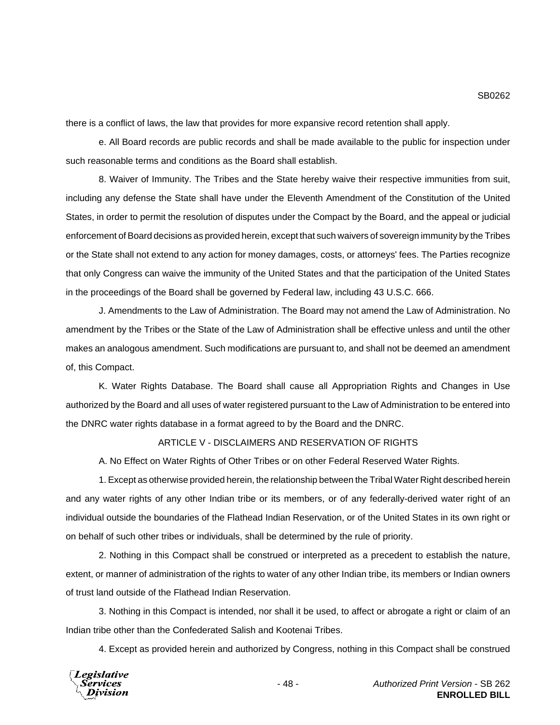there is a conflict of laws, the law that provides for more expansive record retention shall apply.

e. All Board records are public records and shall be made available to the public for inspection under such reasonable terms and conditions as the Board shall establish.

8. Waiver of Immunity. The Tribes and the State hereby waive their respective immunities from suit, including any defense the State shall have under the Eleventh Amendment of the Constitution of the United States, in order to permit the resolution of disputes under the Compact by the Board, and the appeal or judicial enforcement of Board decisions as provided herein, except that such waivers of sovereign immunity by the Tribes or the State shall not extend to any action for money damages, costs, or attorneys' fees. The Parties recognize that only Congress can waive the immunity of the United States and that the participation of the United States in the proceedings of the Board shall be governed by Federal law, including 43 U.S.C. 666.

J. Amendments to the Law of Administration. The Board may not amend the Law of Administration. No amendment by the Tribes or the State of the Law of Administration shall be effective unless and until the other makes an analogous amendment. Such modifications are pursuant to, and shall not be deemed an amendment of, this Compact.

K. Water Rights Database. The Board shall cause all Appropriation Rights and Changes in Use authorized by the Board and all uses of water registered pursuant to the Law of Administration to be entered into the DNRC water rights database in a format agreed to by the Board and the DNRC.

### ARTICLE V - DISCLAIMERS AND RESERVATION OF RIGHTS

A. No Effect on Water Rights of Other Tribes or on other Federal Reserved Water Rights.

1. Except as otherwise provided herein, the relationship between the Tribal Water Right described herein and any water rights of any other Indian tribe or its members, or of any federally-derived water right of an individual outside the boundaries of the Flathead Indian Reservation, or of the United States in its own right or on behalf of such other tribes or individuals, shall be determined by the rule of priority.

2. Nothing in this Compact shall be construed or interpreted as a precedent to establish the nature, extent, or manner of administration of the rights to water of any other Indian tribe, its members or Indian owners of trust land outside of the Flathead Indian Reservation.

3. Nothing in this Compact is intended, nor shall it be used, to affect or abrogate a right or claim of an Indian tribe other than the Confederated Salish and Kootenai Tribes.

4. Except as provided herein and authorized by Congress, nothing in this Compact shall be construed

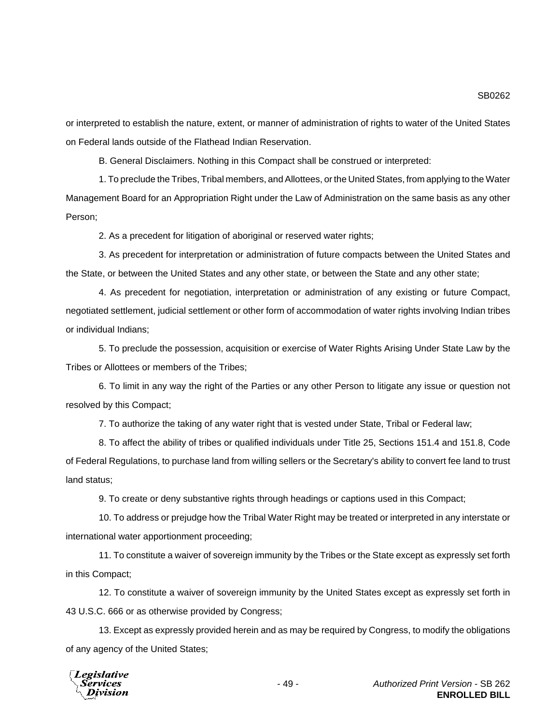or interpreted to establish the nature, extent, or manner of administration of rights to water of the United States on Federal lands outside of the Flathead Indian Reservation.

B. General Disclaimers. Nothing in this Compact shall be construed or interpreted:

1. To preclude the Tribes, Tribal members, and Allottees, or the United States, from applying to the Water Management Board for an Appropriation Right under the Law of Administration on the same basis as any other Person;

2. As a precedent for litigation of aboriginal or reserved water rights;

3. As precedent for interpretation or administration of future compacts between the United States and the State, or between the United States and any other state, or between the State and any other state;

4. As precedent for negotiation, interpretation or administration of any existing or future Compact, negotiated settlement, judicial settlement or other form of accommodation of water rights involving Indian tribes or individual Indians;

5. To preclude the possession, acquisition or exercise of Water Rights Arising Under State Law by the Tribes or Allottees or members of the Tribes;

6. To limit in any way the right of the Parties or any other Person to litigate any issue or question not resolved by this Compact;

7. To authorize the taking of any water right that is vested under State, Tribal or Federal law;

8. To affect the ability of tribes or qualified individuals under Title 25, Sections 151.4 and 151.8, Code of Federal Regulations, to purchase land from willing sellers or the Secretary's ability to convert fee land to trust land status;

9. To create or deny substantive rights through headings or captions used in this Compact;

10. To address or prejudge how the Tribal Water Right may be treated or interpreted in any interstate or international water apportionment proceeding;

11. To constitute a waiver of sovereign immunity by the Tribes or the State except as expressly set forth in this Compact;

12. To constitute a waiver of sovereign immunity by the United States except as expressly set forth in 43 U.S.C. 666 or as otherwise provided by Congress;

13. Except as expressly provided herein and as may be required by Congress, to modify the obligations of any agency of the United States;

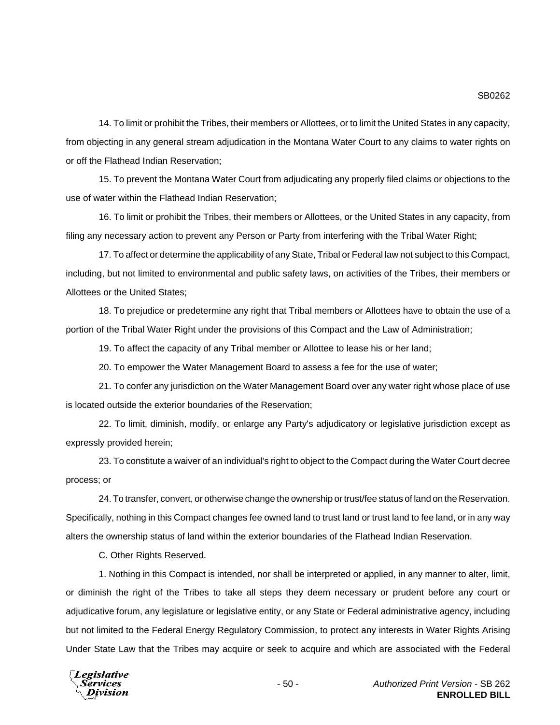14. To limit or prohibit the Tribes, their members or Allottees, or to limit the United States in any capacity, from objecting in any general stream adjudication in the Montana Water Court to any claims to water rights on or off the Flathead Indian Reservation;

15. To prevent the Montana Water Court from adjudicating any properly filed claims or objections to the use of water within the Flathead Indian Reservation;

16. To limit or prohibit the Tribes, their members or Allottees, or the United States in any capacity, from filing any necessary action to prevent any Person or Party from interfering with the Tribal Water Right;

17. To affect or determine the applicability of any State, Tribal or Federal law not subject to this Compact, including, but not limited to environmental and public safety laws, on activities of the Tribes, their members or Allottees or the United States;

18. To prejudice or predetermine any right that Tribal members or Allottees have to obtain the use of a portion of the Tribal Water Right under the provisions of this Compact and the Law of Administration;

19. To affect the capacity of any Tribal member or Allottee to lease his or her land;

20. To empower the Water Management Board to assess a fee for the use of water;

21. To confer any jurisdiction on the Water Management Board over any water right whose place of use is located outside the exterior boundaries of the Reservation;

22. To limit, diminish, modify, or enlarge any Party's adjudicatory or legislative jurisdiction except as expressly provided herein;

23. To constitute a waiver of an individual's right to object to the Compact during the Water Court decree process; or

24. To transfer, convert, or otherwise change the ownership or trust/fee status of land on the Reservation. Specifically, nothing in this Compact changes fee owned land to trust land or trust land to fee land, or in any way alters the ownership status of land within the exterior boundaries of the Flathead Indian Reservation.

C. Other Rights Reserved.

1. Nothing in this Compact is intended, nor shall be interpreted or applied, in any manner to alter, limit, or diminish the right of the Tribes to take all steps they deem necessary or prudent before any court or adjudicative forum, any legislature or legislative entity, or any State or Federal administrative agency, including but not limited to the Federal Energy Regulatory Commission, to protect any interests in Water Rights Arising Under State Law that the Tribes may acquire or seek to acquire and which are associated with the Federal

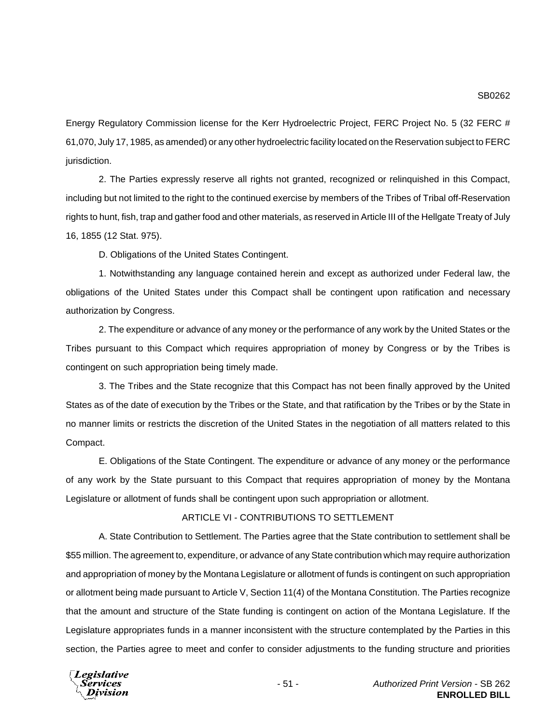Energy Regulatory Commission license for the Kerr Hydroelectric Project, FERC Project No. 5 (32 FERC # 61,070, July 17, 1985, as amended) or any other hydroelectric facility located on the Reservation subject to FERC jurisdiction.

2. The Parties expressly reserve all rights not granted, recognized or relinquished in this Compact, including but not limited to the right to the continued exercise by members of the Tribes of Tribal off-Reservation rights to hunt, fish, trap and gather food and other materials, as reserved in Article III of the Hellgate Treaty of July 16, 1855 (12 Stat. 975).

D. Obligations of the United States Contingent.

1. Notwithstanding any language contained herein and except as authorized under Federal law, the obligations of the United States under this Compact shall be contingent upon ratification and necessary authorization by Congress.

2. The expenditure or advance of any money or the performance of any work by the United States or the Tribes pursuant to this Compact which requires appropriation of money by Congress or by the Tribes is contingent on such appropriation being timely made.

3. The Tribes and the State recognize that this Compact has not been finally approved by the United States as of the date of execution by the Tribes or the State, and that ratification by the Tribes or by the State in no manner limits or restricts the discretion of the United States in the negotiation of all matters related to this Compact.

E. Obligations of the State Contingent. The expenditure or advance of any money or the performance of any work by the State pursuant to this Compact that requires appropriation of money by the Montana Legislature or allotment of funds shall be contingent upon such appropriation or allotment.

#### ARTICLE VI - CONTRIBUTIONS TO SETTLEMENT

A. State Contribution to Settlement. The Parties agree that the State contribution to settlement shall be \$55 million. The agreement to, expenditure, or advance of any State contribution which may require authorization and appropriation of money by the Montana Legislature or allotment of funds is contingent on such appropriation or allotment being made pursuant to Article V, Section 11(4) of the Montana Constitution. The Parties recognize that the amount and structure of the State funding is contingent on action of the Montana Legislature. If the Legislature appropriates funds in a manner inconsistent with the structure contemplated by the Parties in this section, the Parties agree to meet and confer to consider adjustments to the funding structure and priorities

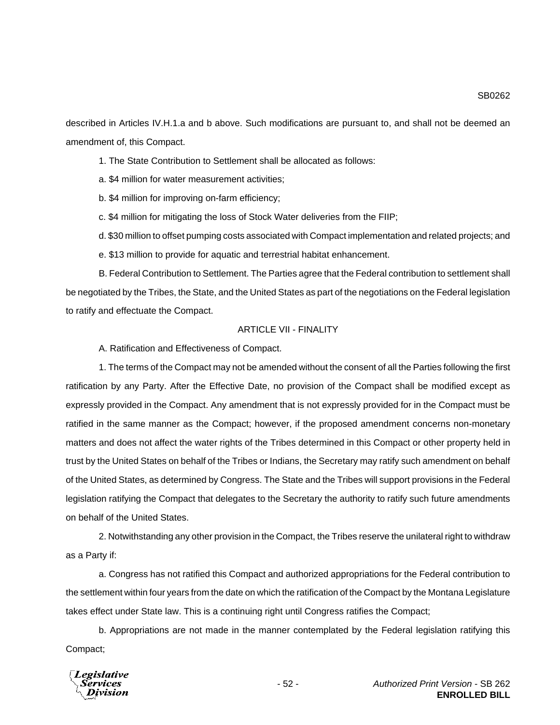SB0262

described in Articles IV.H.1.a and b above. Such modifications are pursuant to, and shall not be deemed an amendment of, this Compact.

1. The State Contribution to Settlement shall be allocated as follows:

a. \$4 million for water measurement activities;

b. \$4 million for improving on-farm efficiency;

c. \$4 million for mitigating the loss of Stock Water deliveries from the FIIP;

d. \$30 million to offset pumping costs associated with Compact implementation and related projects; and

e. \$13 million to provide for aquatic and terrestrial habitat enhancement.

B. Federal Contribution to Settlement. The Parties agree that the Federal contribution to settlement shall be negotiated by the Tribes, the State, and the United States as part of the negotiations on the Federal legislation to ratify and effectuate the Compact.

## ARTICLE VII - FINALITY

A. Ratification and Effectiveness of Compact.

1. The terms of the Compact may not be amended without the consent of all the Parties following the first ratification by any Party. After the Effective Date, no provision of the Compact shall be modified except as expressly provided in the Compact. Any amendment that is not expressly provided for in the Compact must be ratified in the same manner as the Compact; however, if the proposed amendment concerns non-monetary matters and does not affect the water rights of the Tribes determined in this Compact or other property held in trust by the United States on behalf of the Tribes or Indians, the Secretary may ratify such amendment on behalf of the United States, as determined by Congress. The State and the Tribes will support provisions in the Federal legislation ratifying the Compact that delegates to the Secretary the authority to ratify such future amendments on behalf of the United States.

2. Notwithstanding any other provision in the Compact, the Tribes reserve the unilateral right to withdraw as a Party if:

a. Congress has not ratified this Compact and authorized appropriations for the Federal contribution to the settlement within four years from the date on which the ratification of the Compact by the Montana Legislature takes effect under State law. This is a continuing right until Congress ratifies the Compact;

b. Appropriations are not made in the manner contemplated by the Federal legislation ratifying this Compact;

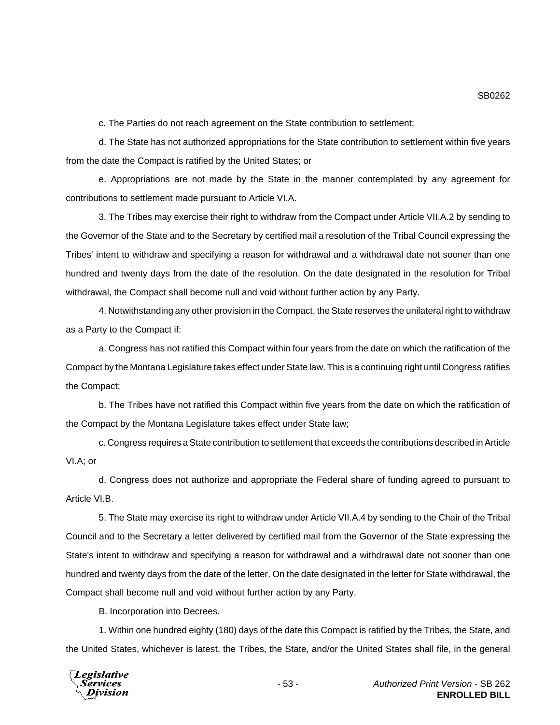c. The Parties do not reach agreement on the State contribution to settlement;

d. The State has not authorized appropriations for the State contribution to settlement within five years from the date the Compact is ratified by the United States; or

e. Appropriations are not made by the State in the manner contemplated by any agreement for contributions to settlement made pursuant to Article VI.A.

3. The Tribes may exercise their right to withdraw from the Compact under Article VII.A.2 by sending to the Governor of the State and to the Secretary by certified mail a resolution of the Tribal Council expressing the Tribes' intent to withdraw and specifying a reason for withdrawal and a withdrawal date not sooner than one hundred and twenty days from the date of the resolution. On the date designated in the resolution for Tribal withdrawal, the Compact shall become null and void without further action by any Party.

4. Notwithstanding any other provision in the Compact, the State reserves the unilateral right to withdraw as a Party to the Compact if:

a. Congress has not ratified this Compact within four years from the date on which the ratification of the Compact by the Montana Legislature takes effect under State law. This is a continuing right until Congress ratifies the Compact;

b. The Tribes have not ratified this Compact within five years from the date on which the ratification of the Compact by the Montana Legislature takes effect under State law;

c. Congress requires a State contribution to settlement that exceeds the contributions described in Article VI.A; or

d. Congress does not authorize and appropriate the Federal share of funding agreed to pursuant to Article VI.B.

5. The State may exercise its right to withdraw under Article VII.A.4 by sending to the Chair of the Tribal Council and to the Secretary a letter delivered by certified mail from the Governor of the State expressing the State's intent to withdraw and specifying a reason for withdrawal and a withdrawal date not sooner than one hundred and twenty days from the date of the letter. On the date designated in the letter for State withdrawal, the Compact shall become null and void without further action by any Party.

B. Incorporation into Decrees.

1. Within one hundred eighty (180) days of the date this Compact is ratified by the Tribes, the State, and the United States, whichever is latest, the Tribes, the State, and/or the United States shall file, in the general



SB0262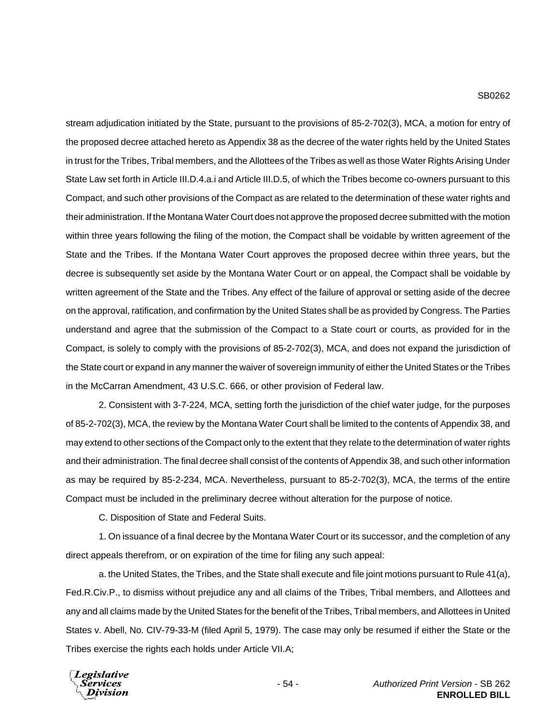### SB0262

stream adjudication initiated by the State, pursuant to the provisions of 85-2-702(3), MCA, a motion for entry of the proposed decree attached hereto as Appendix 38 as the decree of the water rights held by the United States in trust for the Tribes, Tribal members, and the Allottees of the Tribes as well as those Water Rights Arising Under State Law set forth in Article III.D.4.a.i and Article III.D.5, of which the Tribes become co-owners pursuant to this Compact, and such other provisions of the Compact as are related to the determination of these water rights and their administration. If the Montana Water Court does not approve the proposed decree submitted with the motion within three years following the filing of the motion, the Compact shall be voidable by written agreement of the State and the Tribes. If the Montana Water Court approves the proposed decree within three years, but the decree is subsequently set aside by the Montana Water Court or on appeal, the Compact shall be voidable by written agreement of the State and the Tribes. Any effect of the failure of approval or setting aside of the decree on the approval, ratification, and confirmation by the United States shall be as provided by Congress. The Parties understand and agree that the submission of the Compact to a State court or courts, as provided for in the Compact, is solely to comply with the provisions of 85-2-702(3), MCA, and does not expand the jurisdiction of the State court or expand in any manner the waiver of sovereign immunity of either the United States or the Tribes in the McCarran Amendment, 43 U.S.C. 666, or other provision of Federal law.

2. Consistent with 3-7-224, MCA, setting forth the jurisdiction of the chief water judge, for the purposes of 85-2-702(3), MCA, the review by the Montana Water Court shall be limited to the contents of Appendix 38, and may extend to other sections of the Compact only to the extent that they relate to the determination of water rights and their administration. The final decree shall consist of the contents of Appendix 38, and such other information as may be required by 85-2-234, MCA. Nevertheless, pursuant to 85-2-702(3), MCA, the terms of the entire Compact must be included in the preliminary decree without alteration for the purpose of notice.

C. Disposition of State and Federal Suits.

1. On issuance of a final decree by the Montana Water Court or its successor, and the completion of any direct appeals therefrom, or on expiration of the time for filing any such appeal:

a. the United States, the Tribes, and the State shall execute and file joint motions pursuant to Rule 41(a), Fed.R.Civ.P., to dismiss without prejudice any and all claims of the Tribes, Tribal members, and Allottees and any and all claims made by the United States for the benefit of the Tribes, Tribal members, and Allottees in United States v. Abell, No. CIV-79-33-M (filed April 5, 1979). The case may only be resumed if either the State or the Tribes exercise the rights each holds under Article VII.A;

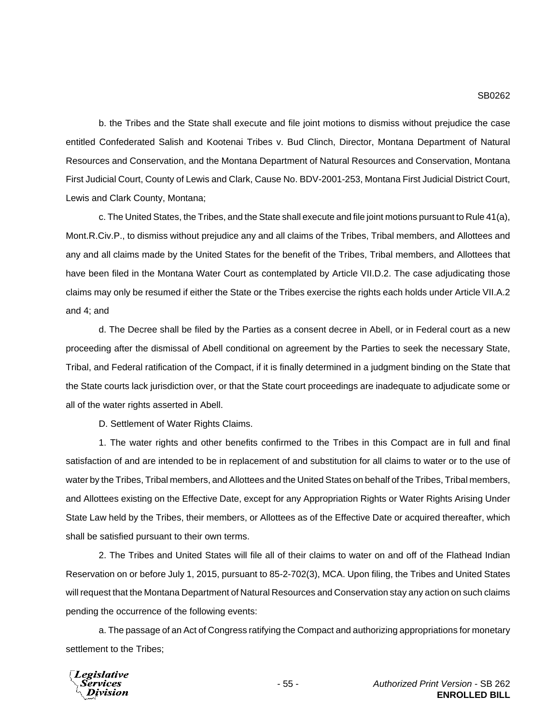b. the Tribes and the State shall execute and file joint motions to dismiss without prejudice the case entitled Confederated Salish and Kootenai Tribes v. Bud Clinch, Director, Montana Department of Natural Resources and Conservation, and the Montana Department of Natural Resources and Conservation, Montana First Judicial Court, County of Lewis and Clark, Cause No. BDV-2001-253, Montana First Judicial District Court, Lewis and Clark County, Montana;

c. The United States, the Tribes, and the State shall execute and file joint motions pursuant to Rule 41(a), Mont.R.Civ.P., to dismiss without prejudice any and all claims of the Tribes, Tribal members, and Allottees and any and all claims made by the United States for the benefit of the Tribes, Tribal members, and Allottees that have been filed in the Montana Water Court as contemplated by Article VII.D.2. The case adjudicating those claims may only be resumed if either the State or the Tribes exercise the rights each holds under Article VII.A.2 and 4; and

d. The Decree shall be filed by the Parties as a consent decree in Abell, or in Federal court as a new proceeding after the dismissal of Abell conditional on agreement by the Parties to seek the necessary State, Tribal, and Federal ratification of the Compact, if it is finally determined in a judgment binding on the State that the State courts lack jurisdiction over, or that the State court proceedings are inadequate to adjudicate some or all of the water rights asserted in Abell.

D. Settlement of Water Rights Claims.

1. The water rights and other benefits confirmed to the Tribes in this Compact are in full and final satisfaction of and are intended to be in replacement of and substitution for all claims to water or to the use of water by the Tribes, Tribal members, and Allottees and the United States on behalf of the Tribes, Tribal members, and Allottees existing on the Effective Date, except for any Appropriation Rights or Water Rights Arising Under State Law held by the Tribes, their members, or Allottees as of the Effective Date or acquired thereafter, which shall be satisfied pursuant to their own terms.

2. The Tribes and United States will file all of their claims to water on and off of the Flathead Indian Reservation on or before July 1, 2015, pursuant to 85-2-702(3), MCA. Upon filing, the Tribes and United States will request that the Montana Department of Natural Resources and Conservation stay any action on such claims pending the occurrence of the following events:

a. The passage of an Act of Congress ratifying the Compact and authorizing appropriations for monetary settlement to the Tribes;

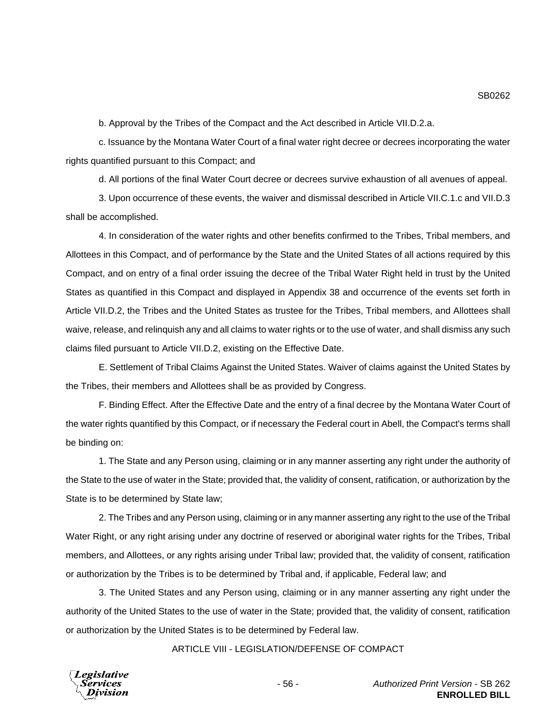b. Approval by the Tribes of the Compact and the Act described in Article VII.D.2.a.

c. Issuance by the Montana Water Court of a final water right decree or decrees incorporating the water rights quantified pursuant to this Compact; and

d. All portions of the final Water Court decree or decrees survive exhaustion of all avenues of appeal.

3. Upon occurrence of these events, the waiver and dismissal described in Article VII.C.1.c and VII.D.3 shall be accomplished.

4. In consideration of the water rights and other benefits confirmed to the Tribes, Tribal members, and Allottees in this Compact, and of performance by the State and the United States of all actions required by this Compact, and on entry of a final order issuing the decree of the Tribal Water Right held in trust by the United States as quantified in this Compact and displayed in Appendix 38 and occurrence of the events set forth in Article VII.D.2, the Tribes and the United States as trustee for the Tribes, Tribal members, and Allottees shall waive, release, and relinquish any and all claims to water rights or to the use of water, and shall dismiss any such claims filed pursuant to Article VII.D.2, existing on the Effective Date.

E. Settlement of Tribal Claims Against the United States. Waiver of claims against the United States by the Tribes, their members and Allottees shall be as provided by Congress.

F. Binding Effect. After the Effective Date and the entry of a final decree by the Montana Water Court of the water rights quantified by this Compact, or if necessary the Federal court in Abell, the Compact's terms shall be binding on:

1. The State and any Person using, claiming or in any manner asserting any right under the authority of the State to the use of water in the State; provided that, the validity of consent, ratification, or authorization by the State is to be determined by State law;

2. The Tribes and any Person using, claiming or in any manner asserting any right to the use of the Tribal Water Right, or any right arising under any doctrine of reserved or aboriginal water rights for the Tribes, Tribal members, and Allottees, or any rights arising under Tribal law; provided that, the validity of consent, ratification or authorization by the Tribes is to be determined by Tribal and, if applicable, Federal law; and

3. The United States and any Person using, claiming or in any manner asserting any right under the authority of the United States to the use of water in the State; provided that, the validity of consent, ratification or authorization by the United States is to be determined by Federal law.

ARTICLE VIII - LEGISLATION/DEFENSE OF COMPACT



SB0262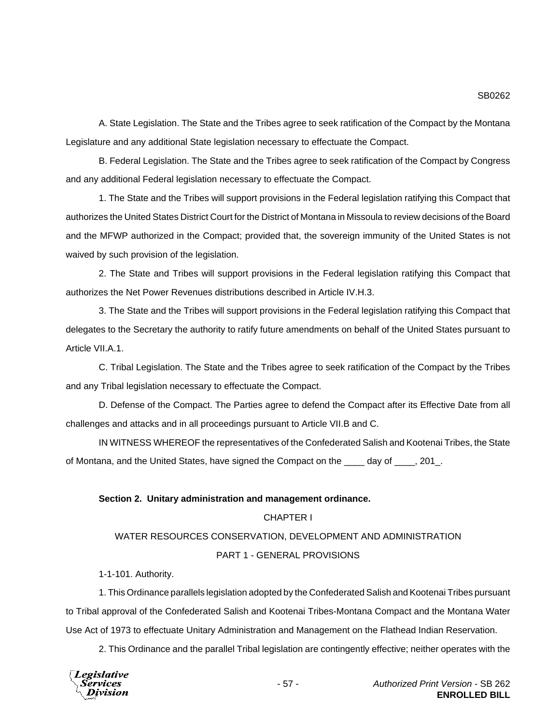A. State Legislation. The State and the Tribes agree to seek ratification of the Compact by the Montana Legislature and any additional State legislation necessary to effectuate the Compact.

B. Federal Legislation. The State and the Tribes agree to seek ratification of the Compact by Congress and any additional Federal legislation necessary to effectuate the Compact.

1. The State and the Tribes will support provisions in the Federal legislation ratifying this Compact that authorizes the United States District Court for the District of Montana in Missoula to review decisions of the Board and the MFWP authorized in the Compact; provided that, the sovereign immunity of the United States is not waived by such provision of the legislation.

2. The State and Tribes will support provisions in the Federal legislation ratifying this Compact that authorizes the Net Power Revenues distributions described in Article IV.H.3.

3. The State and the Tribes will support provisions in the Federal legislation ratifying this Compact that delegates to the Secretary the authority to ratify future amendments on behalf of the United States pursuant to Article VII.A.1.

C. Tribal Legislation. The State and the Tribes agree to seek ratification of the Compact by the Tribes and any Tribal legislation necessary to effectuate the Compact.

D. Defense of the Compact. The Parties agree to defend the Compact after its Effective Date from all challenges and attacks and in all proceedings pursuant to Article VII.B and C.

IN WITNESS WHEREOF the representatives of the Confederated Salish and Kootenai Tribes, the State of Montana, and the United States, have signed the Compact on the \_\_\_\_ day of \_\_\_\_, 201.

# **Section 2. Unitary administration and management ordinance.**

### CHAPTER I

# WATER RESOURCES CONSERVATION, DEVELOPMENT AND ADMINISTRATION

## PART 1 - GENERAL PROVISIONS

1-1-101. Authority.

1. This Ordinance parallels legislation adopted by the Confederated Salish and Kootenai Tribes pursuant to Tribal approval of the Confederated Salish and Kootenai Tribes-Montana Compact and the Montana Water Use Act of 1973 to effectuate Unitary Administration and Management on the Flathead Indian Reservation.

2. This Ordinance and the parallel Tribal legislation are contingently effective; neither operates with the

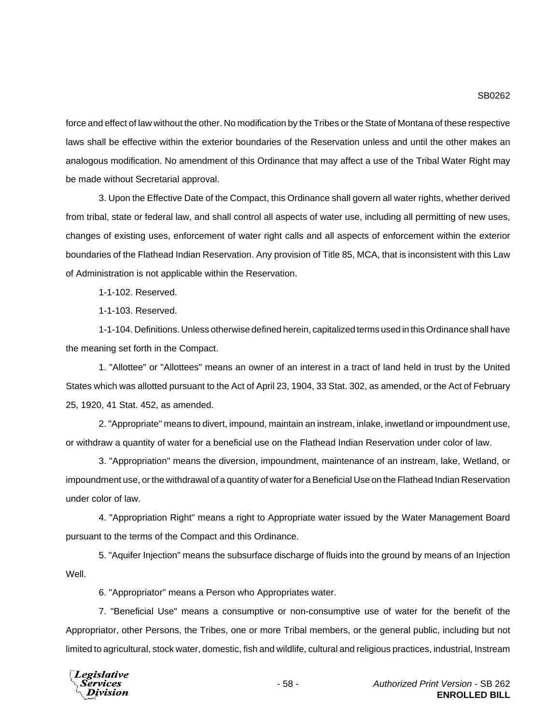force and effect of law without the other. No modification by the Tribes or the State of Montana of these respective laws shall be effective within the exterior boundaries of the Reservation unless and until the other makes an analogous modification. No amendment of this Ordinance that may affect a use of the Tribal Water Right may be made without Secretarial approval.

3. Upon the Effective Date of the Compact, this Ordinance shall govern all water rights, whether derived from tribal, state or federal law, and shall control all aspects of water use, including all permitting of new uses, changes of existing uses, enforcement of water right calls and all aspects of enforcement within the exterior boundaries of the Flathead Indian Reservation. Any provision of Title 85, MCA, that is inconsistent with this Law of Administration is not applicable within the Reservation.

1-1-102. Reserved.

1-1-103. Reserved.

1-1-104. Definitions. Unless otherwise defined herein, capitalized terms used in this Ordinance shall have the meaning set forth in the Compact.

1. "Allottee" or "Allottees" means an owner of an interest in a tract of land held in trust by the United States which was allotted pursuant to the Act of April 23, 1904, 33 Stat. 302, as amended, or the Act of February 25, 1920, 41 Stat. 452, as amended.

2. "Appropriate" means to divert, impound, maintain an instream, inlake, inwetland or impoundment use, or withdraw a quantity of water for a beneficial use on the Flathead Indian Reservation under color of law.

3. "Appropriation" means the diversion, impoundment, maintenance of an instream, lake, Wetland, or impoundment use, or the withdrawal of a quantity of water for a Beneficial Use on the Flathead Indian Reservation under color of law.

4. "Appropriation Right" means a right to Appropriate water issued by the Water Management Board pursuant to the terms of the Compact and this Ordinance.

5. "Aquifer Injection" means the subsurface discharge of fluids into the ground by means of an Injection Well.

6. "Appropriator" means a Person who Appropriates water.

7. "Beneficial Use" means a consumptive or non-consumptive use of water for the benefit of the Appropriator, other Persons, the Tribes, one or more Tribal members, or the general public, including but not limited to agricultural, stock water, domestic, fish and wildlife, cultural and religious practices, industrial, Instream

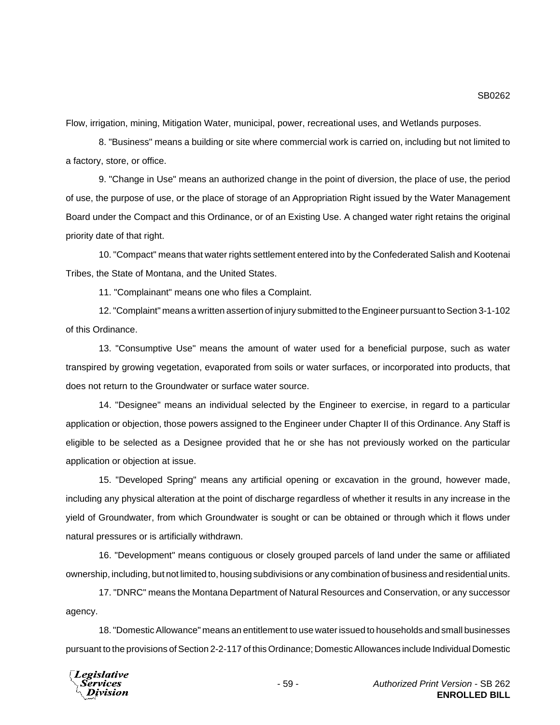SB0262

Flow, irrigation, mining, Mitigation Water, municipal, power, recreational uses, and Wetlands purposes.

8. "Business" means a building or site where commercial work is carried on, including but not limited to a factory, store, or office.

9. "Change in Use" means an authorized change in the point of diversion, the place of use, the period of use, the purpose of use, or the place of storage of an Appropriation Right issued by the Water Management Board under the Compact and this Ordinance, or of an Existing Use. A changed water right retains the original priority date of that right.

10. "Compact" means that water rights settlement entered into by the Confederated Salish and Kootenai Tribes, the State of Montana, and the United States.

11. "Complainant" means one who files a Complaint.

12. "Complaint" means a written assertion of injury submitted to the Engineer pursuant to Section 3-1-102 of this Ordinance.

13. "Consumptive Use" means the amount of water used for a beneficial purpose, such as water transpired by growing vegetation, evaporated from soils or water surfaces, or incorporated into products, that does not return to the Groundwater or surface water source.

14. "Designee" means an individual selected by the Engineer to exercise, in regard to a particular application or objection, those powers assigned to the Engineer under Chapter II of this Ordinance. Any Staff is eligible to be selected as a Designee provided that he or she has not previously worked on the particular application or objection at issue.

15. "Developed Spring" means any artificial opening or excavation in the ground, however made, including any physical alteration at the point of discharge regardless of whether it results in any increase in the yield of Groundwater, from which Groundwater is sought or can be obtained or through which it flows under natural pressures or is artificially withdrawn.

16. "Development" means contiguous or closely grouped parcels of land under the same or affiliated ownership, including, but not limited to, housing subdivisions or any combination of business and residential units.

17. "DNRC" means the Montana Department of Natural Resources and Conservation, or any successor agency.

18. "Domestic Allowance" means an entitlement to use water issued to households and small businesses pursuant to the provisions of Section 2-2-117 of this Ordinance; Domestic Allowances include Individual Domestic

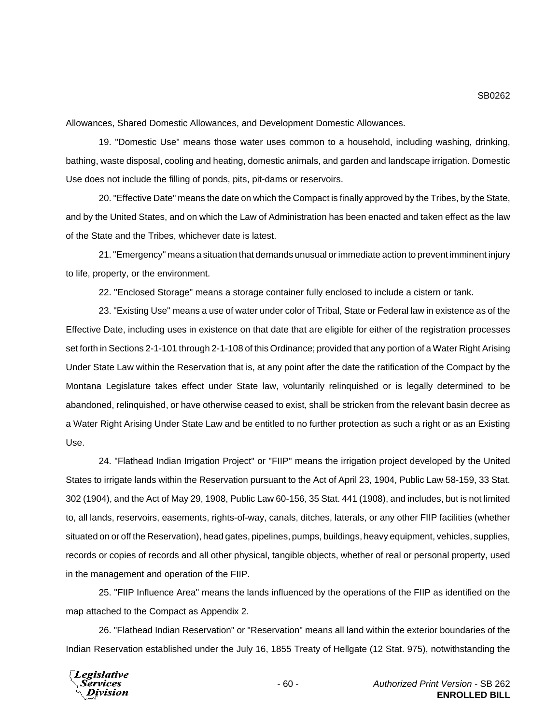Allowances, Shared Domestic Allowances, and Development Domestic Allowances.

19. "Domestic Use" means those water uses common to a household, including washing, drinking, bathing, waste disposal, cooling and heating, domestic animals, and garden and landscape irrigation. Domestic Use does not include the filling of ponds, pits, pit-dams or reservoirs.

20. "Effective Date" means the date on which the Compact is finally approved by the Tribes, by the State, and by the United States, and on which the Law of Administration has been enacted and taken effect as the law of the State and the Tribes, whichever date is latest.

21. "Emergency" means a situation that demands unusual or immediate action to prevent imminent injury to life, property, or the environment.

22. "Enclosed Storage" means a storage container fully enclosed to include a cistern or tank.

23. "Existing Use" means a use of water under color of Tribal, State or Federal law in existence as of the Effective Date, including uses in existence on that date that are eligible for either of the registration processes set forth in Sections 2-1-101 through 2-1-108 of this Ordinance; provided that any portion of a Water Right Arising Under State Law within the Reservation that is, at any point after the date the ratification of the Compact by the Montana Legislature takes effect under State law, voluntarily relinquished or is legally determined to be abandoned, relinquished, or have otherwise ceased to exist, shall be stricken from the relevant basin decree as a Water Right Arising Under State Law and be entitled to no further protection as such a right or as an Existing Use.

24. "Flathead Indian Irrigation Project" or "FIIP" means the irrigation project developed by the United States to irrigate lands within the Reservation pursuant to the Act of April 23, 1904, Public Law 58-159, 33 Stat. 302 (1904), and the Act of May 29, 1908, Public Law 60-156, 35 Stat. 441 (1908), and includes, but is not limited to, all lands, reservoirs, easements, rights-of-way, canals, ditches, laterals, or any other FIIP facilities (whether situated on or off the Reservation), head gates, pipelines, pumps, buildings, heavy equipment, vehicles, supplies, records or copies of records and all other physical, tangible objects, whether of real or personal property, used in the management and operation of the FIIP.

25. "FIIP Influence Area" means the lands influenced by the operations of the FIIP as identified on the map attached to the Compact as Appendix 2.

26. "Flathead Indian Reservation" or "Reservation" means all land within the exterior boundaries of the Indian Reservation established under the July 16, 1855 Treaty of Hellgate (12 Stat. 975), notwithstanding the

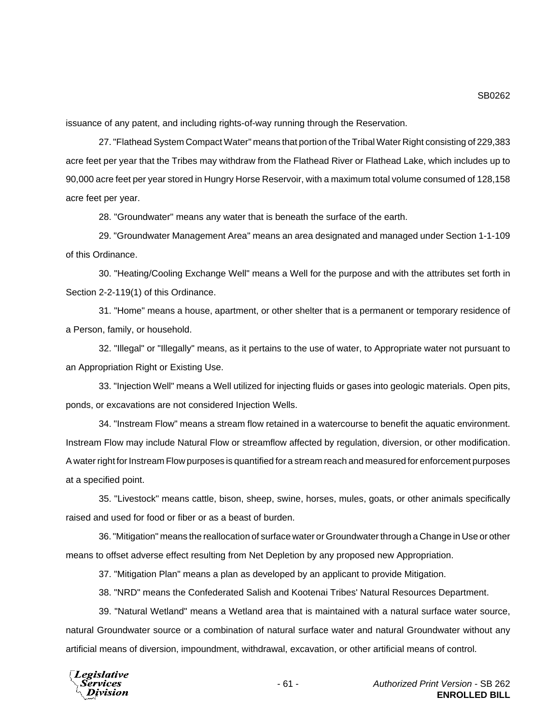issuance of any patent, and including rights-of-way running through the Reservation.

27. "Flathead System Compact Water" means that portion of the Tribal Water Right consisting of 229,383 acre feet per year that the Tribes may withdraw from the Flathead River or Flathead Lake, which includes up to 90,000 acre feet per year stored in Hungry Horse Reservoir, with a maximum total volume consumed of 128,158 acre feet per year.

28. "Groundwater" means any water that is beneath the surface of the earth.

29. "Groundwater Management Area" means an area designated and managed under Section 1-1-109 of this Ordinance.

30. "Heating/Cooling Exchange Well" means a Well for the purpose and with the attributes set forth in Section 2-2-119(1) of this Ordinance.

31. "Home" means a house, apartment, or other shelter that is a permanent or temporary residence of a Person, family, or household.

32. "Illegal" or "Illegally" means, as it pertains to the use of water, to Appropriate water not pursuant to an Appropriation Right or Existing Use.

33. "Injection Well" means a Well utilized for injecting fluids or gases into geologic materials. Open pits, ponds, or excavations are not considered Injection Wells.

34. "Instream Flow" means a stream flow retained in a watercourse to benefit the aquatic environment. Instream Flow may include Natural Flow or streamflow affected by regulation, diversion, or other modification. A water right for Instream Flow purposes is quantified for a stream reach and measured for enforcement purposes at a specified point.

35. "Livestock" means cattle, bison, sheep, swine, horses, mules, goats, or other animals specifically raised and used for food or fiber or as a beast of burden.

36. "Mitigation" means the reallocation of surface water or Groundwater through a Change in Use or other means to offset adverse effect resulting from Net Depletion by any proposed new Appropriation.

37. "Mitigation Plan" means a plan as developed by an applicant to provide Mitigation.

38. "NRD" means the Confederated Salish and Kootenai Tribes' Natural Resources Department.

39. "Natural Wetland" means a Wetland area that is maintained with a natural surface water source, natural Groundwater source or a combination of natural surface water and natural Groundwater without any artificial means of diversion, impoundment, withdrawal, excavation, or other artificial means of control.

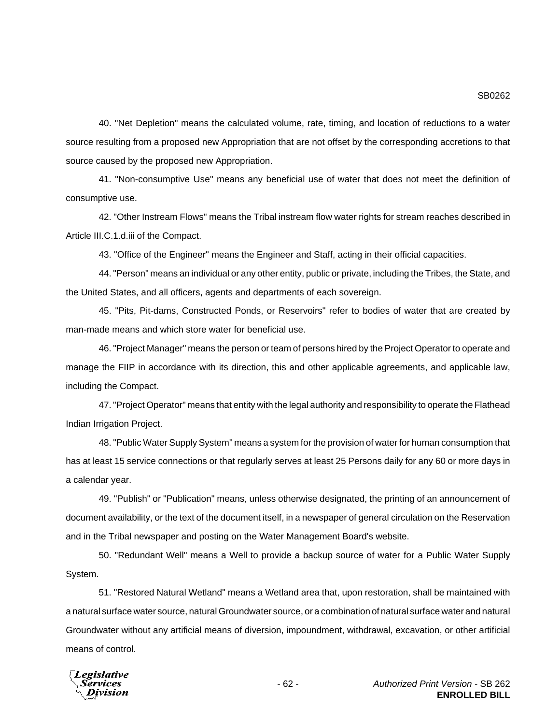40. "Net Depletion" means the calculated volume, rate, timing, and location of reductions to a water source resulting from a proposed new Appropriation that are not offset by the corresponding accretions to that source caused by the proposed new Appropriation.

41. "Non-consumptive Use" means any beneficial use of water that does not meet the definition of consumptive use.

42. "Other Instream Flows" means the Tribal instream flow water rights for stream reaches described in Article III.C.1.d.iii of the Compact.

43. "Office of the Engineer" means the Engineer and Staff, acting in their official capacities.

44. "Person" means an individual or any other entity, public or private, including the Tribes, the State, and the United States, and all officers, agents and departments of each sovereign.

45. "Pits, Pit-dams, Constructed Ponds, or Reservoirs" refer to bodies of water that are created by man-made means and which store water for beneficial use.

46. "Project Manager" means the person or team of persons hired by the Project Operator to operate and manage the FIIP in accordance with its direction, this and other applicable agreements, and applicable law, including the Compact.

47. "Project Operator" means that entity with the legal authority and responsibility to operate the Flathead Indian Irrigation Project.

48. "Public Water Supply System" means a system for the provision of water for human consumption that has at least 15 service connections or that regularly serves at least 25 Persons daily for any 60 or more days in a calendar year.

49. "Publish" or "Publication" means, unless otherwise designated, the printing of an announcement of document availability, or the text of the document itself, in a newspaper of general circulation on the Reservation and in the Tribal newspaper and posting on the Water Management Board's website.

50. "Redundant Well" means a Well to provide a backup source of water for a Public Water Supply System.

51. "Restored Natural Wetland" means a Wetland area that, upon restoration, shall be maintained with a natural surface water source, natural Groundwater source, or a combination of natural surface water and natural Groundwater without any artificial means of diversion, impoundment, withdrawal, excavation, or other artificial means of control.

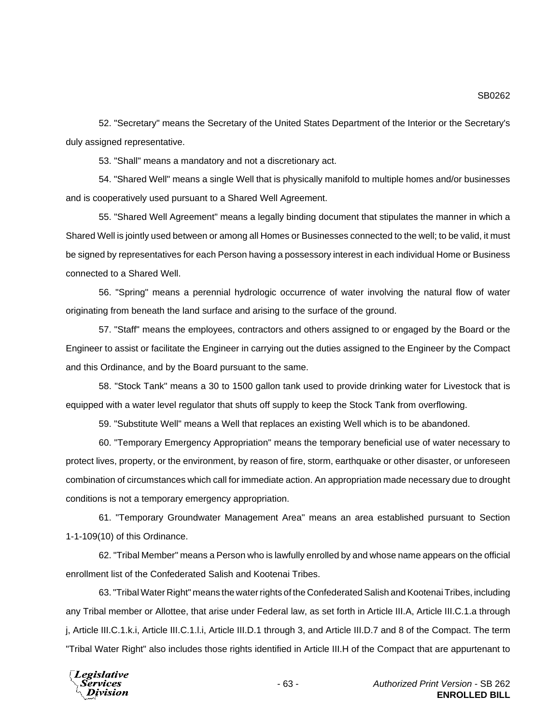52. "Secretary" means the Secretary of the United States Department of the Interior or the Secretary's duly assigned representative.

53. "Shall" means a mandatory and not a discretionary act.

54. "Shared Well" means a single Well that is physically manifold to multiple homes and/or businesses and is cooperatively used pursuant to a Shared Well Agreement.

55. "Shared Well Agreement" means a legally binding document that stipulates the manner in which a Shared Well is jointly used between or among all Homes or Businesses connected to the well; to be valid, it must be signed by representatives for each Person having a possessory interest in each individual Home or Business connected to a Shared Well.

56. "Spring" means a perennial hydrologic occurrence of water involving the natural flow of water originating from beneath the land surface and arising to the surface of the ground.

57. "Staff" means the employees, contractors and others assigned to or engaged by the Board or the Engineer to assist or facilitate the Engineer in carrying out the duties assigned to the Engineer by the Compact and this Ordinance, and by the Board pursuant to the same.

58. "Stock Tank" means a 30 to 1500 gallon tank used to provide drinking water for Livestock that is equipped with a water level regulator that shuts off supply to keep the Stock Tank from overflowing.

59. "Substitute Well" means a Well that replaces an existing Well which is to be abandoned.

60. "Temporary Emergency Appropriation" means the temporary beneficial use of water necessary to protect lives, property, or the environment, by reason of fire, storm, earthquake or other disaster, or unforeseen combination of circumstances which call for immediate action. An appropriation made necessary due to drought conditions is not a temporary emergency appropriation.

61. "Temporary Groundwater Management Area" means an area established pursuant to Section 1-1-109(10) of this Ordinance.

62. "Tribal Member" means a Person who is lawfully enrolled by and whose name appears on the official enrollment list of the Confederated Salish and Kootenai Tribes.

63. "Tribal Water Right" means the water rights of the Confederated Salish and Kootenai Tribes, including any Tribal member or Allottee, that arise under Federal law, as set forth in Article III.A, Article III.C.1.a through j, Article III.C.1.k.i, Article III.C.1.l.i, Article III.D.1 through 3, and Article III.D.7 and 8 of the Compact. The term "Tribal Water Right" also includes those rights identified in Article III.H of the Compact that are appurtenant to

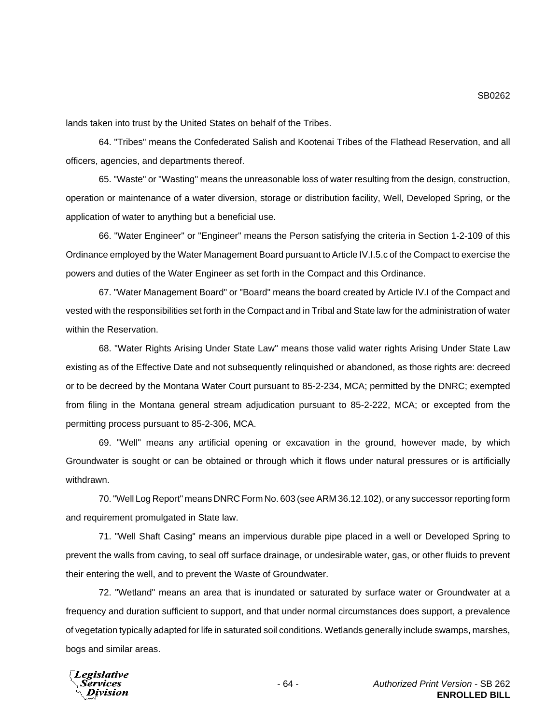lands taken into trust by the United States on behalf of the Tribes.

64. "Tribes" means the Confederated Salish and Kootenai Tribes of the Flathead Reservation, and all officers, agencies, and departments thereof.

65. "Waste" or "Wasting" means the unreasonable loss of water resulting from the design, construction, operation or maintenance of a water diversion, storage or distribution facility, Well, Developed Spring, or the application of water to anything but a beneficial use.

66. "Water Engineer" or "Engineer" means the Person satisfying the criteria in Section 1-2-109 of this Ordinance employed by the Water Management Board pursuant to Article IV.I.5.c of the Compact to exercise the powers and duties of the Water Engineer as set forth in the Compact and this Ordinance.

67. "Water Management Board" or "Board" means the board created by Article IV.I of the Compact and vested with the responsibilities set forth in the Compact and in Tribal and State law for the administration of water within the Reservation.

68. "Water Rights Arising Under State Law" means those valid water rights Arising Under State Law existing as of the Effective Date and not subsequently relinquished or abandoned, as those rights are: decreed or to be decreed by the Montana Water Court pursuant to 85-2-234, MCA; permitted by the DNRC; exempted from filing in the Montana general stream adjudication pursuant to 85-2-222, MCA; or excepted from the permitting process pursuant to 85-2-306, MCA.

69. "Well" means any artificial opening or excavation in the ground, however made, by which Groundwater is sought or can be obtained or through which it flows under natural pressures or is artificially withdrawn.

70. "Well Log Report" means DNRC Form No. 603 (see ARM 36.12.102), or any successor reporting form and requirement promulgated in State law.

71. "Well Shaft Casing" means an impervious durable pipe placed in a well or Developed Spring to prevent the walls from caving, to seal off surface drainage, or undesirable water, gas, or other fluids to prevent their entering the well, and to prevent the Waste of Groundwater.

72. "Wetland" means an area that is inundated or saturated by surface water or Groundwater at a frequency and duration sufficient to support, and that under normal circumstances does support, a prevalence of vegetation typically adapted for life in saturated soil conditions. Wetlands generally include swamps, marshes, bogs and similar areas.

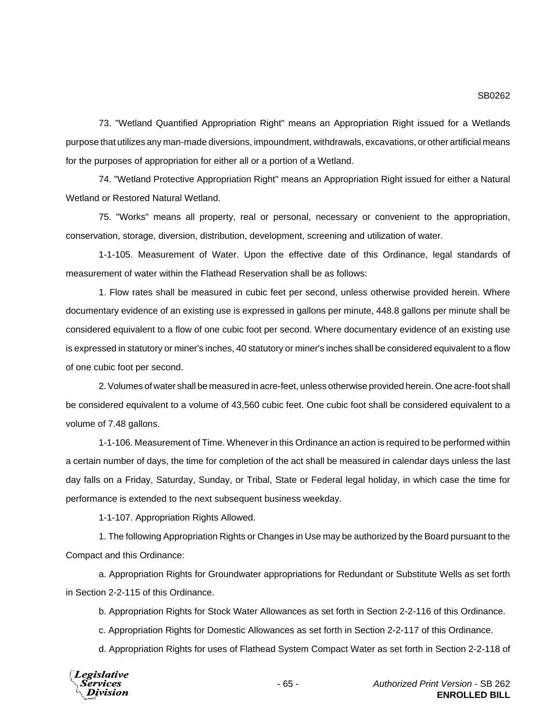73. "Wetland Quantified Appropriation Right" means an Appropriation Right issued for a Wetlands purpose that utilizes any man-made diversions, impoundment, withdrawals, excavations, or other artificial means for the purposes of appropriation for either all or a portion of a Wetland.

74. "Wetland Protective Appropriation Right" means an Appropriation Right issued for either a Natural Wetland or Restored Natural Wetland.

75. "Works" means all property, real or personal, necessary or convenient to the appropriation, conservation, storage, diversion, distribution, development, screening and utilization of water.

1-1-105. Measurement of Water. Upon the effective date of this Ordinance, legal standards of measurement of water within the Flathead Reservation shall be as follows:

1. Flow rates shall be measured in cubic feet per second, unless otherwise provided herein. Where documentary evidence of an existing use is expressed in gallons per minute, 448.8 gallons per minute shall be considered equivalent to a flow of one cubic foot per second. Where documentary evidence of an existing use is expressed in statutory or miner's inches, 40 statutory or miner's inches shall be considered equivalent to a flow of one cubic foot per second.

2. Volumes of water shall be measured in acre-feet, unless otherwise provided herein. One acre-foot shall be considered equivalent to a volume of 43,560 cubic feet. One cubic foot shall be considered equivalent to a volume of 7.48 gallons.

1-1-106. Measurement of Time. Whenever in this Ordinance an action is required to be performed within a certain number of days, the time for completion of the act shall be measured in calendar days unless the last day falls on a Friday, Saturday, Sunday, or Tribal, State or Federal legal holiday, in which case the time for performance is extended to the next subsequent business weekday.

1-1-107. Appropriation Rights Allowed.

1. The following Appropriation Rights or Changes in Use may be authorized by the Board pursuant to the Compact and this Ordinance:

a. Appropriation Rights for Groundwater appropriations for Redundant or Substitute Wells as set forth in Section 2-2-115 of this Ordinance.

b. Appropriation Rights for Stock Water Allowances as set forth in Section 2-2-116 of this Ordinance.

c. Appropriation Rights for Domestic Allowances as set forth in Section 2-2-117 of this Ordinance.

d. Appropriation Rights for uses of Flathead System Compact Water as set forth in Section 2-2-118 of



- 65 - *Authorized Print Version* - SB 262 **ENROLLED BILL**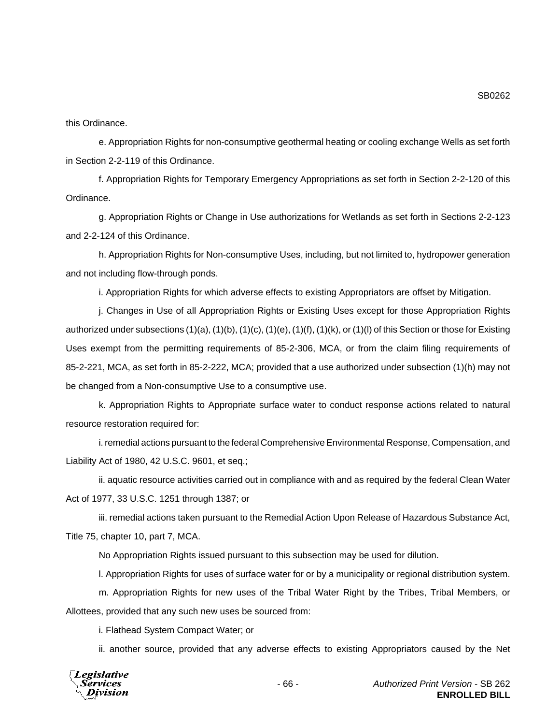this Ordinance.

e. Appropriation Rights for non-consumptive geothermal heating or cooling exchange Wells as set forth in Section 2-2-119 of this Ordinance.

f. Appropriation Rights for Temporary Emergency Appropriations as set forth in Section 2-2-120 of this Ordinance.

g. Appropriation Rights or Change in Use authorizations for Wetlands as set forth in Sections 2-2-123 and 2-2-124 of this Ordinance.

h. Appropriation Rights for Non-consumptive Uses, including, but not limited to, hydropower generation and not including flow-through ponds.

i. Appropriation Rights for which adverse effects to existing Appropriators are offset by Mitigation.

j. Changes in Use of all Appropriation Rights or Existing Uses except for those Appropriation Rights authorized under subsections  $(1)(a)$ ,  $(1)(b)$ ,  $(1)(c)$ ,  $(1)(e)$ ,  $(1)(f)$ ,  $(1)(k)$ , or  $(1)(l)$  of this Section or those for Existing Uses exempt from the permitting requirements of 85-2-306, MCA, or from the claim filing requirements of 85-2-221, MCA, as set forth in 85-2-222, MCA; provided that a use authorized under subsection (1)(h) may not be changed from a Non-consumptive Use to a consumptive use.

k. Appropriation Rights to Appropriate surface water to conduct response actions related to natural resource restoration required for:

i. remedial actions pursuant to the federal Comprehensive Environmental Response, Compensation, and Liability Act of 1980, 42 U.S.C. 9601, et seq.;

ii. aquatic resource activities carried out in compliance with and as required by the federal Clean Water Act of 1977, 33 U.S.C. 1251 through 1387; or

iii. remedial actions taken pursuant to the Remedial Action Upon Release of Hazardous Substance Act, Title 75, chapter 10, part 7, MCA.

No Appropriation Rights issued pursuant to this subsection may be used for dilution.

l. Appropriation Rights for uses of surface water for or by a municipality or regional distribution system.

m. Appropriation Rights for new uses of the Tribal Water Right by the Tribes, Tribal Members, or Allottees, provided that any such new uses be sourced from:

i. Flathead System Compact Water; or

ii. another source, provided that any adverse effects to existing Appropriators caused by the Net



SB0262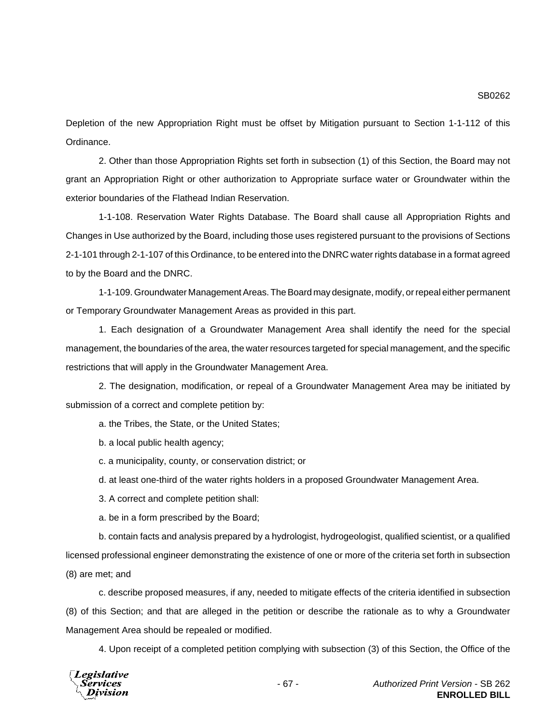Depletion of the new Appropriation Right must be offset by Mitigation pursuant to Section 1-1-112 of this Ordinance.

2. Other than those Appropriation Rights set forth in subsection (1) of this Section, the Board may not grant an Appropriation Right or other authorization to Appropriate surface water or Groundwater within the exterior boundaries of the Flathead Indian Reservation.

1-1-108. Reservation Water Rights Database. The Board shall cause all Appropriation Rights and Changes in Use authorized by the Board, including those uses registered pursuant to the provisions of Sections 2-1-101 through 2-1-107 of this Ordinance, to be entered into the DNRC water rights database in a format agreed to by the Board and the DNRC.

1-1-109. Groundwater Management Areas. The Board may designate, modify, or repeal either permanent or Temporary Groundwater Management Areas as provided in this part.

1. Each designation of a Groundwater Management Area shall identify the need for the special management, the boundaries of the area, the water resources targeted for special management, and the specific restrictions that will apply in the Groundwater Management Area.

2. The designation, modification, or repeal of a Groundwater Management Area may be initiated by submission of a correct and complete petition by:

a. the Tribes, the State, or the United States;

b. a local public health agency;

c. a municipality, county, or conservation district; or

d. at least one-third of the water rights holders in a proposed Groundwater Management Area.

3. A correct and complete petition shall:

a. be in a form prescribed by the Board;

b. contain facts and analysis prepared by a hydrologist, hydrogeologist, qualified scientist, or a qualified licensed professional engineer demonstrating the existence of one or more of the criteria set forth in subsection (8) are met; and

c. describe proposed measures, if any, needed to mitigate effects of the criteria identified in subsection (8) of this Section; and that are alleged in the petition or describe the rationale as to why a Groundwater Management Area should be repealed or modified.

4. Upon receipt of a completed petition complying with subsection (3) of this Section, the Office of the

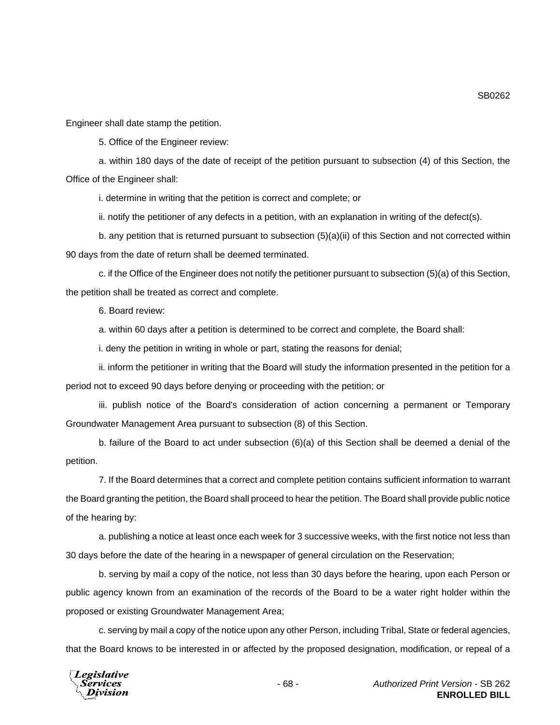Engineer shall date stamp the petition.

5. Office of the Engineer review:

a. within 180 days of the date of receipt of the petition pursuant to subsection (4) of this Section, the Office of the Engineer shall:

i. determine in writing that the petition is correct and complete; or

ii. notify the petitioner of any defects in a petition, with an explanation in writing of the defect(s).

b. any petition that is returned pursuant to subsection (5)(a)(ii) of this Section and not corrected within 90 days from the date of return shall be deemed terminated.

c. if the Office of the Engineer does not notify the petitioner pursuant to subsection (5)(a) of this Section, the petition shall be treated as correct and complete.

6. Board review:

a. within 60 days after a petition is determined to be correct and complete, the Board shall:

i. deny the petition in writing in whole or part, stating the reasons for denial;

ii. inform the petitioner in writing that the Board will study the information presented in the petition for a period not to exceed 90 days before denying or proceeding with the petition; or

iii. publish notice of the Board's consideration of action concerning a permanent or Temporary Groundwater Management Area pursuant to subsection (8) of this Section.

b. failure of the Board to act under subsection (6)(a) of this Section shall be deemed a denial of the petition.

7. If the Board determines that a correct and complete petition contains sufficient information to warrant the Board granting the petition, the Board shall proceed to hear the petition. The Board shall provide public notice of the hearing by:

a. publishing a notice at least once each week for 3 successive weeks, with the first notice not less than 30 days before the date of the hearing in a newspaper of general circulation on the Reservation;

b. serving by mail a copy of the notice, not less than 30 days before the hearing, upon each Person or public agency known from an examination of the records of the Board to be a water right holder within the proposed or existing Groundwater Management Area;

c. serving by mail a copy of the notice upon any other Person, including Tribal, State or federal agencies, that the Board knows to be interested in or affected by the proposed designation, modification, or repeal of a

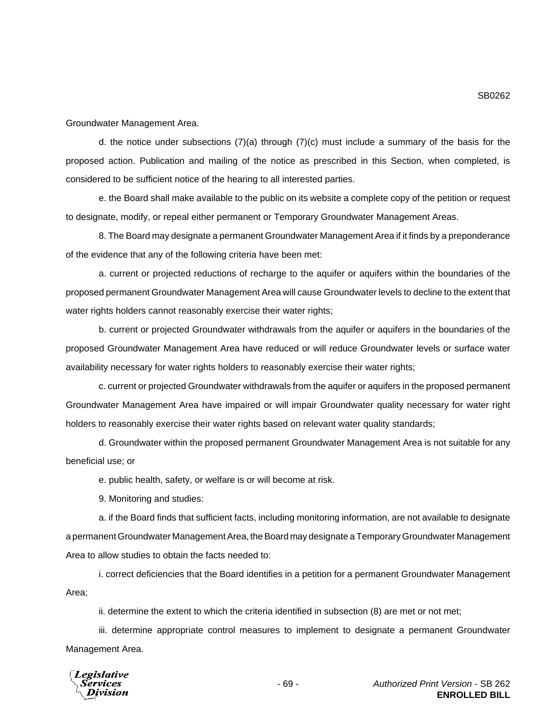Groundwater Management Area.

d. the notice under subsections  $(7)(a)$  through  $(7)(c)$  must include a summary of the basis for the proposed action. Publication and mailing of the notice as prescribed in this Section, when completed, is considered to be sufficient notice of the hearing to all interested parties.

e. the Board shall make available to the public on its website a complete copy of the petition or request to designate, modify, or repeal either permanent or Temporary Groundwater Management Areas.

8. The Board may designate a permanent Groundwater Management Area if it finds by a preponderance of the evidence that any of the following criteria have been met:

a. current or projected reductions of recharge to the aquifer or aquifers within the boundaries of the proposed permanent Groundwater Management Area will cause Groundwater levels to decline to the extent that water rights holders cannot reasonably exercise their water rights;

b. current or projected Groundwater withdrawals from the aquifer or aquifers in the boundaries of the proposed Groundwater Management Area have reduced or will reduce Groundwater levels or surface water availability necessary for water rights holders to reasonably exercise their water rights;

c. current or projected Groundwater withdrawals from the aquifer or aquifers in the proposed permanent Groundwater Management Area have impaired or will impair Groundwater quality necessary for water right holders to reasonably exercise their water rights based on relevant water quality standards;

d. Groundwater within the proposed permanent Groundwater Management Area is not suitable for any beneficial use; or

e. public health, safety, or welfare is or will become at risk.

9. Monitoring and studies:

a. if the Board finds that sufficient facts, including monitoring information, are not available to designate a permanent Groundwater Management Area, the Board may designate a Temporary Groundwater Management Area to allow studies to obtain the facts needed to:

i. correct deficiencies that the Board identifies in a petition for a permanent Groundwater Management Area;

ii. determine the extent to which the criteria identified in subsection (8) are met or not met;

iii. determine appropriate control measures to implement to designate a permanent Groundwater Management Area.

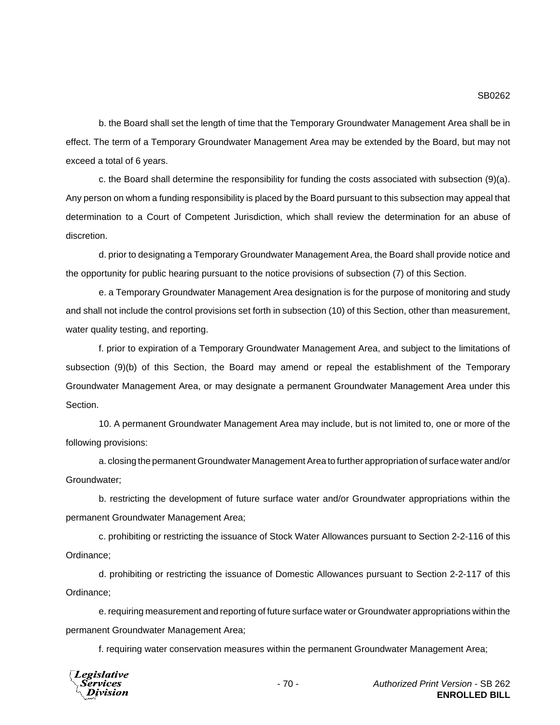b. the Board shall set the length of time that the Temporary Groundwater Management Area shall be in effect. The term of a Temporary Groundwater Management Area may be extended by the Board, but may not exceed a total of 6 years.

c. the Board shall determine the responsibility for funding the costs associated with subsection (9)(a). Any person on whom a funding responsibility is placed by the Board pursuant to this subsection may appeal that determination to a Court of Competent Jurisdiction, which shall review the determination for an abuse of discretion.

d. prior to designating a Temporary Groundwater Management Area, the Board shall provide notice and the opportunity for public hearing pursuant to the notice provisions of subsection (7) of this Section.

e. a Temporary Groundwater Management Area designation is for the purpose of monitoring and study and shall not include the control provisions set forth in subsection (10) of this Section, other than measurement, water quality testing, and reporting.

f. prior to expiration of a Temporary Groundwater Management Area, and subject to the limitations of subsection (9)(b) of this Section, the Board may amend or repeal the establishment of the Temporary Groundwater Management Area, or may designate a permanent Groundwater Management Area under this **Section** 

10. A permanent Groundwater Management Area may include, but is not limited to, one or more of the following provisions:

a. closing the permanent Groundwater Management Area to further appropriation of surface water and/or Groundwater;

b. restricting the development of future surface water and/or Groundwater appropriations within the permanent Groundwater Management Area;

c. prohibiting or restricting the issuance of Stock Water Allowances pursuant to Section 2-2-116 of this Ordinance;

d. prohibiting or restricting the issuance of Domestic Allowances pursuant to Section 2-2-117 of this Ordinance;

e. requiring measurement and reporting of future surface water or Groundwater appropriations within the permanent Groundwater Management Area;

f. requiring water conservation measures within the permanent Groundwater Management Area;

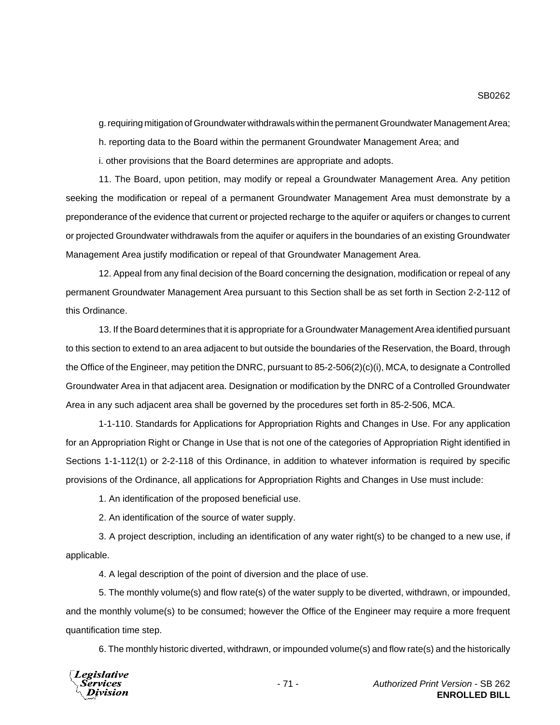g. requiring mitigation of Groundwater withdrawals within the permanent Groundwater Management Area;

h. reporting data to the Board within the permanent Groundwater Management Area; and

i. other provisions that the Board determines are appropriate and adopts.

11. The Board, upon petition, may modify or repeal a Groundwater Management Area. Any petition seeking the modification or repeal of a permanent Groundwater Management Area must demonstrate by a preponderance of the evidence that current or projected recharge to the aquifer or aquifers or changes to current or projected Groundwater withdrawals from the aquifer or aquifers in the boundaries of an existing Groundwater Management Area justify modification or repeal of that Groundwater Management Area.

12. Appeal from any final decision of the Board concerning the designation, modification or repeal of any permanent Groundwater Management Area pursuant to this Section shall be as set forth in Section 2-2-112 of this Ordinance.

13. If the Board determines that it is appropriate for a Groundwater Management Area identified pursuant to this section to extend to an area adjacent to but outside the boundaries of the Reservation, the Board, through the Office of the Engineer, may petition the DNRC, pursuant to 85-2-506(2)(c)(i), MCA, to designate a Controlled Groundwater Area in that adjacent area. Designation or modification by the DNRC of a Controlled Groundwater Area in any such adjacent area shall be governed by the procedures set forth in 85-2-506, MCA.

1-1-110. Standards for Applications for Appropriation Rights and Changes in Use. For any application for an Appropriation Right or Change in Use that is not one of the categories of Appropriation Right identified in Sections 1-1-112(1) or 2-2-118 of this Ordinance, in addition to whatever information is required by specific provisions of the Ordinance, all applications for Appropriation Rights and Changes in Use must include:

1. An identification of the proposed beneficial use.

2. An identification of the source of water supply.

3. A project description, including an identification of any water right(s) to be changed to a new use, if applicable.

4. A legal description of the point of diversion and the place of use.

5. The monthly volume(s) and flow rate(s) of the water supply to be diverted, withdrawn, or impounded, and the monthly volume(s) to be consumed; however the Office of the Engineer may require a more frequent quantification time step.

6. The monthly historic diverted, withdrawn, or impounded volume(s) and flow rate(s) and the historically



SB0262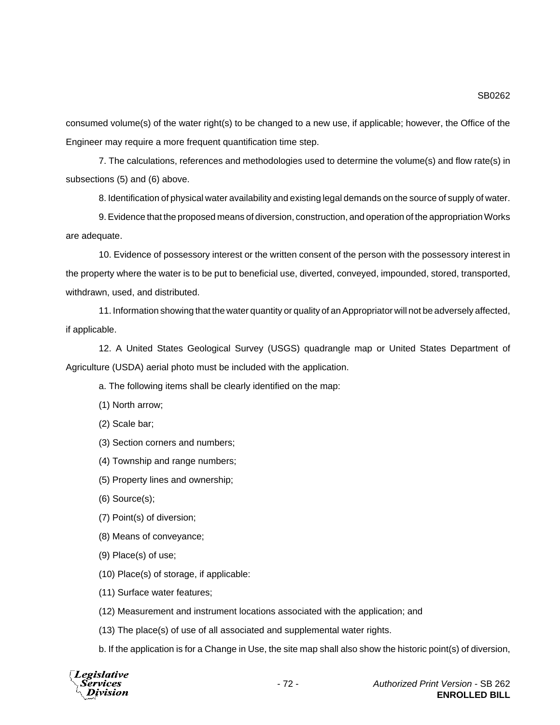consumed volume(s) of the water right(s) to be changed to a new use, if applicable; however, the Office of the Engineer may require a more frequent quantification time step.

7. The calculations, references and methodologies used to determine the volume(s) and flow rate(s) in subsections (5) and (6) above.

8. Identification of physical water availability and existing legal demands on the source of supply of water.

9. Evidence that the proposed means of diversion, construction, and operation of the appropriation Works are adequate.

10. Evidence of possessory interest or the written consent of the person with the possessory interest in the property where the water is to be put to beneficial use, diverted, conveyed, impounded, stored, transported, withdrawn, used, and distributed.

11. Information showing that the water quantity or quality of an Appropriator will not be adversely affected, if applicable.

12. A United States Geological Survey (USGS) quadrangle map or United States Department of Agriculture (USDA) aerial photo must be included with the application.

a. The following items shall be clearly identified on the map:

(1) North arrow;

(2) Scale bar;

(3) Section corners and numbers;

(4) Township and range numbers;

(5) Property lines and ownership;

(6) Source(s);

(7) Point(s) of diversion;

(8) Means of conveyance;

(9) Place(s) of use;

(10) Place(s) of storage, if applicable:

(11) Surface water features;

(12) Measurement and instrument locations associated with the application; and

(13) The place(s) of use of all associated and supplemental water rights.

b. If the application is for a Change in Use, the site map shall also show the historic point(s) of diversion,

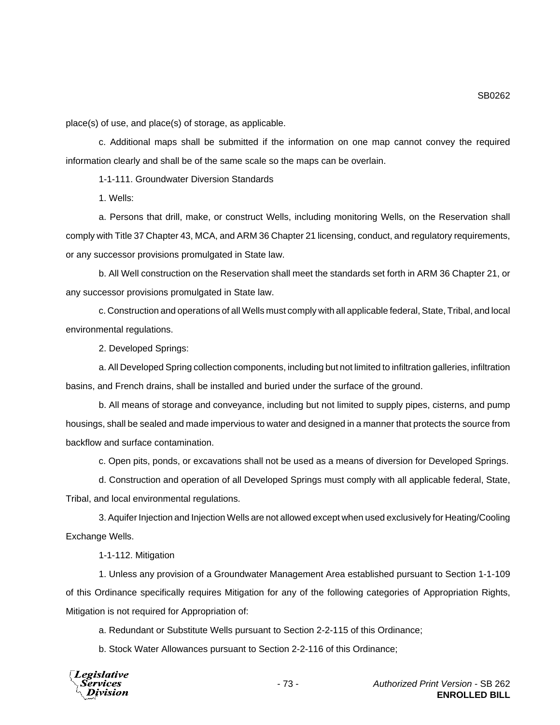SB0262

place(s) of use, and place(s) of storage, as applicable.

c. Additional maps shall be submitted if the information on one map cannot convey the required information clearly and shall be of the same scale so the maps can be overlain.

1-1-111. Groundwater Diversion Standards

1. Wells:

a. Persons that drill, make, or construct Wells, including monitoring Wells, on the Reservation shall comply with Title 37 Chapter 43, MCA, and ARM 36 Chapter 21 licensing, conduct, and regulatory requirements, or any successor provisions promulgated in State law.

b. All Well construction on the Reservation shall meet the standards set forth in ARM 36 Chapter 21, or any successor provisions promulgated in State law.

c. Construction and operations of all Wells must comply with all applicable federal, State, Tribal, and local environmental regulations.

2. Developed Springs:

a. All Developed Spring collection components, including but not limited to infiltration galleries, infiltration basins, and French drains, shall be installed and buried under the surface of the ground.

b. All means of storage and conveyance, including but not limited to supply pipes, cisterns, and pump housings, shall be sealed and made impervious to water and designed in a manner that protects the source from backflow and surface contamination.

c. Open pits, ponds, or excavations shall not be used as a means of diversion for Developed Springs.

d. Construction and operation of all Developed Springs must comply with all applicable federal, State, Tribal, and local environmental regulations.

3. Aquifer Injection and Injection Wells are not allowed except when used exclusively for Heating/Cooling Exchange Wells.

1-1-112. Mitigation

1. Unless any provision of a Groundwater Management Area established pursuant to Section 1-1-109 of this Ordinance specifically requires Mitigation for any of the following categories of Appropriation Rights, Mitigation is not required for Appropriation of:

a. Redundant or Substitute Wells pursuant to Section 2-2-115 of this Ordinance;

b. Stock Water Allowances pursuant to Section 2-2-116 of this Ordinance;

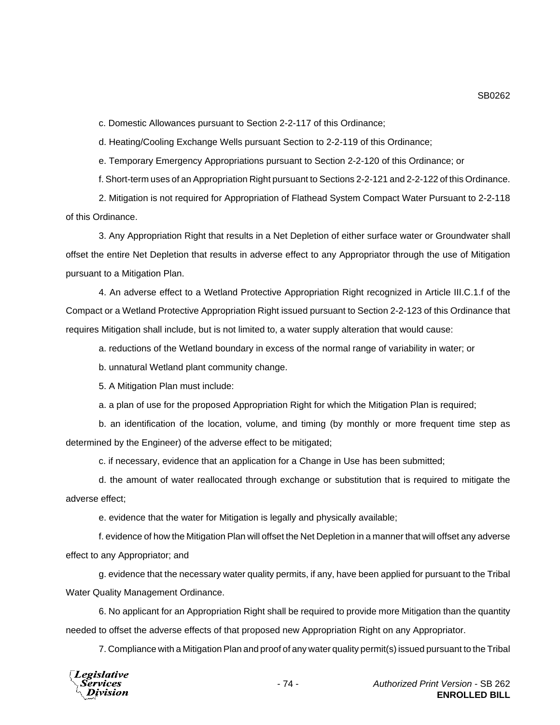c. Domestic Allowances pursuant to Section 2-2-117 of this Ordinance;

d. Heating/Cooling Exchange Wells pursuant Section to 2-2-119 of this Ordinance;

e. Temporary Emergency Appropriations pursuant to Section 2-2-120 of this Ordinance; or

f. Short-term uses of an Appropriation Right pursuant to Sections 2-2-121 and 2-2-122 of this Ordinance.

2. Mitigation is not required for Appropriation of Flathead System Compact Water Pursuant to 2-2-118 of this Ordinance.

3. Any Appropriation Right that results in a Net Depletion of either surface water or Groundwater shall offset the entire Net Depletion that results in adverse effect to any Appropriator through the use of Mitigation pursuant to a Mitigation Plan.

4. An adverse effect to a Wetland Protective Appropriation Right recognized in Article III.C.1.f of the Compact or a Wetland Protective Appropriation Right issued pursuant to Section 2-2-123 of this Ordinance that requires Mitigation shall include, but is not limited to, a water supply alteration that would cause:

a. reductions of the Wetland boundary in excess of the normal range of variability in water; or

b. unnatural Wetland plant community change.

5. A Mitigation Plan must include:

a. a plan of use for the proposed Appropriation Right for which the Mitigation Plan is required;

b. an identification of the location, volume, and timing (by monthly or more frequent time step as determined by the Engineer) of the adverse effect to be mitigated;

c. if necessary, evidence that an application for a Change in Use has been submitted;

d. the amount of water reallocated through exchange or substitution that is required to mitigate the adverse effect;

e. evidence that the water for Mitigation is legally and physically available;

f. evidence of how the Mitigation Plan will offset the Net Depletion in a manner that will offset any adverse effect to any Appropriator; and

g. evidence that the necessary water quality permits, if any, have been applied for pursuant to the Tribal Water Quality Management Ordinance.

6. No applicant for an Appropriation Right shall be required to provide more Mitigation than the quantity needed to offset the adverse effects of that proposed new Appropriation Right on any Appropriator.

7. Compliance with a Mitigation Plan and proof of any water quality permit(s) issued pursuant to the Tribal

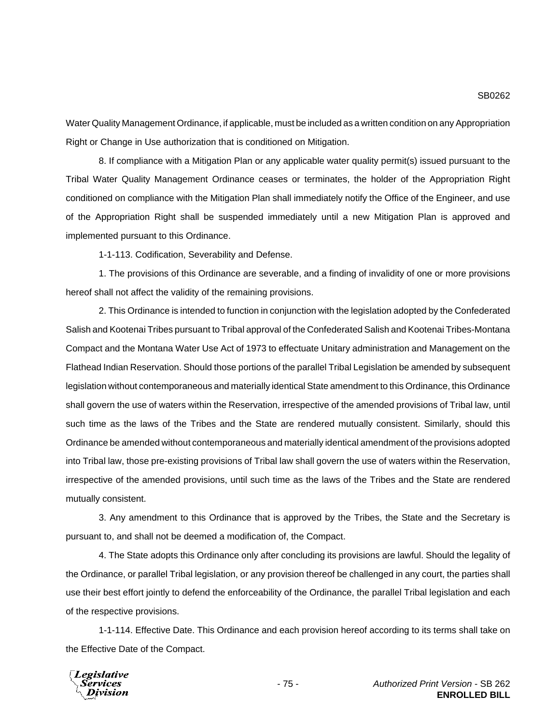Water Quality Management Ordinance, if applicable, must be included as a written condition on any Appropriation Right or Change in Use authorization that is conditioned on Mitigation.

8. If compliance with a Mitigation Plan or any applicable water quality permit(s) issued pursuant to the Tribal Water Quality Management Ordinance ceases or terminates, the holder of the Appropriation Right conditioned on compliance with the Mitigation Plan shall immediately notify the Office of the Engineer, and use of the Appropriation Right shall be suspended immediately until a new Mitigation Plan is approved and implemented pursuant to this Ordinance.

1-1-113. Codification, Severability and Defense.

1. The provisions of this Ordinance are severable, and a finding of invalidity of one or more provisions hereof shall not affect the validity of the remaining provisions.

2. This Ordinance is intended to function in conjunction with the legislation adopted by the Confederated Salish and Kootenai Tribes pursuant to Tribal approval of the Confederated Salish and Kootenai Tribes-Montana Compact and the Montana Water Use Act of 1973 to effectuate Unitary administration and Management on the Flathead Indian Reservation. Should those portions of the parallel Tribal Legislation be amended by subsequent legislation without contemporaneous and materially identical State amendment to this Ordinance, this Ordinance shall govern the use of waters within the Reservation, irrespective of the amended provisions of Tribal law, until such time as the laws of the Tribes and the State are rendered mutually consistent. Similarly, should this Ordinance be amended without contemporaneous and materially identical amendment of the provisions adopted into Tribal law, those pre-existing provisions of Tribal law shall govern the use of waters within the Reservation, irrespective of the amended provisions, until such time as the laws of the Tribes and the State are rendered mutually consistent.

3. Any amendment to this Ordinance that is approved by the Tribes, the State and the Secretary is pursuant to, and shall not be deemed a modification of, the Compact.

4. The State adopts this Ordinance only after concluding its provisions are lawful. Should the legality of the Ordinance, or parallel Tribal legislation, or any provision thereof be challenged in any court, the parties shall use their best effort jointly to defend the enforceability of the Ordinance, the parallel Tribal legislation and each of the respective provisions.

1-1-114. Effective Date. This Ordinance and each provision hereof according to its terms shall take on the Effective Date of the Compact.

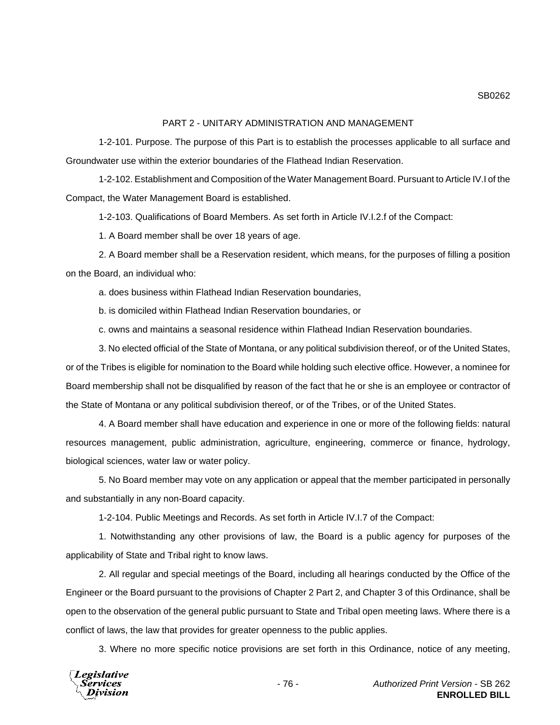### PART 2 - UNITARY ADMINISTRATION AND MANAGEMENT

1-2-101. Purpose. The purpose of this Part is to establish the processes applicable to all surface and Groundwater use within the exterior boundaries of the Flathead Indian Reservation.

1-2-102. Establishment and Composition of the Water Management Board. Pursuant to Article IV.I of the Compact, the Water Management Board is established.

1-2-103. Qualifications of Board Members. As set forth in Article IV.I.2.f of the Compact:

1. A Board member shall be over 18 years of age.

2. A Board member shall be a Reservation resident, which means, for the purposes of filling a position on the Board, an individual who:

a. does business within Flathead Indian Reservation boundaries,

b. is domiciled within Flathead Indian Reservation boundaries, or

c. owns and maintains a seasonal residence within Flathead Indian Reservation boundaries.

3. No elected official of the State of Montana, or any political subdivision thereof, or of the United States, or of the Tribes is eligible for nomination to the Board while holding such elective office. However, a nominee for Board membership shall not be disqualified by reason of the fact that he or she is an employee or contractor of the State of Montana or any political subdivision thereof, or of the Tribes, or of the United States.

4. A Board member shall have education and experience in one or more of the following fields: natural resources management, public administration, agriculture, engineering, commerce or finance, hydrology, biological sciences, water law or water policy.

5. No Board member may vote on any application or appeal that the member participated in personally and substantially in any non-Board capacity.

1-2-104. Public Meetings and Records. As set forth in Article IV.I.7 of the Compact:

1. Notwithstanding any other provisions of law, the Board is a public agency for purposes of the applicability of State and Tribal right to know laws.

2. All regular and special meetings of the Board, including all hearings conducted by the Office of the Engineer or the Board pursuant to the provisions of Chapter 2 Part 2, and Chapter 3 of this Ordinance, shall be open to the observation of the general public pursuant to State and Tribal open meeting laws. Where there is a conflict of laws, the law that provides for greater openness to the public applies.

3. Where no more specific notice provisions are set forth in this Ordinance, notice of any meeting,

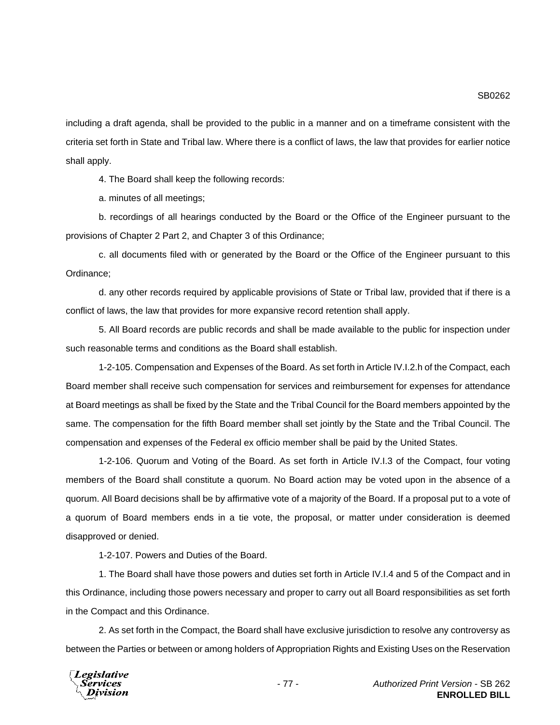including a draft agenda, shall be provided to the public in a manner and on a timeframe consistent with the criteria set forth in State and Tribal law. Where there is a conflict of laws, the law that provides for earlier notice shall apply.

4. The Board shall keep the following records:

a. minutes of all meetings;

b. recordings of all hearings conducted by the Board or the Office of the Engineer pursuant to the provisions of Chapter 2 Part 2, and Chapter 3 of this Ordinance;

c. all documents filed with or generated by the Board or the Office of the Engineer pursuant to this Ordinance;

d. any other records required by applicable provisions of State or Tribal law, provided that if there is a conflict of laws, the law that provides for more expansive record retention shall apply.

5. All Board records are public records and shall be made available to the public for inspection under such reasonable terms and conditions as the Board shall establish.

1-2-105. Compensation and Expenses of the Board. As set forth in Article IV.I.2.h of the Compact, each Board member shall receive such compensation for services and reimbursement for expenses for attendance at Board meetings as shall be fixed by the State and the Tribal Council for the Board members appointed by the same. The compensation for the fifth Board member shall set jointly by the State and the Tribal Council. The compensation and expenses of the Federal ex officio member shall be paid by the United States.

1-2-106. Quorum and Voting of the Board. As set forth in Article IV.I.3 of the Compact, four voting members of the Board shall constitute a quorum. No Board action may be voted upon in the absence of a quorum. All Board decisions shall be by affirmative vote of a majority of the Board. If a proposal put to a vote of a quorum of Board members ends in a tie vote, the proposal, or matter under consideration is deemed disapproved or denied.

1-2-107. Powers and Duties of the Board.

1. The Board shall have those powers and duties set forth in Article IV.I.4 and 5 of the Compact and in this Ordinance, including those powers necessary and proper to carry out all Board responsibilities as set forth in the Compact and this Ordinance.

2. As set forth in the Compact, the Board shall have exclusive jurisdiction to resolve any controversy as between the Parties or between or among holders of Appropriation Rights and Existing Uses on the Reservation

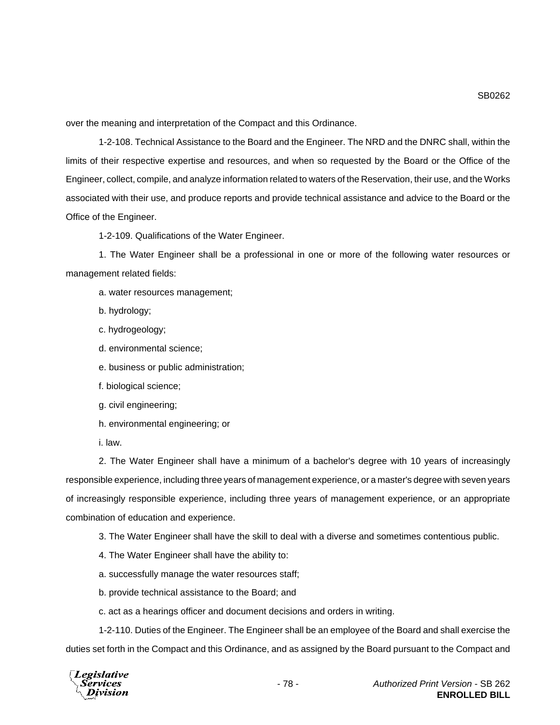over the meaning and interpretation of the Compact and this Ordinance.

1-2-108. Technical Assistance to the Board and the Engineer. The NRD and the DNRC shall, within the limits of their respective expertise and resources, and when so requested by the Board or the Office of the Engineer, collect, compile, and analyze information related to waters of the Reservation, their use, and the Works associated with their use, and produce reports and provide technical assistance and advice to the Board or the Office of the Engineer.

1-2-109. Qualifications of the Water Engineer.

1. The Water Engineer shall be a professional in one or more of the following water resources or management related fields:

a. water resources management;

- b. hydrology;
- c. hydrogeology;
- d. environmental science;
- e. business or public administration;
- f. biological science;
- g. civil engineering;
- h. environmental engineering; or
- i. law.

2. The Water Engineer shall have a minimum of a bachelor's degree with 10 years of increasingly responsible experience, including three years of management experience, or a master's degree with seven years of increasingly responsible experience, including three years of management experience, or an appropriate combination of education and experience.

3. The Water Engineer shall have the skill to deal with a diverse and sometimes contentious public.

- 4. The Water Engineer shall have the ability to:
- a. successfully manage the water resources staff;
- b. provide technical assistance to the Board; and
- c. act as a hearings officer and document decisions and orders in writing.

1-2-110. Duties of the Engineer. The Engineer shall be an employee of the Board and shall exercise the duties set forth in the Compact and this Ordinance, and as assigned by the Board pursuant to the Compact and

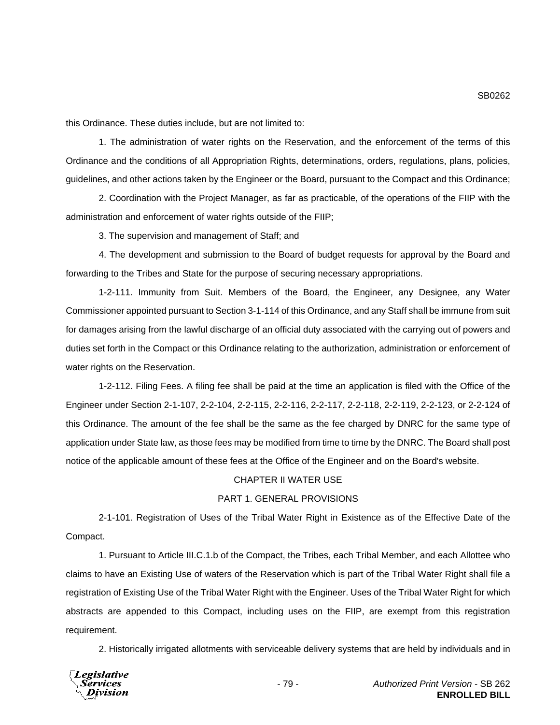this Ordinance. These duties include, but are not limited to:

1. The administration of water rights on the Reservation, and the enforcement of the terms of this Ordinance and the conditions of all Appropriation Rights, determinations, orders, regulations, plans, policies, guidelines, and other actions taken by the Engineer or the Board, pursuant to the Compact and this Ordinance;

2. Coordination with the Project Manager, as far as practicable, of the operations of the FIIP with the administration and enforcement of water rights outside of the FIIP;

3. The supervision and management of Staff; and

4. The development and submission to the Board of budget requests for approval by the Board and forwarding to the Tribes and State for the purpose of securing necessary appropriations.

1-2-111. Immunity from Suit. Members of the Board, the Engineer, any Designee, any Water Commissioner appointed pursuant to Section 3-1-114 of this Ordinance, and any Staff shall be immune from suit for damages arising from the lawful discharge of an official duty associated with the carrying out of powers and duties set forth in the Compact or this Ordinance relating to the authorization, administration or enforcement of water rights on the Reservation.

1-2-112. Filing Fees. A filing fee shall be paid at the time an application is filed with the Office of the Engineer under Section 2-1-107, 2-2-104, 2-2-115, 2-2-116, 2-2-117, 2-2-118, 2-2-119, 2-2-123, or 2-2-124 of this Ordinance. The amount of the fee shall be the same as the fee charged by DNRC for the same type of application under State law, as those fees may be modified from time to time by the DNRC. The Board shall post notice of the applicable amount of these fees at the Office of the Engineer and on the Board's website.

# CHAPTER II WATER USE

# PART 1. GENERAL PROVISIONS

2-1-101. Registration of Uses of the Tribal Water Right in Existence as of the Effective Date of the Compact.

1. Pursuant to Article III.C.1.b of the Compact, the Tribes, each Tribal Member, and each Allottee who claims to have an Existing Use of waters of the Reservation which is part of the Tribal Water Right shall file a registration of Existing Use of the Tribal Water Right with the Engineer. Uses of the Tribal Water Right for which abstracts are appended to this Compact, including uses on the FIIP, are exempt from this registration requirement.

2. Historically irrigated allotments with serviceable delivery systems that are held by individuals and in

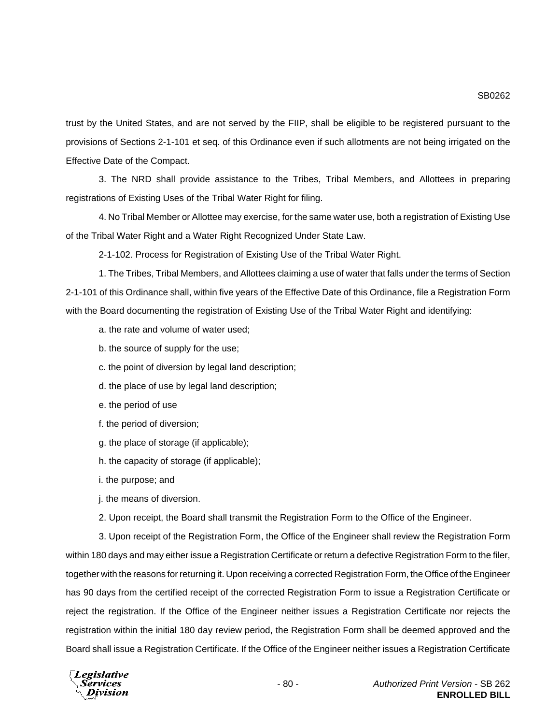trust by the United States, and are not served by the FIIP, shall be eligible to be registered pursuant to the provisions of Sections 2-1-101 et seq. of this Ordinance even if such allotments are not being irrigated on the Effective Date of the Compact.

3. The NRD shall provide assistance to the Tribes, Tribal Members, and Allottees in preparing registrations of Existing Uses of the Tribal Water Right for filing.

4. No Tribal Member or Allottee may exercise, for the same water use, both a registration of Existing Use of the Tribal Water Right and a Water Right Recognized Under State Law.

2-1-102. Process for Registration of Existing Use of the Tribal Water Right.

1. The Tribes, Tribal Members, and Allottees claiming a use of water that falls under the terms of Section 2-1-101 of this Ordinance shall, within five years of the Effective Date of this Ordinance, file a Registration Form with the Board documenting the registration of Existing Use of the Tribal Water Right and identifying:

a. the rate and volume of water used;

b. the source of supply for the use;

c. the point of diversion by legal land description;

- d. the place of use by legal land description;
- e. the period of use
- f. the period of diversion;
- g. the place of storage (if applicable);
- h. the capacity of storage (if applicable);

i. the purpose; and

j. the means of diversion.

2. Upon receipt, the Board shall transmit the Registration Form to the Office of the Engineer.

3. Upon receipt of the Registration Form, the Office of the Engineer shall review the Registration Form within 180 days and may either issue a Registration Certificate or return a defective Registration Form to the filer, together with the reasons for returning it. Upon receiving a corrected Registration Form, the Office of the Engineer has 90 days from the certified receipt of the corrected Registration Form to issue a Registration Certificate or reject the registration. If the Office of the Engineer neither issues a Registration Certificate nor rejects the registration within the initial 180 day review period, the Registration Form shall be deemed approved and the Board shall issue a Registration Certificate. If the Office of the Engineer neither issues a Registration Certificate

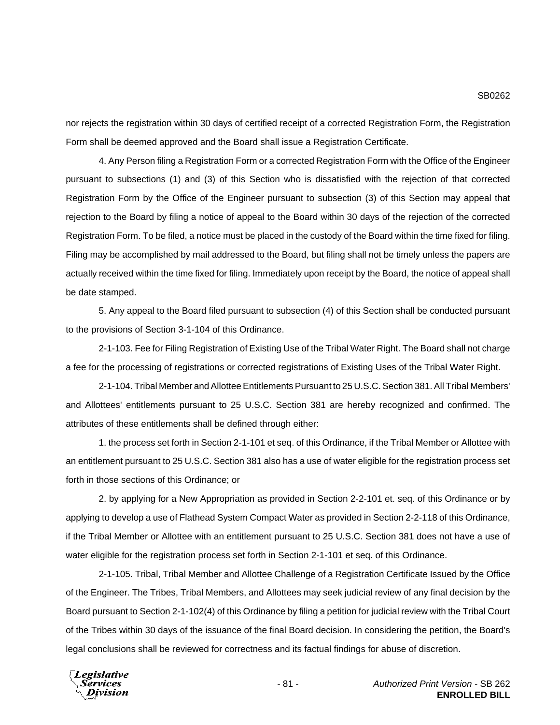nor rejects the registration within 30 days of certified receipt of a corrected Registration Form, the Registration Form shall be deemed approved and the Board shall issue a Registration Certificate.

4. Any Person filing a Registration Form or a corrected Registration Form with the Office of the Engineer pursuant to subsections (1) and (3) of this Section who is dissatisfied with the rejection of that corrected Registration Form by the Office of the Engineer pursuant to subsection (3) of this Section may appeal that rejection to the Board by filing a notice of appeal to the Board within 30 days of the rejection of the corrected Registration Form. To be filed, a notice must be placed in the custody of the Board within the time fixed for filing. Filing may be accomplished by mail addressed to the Board, but filing shall not be timely unless the papers are actually received within the time fixed for filing. Immediately upon receipt by the Board, the notice of appeal shall be date stamped.

5. Any appeal to the Board filed pursuant to subsection (4) of this Section shall be conducted pursuant to the provisions of Section 3-1-104 of this Ordinance.

2-1-103. Fee for Filing Registration of Existing Use of the Tribal Water Right. The Board shall not charge a fee for the processing of registrations or corrected registrations of Existing Uses of the Tribal Water Right.

2-1-104. Tribal Member and Allottee Entitlements Pursuant to 25 U.S.C. Section 381. All Tribal Members' and Allottees' entitlements pursuant to 25 U.S.C. Section 381 are hereby recognized and confirmed. The attributes of these entitlements shall be defined through either:

1. the process set forth in Section 2-1-101 et seq. of this Ordinance, if the Tribal Member or Allottee with an entitlement pursuant to 25 U.S.C. Section 381 also has a use of water eligible for the registration process set forth in those sections of this Ordinance; or

2. by applying for a New Appropriation as provided in Section 2-2-101 et. seq. of this Ordinance or by applying to develop a use of Flathead System Compact Water as provided in Section 2-2-118 of this Ordinance, if the Tribal Member or Allottee with an entitlement pursuant to 25 U.S.C. Section 381 does not have a use of water eligible for the registration process set forth in Section 2-1-101 et seq. of this Ordinance.

2-1-105. Tribal, Tribal Member and Allottee Challenge of a Registration Certificate Issued by the Office of the Engineer. The Tribes, Tribal Members, and Allottees may seek judicial review of any final decision by the Board pursuant to Section 2-1-102(4) of this Ordinance by filing a petition for judicial review with the Tribal Court of the Tribes within 30 days of the issuance of the final Board decision. In considering the petition, the Board's legal conclusions shall be reviewed for correctness and its factual findings for abuse of discretion.

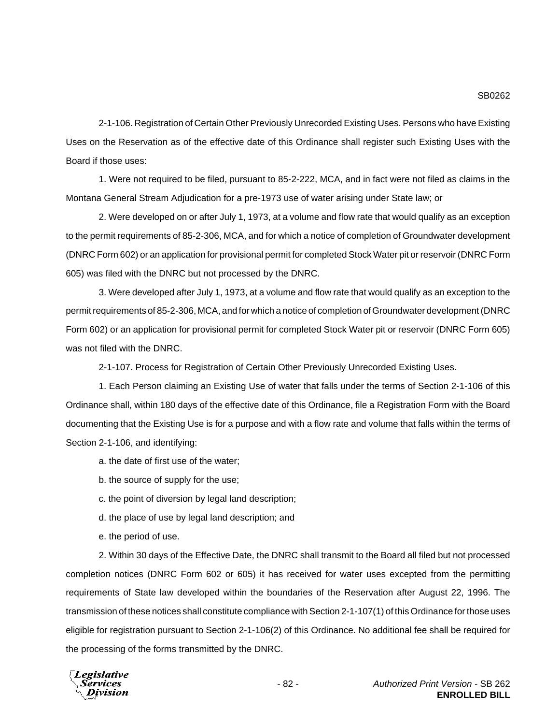2-1-106. Registration of Certain Other Previously Unrecorded Existing Uses. Persons who have Existing Uses on the Reservation as of the effective date of this Ordinance shall register such Existing Uses with the Board if those uses:

1. Were not required to be filed, pursuant to 85-2-222, MCA, and in fact were not filed as claims in the Montana General Stream Adjudication for a pre-1973 use of water arising under State law; or

2. Were developed on or after July 1, 1973, at a volume and flow rate that would qualify as an exception to the permit requirements of 85-2-306, MCA, and for which a notice of completion of Groundwater development (DNRC Form 602) or an application for provisional permit for completed Stock Water pit or reservoir (DNRC Form 605) was filed with the DNRC but not processed by the DNRC.

3. Were developed after July 1, 1973, at a volume and flow rate that would qualify as an exception to the permit requirements of 85-2-306, MCA, and for which a notice of completion of Groundwater development (DNRC Form 602) or an application for provisional permit for completed Stock Water pit or reservoir (DNRC Form 605) was not filed with the DNRC.

2-1-107. Process for Registration of Certain Other Previously Unrecorded Existing Uses.

1. Each Person claiming an Existing Use of water that falls under the terms of Section 2-1-106 of this Ordinance shall, within 180 days of the effective date of this Ordinance, file a Registration Form with the Board documenting that the Existing Use is for a purpose and with a flow rate and volume that falls within the terms of Section 2-1-106, and identifying:

- a. the date of first use of the water;
- b. the source of supply for the use;
- c. the point of diversion by legal land description;
- d. the place of use by legal land description; and
- e. the period of use.

2. Within 30 days of the Effective Date, the DNRC shall transmit to the Board all filed but not processed completion notices (DNRC Form 602 or 605) it has received for water uses excepted from the permitting requirements of State law developed within the boundaries of the Reservation after August 22, 1996. The transmission of these notices shall constitute compliance with Section 2-1-107(1) of this Ordinance for those uses eligible for registration pursuant to Section 2-1-106(2) of this Ordinance. No additional fee shall be required for the processing of the forms transmitted by the DNRC.

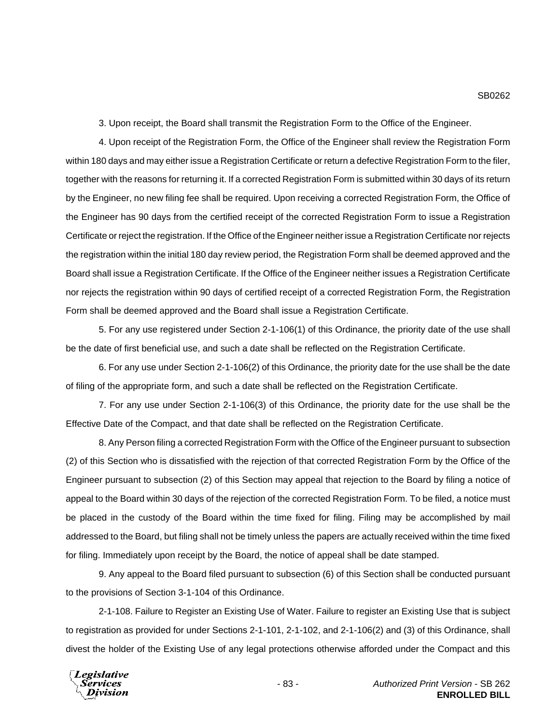3. Upon receipt, the Board shall transmit the Registration Form to the Office of the Engineer.

4. Upon receipt of the Registration Form, the Office of the Engineer shall review the Registration Form within 180 days and may either issue a Registration Certificate or return a defective Registration Form to the filer, together with the reasons for returning it. If a corrected Registration Form is submitted within 30 days of its return by the Engineer, no new filing fee shall be required. Upon receiving a corrected Registration Form, the Office of the Engineer has 90 days from the certified receipt of the corrected Registration Form to issue a Registration Certificate or reject the registration. If the Office of the Engineer neither issue a Registration Certificate nor rejects the registration within the initial 180 day review period, the Registration Form shall be deemed approved and the Board shall issue a Registration Certificate. If the Office of the Engineer neither issues a Registration Certificate nor rejects the registration within 90 days of certified receipt of a corrected Registration Form, the Registration Form shall be deemed approved and the Board shall issue a Registration Certificate.

5. For any use registered under Section 2-1-106(1) of this Ordinance, the priority date of the use shall be the date of first beneficial use, and such a date shall be reflected on the Registration Certificate.

6. For any use under Section 2-1-106(2) of this Ordinance, the priority date for the use shall be the date of filing of the appropriate form, and such a date shall be reflected on the Registration Certificate.

7. For any use under Section 2-1-106(3) of this Ordinance, the priority date for the use shall be the Effective Date of the Compact, and that date shall be reflected on the Registration Certificate.

8. Any Person filing a corrected Registration Form with the Office of the Engineer pursuant to subsection (2) of this Section who is dissatisfied with the rejection of that corrected Registration Form by the Office of the Engineer pursuant to subsection (2) of this Section may appeal that rejection to the Board by filing a notice of appeal to the Board within 30 days of the rejection of the corrected Registration Form. To be filed, a notice must be placed in the custody of the Board within the time fixed for filing. Filing may be accomplished by mail addressed to the Board, but filing shall not be timely unless the papers are actually received within the time fixed for filing. Immediately upon receipt by the Board, the notice of appeal shall be date stamped.

9. Any appeal to the Board filed pursuant to subsection (6) of this Section shall be conducted pursuant to the provisions of Section 3-1-104 of this Ordinance.

2-1-108. Failure to Register an Existing Use of Water. Failure to register an Existing Use that is subject to registration as provided for under Sections 2-1-101, 2-1-102, and 2-1-106(2) and (3) of this Ordinance, shall divest the holder of the Existing Use of any legal protections otherwise afforded under the Compact and this

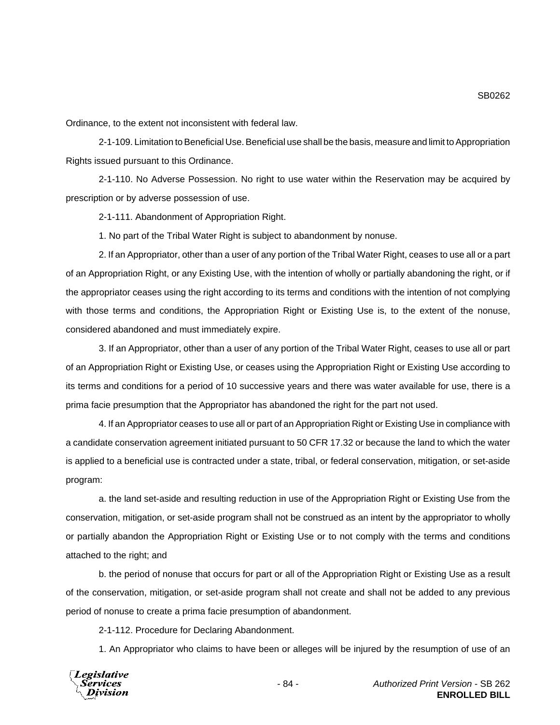Ordinance, to the extent not inconsistent with federal law.

2-1-109. Limitation to Beneficial Use. Beneficial use shall be the basis, measure and limit to Appropriation Rights issued pursuant to this Ordinance.

2-1-110. No Adverse Possession. No right to use water within the Reservation may be acquired by prescription or by adverse possession of use.

2-1-111. Abandonment of Appropriation Right.

1. No part of the Tribal Water Right is subject to abandonment by nonuse.

2. If an Appropriator, other than a user of any portion of the Tribal Water Right, ceases to use all or a part of an Appropriation Right, or any Existing Use, with the intention of wholly or partially abandoning the right, or if the appropriator ceases using the right according to its terms and conditions with the intention of not complying with those terms and conditions, the Appropriation Right or Existing Use is, to the extent of the nonuse, considered abandoned and must immediately expire.

3. If an Appropriator, other than a user of any portion of the Tribal Water Right, ceases to use all or part of an Appropriation Right or Existing Use, or ceases using the Appropriation Right or Existing Use according to its terms and conditions for a period of 10 successive years and there was water available for use, there is a prima facie presumption that the Appropriator has abandoned the right for the part not used.

4. If an Appropriator ceases to use all or part of an Appropriation Right or Existing Use in compliance with a candidate conservation agreement initiated pursuant to 50 CFR 17.32 or because the land to which the water is applied to a beneficial use is contracted under a state, tribal, or federal conservation, mitigation, or set-aside program:

a. the land set-aside and resulting reduction in use of the Appropriation Right or Existing Use from the conservation, mitigation, or set-aside program shall not be construed as an intent by the appropriator to wholly or partially abandon the Appropriation Right or Existing Use or to not comply with the terms and conditions attached to the right; and

b. the period of nonuse that occurs for part or all of the Appropriation Right or Existing Use as a result of the conservation, mitigation, or set-aside program shall not create and shall not be added to any previous period of nonuse to create a prima facie presumption of abandonment.

2-1-112. Procedure for Declaring Abandonment.

1. An Appropriator who claims to have been or alleges will be injured by the resumption of use of an

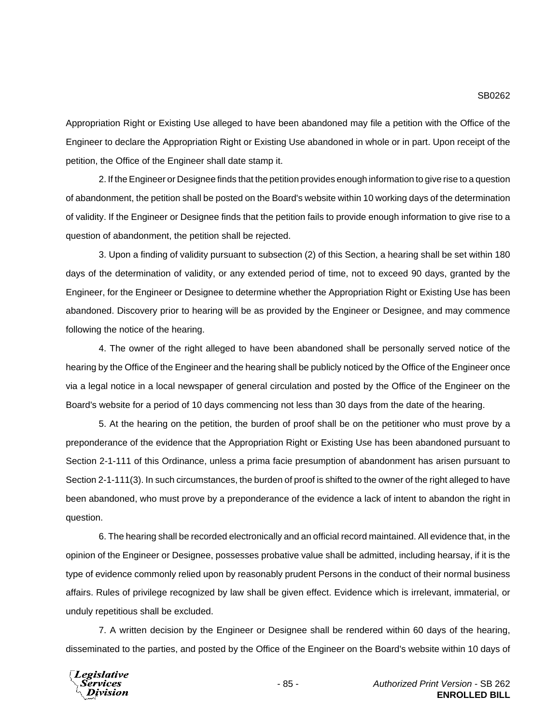Appropriation Right or Existing Use alleged to have been abandoned may file a petition with the Office of the Engineer to declare the Appropriation Right or Existing Use abandoned in whole or in part. Upon receipt of the petition, the Office of the Engineer shall date stamp it.

2. If the Engineer or Designee finds that the petition provides enough information to give rise to a question of abandonment, the petition shall be posted on the Board's website within 10 working days of the determination of validity. If the Engineer or Designee finds that the petition fails to provide enough information to give rise to a question of abandonment, the petition shall be rejected.

3. Upon a finding of validity pursuant to subsection (2) of this Section, a hearing shall be set within 180 days of the determination of validity, or any extended period of time, not to exceed 90 days, granted by the Engineer, for the Engineer or Designee to determine whether the Appropriation Right or Existing Use has been abandoned. Discovery prior to hearing will be as provided by the Engineer or Designee, and may commence following the notice of the hearing.

4. The owner of the right alleged to have been abandoned shall be personally served notice of the hearing by the Office of the Engineer and the hearing shall be publicly noticed by the Office of the Engineer once via a legal notice in a local newspaper of general circulation and posted by the Office of the Engineer on the Board's website for a period of 10 days commencing not less than 30 days from the date of the hearing.

5. At the hearing on the petition, the burden of proof shall be on the petitioner who must prove by a preponderance of the evidence that the Appropriation Right or Existing Use has been abandoned pursuant to Section 2-1-111 of this Ordinance, unless a prima facie presumption of abandonment has arisen pursuant to Section 2-1-111(3). In such circumstances, the burden of proof is shifted to the owner of the right alleged to have been abandoned, who must prove by a preponderance of the evidence a lack of intent to abandon the right in question.

6. The hearing shall be recorded electronically and an official record maintained. All evidence that, in the opinion of the Engineer or Designee, possesses probative value shall be admitted, including hearsay, if it is the type of evidence commonly relied upon by reasonably prudent Persons in the conduct of their normal business affairs. Rules of privilege recognized by law shall be given effect. Evidence which is irrelevant, immaterial, or unduly repetitious shall be excluded.

7. A written decision by the Engineer or Designee shall be rendered within 60 days of the hearing, disseminated to the parties, and posted by the Office of the Engineer on the Board's website within 10 days of

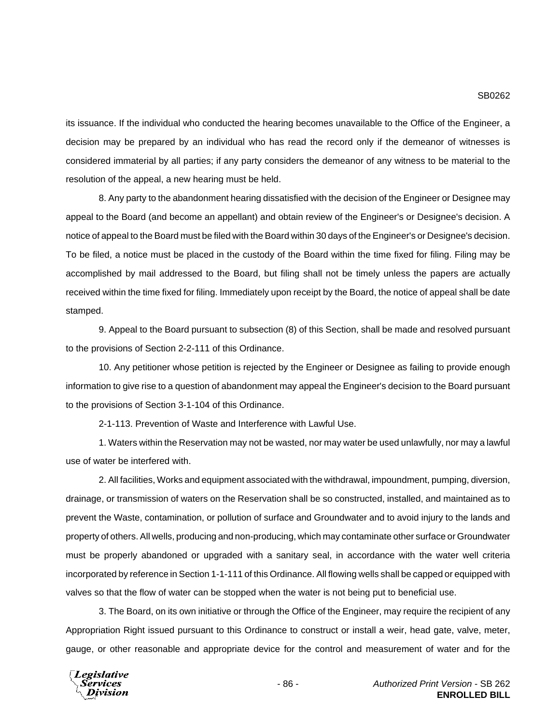its issuance. If the individual who conducted the hearing becomes unavailable to the Office of the Engineer, a decision may be prepared by an individual who has read the record only if the demeanor of witnesses is considered immaterial by all parties; if any party considers the demeanor of any witness to be material to the resolution of the appeal, a new hearing must be held.

8. Any party to the abandonment hearing dissatisfied with the decision of the Engineer or Designee may appeal to the Board (and become an appellant) and obtain review of the Engineer's or Designee's decision. A notice of appeal to the Board must be filed with the Board within 30 days of the Engineer's or Designee's decision. To be filed, a notice must be placed in the custody of the Board within the time fixed for filing. Filing may be accomplished by mail addressed to the Board, but filing shall not be timely unless the papers are actually received within the time fixed for filing. Immediately upon receipt by the Board, the notice of appeal shall be date stamped.

9. Appeal to the Board pursuant to subsection (8) of this Section, shall be made and resolved pursuant to the provisions of Section 2-2-111 of this Ordinance.

10. Any petitioner whose petition is rejected by the Engineer or Designee as failing to provide enough information to give rise to a question of abandonment may appeal the Engineer's decision to the Board pursuant to the provisions of Section 3-1-104 of this Ordinance.

2-1-113. Prevention of Waste and Interference with Lawful Use.

1. Waters within the Reservation may not be wasted, nor may water be used unlawfully, nor may a lawful use of water be interfered with.

2. All facilities, Works and equipment associated with the withdrawal, impoundment, pumping, diversion, drainage, or transmission of waters on the Reservation shall be so constructed, installed, and maintained as to prevent the Waste, contamination, or pollution of surface and Groundwater and to avoid injury to the lands and property of others. All wells, producing and non-producing, which may contaminate other surface or Groundwater must be properly abandoned or upgraded with a sanitary seal, in accordance with the water well criteria incorporated by reference in Section 1-1-111 of this Ordinance. All flowing wells shall be capped or equipped with valves so that the flow of water can be stopped when the water is not being put to beneficial use.

3. The Board, on its own initiative or through the Office of the Engineer, may require the recipient of any Appropriation Right issued pursuant to this Ordinance to construct or install a weir, head gate, valve, meter, gauge, or other reasonable and appropriate device for the control and measurement of water and for the

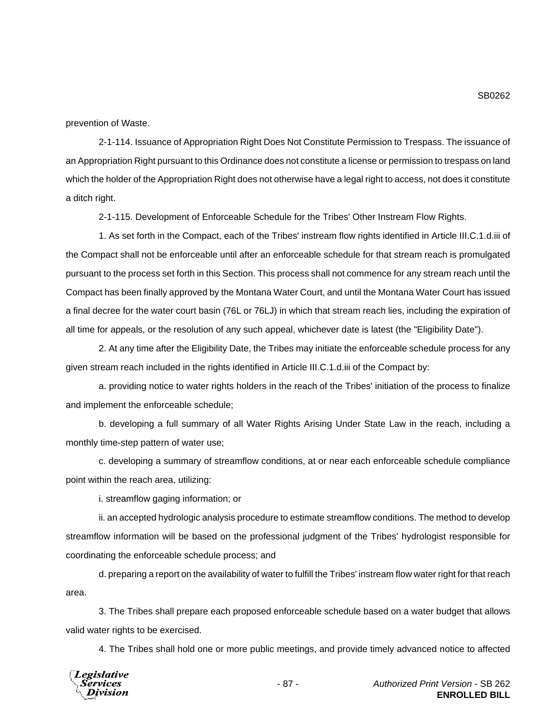prevention of Waste.

2-1-114. Issuance of Appropriation Right Does Not Constitute Permission to Trespass. The issuance of an Appropriation Right pursuant to this Ordinance does not constitute a license or permission to trespass on land which the holder of the Appropriation Right does not otherwise have a legal right to access, not does it constitute a ditch right.

2-1-115. Development of Enforceable Schedule for the Tribes' Other Instream Flow Rights.

1. As set forth in the Compact, each of the Tribes' instream flow rights identified in Article III.C.1.d.iii of the Compact shall not be enforceable until after an enforceable schedule for that stream reach is promulgated pursuant to the process set forth in this Section. This process shall not commence for any stream reach until the Compact has been finally approved by the Montana Water Court, and until the Montana Water Court has issued a final decree for the water court basin (76L or 76LJ) in which that stream reach lies, including the expiration of all time for appeals, or the resolution of any such appeal, whichever date is latest (the "Eligibility Date").

2. At any time after the Eligibility Date, the Tribes may initiate the enforceable schedule process for any given stream reach included in the rights identified in Article III.C.1.d.iii of the Compact by:

a. providing notice to water rights holders in the reach of the Tribes' initiation of the process to finalize and implement the enforceable schedule;

b. developing a full summary of all Water Rights Arising Under State Law in the reach, including a monthly time-step pattern of water use;

c. developing a summary of streamflow conditions, at or near each enforceable schedule compliance point within the reach area, utilizing:

i. streamflow gaging information; or

ii. an accepted hydrologic analysis procedure to estimate streamflow conditions. The method to develop streamflow information will be based on the professional judgment of the Tribes' hydrologist responsible for coordinating the enforceable schedule process; and

d. preparing a report on the availability of water to fulfill the Tribes' instream flow water right for that reach area.

3. The Tribes shall prepare each proposed enforceable schedule based on a water budget that allows valid water rights to be exercised.

4. The Tribes shall hold one or more public meetings, and provide timely advanced notice to affected

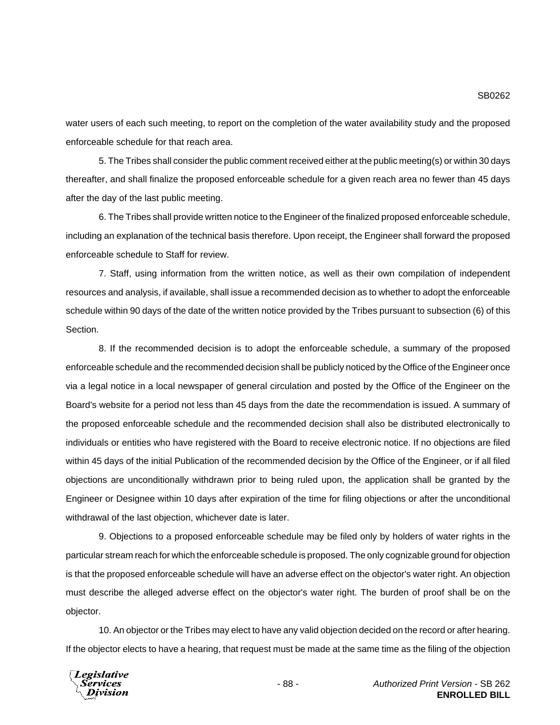water users of each such meeting, to report on the completion of the water availability study and the proposed enforceable schedule for that reach area.

5. The Tribes shall consider the public comment received either at the public meeting(s) or within 30 days thereafter, and shall finalize the proposed enforceable schedule for a given reach area no fewer than 45 days after the day of the last public meeting.

6. The Tribes shall provide written notice to the Engineer of the finalized proposed enforceable schedule, including an explanation of the technical basis therefore. Upon receipt, the Engineer shall forward the proposed enforceable schedule to Staff for review.

7. Staff, using information from the written notice, as well as their own compilation of independent resources and analysis, if available, shall issue a recommended decision as to whether to adopt the enforceable schedule within 90 days of the date of the written notice provided by the Tribes pursuant to subsection (6) of this Section.

8. If the recommended decision is to adopt the enforceable schedule, a summary of the proposed enforceable schedule and the recommended decision shall be publicly noticed by the Office of the Engineer once via a legal notice in a local newspaper of general circulation and posted by the Office of the Engineer on the Board's website for a period not less than 45 days from the date the recommendation is issued. A summary of the proposed enforceable schedule and the recommended decision shall also be distributed electronically to individuals or entities who have registered with the Board to receive electronic notice. If no objections are filed within 45 days of the initial Publication of the recommended decision by the Office of the Engineer, or if all filed objections are unconditionally withdrawn prior to being ruled upon, the application shall be granted by the Engineer or Designee within 10 days after expiration of the time for filing objections or after the unconditional withdrawal of the last objection, whichever date is later.

9. Objections to a proposed enforceable schedule may be filed only by holders of water rights in the particular stream reach for which the enforceable schedule is proposed. The only cognizable ground for objection is that the proposed enforceable schedule will have an adverse effect on the objector's water right. An objection must describe the alleged adverse effect on the objector's water right. The burden of proof shall be on the objector.

10. An objector or the Tribes may elect to have any valid objection decided on the record or after hearing. If the objector elects to have a hearing, that request must be made at the same time as the filing of the objection



SB0262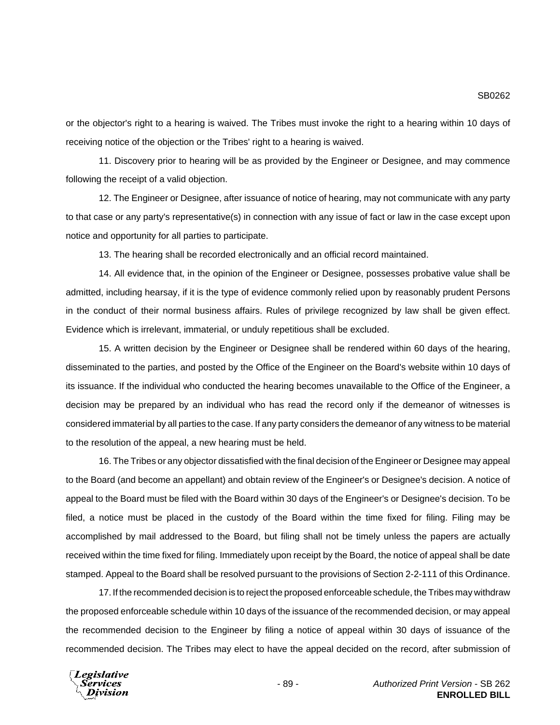or the objector's right to a hearing is waived. The Tribes must invoke the right to a hearing within 10 days of receiving notice of the objection or the Tribes' right to a hearing is waived.

11. Discovery prior to hearing will be as provided by the Engineer or Designee, and may commence following the receipt of a valid objection.

12. The Engineer or Designee, after issuance of notice of hearing, may not communicate with any party to that case or any party's representative(s) in connection with any issue of fact or law in the case except upon notice and opportunity for all parties to participate.

13. The hearing shall be recorded electronically and an official record maintained.

14. All evidence that, in the opinion of the Engineer or Designee, possesses probative value shall be admitted, including hearsay, if it is the type of evidence commonly relied upon by reasonably prudent Persons in the conduct of their normal business affairs. Rules of privilege recognized by law shall be given effect. Evidence which is irrelevant, immaterial, or unduly repetitious shall be excluded.

15. A written decision by the Engineer or Designee shall be rendered within 60 days of the hearing, disseminated to the parties, and posted by the Office of the Engineer on the Board's website within 10 days of its issuance. If the individual who conducted the hearing becomes unavailable to the Office of the Engineer, a decision may be prepared by an individual who has read the record only if the demeanor of witnesses is considered immaterial by all parties to the case. If any party considers the demeanor of any witness to be material to the resolution of the appeal, a new hearing must be held.

16. The Tribes or any objector dissatisfied with the final decision of the Engineer or Designee may appeal to the Board (and become an appellant) and obtain review of the Engineer's or Designee's decision. A notice of appeal to the Board must be filed with the Board within 30 days of the Engineer's or Designee's decision. To be filed, a notice must be placed in the custody of the Board within the time fixed for filing. Filing may be accomplished by mail addressed to the Board, but filing shall not be timely unless the papers are actually received within the time fixed for filing. Immediately upon receipt by the Board, the notice of appeal shall be date stamped. Appeal to the Board shall be resolved pursuant to the provisions of Section 2-2-111 of this Ordinance.

17. If the recommended decision is to reject the proposed enforceable schedule, the Tribes may withdraw the proposed enforceable schedule within 10 days of the issuance of the recommended decision, or may appeal the recommended decision to the Engineer by filing a notice of appeal within 30 days of issuance of the recommended decision. The Tribes may elect to have the appeal decided on the record, after submission of

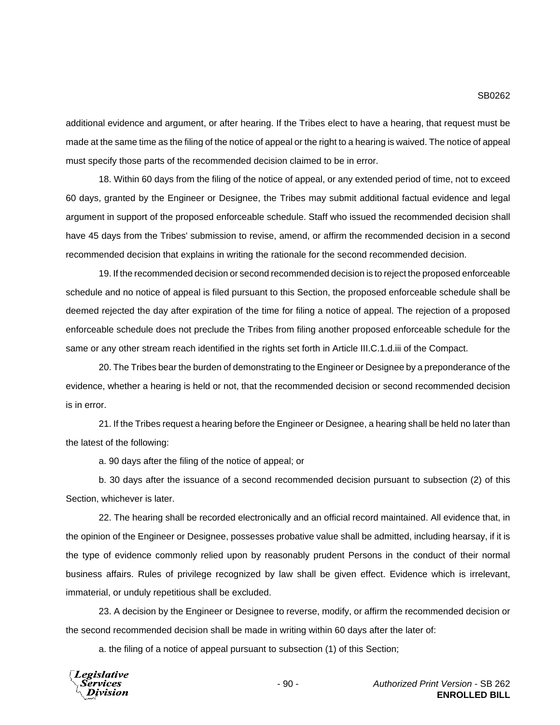additional evidence and argument, or after hearing. If the Tribes elect to have a hearing, that request must be made at the same time as the filing of the notice of appeal or the right to a hearing is waived. The notice of appeal must specify those parts of the recommended decision claimed to be in error.

18. Within 60 days from the filing of the notice of appeal, or any extended period of time, not to exceed 60 days, granted by the Engineer or Designee, the Tribes may submit additional factual evidence and legal argument in support of the proposed enforceable schedule. Staff who issued the recommended decision shall have 45 days from the Tribes' submission to revise, amend, or affirm the recommended decision in a second recommended decision that explains in writing the rationale for the second recommended decision.

19. If the recommended decision or second recommended decision is to reject the proposed enforceable schedule and no notice of appeal is filed pursuant to this Section, the proposed enforceable schedule shall be deemed rejected the day after expiration of the time for filing a notice of appeal. The rejection of a proposed enforceable schedule does not preclude the Tribes from filing another proposed enforceable schedule for the same or any other stream reach identified in the rights set forth in Article III.C.1.d.iii of the Compact.

20. The Tribes bear the burden of demonstrating to the Engineer or Designee by a preponderance of the evidence, whether a hearing is held or not, that the recommended decision or second recommended decision is in error.

21. If the Tribes request a hearing before the Engineer or Designee, a hearing shall be held no later than the latest of the following:

a. 90 days after the filing of the notice of appeal; or

b. 30 days after the issuance of a second recommended decision pursuant to subsection (2) of this Section, whichever is later.

22. The hearing shall be recorded electronically and an official record maintained. All evidence that, in the opinion of the Engineer or Designee, possesses probative value shall be admitted, including hearsay, if it is the type of evidence commonly relied upon by reasonably prudent Persons in the conduct of their normal business affairs. Rules of privilege recognized by law shall be given effect. Evidence which is irrelevant, immaterial, or unduly repetitious shall be excluded.

23. A decision by the Engineer or Designee to reverse, modify, or affirm the recommended decision or the second recommended decision shall be made in writing within 60 days after the later of:

a. the filing of a notice of appeal pursuant to subsection (1) of this Section;

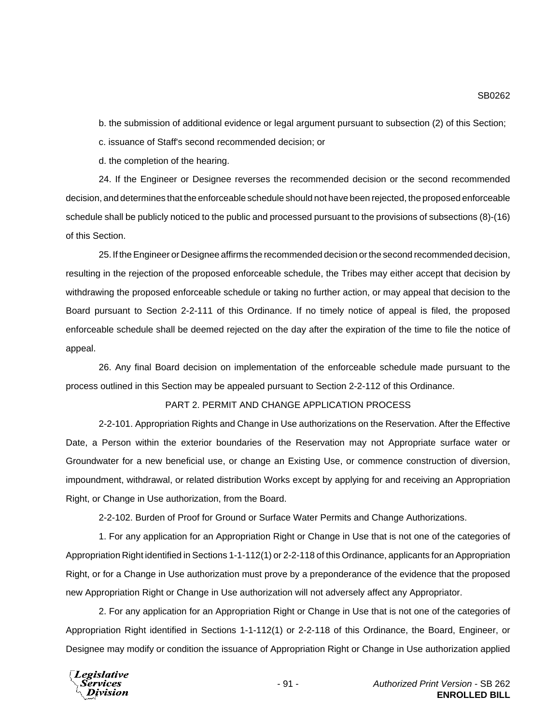b. the submission of additional evidence or legal argument pursuant to subsection (2) of this Section;

c. issuance of Staff's second recommended decision; or

d. the completion of the hearing.

24. If the Engineer or Designee reverses the recommended decision or the second recommended decision, and determines that the enforceable schedule should not have been rejected, the proposed enforceable schedule shall be publicly noticed to the public and processed pursuant to the provisions of subsections (8)-(16) of this Section.

25. If the Engineer or Designee affirms the recommended decision or the second recommended decision, resulting in the rejection of the proposed enforceable schedule, the Tribes may either accept that decision by withdrawing the proposed enforceable schedule or taking no further action, or may appeal that decision to the Board pursuant to Section 2-2-111 of this Ordinance. If no timely notice of appeal is filed, the proposed enforceable schedule shall be deemed rejected on the day after the expiration of the time to file the notice of appeal.

26. Any final Board decision on implementation of the enforceable schedule made pursuant to the process outlined in this Section may be appealed pursuant to Section 2-2-112 of this Ordinance.

# PART 2. PERMIT AND CHANGE APPLICATION PROCESS

2-2-101. Appropriation Rights and Change in Use authorizations on the Reservation. After the Effective Date, a Person within the exterior boundaries of the Reservation may not Appropriate surface water or Groundwater for a new beneficial use, or change an Existing Use, or commence construction of diversion, impoundment, withdrawal, or related distribution Works except by applying for and receiving an Appropriation Right, or Change in Use authorization, from the Board.

2-2-102. Burden of Proof for Ground or Surface Water Permits and Change Authorizations.

1. For any application for an Appropriation Right or Change in Use that is not one of the categories of Appropriation Right identified in Sections 1-1-112(1) or 2-2-118 of this Ordinance, applicants for an Appropriation Right, or for a Change in Use authorization must prove by a preponderance of the evidence that the proposed new Appropriation Right or Change in Use authorization will not adversely affect any Appropriator.

2. For any application for an Appropriation Right or Change in Use that is not one of the categories of Appropriation Right identified in Sections 1-1-112(1) or 2-2-118 of this Ordinance, the Board, Engineer, or Designee may modify or condition the issuance of Appropriation Right or Change in Use authorization applied



SB0262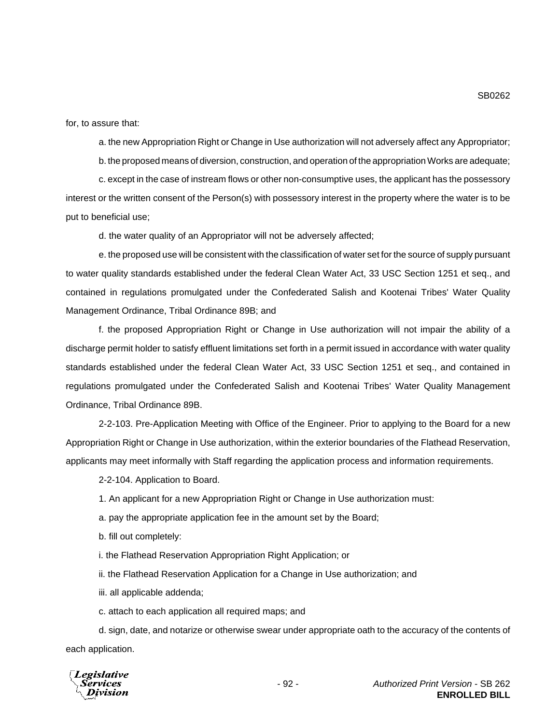for, to assure that:

a. the new Appropriation Right or Change in Use authorization will not adversely affect any Appropriator;

b. the proposed means of diversion, construction, and operation of the appropriation Works are adequate;

c. except in the case of instream flows or other non-consumptive uses, the applicant has the possessory interest or the written consent of the Person(s) with possessory interest in the property where the water is to be put to beneficial use;

d. the water quality of an Appropriator will not be adversely affected;

e. the proposed use will be consistent with the classification of water set for the source of supply pursuant to water quality standards established under the federal Clean Water Act, 33 USC Section 1251 et seq., and contained in regulations promulgated under the Confederated Salish and Kootenai Tribes' Water Quality Management Ordinance, Tribal Ordinance 89B; and

f. the proposed Appropriation Right or Change in Use authorization will not impair the ability of a discharge permit holder to satisfy effluent limitations set forth in a permit issued in accordance with water quality standards established under the federal Clean Water Act, 33 USC Section 1251 et seq., and contained in regulations promulgated under the Confederated Salish and Kootenai Tribes' Water Quality Management Ordinance, Tribal Ordinance 89B.

2-2-103. Pre-Application Meeting with Office of the Engineer. Prior to applying to the Board for a new Appropriation Right or Change in Use authorization, within the exterior boundaries of the Flathead Reservation, applicants may meet informally with Staff regarding the application process and information requirements.

2-2-104. Application to Board.

1. An applicant for a new Appropriation Right or Change in Use authorization must:

a. pay the appropriate application fee in the amount set by the Board;

b. fill out completely:

i. the Flathead Reservation Appropriation Right Application; or

ii. the Flathead Reservation Application for a Change in Use authorization; and

iii. all applicable addenda;

c. attach to each application all required maps; and

d. sign, date, and notarize or otherwise swear under appropriate oath to the accuracy of the contents of each application.

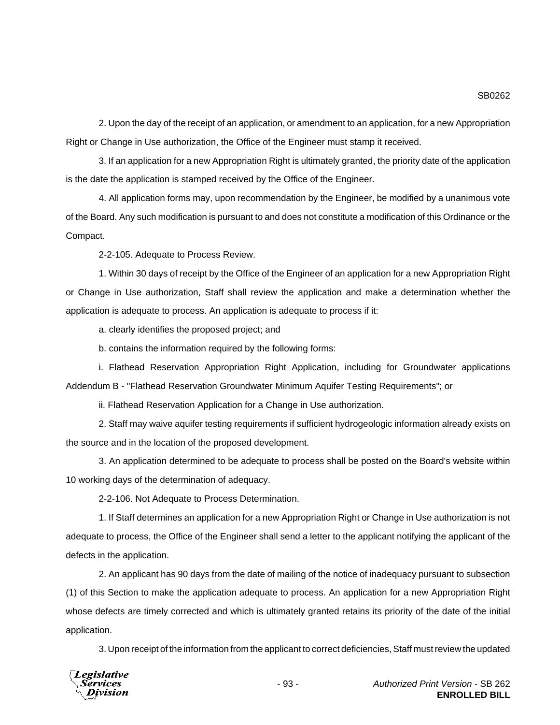2. Upon the day of the receipt of an application, or amendment to an application, for a new Appropriation Right or Change in Use authorization, the Office of the Engineer must stamp it received.

3. If an application for a new Appropriation Right is ultimately granted, the priority date of the application is the date the application is stamped received by the Office of the Engineer.

4. All application forms may, upon recommendation by the Engineer, be modified by a unanimous vote of the Board. Any such modification is pursuant to and does not constitute a modification of this Ordinance or the Compact.

2-2-105. Adequate to Process Review.

1. Within 30 days of receipt by the Office of the Engineer of an application for a new Appropriation Right or Change in Use authorization, Staff shall review the application and make a determination whether the application is adequate to process. An application is adequate to process if it:

a. clearly identifies the proposed project; and

b. contains the information required by the following forms:

i. Flathead Reservation Appropriation Right Application, including for Groundwater applications Addendum B - "Flathead Reservation Groundwater Minimum Aquifer Testing Requirements"; or

ii. Flathead Reservation Application for a Change in Use authorization.

2. Staff may waive aquifer testing requirements if sufficient hydrogeologic information already exists on the source and in the location of the proposed development.

3. An application determined to be adequate to process shall be posted on the Board's website within 10 working days of the determination of adequacy.

2-2-106. Not Adequate to Process Determination.

1. If Staff determines an application for a new Appropriation Right or Change in Use authorization is not adequate to process, the Office of the Engineer shall send a letter to the applicant notifying the applicant of the defects in the application.

2. An applicant has 90 days from the date of mailing of the notice of inadequacy pursuant to subsection (1) of this Section to make the application adequate to process. An application for a new Appropriation Right whose defects are timely corrected and which is ultimately granted retains its priority of the date of the initial application.

3. Upon receipt of the information from the applicant to correct deficiencies, Staff must review the updated

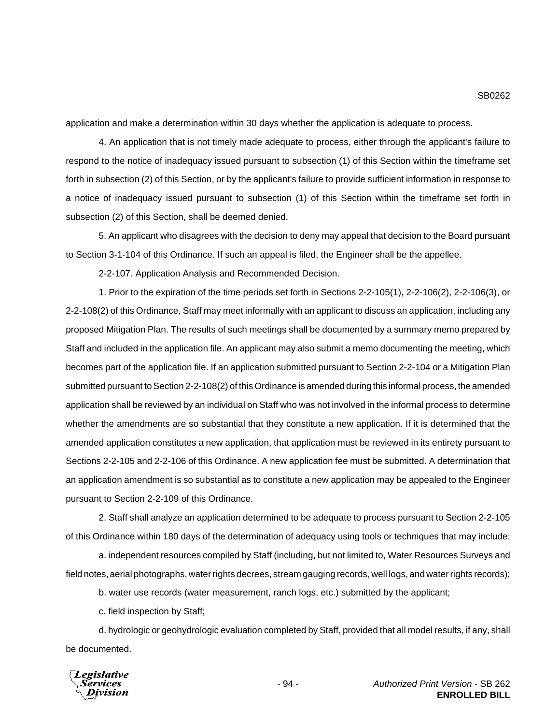application and make a determination within 30 days whether the application is adequate to process.

4. An application that is not timely made adequate to process, either through the applicant's failure to respond to the notice of inadequacy issued pursuant to subsection (1) of this Section within the timeframe set forth in subsection (2) of this Section, or by the applicant's failure to provide sufficient information in response to a notice of inadequacy issued pursuant to subsection (1) of this Section within the timeframe set forth in subsection (2) of this Section, shall be deemed denied.

5. An applicant who disagrees with the decision to deny may appeal that decision to the Board pursuant to Section 3-1-104 of this Ordinance. If such an appeal is filed, the Engineer shall be the appellee.

2-2-107. Application Analysis and Recommended Decision.

1. Prior to the expiration of the time periods set forth in Sections 2-2-105(1), 2-2-106(2), 2-2-106(3), or 2-2-108(2) of this Ordinance, Staff may meet informally with an applicant to discuss an application, including any proposed Mitigation Plan. The results of such meetings shall be documented by a summary memo prepared by Staff and included in the application file. An applicant may also submit a memo documenting the meeting, which becomes part of the application file. If an application submitted pursuant to Section 2-2-104 or a Mitigation Plan submitted pursuant to Section 2-2-108(2) of this Ordinance is amended during this informal process, the amended application shall be reviewed by an individual on Staff who was not involved in the informal process to determine whether the amendments are so substantial that they constitute a new application. If it is determined that the amended application constitutes a new application, that application must be reviewed in its entirety pursuant to Sections 2-2-105 and 2-2-106 of this Ordinance. A new application fee must be submitted. A determination that an application amendment is so substantial as to constitute a new application may be appealed to the Engineer pursuant to Section 2-2-109 of this Ordinance.

2. Staff shall analyze an application determined to be adequate to process pursuant to Section 2-2-105 of this Ordinance within 180 days of the determination of adequacy using tools or techniques that may include:

a. independent resources compiled by Staff (including, but not limited to, Water Resources Surveys and field notes, aerial photographs, water rights decrees, stream gauging records, well logs, and water rights records);

b. water use records (water measurement, ranch logs, etc.) submitted by the applicant;

c. field inspection by Staff;

d. hydrologic or geohydrologic evaluation completed by Staff, provided that all model results, if any, shall be documented.



SB0262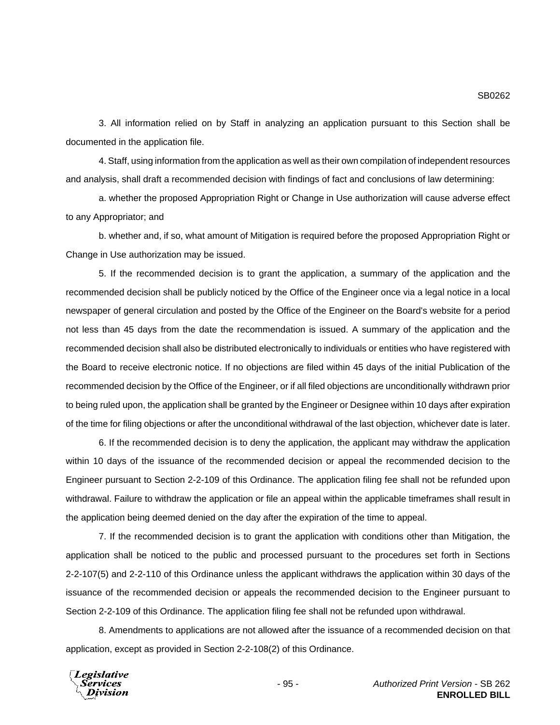3. All information relied on by Staff in analyzing an application pursuant to this Section shall be documented in the application file.

4. Staff, using information from the application as well as their own compilation of independent resources and analysis, shall draft a recommended decision with findings of fact and conclusions of law determining:

a. whether the proposed Appropriation Right or Change in Use authorization will cause adverse effect to any Appropriator; and

b. whether and, if so, what amount of Mitigation is required before the proposed Appropriation Right or Change in Use authorization may be issued.

5. If the recommended decision is to grant the application, a summary of the application and the recommended decision shall be publicly noticed by the Office of the Engineer once via a legal notice in a local newspaper of general circulation and posted by the Office of the Engineer on the Board's website for a period not less than 45 days from the date the recommendation is issued. A summary of the application and the recommended decision shall also be distributed electronically to individuals or entities who have registered with the Board to receive electronic notice. If no objections are filed within 45 days of the initial Publication of the recommended decision by the Office of the Engineer, or if all filed objections are unconditionally withdrawn prior to being ruled upon, the application shall be granted by the Engineer or Designee within 10 days after expiration of the time for filing objections or after the unconditional withdrawal of the last objection, whichever date is later.

6. If the recommended decision is to deny the application, the applicant may withdraw the application within 10 days of the issuance of the recommended decision or appeal the recommended decision to the Engineer pursuant to Section 2-2-109 of this Ordinance. The application filing fee shall not be refunded upon withdrawal. Failure to withdraw the application or file an appeal within the applicable timeframes shall result in the application being deemed denied on the day after the expiration of the time to appeal.

7. If the recommended decision is to grant the application with conditions other than Mitigation, the application shall be noticed to the public and processed pursuant to the procedures set forth in Sections 2-2-107(5) and 2-2-110 of this Ordinance unless the applicant withdraws the application within 30 days of the issuance of the recommended decision or appeals the recommended decision to the Engineer pursuant to Section 2-2-109 of this Ordinance. The application filing fee shall not be refunded upon withdrawal.

8. Amendments to applications are not allowed after the issuance of a recommended decision on that application, except as provided in Section 2-2-108(2) of this Ordinance.

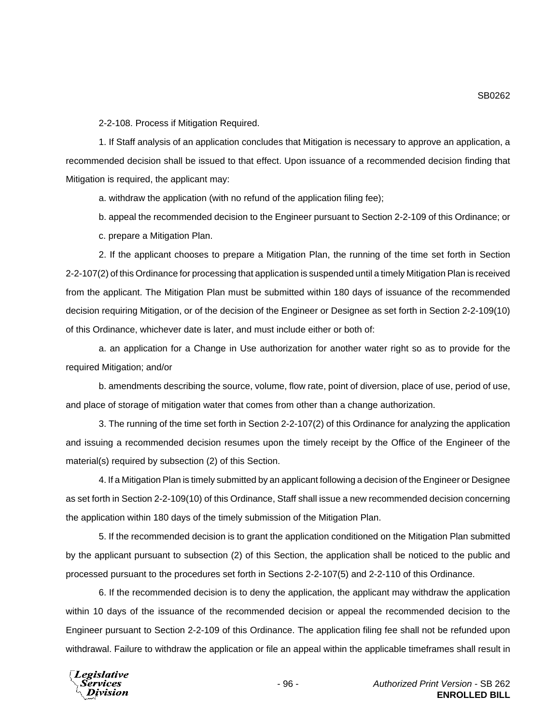2-2-108. Process if Mitigation Required.

1. If Staff analysis of an application concludes that Mitigation is necessary to approve an application, a recommended decision shall be issued to that effect. Upon issuance of a recommended decision finding that Mitigation is required, the applicant may:

a. withdraw the application (with no refund of the application filing fee);

b. appeal the recommended decision to the Engineer pursuant to Section 2-2-109 of this Ordinance; or

c. prepare a Mitigation Plan.

2. If the applicant chooses to prepare a Mitigation Plan, the running of the time set forth in Section 2-2-107(2) of this Ordinance for processing that application is suspended until a timely Mitigation Plan is received from the applicant. The Mitigation Plan must be submitted within 180 days of issuance of the recommended decision requiring Mitigation, or of the decision of the Engineer or Designee as set forth in Section 2-2-109(10) of this Ordinance, whichever date is later, and must include either or both of:

a. an application for a Change in Use authorization for another water right so as to provide for the required Mitigation; and/or

b. amendments describing the source, volume, flow rate, point of diversion, place of use, period of use, and place of storage of mitigation water that comes from other than a change authorization.

3. The running of the time set forth in Section 2-2-107(2) of this Ordinance for analyzing the application and issuing a recommended decision resumes upon the timely receipt by the Office of the Engineer of the material(s) required by subsection (2) of this Section.

4. If a Mitigation Plan is timely submitted by an applicant following a decision of the Engineer or Designee as set forth in Section 2-2-109(10) of this Ordinance, Staff shall issue a new recommended decision concerning the application within 180 days of the timely submission of the Mitigation Plan.

5. If the recommended decision is to grant the application conditioned on the Mitigation Plan submitted by the applicant pursuant to subsection (2) of this Section, the application shall be noticed to the public and processed pursuant to the procedures set forth in Sections 2-2-107(5) and 2-2-110 of this Ordinance.

6. If the recommended decision is to deny the application, the applicant may withdraw the application within 10 days of the issuance of the recommended decision or appeal the recommended decision to the Engineer pursuant to Section 2-2-109 of this Ordinance. The application filing fee shall not be refunded upon withdrawal. Failure to withdraw the application or file an appeal within the applicable timeframes shall result in

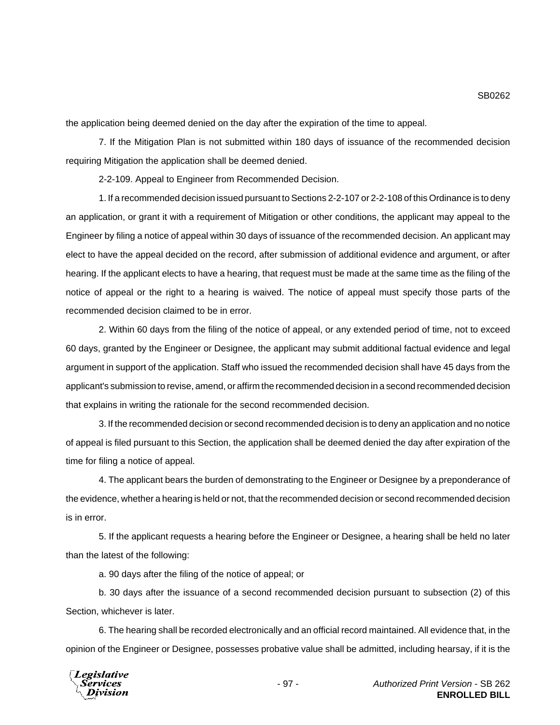the application being deemed denied on the day after the expiration of the time to appeal.

7. If the Mitigation Plan is not submitted within 180 days of issuance of the recommended decision requiring Mitigation the application shall be deemed denied.

2-2-109. Appeal to Engineer from Recommended Decision.

1. If a recommended decision issued pursuant to Sections 2-2-107 or 2-2-108 of this Ordinance is to deny an application, or grant it with a requirement of Mitigation or other conditions, the applicant may appeal to the Engineer by filing a notice of appeal within 30 days of issuance of the recommended decision. An applicant may elect to have the appeal decided on the record, after submission of additional evidence and argument, or after hearing. If the applicant elects to have a hearing, that request must be made at the same time as the filing of the notice of appeal or the right to a hearing is waived. The notice of appeal must specify those parts of the recommended decision claimed to be in error.

2. Within 60 days from the filing of the notice of appeal, or any extended period of time, not to exceed 60 days, granted by the Engineer or Designee, the applicant may submit additional factual evidence and legal argument in support of the application. Staff who issued the recommended decision shall have 45 days from the applicant's submission to revise, amend, or affirm the recommended decision in a second recommended decision that explains in writing the rationale for the second recommended decision.

3. If the recommended decision or second recommended decision is to deny an application and no notice of appeal is filed pursuant to this Section, the application shall be deemed denied the day after expiration of the time for filing a notice of appeal.

4. The applicant bears the burden of demonstrating to the Engineer or Designee by a preponderance of the evidence, whether a hearing is held or not, that the recommended decision or second recommended decision is in error.

5. If the applicant requests a hearing before the Engineer or Designee, a hearing shall be held no later than the latest of the following:

a. 90 days after the filing of the notice of appeal; or

b. 30 days after the issuance of a second recommended decision pursuant to subsection (2) of this Section, whichever is later.

6. The hearing shall be recorded electronically and an official record maintained. All evidence that, in the opinion of the Engineer or Designee, possesses probative value shall be admitted, including hearsay, if it is the

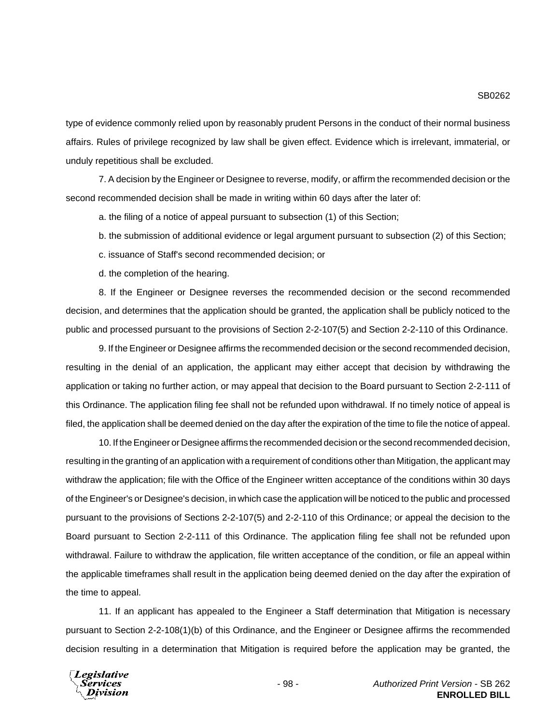type of evidence commonly relied upon by reasonably prudent Persons in the conduct of their normal business affairs. Rules of privilege recognized by law shall be given effect. Evidence which is irrelevant, immaterial, or unduly repetitious shall be excluded.

7. A decision by the Engineer or Designee to reverse, modify, or affirm the recommended decision or the second recommended decision shall be made in writing within 60 days after the later of:

a. the filing of a notice of appeal pursuant to subsection (1) of this Section;

b. the submission of additional evidence or legal argument pursuant to subsection (2) of this Section;

c. issuance of Staff's second recommended decision; or

d. the completion of the hearing.

8. If the Engineer or Designee reverses the recommended decision or the second recommended decision, and determines that the application should be granted, the application shall be publicly noticed to the public and processed pursuant to the provisions of Section 2-2-107(5) and Section 2-2-110 of this Ordinance.

9. If the Engineer or Designee affirms the recommended decision or the second recommended decision, resulting in the denial of an application, the applicant may either accept that decision by withdrawing the application or taking no further action, or may appeal that decision to the Board pursuant to Section 2-2-111 of this Ordinance. The application filing fee shall not be refunded upon withdrawal. If no timely notice of appeal is filed, the application shall be deemed denied on the day after the expiration of the time to file the notice of appeal.

10. If the Engineer or Designee affirms the recommended decision or the second recommended decision, resulting in the granting of an application with a requirement of conditions other than Mitigation, the applicant may withdraw the application; file with the Office of the Engineer written acceptance of the conditions within 30 days of the Engineer's or Designee's decision, in which case the application will be noticed to the public and processed pursuant to the provisions of Sections 2-2-107(5) and 2-2-110 of this Ordinance; or appeal the decision to the Board pursuant to Section 2-2-111 of this Ordinance. The application filing fee shall not be refunded upon withdrawal. Failure to withdraw the application, file written acceptance of the condition, or file an appeal within the applicable timeframes shall result in the application being deemed denied on the day after the expiration of the time to appeal.

11. If an applicant has appealed to the Engineer a Staff determination that Mitigation is necessary pursuant to Section 2-2-108(1)(b) of this Ordinance, and the Engineer or Designee affirms the recommended decision resulting in a determination that Mitigation is required before the application may be granted, the

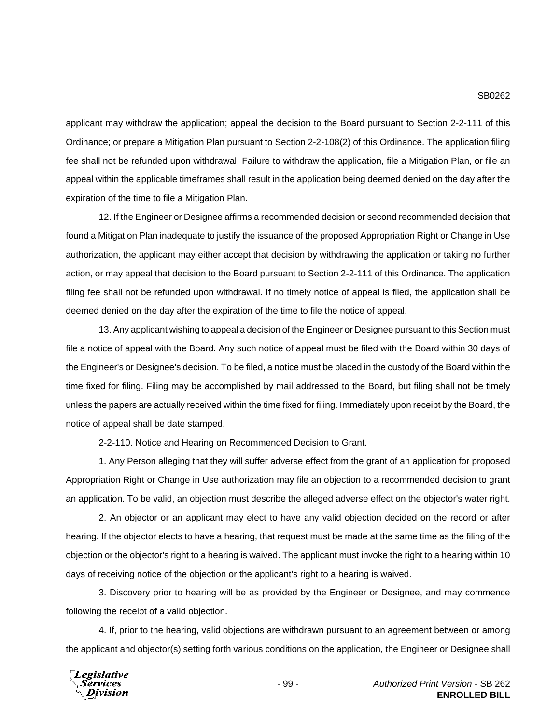### SB0262

applicant may withdraw the application; appeal the decision to the Board pursuant to Section 2-2-111 of this Ordinance; or prepare a Mitigation Plan pursuant to Section 2-2-108(2) of this Ordinance. The application filing fee shall not be refunded upon withdrawal. Failure to withdraw the application, file a Mitigation Plan, or file an appeal within the applicable timeframes shall result in the application being deemed denied on the day after the expiration of the time to file a Mitigation Plan.

12. If the Engineer or Designee affirms a recommended decision or second recommended decision that found a Mitigation Plan inadequate to justify the issuance of the proposed Appropriation Right or Change in Use authorization, the applicant may either accept that decision by withdrawing the application or taking no further action, or may appeal that decision to the Board pursuant to Section 2-2-111 of this Ordinance. The application filing fee shall not be refunded upon withdrawal. If no timely notice of appeal is filed, the application shall be deemed denied on the day after the expiration of the time to file the notice of appeal.

13. Any applicant wishing to appeal a decision of the Engineer or Designee pursuant to this Section must file a notice of appeal with the Board. Any such notice of appeal must be filed with the Board within 30 days of the Engineer's or Designee's decision. To be filed, a notice must be placed in the custody of the Board within the time fixed for filing. Filing may be accomplished by mail addressed to the Board, but filing shall not be timely unless the papers are actually received within the time fixed for filing. Immediately upon receipt by the Board, the notice of appeal shall be date stamped.

2-2-110. Notice and Hearing on Recommended Decision to Grant.

1. Any Person alleging that they will suffer adverse effect from the grant of an application for proposed Appropriation Right or Change in Use authorization may file an objection to a recommended decision to grant an application. To be valid, an objection must describe the alleged adverse effect on the objector's water right.

2. An objector or an applicant may elect to have any valid objection decided on the record or after hearing. If the objector elects to have a hearing, that request must be made at the same time as the filing of the objection or the objector's right to a hearing is waived. The applicant must invoke the right to a hearing within 10 days of receiving notice of the objection or the applicant's right to a hearing is waived.

3. Discovery prior to hearing will be as provided by the Engineer or Designee, and may commence following the receipt of a valid objection.

4. If, prior to the hearing, valid objections are withdrawn pursuant to an agreement between or among the applicant and objector(s) setting forth various conditions on the application, the Engineer or Designee shall

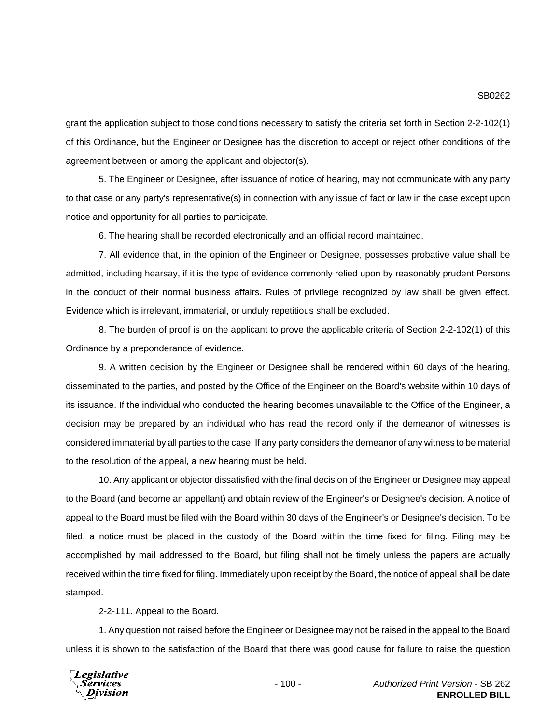grant the application subject to those conditions necessary to satisfy the criteria set forth in Section 2-2-102(1) of this Ordinance, but the Engineer or Designee has the discretion to accept or reject other conditions of the agreement between or among the applicant and objector(s).

5. The Engineer or Designee, after issuance of notice of hearing, may not communicate with any party to that case or any party's representative(s) in connection with any issue of fact or law in the case except upon notice and opportunity for all parties to participate.

6. The hearing shall be recorded electronically and an official record maintained.

7. All evidence that, in the opinion of the Engineer or Designee, possesses probative value shall be admitted, including hearsay, if it is the type of evidence commonly relied upon by reasonably prudent Persons in the conduct of their normal business affairs. Rules of privilege recognized by law shall be given effect. Evidence which is irrelevant, immaterial, or unduly repetitious shall be excluded.

8. The burden of proof is on the applicant to prove the applicable criteria of Section 2-2-102(1) of this Ordinance by a preponderance of evidence.

9. A written decision by the Engineer or Designee shall be rendered within 60 days of the hearing, disseminated to the parties, and posted by the Office of the Engineer on the Board's website within 10 days of its issuance. If the individual who conducted the hearing becomes unavailable to the Office of the Engineer, a decision may be prepared by an individual who has read the record only if the demeanor of witnesses is considered immaterial by all parties to the case. If any party considers the demeanor of any witness to be material to the resolution of the appeal, a new hearing must be held.

10. Any applicant or objector dissatisfied with the final decision of the Engineer or Designee may appeal to the Board (and become an appellant) and obtain review of the Engineer's or Designee's decision. A notice of appeal to the Board must be filed with the Board within 30 days of the Engineer's or Designee's decision. To be filed, a notice must be placed in the custody of the Board within the time fixed for filing. Filing may be accomplished by mail addressed to the Board, but filing shall not be timely unless the papers are actually received within the time fixed for filing. Immediately upon receipt by the Board, the notice of appeal shall be date stamped.

2-2-111. Appeal to the Board.

1. Any question not raised before the Engineer or Designee may not be raised in the appeal to the Board unless it is shown to the satisfaction of the Board that there was good cause for failure to raise the question

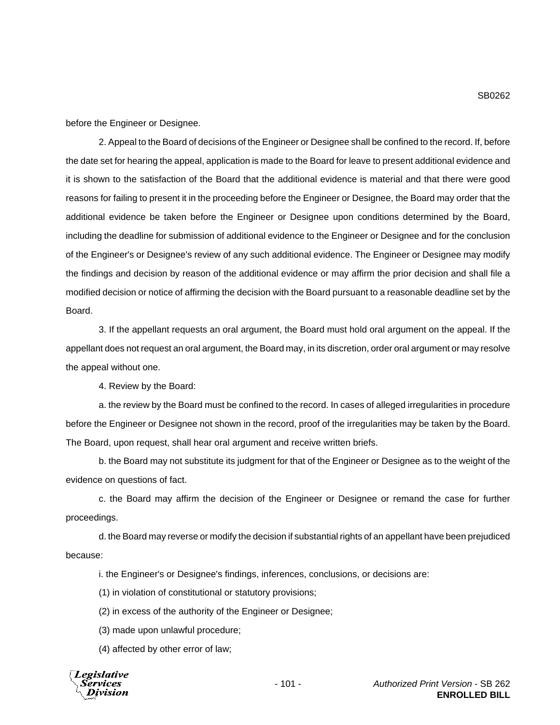before the Engineer or Designee.

2. Appeal to the Board of decisions of the Engineer or Designee shall be confined to the record. If, before the date set for hearing the appeal, application is made to the Board for leave to present additional evidence and it is shown to the satisfaction of the Board that the additional evidence is material and that there were good reasons for failing to present it in the proceeding before the Engineer or Designee, the Board may order that the additional evidence be taken before the Engineer or Designee upon conditions determined by the Board, including the deadline for submission of additional evidence to the Engineer or Designee and for the conclusion of the Engineer's or Designee's review of any such additional evidence. The Engineer or Designee may modify the findings and decision by reason of the additional evidence or may affirm the prior decision and shall file a modified decision or notice of affirming the decision with the Board pursuant to a reasonable deadline set by the Board.

3. If the appellant requests an oral argument, the Board must hold oral argument on the appeal. If the appellant does not request an oral argument, the Board may, in its discretion, order oral argument or may resolve the appeal without one.

4. Review by the Board:

a. the review by the Board must be confined to the record. In cases of alleged irregularities in procedure before the Engineer or Designee not shown in the record, proof of the irregularities may be taken by the Board. The Board, upon request, shall hear oral argument and receive written briefs.

b. the Board may not substitute its judgment for that of the Engineer or Designee as to the weight of the evidence on questions of fact.

c. the Board may affirm the decision of the Engineer or Designee or remand the case for further proceedings.

d. the Board may reverse or modify the decision if substantial rights of an appellant have been prejudiced because:

i. the Engineer's or Designee's findings, inferences, conclusions, or decisions are:

(1) in violation of constitutional or statutory provisions;

(2) in excess of the authority of the Engineer or Designee;

(3) made upon unlawful procedure;

(4) affected by other error of law;

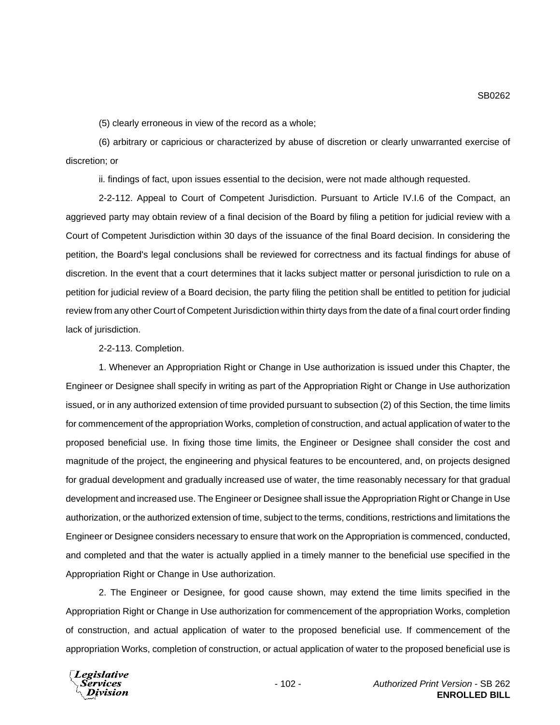(5) clearly erroneous in view of the record as a whole;

(6) arbitrary or capricious or characterized by abuse of discretion or clearly unwarranted exercise of discretion; or

ii. findings of fact, upon issues essential to the decision, were not made although requested.

2-2-112. Appeal to Court of Competent Jurisdiction. Pursuant to Article IV.I.6 of the Compact, an aggrieved party may obtain review of a final decision of the Board by filing a petition for judicial review with a Court of Competent Jurisdiction within 30 days of the issuance of the final Board decision. In considering the petition, the Board's legal conclusions shall be reviewed for correctness and its factual findings for abuse of discretion. In the event that a court determines that it lacks subject matter or personal jurisdiction to rule on a petition for judicial review of a Board decision, the party filing the petition shall be entitled to petition for judicial review from any other Court of Competent Jurisdiction within thirty days from the date of a final court order finding lack of jurisdiction.

2-2-113. Completion.

1. Whenever an Appropriation Right or Change in Use authorization is issued under this Chapter, the Engineer or Designee shall specify in writing as part of the Appropriation Right or Change in Use authorization issued, or in any authorized extension of time provided pursuant to subsection (2) of this Section, the time limits for commencement of the appropriation Works, completion of construction, and actual application of water to the proposed beneficial use. In fixing those time limits, the Engineer or Designee shall consider the cost and magnitude of the project, the engineering and physical features to be encountered, and, on projects designed for gradual development and gradually increased use of water, the time reasonably necessary for that gradual development and increased use. The Engineer or Designee shall issue the Appropriation Right or Change in Use authorization, or the authorized extension of time, subject to the terms, conditions, restrictions and limitations the Engineer or Designee considers necessary to ensure that work on the Appropriation is commenced, conducted, and completed and that the water is actually applied in a timely manner to the beneficial use specified in the Appropriation Right or Change in Use authorization.

2. The Engineer or Designee, for good cause shown, may extend the time limits specified in the Appropriation Right or Change in Use authorization for commencement of the appropriation Works, completion of construction, and actual application of water to the proposed beneficial use. If commencement of the appropriation Works, completion of construction, or actual application of water to the proposed beneficial use is

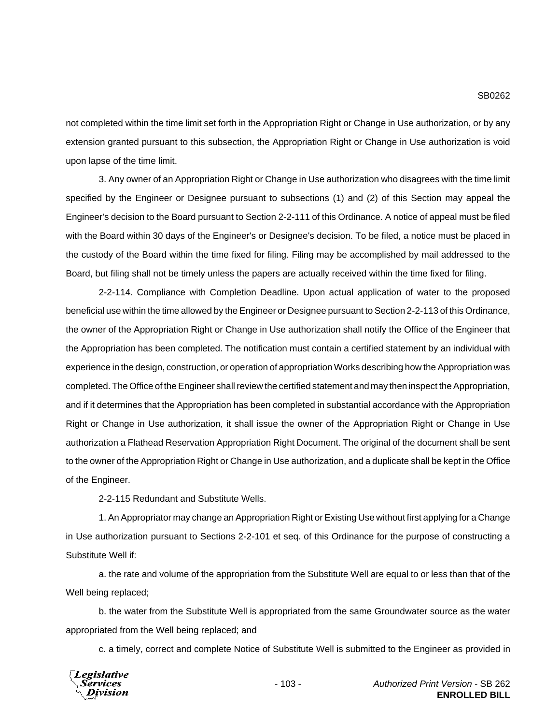not completed within the time limit set forth in the Appropriation Right or Change in Use authorization, or by any extension granted pursuant to this subsection, the Appropriation Right or Change in Use authorization is void upon lapse of the time limit.

3. Any owner of an Appropriation Right or Change in Use authorization who disagrees with the time limit specified by the Engineer or Designee pursuant to subsections (1) and (2) of this Section may appeal the Engineer's decision to the Board pursuant to Section 2-2-111 of this Ordinance. A notice of appeal must be filed with the Board within 30 days of the Engineer's or Designee's decision. To be filed, a notice must be placed in the custody of the Board within the time fixed for filing. Filing may be accomplished by mail addressed to the Board, but filing shall not be timely unless the papers are actually received within the time fixed for filing.

2-2-114. Compliance with Completion Deadline. Upon actual application of water to the proposed beneficial use within the time allowed by the Engineer or Designee pursuant to Section 2-2-113 of this Ordinance, the owner of the Appropriation Right or Change in Use authorization shall notify the Office of the Engineer that the Appropriation has been completed. The notification must contain a certified statement by an individual with experience in the design, construction, or operation of appropriation Works describing how the Appropriation was completed. The Office of the Engineer shall review the certified statement and may then inspect the Appropriation, and if it determines that the Appropriation has been completed in substantial accordance with the Appropriation Right or Change in Use authorization, it shall issue the owner of the Appropriation Right or Change in Use authorization a Flathead Reservation Appropriation Right Document. The original of the document shall be sent to the owner of the Appropriation Right or Change in Use authorization, and a duplicate shall be kept in the Office of the Engineer.

2-2-115 Redundant and Substitute Wells.

1. An Appropriator may change an Appropriation Right or Existing Use without first applying for a Change in Use authorization pursuant to Sections 2-2-101 et seq. of this Ordinance for the purpose of constructing a Substitute Well if:

a. the rate and volume of the appropriation from the Substitute Well are equal to or less than that of the Well being replaced;

b. the water from the Substitute Well is appropriated from the same Groundwater source as the water appropriated from the Well being replaced; and

c. a timely, correct and complete Notice of Substitute Well is submitted to the Engineer as provided in

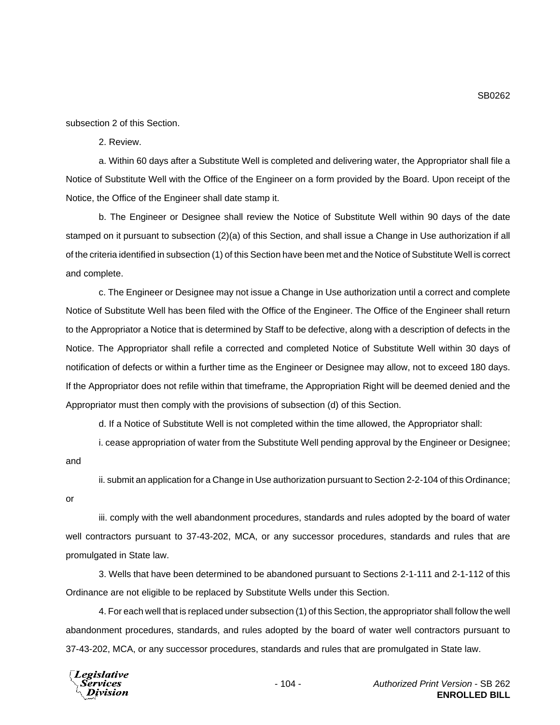subsection 2 of this Section.

2. Review.

a. Within 60 days after a Substitute Well is completed and delivering water, the Appropriator shall file a Notice of Substitute Well with the Office of the Engineer on a form provided by the Board. Upon receipt of the Notice, the Office of the Engineer shall date stamp it.

b. The Engineer or Designee shall review the Notice of Substitute Well within 90 days of the date stamped on it pursuant to subsection (2)(a) of this Section, and shall issue a Change in Use authorization if all of the criteria identified in subsection (1) of this Section have been met and the Notice of Substitute Well is correct and complete.

c. The Engineer or Designee may not issue a Change in Use authorization until a correct and complete Notice of Substitute Well has been filed with the Office of the Engineer. The Office of the Engineer shall return to the Appropriator a Notice that is determined by Staff to be defective, along with a description of defects in the Notice. The Appropriator shall refile a corrected and completed Notice of Substitute Well within 30 days of notification of defects or within a further time as the Engineer or Designee may allow, not to exceed 180 days. If the Appropriator does not refile within that timeframe, the Appropriation Right will be deemed denied and the Appropriator must then comply with the provisions of subsection (d) of this Section.

d. If a Notice of Substitute Well is not completed within the time allowed, the Appropriator shall:

i. cease appropriation of water from the Substitute Well pending approval by the Engineer or Designee;

and

ii. submit an application for a Change in Use authorization pursuant to Section 2-2-104 of this Ordinance;

or

iii. comply with the well abandonment procedures, standards and rules adopted by the board of water well contractors pursuant to 37-43-202, MCA, or any successor procedures, standards and rules that are promulgated in State law.

3. Wells that have been determined to be abandoned pursuant to Sections 2-1-111 and 2-1-112 of this Ordinance are not eligible to be replaced by Substitute Wells under this Section.

4. For each well that is replaced under subsection (1) of this Section, the appropriator shall follow the well abandonment procedures, standards, and rules adopted by the board of water well contractors pursuant to 37-43-202, MCA, or any successor procedures, standards and rules that are promulgated in State law.

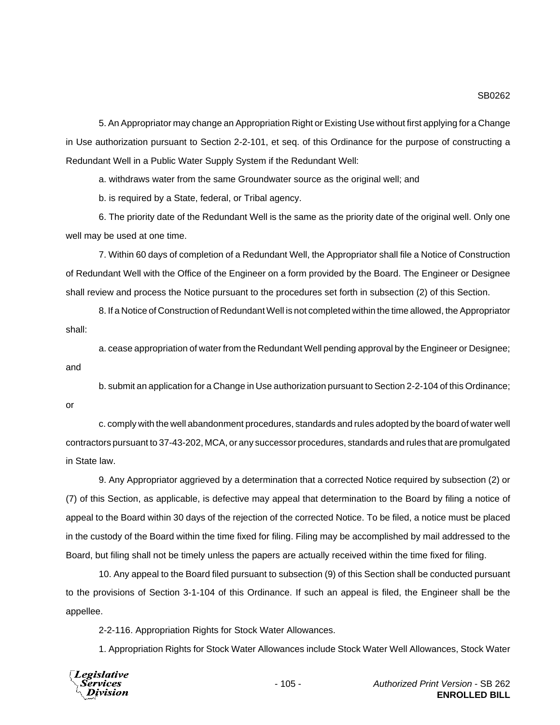5. An Appropriator may change an Appropriation Right or Existing Use without first applying for a Change in Use authorization pursuant to Section 2-2-101, et seq. of this Ordinance for the purpose of constructing a Redundant Well in a Public Water Supply System if the Redundant Well:

a. withdraws water from the same Groundwater source as the original well; and

b. is required by a State, federal, or Tribal agency.

6. The priority date of the Redundant Well is the same as the priority date of the original well. Only one well may be used at one time.

7. Within 60 days of completion of a Redundant Well, the Appropriator shall file a Notice of Construction of Redundant Well with the Office of the Engineer on a form provided by the Board. The Engineer or Designee shall review and process the Notice pursuant to the procedures set forth in subsection (2) of this Section.

8. If a Notice of Construction of Redundant Well is not completed within the time allowed, the Appropriator shall:

a. cease appropriation of water from the Redundant Well pending approval by the Engineer or Designee; and

b. submit an application for a Change in Use authorization pursuant to Section 2-2-104 of this Ordinance; or

c. comply with the well abandonment procedures, standards and rules adopted by the board of water well contractors pursuant to 37-43-202, MCA, or any successor procedures, standards and rules that are promulgated in State law.

9. Any Appropriator aggrieved by a determination that a corrected Notice required by subsection (2) or (7) of this Section, as applicable, is defective may appeal that determination to the Board by filing a notice of appeal to the Board within 30 days of the rejection of the corrected Notice. To be filed, a notice must be placed in the custody of the Board within the time fixed for filing. Filing may be accomplished by mail addressed to the Board, but filing shall not be timely unless the papers are actually received within the time fixed for filing.

10. Any appeal to the Board filed pursuant to subsection (9) of this Section shall be conducted pursuant to the provisions of Section 3-1-104 of this Ordinance. If such an appeal is filed, the Engineer shall be the appellee.

2-2-116. Appropriation Rights for Stock Water Allowances.

1. Appropriation Rights for Stock Water Allowances include Stock Water Well Allowances, Stock Water

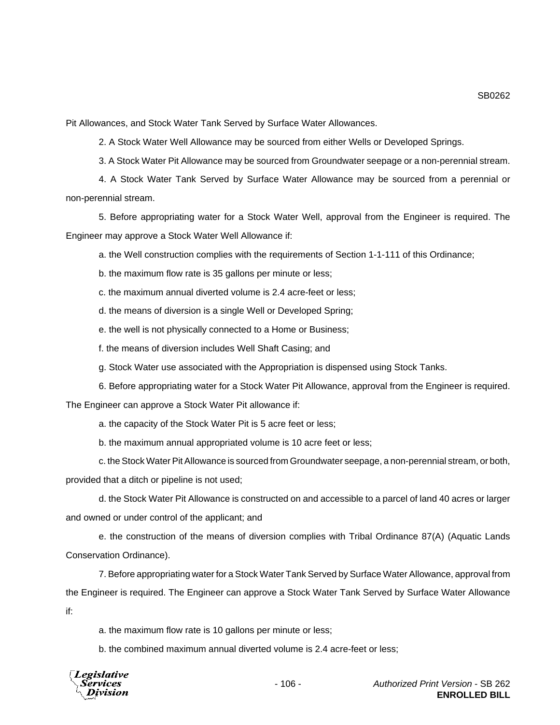Pit Allowances, and Stock Water Tank Served by Surface Water Allowances.

2. A Stock Water Well Allowance may be sourced from either Wells or Developed Springs.

3. A Stock Water Pit Allowance may be sourced from Groundwater seepage or a non-perennial stream.

4. A Stock Water Tank Served by Surface Water Allowance may be sourced from a perennial or non-perennial stream.

5. Before appropriating water for a Stock Water Well, approval from the Engineer is required. The Engineer may approve a Stock Water Well Allowance if:

a. the Well construction complies with the requirements of Section 1-1-111 of this Ordinance;

b. the maximum flow rate is 35 gallons per minute or less;

c. the maximum annual diverted volume is 2.4 acre-feet or less;

d. the means of diversion is a single Well or Developed Spring;

e. the well is not physically connected to a Home or Business;

f. the means of diversion includes Well Shaft Casing; and

g. Stock Water use associated with the Appropriation is dispensed using Stock Tanks.

6. Before appropriating water for a Stock Water Pit Allowance, approval from the Engineer is required.

The Engineer can approve a Stock Water Pit allowance if:

a. the capacity of the Stock Water Pit is 5 acre feet or less;

b. the maximum annual appropriated volume is 10 acre feet or less;

c. the Stock Water Pit Allowance is sourced from Groundwater seepage, a non-perennial stream, or both, provided that a ditch or pipeline is not used;

d. the Stock Water Pit Allowance is constructed on and accessible to a parcel of land 40 acres or larger and owned or under control of the applicant; and

e. the construction of the means of diversion complies with Tribal Ordinance 87(A) (Aquatic Lands Conservation Ordinance).

7. Before appropriating water for a Stock Water Tank Served by Surface Water Allowance, approval from the Engineer is required. The Engineer can approve a Stock Water Tank Served by Surface Water Allowance if:

a. the maximum flow rate is 10 gallons per minute or less;

b. the combined maximum annual diverted volume is 2.4 acre-feet or less;

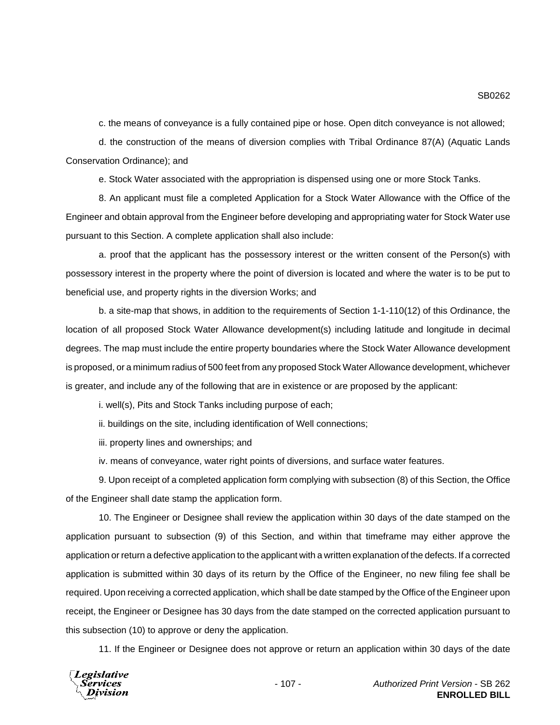c. the means of conveyance is a fully contained pipe or hose. Open ditch conveyance is not allowed;

d. the construction of the means of diversion complies with Tribal Ordinance 87(A) (Aquatic Lands Conservation Ordinance); and

e. Stock Water associated with the appropriation is dispensed using one or more Stock Tanks.

8. An applicant must file a completed Application for a Stock Water Allowance with the Office of the Engineer and obtain approval from the Engineer before developing and appropriating water for Stock Water use pursuant to this Section. A complete application shall also include:

a. proof that the applicant has the possessory interest or the written consent of the Person(s) with possessory interest in the property where the point of diversion is located and where the water is to be put to beneficial use, and property rights in the diversion Works; and

b. a site-map that shows, in addition to the requirements of Section 1-1-110(12) of this Ordinance, the location of all proposed Stock Water Allowance development(s) including latitude and longitude in decimal degrees. The map must include the entire property boundaries where the Stock Water Allowance development is proposed, or a minimum radius of 500 feet from any proposed Stock Water Allowance development, whichever is greater, and include any of the following that are in existence or are proposed by the applicant:

i. well(s), Pits and Stock Tanks including purpose of each;

ii. buildings on the site, including identification of Well connections;

iii. property lines and ownerships; and

iv. means of conveyance, water right points of diversions, and surface water features.

9. Upon receipt of a completed application form complying with subsection (8) of this Section, the Office of the Engineer shall date stamp the application form.

10. The Engineer or Designee shall review the application within 30 days of the date stamped on the application pursuant to subsection (9) of this Section, and within that timeframe may either approve the application or return a defective application to the applicant with a written explanation of the defects. If a corrected application is submitted within 30 days of its return by the Office of the Engineer, no new filing fee shall be required. Upon receiving a corrected application, which shall be date stamped by the Office of the Engineer upon receipt, the Engineer or Designee has 30 days from the date stamped on the corrected application pursuant to this subsection (10) to approve or deny the application.

11. If the Engineer or Designee does not approve or return an application within 30 days of the date

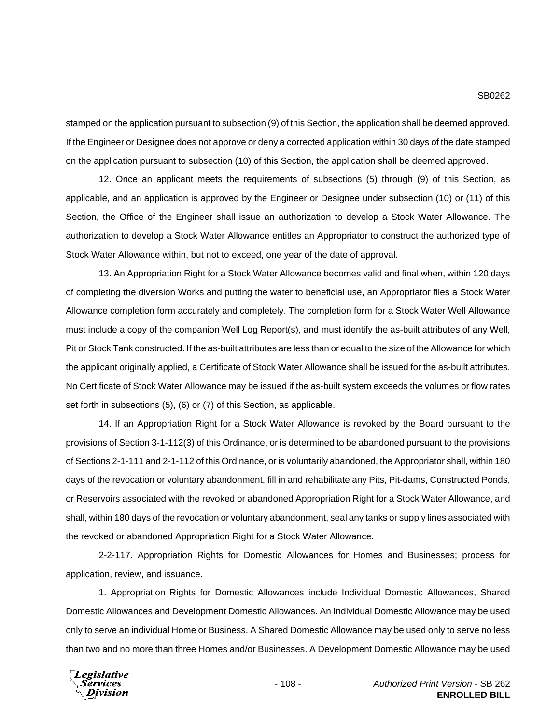stamped on the application pursuant to subsection (9) of this Section, the application shall be deemed approved. If the Engineer or Designee does not approve or deny a corrected application within 30 days of the date stamped on the application pursuant to subsection (10) of this Section, the application shall be deemed approved.

12. Once an applicant meets the requirements of subsections (5) through (9) of this Section, as applicable, and an application is approved by the Engineer or Designee under subsection (10) or (11) of this Section, the Office of the Engineer shall issue an authorization to develop a Stock Water Allowance. The authorization to develop a Stock Water Allowance entitles an Appropriator to construct the authorized type of Stock Water Allowance within, but not to exceed, one year of the date of approval.

13. An Appropriation Right for a Stock Water Allowance becomes valid and final when, within 120 days of completing the diversion Works and putting the water to beneficial use, an Appropriator files a Stock Water Allowance completion form accurately and completely. The completion form for a Stock Water Well Allowance must include a copy of the companion Well Log Report(s), and must identify the as-built attributes of any Well, Pit or Stock Tank constructed. If the as-built attributes are less than or equal to the size of the Allowance for which the applicant originally applied, a Certificate of Stock Water Allowance shall be issued for the as-built attributes. No Certificate of Stock Water Allowance may be issued if the as-built system exceeds the volumes or flow rates set forth in subsections (5), (6) or (7) of this Section, as applicable.

14. If an Appropriation Right for a Stock Water Allowance is revoked by the Board pursuant to the provisions of Section 3-1-112(3) of this Ordinance, or is determined to be abandoned pursuant to the provisions of Sections 2-1-111 and 2-1-112 of this Ordinance, or is voluntarily abandoned, the Appropriator shall, within 180 days of the revocation or voluntary abandonment, fill in and rehabilitate any Pits, Pit-dams, Constructed Ponds, or Reservoirs associated with the revoked or abandoned Appropriation Right for a Stock Water Allowance, and shall, within 180 days of the revocation or voluntary abandonment, seal any tanks or supply lines associated with the revoked or abandoned Appropriation Right for a Stock Water Allowance.

2-2-117. Appropriation Rights for Domestic Allowances for Homes and Businesses; process for application, review, and issuance.

1. Appropriation Rights for Domestic Allowances include Individual Domestic Allowances, Shared Domestic Allowances and Development Domestic Allowances. An Individual Domestic Allowance may be used only to serve an individual Home or Business. A Shared Domestic Allowance may be used only to serve no less than two and no more than three Homes and/or Businesses. A Development Domestic Allowance may be used

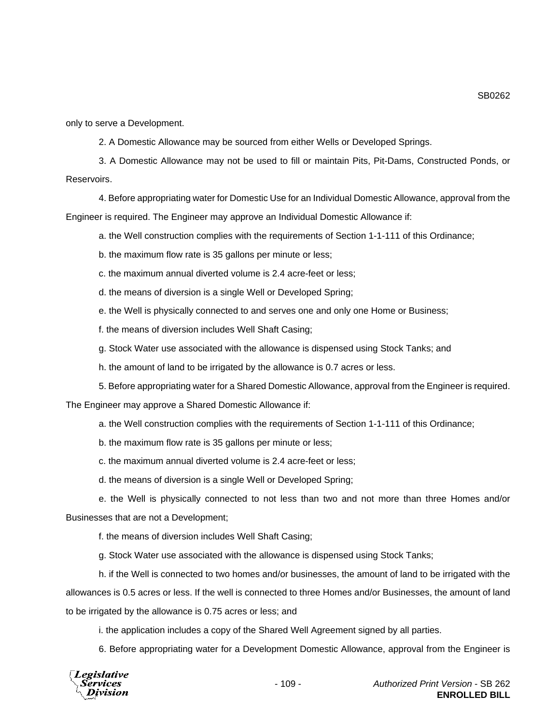SB0262

only to serve a Development.

2. A Domestic Allowance may be sourced from either Wells or Developed Springs.

3. A Domestic Allowance may not be used to fill or maintain Pits, Pit-Dams, Constructed Ponds, or Reservoirs.

4. Before appropriating water for Domestic Use for an Individual Domestic Allowance, approval from the Engineer is required. The Engineer may approve an Individual Domestic Allowance if:

a. the Well construction complies with the requirements of Section 1-1-111 of this Ordinance;

b. the maximum flow rate is 35 gallons per minute or less;

c. the maximum annual diverted volume is 2.4 acre-feet or less;

d. the means of diversion is a single Well or Developed Spring;

e. the Well is physically connected to and serves one and only one Home or Business;

f. the means of diversion includes Well Shaft Casing;

g. Stock Water use associated with the allowance is dispensed using Stock Tanks; and

h. the amount of land to be irrigated by the allowance is 0.7 acres or less.

5. Before appropriating water for a Shared Domestic Allowance, approval from the Engineer is required.

The Engineer may approve a Shared Domestic Allowance if:

a. the Well construction complies with the requirements of Section 1-1-111 of this Ordinance;

b. the maximum flow rate is 35 gallons per minute or less;

c. the maximum annual diverted volume is 2.4 acre-feet or less;

d. the means of diversion is a single Well or Developed Spring;

e. the Well is physically connected to not less than two and not more than three Homes and/or

Businesses that are not a Development;

f. the means of diversion includes Well Shaft Casing;

g. Stock Water use associated with the allowance is dispensed using Stock Tanks;

h. if the Well is connected to two homes and/or businesses, the amount of land to be irrigated with the allowances is 0.5 acres or less. If the well is connected to three Homes and/or Businesses, the amount of land to be irrigated by the allowance is 0.75 acres or less; and

i. the application includes a copy of the Shared Well Agreement signed by all parties.

6. Before appropriating water for a Development Domestic Allowance, approval from the Engineer is

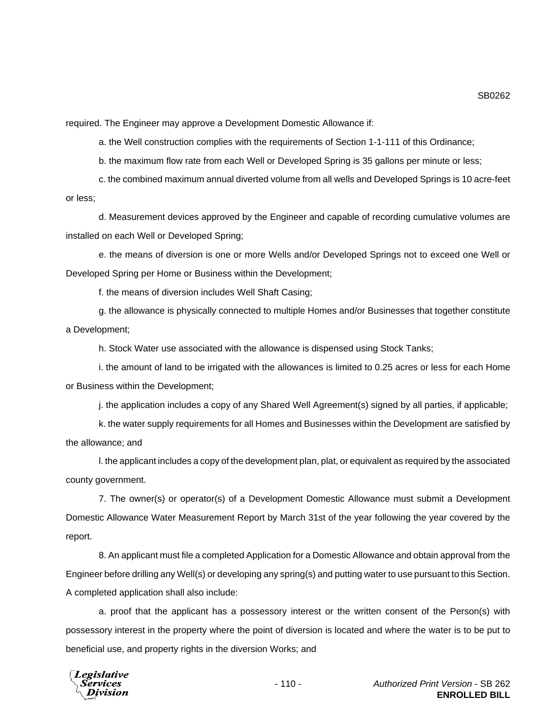SB0262

required. The Engineer may approve a Development Domestic Allowance if:

a. the Well construction complies with the requirements of Section 1-1-111 of this Ordinance;

b. the maximum flow rate from each Well or Developed Spring is 35 gallons per minute or less;

c. the combined maximum annual diverted volume from all wells and Developed Springs is 10 acre-feet or less;

d. Measurement devices approved by the Engineer and capable of recording cumulative volumes are installed on each Well or Developed Spring;

e. the means of diversion is one or more Wells and/or Developed Springs not to exceed one Well or Developed Spring per Home or Business within the Development;

f. the means of diversion includes Well Shaft Casing;

g. the allowance is physically connected to multiple Homes and/or Businesses that together constitute a Development;

h. Stock Water use associated with the allowance is dispensed using Stock Tanks;

i. the amount of land to be irrigated with the allowances is limited to 0.25 acres or less for each Home or Business within the Development;

j. the application includes a copy of any Shared Well Agreement(s) signed by all parties, if applicable;

k. the water supply requirements for all Homes and Businesses within the Development are satisfied by the allowance; and

l. the applicant includes a copy of the development plan, plat, or equivalent as required by the associated county government.

7. The owner(s) or operator(s) of a Development Domestic Allowance must submit a Development Domestic Allowance Water Measurement Report by March 31st of the year following the year covered by the report.

8. An applicant must file a completed Application for a Domestic Allowance and obtain approval from the Engineer before drilling any Well(s) or developing any spring(s) and putting water to use pursuant to this Section. A completed application shall also include:

a. proof that the applicant has a possessory interest or the written consent of the Person(s) with possessory interest in the property where the point of diversion is located and where the water is to be put to beneficial use, and property rights in the diversion Works; and

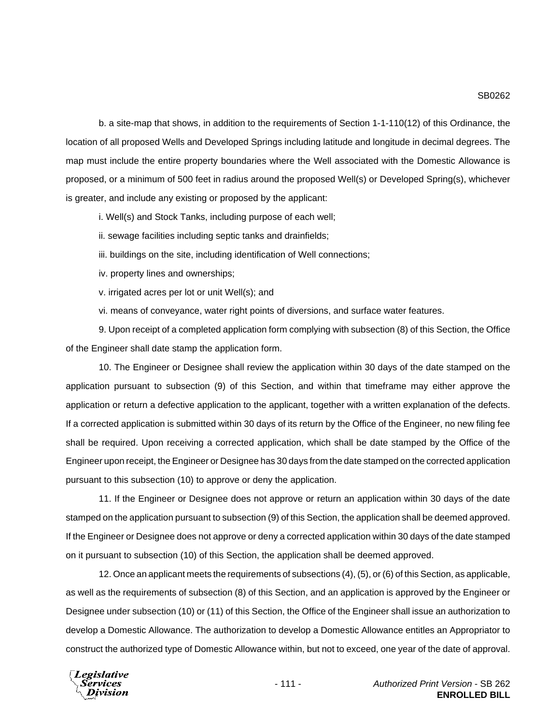b. a site-map that shows, in addition to the requirements of Section 1-1-110(12) of this Ordinance, the location of all proposed Wells and Developed Springs including latitude and longitude in decimal degrees. The map must include the entire property boundaries where the Well associated with the Domestic Allowance is proposed, or a minimum of 500 feet in radius around the proposed Well(s) or Developed Spring(s), whichever is greater, and include any existing or proposed by the applicant:

i. Well(s) and Stock Tanks, including purpose of each well;

ii. sewage facilities including septic tanks and drainfields;

iii. buildings on the site, including identification of Well connections;

iv. property lines and ownerships;

v. irrigated acres per lot or unit Well(s); and

vi. means of conveyance, water right points of diversions, and surface water features.

9. Upon receipt of a completed application form complying with subsection (8) of this Section, the Office of the Engineer shall date stamp the application form.

10. The Engineer or Designee shall review the application within 30 days of the date stamped on the application pursuant to subsection (9) of this Section, and within that timeframe may either approve the application or return a defective application to the applicant, together with a written explanation of the defects. If a corrected application is submitted within 30 days of its return by the Office of the Engineer, no new filing fee shall be required. Upon receiving a corrected application, which shall be date stamped by the Office of the Engineer upon receipt, the Engineer or Designee has 30 days from the date stamped on the corrected application pursuant to this subsection (10) to approve or deny the application.

11. If the Engineer or Designee does not approve or return an application within 30 days of the date stamped on the application pursuant to subsection (9) of this Section, the application shall be deemed approved. If the Engineer or Designee does not approve or deny a corrected application within 30 days of the date stamped on it pursuant to subsection (10) of this Section, the application shall be deemed approved.

12. Once an applicant meets the requirements of subsections (4), (5), or (6) of this Section, as applicable, as well as the requirements of subsection (8) of this Section, and an application is approved by the Engineer or Designee under subsection (10) or (11) of this Section, the Office of the Engineer shall issue an authorization to develop a Domestic Allowance. The authorization to develop a Domestic Allowance entitles an Appropriator to construct the authorized type of Domestic Allowance within, but not to exceed, one year of the date of approval.

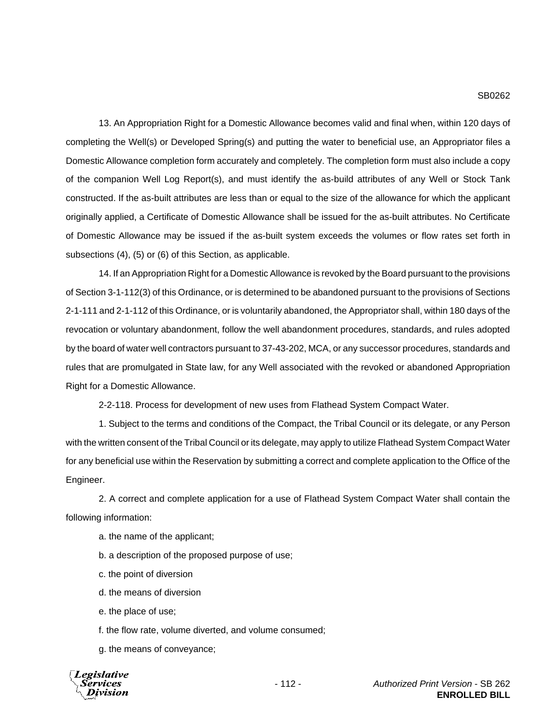## SB0262

13. An Appropriation Right for a Domestic Allowance becomes valid and final when, within 120 days of completing the Well(s) or Developed Spring(s) and putting the water to beneficial use, an Appropriator files a Domestic Allowance completion form accurately and completely. The completion form must also include a copy of the companion Well Log Report(s), and must identify the as-build attributes of any Well or Stock Tank constructed. If the as-built attributes are less than or equal to the size of the allowance for which the applicant originally applied, a Certificate of Domestic Allowance shall be issued for the as-built attributes. No Certificate of Domestic Allowance may be issued if the as-built system exceeds the volumes or flow rates set forth in subsections (4), (5) or (6) of this Section, as applicable.

14. If an Appropriation Right for a Domestic Allowance is revoked by the Board pursuant to the provisions of Section 3-1-112(3) of this Ordinance, or is determined to be abandoned pursuant to the provisions of Sections 2-1-111 and 2-1-112 of this Ordinance, or is voluntarily abandoned, the Appropriator shall, within 180 days of the revocation or voluntary abandonment, follow the well abandonment procedures, standards, and rules adopted by the board of water well contractors pursuant to 37-43-202, MCA, or any successor procedures, standards and rules that are promulgated in State law, for any Well associated with the revoked or abandoned Appropriation Right for a Domestic Allowance.

2-2-118. Process for development of new uses from Flathead System Compact Water.

1. Subject to the terms and conditions of the Compact, the Tribal Council or its delegate, or any Person with the written consent of the Tribal Council or its delegate, may apply to utilize Flathead System Compact Water for any beneficial use within the Reservation by submitting a correct and complete application to the Office of the Engineer.

2. A correct and complete application for a use of Flathead System Compact Water shall contain the following information:

a. the name of the applicant;

b. a description of the proposed purpose of use;

c. the point of diversion

d. the means of diversion

e. the place of use;

f. the flow rate, volume diverted, and volume consumed;

g. the means of conveyance;

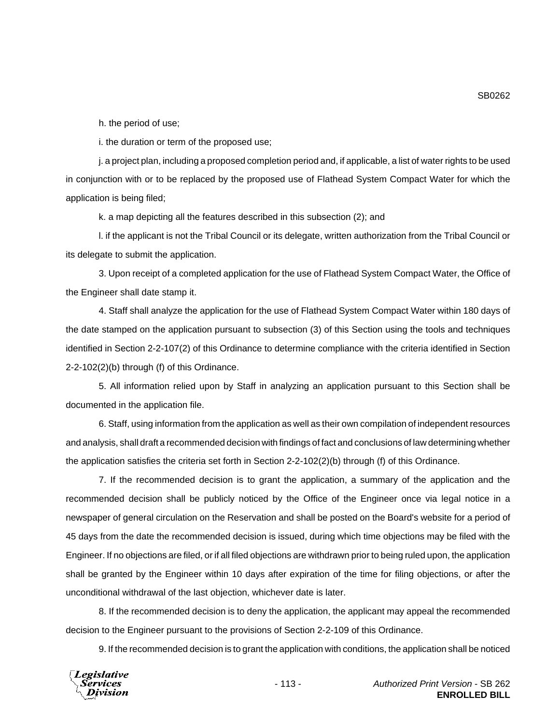h. the period of use;

i. the duration or term of the proposed use;

j. a project plan, including a proposed completion period and, if applicable, a list of water rights to be used in conjunction with or to be replaced by the proposed use of Flathead System Compact Water for which the application is being filed;

k. a map depicting all the features described in this subsection (2); and

l. if the applicant is not the Tribal Council or its delegate, written authorization from the Tribal Council or its delegate to submit the application.

3. Upon receipt of a completed application for the use of Flathead System Compact Water, the Office of the Engineer shall date stamp it.

4. Staff shall analyze the application for the use of Flathead System Compact Water within 180 days of the date stamped on the application pursuant to subsection (3) of this Section using the tools and techniques identified in Section 2-2-107(2) of this Ordinance to determine compliance with the criteria identified in Section 2-2-102(2)(b) through (f) of this Ordinance.

5. All information relied upon by Staff in analyzing an application pursuant to this Section shall be documented in the application file.

6. Staff, using information from the application as well as their own compilation of independent resources and analysis, shall draft a recommended decision with findings of fact and conclusions of law determining whether the application satisfies the criteria set forth in Section 2-2-102(2)(b) through (f) of this Ordinance.

7. If the recommended decision is to grant the application, a summary of the application and the recommended decision shall be publicly noticed by the Office of the Engineer once via legal notice in a newspaper of general circulation on the Reservation and shall be posted on the Board's website for a period of 45 days from the date the recommended decision is issued, during which time objections may be filed with the Engineer. If no objections are filed, or if all filed objections are withdrawn prior to being ruled upon, the application shall be granted by the Engineer within 10 days after expiration of the time for filing objections, or after the unconditional withdrawal of the last objection, whichever date is later.

8. If the recommended decision is to deny the application, the applicant may appeal the recommended decision to the Engineer pursuant to the provisions of Section 2-2-109 of this Ordinance.

9. If the recommended decision is to grant the application with conditions, the application shall be noticed



SB0262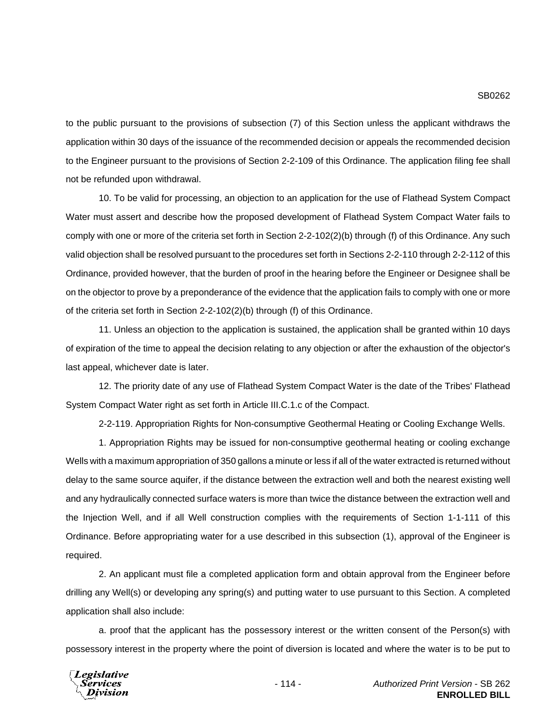## SB0262

to the public pursuant to the provisions of subsection (7) of this Section unless the applicant withdraws the application within 30 days of the issuance of the recommended decision or appeals the recommended decision to the Engineer pursuant to the provisions of Section 2-2-109 of this Ordinance. The application filing fee shall not be refunded upon withdrawal.

10. To be valid for processing, an objection to an application for the use of Flathead System Compact Water must assert and describe how the proposed development of Flathead System Compact Water fails to comply with one or more of the criteria set forth in Section 2-2-102(2)(b) through (f) of this Ordinance. Any such valid objection shall be resolved pursuant to the procedures set forth in Sections 2-2-110 through 2-2-112 of this Ordinance, provided however, that the burden of proof in the hearing before the Engineer or Designee shall be on the objector to prove by a preponderance of the evidence that the application fails to comply with one or more of the criteria set forth in Section 2-2-102(2)(b) through (f) of this Ordinance.

11. Unless an objection to the application is sustained, the application shall be granted within 10 days of expiration of the time to appeal the decision relating to any objection or after the exhaustion of the objector's last appeal, whichever date is later.

12. The priority date of any use of Flathead System Compact Water is the date of the Tribes' Flathead System Compact Water right as set forth in Article III.C.1.c of the Compact.

2-2-119. Appropriation Rights for Non-consumptive Geothermal Heating or Cooling Exchange Wells.

1. Appropriation Rights may be issued for non-consumptive geothermal heating or cooling exchange Wells with a maximum appropriation of 350 gallons a minute or less if all of the water extracted is returned without delay to the same source aquifer, if the distance between the extraction well and both the nearest existing well and any hydraulically connected surface waters is more than twice the distance between the extraction well and the Injection Well, and if all Well construction complies with the requirements of Section 1-1-111 of this Ordinance. Before appropriating water for a use described in this subsection (1), approval of the Engineer is required.

2. An applicant must file a completed application form and obtain approval from the Engineer before drilling any Well(s) or developing any spring(s) and putting water to use pursuant to this Section. A completed application shall also include:

a. proof that the applicant has the possessory interest or the written consent of the Person(s) with possessory interest in the property where the point of diversion is located and where the water is to be put to

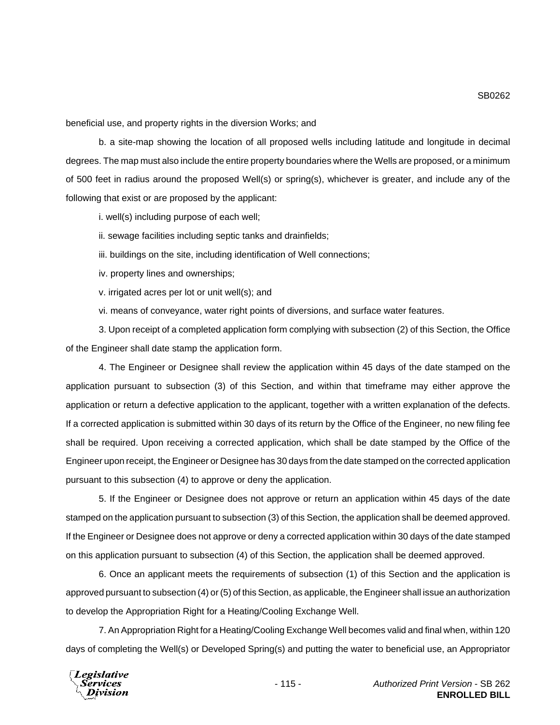beneficial use, and property rights in the diversion Works; and

b. a site-map showing the location of all proposed wells including latitude and longitude in decimal degrees. The map must also include the entire property boundaries where the Wells are proposed, or a minimum of 500 feet in radius around the proposed Well(s) or spring(s), whichever is greater, and include any of the following that exist or are proposed by the applicant:

i. well(s) including purpose of each well;

ii. sewage facilities including septic tanks and drainfields;

iii. buildings on the site, including identification of Well connections;

iv. property lines and ownerships;

v. irrigated acres per lot or unit well(s); and

vi. means of conveyance, water right points of diversions, and surface water features.

3. Upon receipt of a completed application form complying with subsection (2) of this Section, the Office of the Engineer shall date stamp the application form.

4. The Engineer or Designee shall review the application within 45 days of the date stamped on the application pursuant to subsection (3) of this Section, and within that timeframe may either approve the application or return a defective application to the applicant, together with a written explanation of the defects. If a corrected application is submitted within 30 days of its return by the Office of the Engineer, no new filing fee shall be required. Upon receiving a corrected application, which shall be date stamped by the Office of the Engineer upon receipt, the Engineer or Designee has 30 days from the date stamped on the corrected application pursuant to this subsection (4) to approve or deny the application.

5. If the Engineer or Designee does not approve or return an application within 45 days of the date stamped on the application pursuant to subsection (3) of this Section, the application shall be deemed approved. If the Engineer or Designee does not approve or deny a corrected application within 30 days of the date stamped on this application pursuant to subsection (4) of this Section, the application shall be deemed approved.

6. Once an applicant meets the requirements of subsection (1) of this Section and the application is approved pursuant to subsection (4) or (5) of this Section, as applicable, the Engineer shall issue an authorization to develop the Appropriation Right for a Heating/Cooling Exchange Well.

7. An Appropriation Right for a Heating/Cooling Exchange Well becomes valid and final when, within 120 days of completing the Well(s) or Developed Spring(s) and putting the water to beneficial use, an Appropriator



SB0262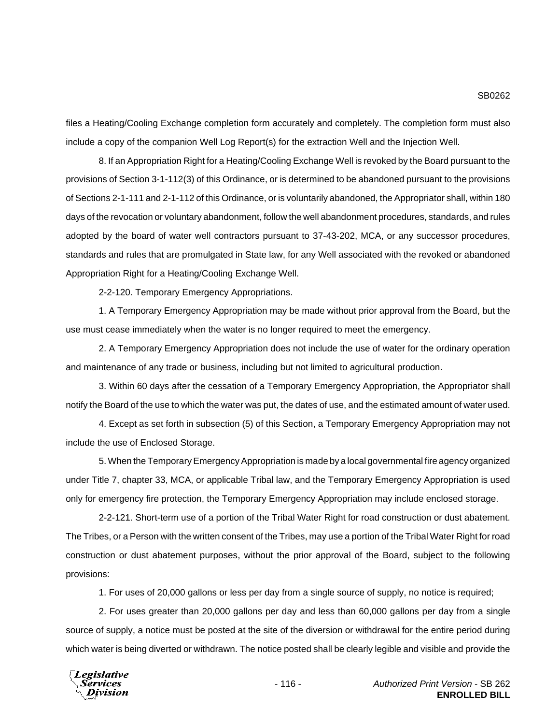files a Heating/Cooling Exchange completion form accurately and completely. The completion form must also include a copy of the companion Well Log Report(s) for the extraction Well and the Injection Well.

8. If an Appropriation Right for a Heating/Cooling Exchange Well is revoked by the Board pursuant to the provisions of Section 3-1-112(3) of this Ordinance, or is determined to be abandoned pursuant to the provisions of Sections 2-1-111 and 2-1-112 of this Ordinance, or is voluntarily abandoned, the Appropriator shall, within 180 days of the revocation or voluntary abandonment, follow the well abandonment procedures, standards, and rules adopted by the board of water well contractors pursuant to 37-43-202, MCA, or any successor procedures, standards and rules that are promulgated in State law, for any Well associated with the revoked or abandoned Appropriation Right for a Heating/Cooling Exchange Well.

2-2-120. Temporary Emergency Appropriations.

1. A Temporary Emergency Appropriation may be made without prior approval from the Board, but the use must cease immediately when the water is no longer required to meet the emergency.

2. A Temporary Emergency Appropriation does not include the use of water for the ordinary operation and maintenance of any trade or business, including but not limited to agricultural production.

3. Within 60 days after the cessation of a Temporary Emergency Appropriation, the Appropriator shall notify the Board of the use to which the water was put, the dates of use, and the estimated amount of water used.

4. Except as set forth in subsection (5) of this Section, a Temporary Emergency Appropriation may not include the use of Enclosed Storage.

5. When the Temporary Emergency Appropriation is made by a local governmental fire agency organized under Title 7, chapter 33, MCA, or applicable Tribal law, and the Temporary Emergency Appropriation is used only for emergency fire protection, the Temporary Emergency Appropriation may include enclosed storage.

2-2-121. Short-term use of a portion of the Tribal Water Right for road construction or dust abatement. The Tribes, or a Person with the written consent of the Tribes, may use a portion of the Tribal Water Right for road construction or dust abatement purposes, without the prior approval of the Board, subject to the following provisions:

1. For uses of 20,000 gallons or less per day from a single source of supply, no notice is required;

2. For uses greater than 20,000 gallons per day and less than 60,000 gallons per day from a single source of supply, a notice must be posted at the site of the diversion or withdrawal for the entire period during which water is being diverted or withdrawn. The notice posted shall be clearly legible and visible and provide the

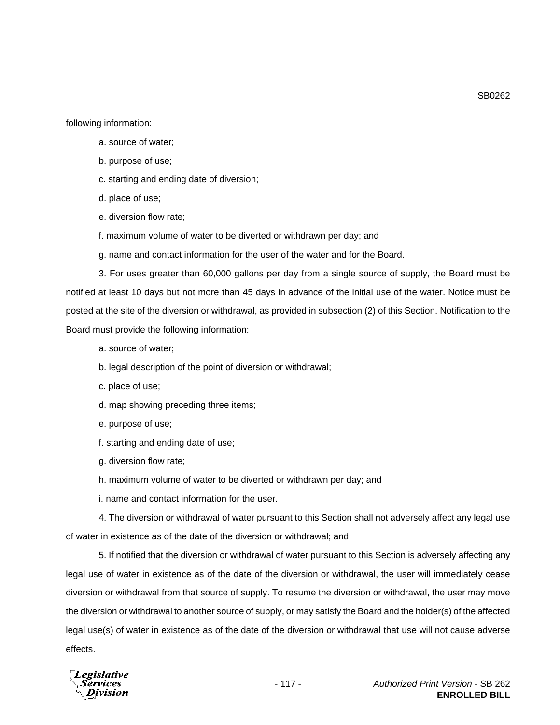following information:

- a. source of water;
- b. purpose of use;
- c. starting and ending date of diversion;
- d. place of use;
- e. diversion flow rate;
- f. maximum volume of water to be diverted or withdrawn per day; and
- g. name and contact information for the user of the water and for the Board.

3. For uses greater than 60,000 gallons per day from a single source of supply, the Board must be notified at least 10 days but not more than 45 days in advance of the initial use of the water. Notice must be posted at the site of the diversion or withdrawal, as provided in subsection (2) of this Section. Notification to the Board must provide the following information:

- a. source of water;
- b. legal description of the point of diversion or withdrawal;
- c. place of use;
- d. map showing preceding three items;
- e. purpose of use;
- f. starting and ending date of use;
- g. diversion flow rate;
- h. maximum volume of water to be diverted or withdrawn per day; and
- i. name and contact information for the user.

4. The diversion or withdrawal of water pursuant to this Section shall not adversely affect any legal use of water in existence as of the date of the diversion or withdrawal; and

5. If notified that the diversion or withdrawal of water pursuant to this Section is adversely affecting any legal use of water in existence as of the date of the diversion or withdrawal, the user will immediately cease diversion or withdrawal from that source of supply. To resume the diversion or withdrawal, the user may move the diversion or withdrawal to another source of supply, or may satisfy the Board and the holder(s) of the affected legal use(s) of water in existence as of the date of the diversion or withdrawal that use will not cause adverse effects.



SB0262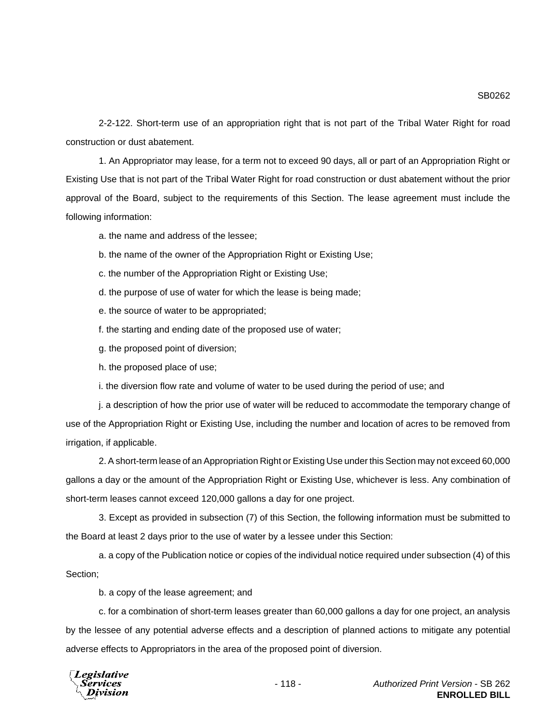SB0262

2-2-122. Short-term use of an appropriation right that is not part of the Tribal Water Right for road construction or dust abatement.

1. An Appropriator may lease, for a term not to exceed 90 days, all or part of an Appropriation Right or Existing Use that is not part of the Tribal Water Right for road construction or dust abatement without the prior approval of the Board, subject to the requirements of this Section. The lease agreement must include the following information:

a. the name and address of the lessee;

- b. the name of the owner of the Appropriation Right or Existing Use;
- c. the number of the Appropriation Right or Existing Use;
- d. the purpose of use of water for which the lease is being made;
- e. the source of water to be appropriated;
- f. the starting and ending date of the proposed use of water;
- g. the proposed point of diversion;
- h. the proposed place of use;
- i. the diversion flow rate and volume of water to be used during the period of use; and

j. a description of how the prior use of water will be reduced to accommodate the temporary change of use of the Appropriation Right or Existing Use, including the number and location of acres to be removed from irrigation, if applicable.

2. A short-term lease of an Appropriation Right or Existing Use under this Section may not exceed 60,000 gallons a day or the amount of the Appropriation Right or Existing Use, whichever is less. Any combination of short-term leases cannot exceed 120,000 gallons a day for one project.

3. Except as provided in subsection (7) of this Section, the following information must be submitted to the Board at least 2 days prior to the use of water by a lessee under this Section:

a. a copy of the Publication notice or copies of the individual notice required under subsection (4) of this Section;

b. a copy of the lease agreement; and

c. for a combination of short-term leases greater than 60,000 gallons a day for one project, an analysis by the lessee of any potential adverse effects and a description of planned actions to mitigate any potential adverse effects to Appropriators in the area of the proposed point of diversion.

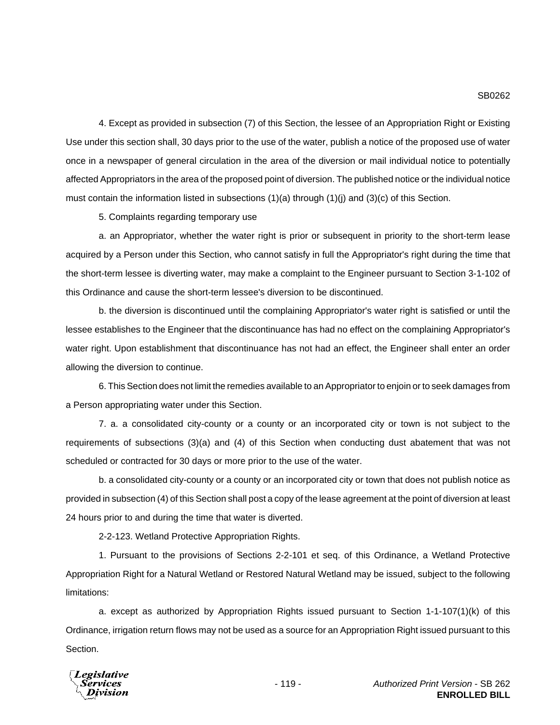4. Except as provided in subsection (7) of this Section, the lessee of an Appropriation Right or Existing Use under this section shall, 30 days prior to the use of the water, publish a notice of the proposed use of water once in a newspaper of general circulation in the area of the diversion or mail individual notice to potentially affected Appropriators in the area of the proposed point of diversion. The published notice or the individual notice must contain the information listed in subsections  $(1)(a)$  through  $(1)(i)$  and  $(3)(c)$  of this Section.

5. Complaints regarding temporary use

a. an Appropriator, whether the water right is prior or subsequent in priority to the short-term lease acquired by a Person under this Section, who cannot satisfy in full the Appropriator's right during the time that the short-term lessee is diverting water, may make a complaint to the Engineer pursuant to Section 3-1-102 of this Ordinance and cause the short-term lessee's diversion to be discontinued.

b. the diversion is discontinued until the complaining Appropriator's water right is satisfied or until the lessee establishes to the Engineer that the discontinuance has had no effect on the complaining Appropriator's water right. Upon establishment that discontinuance has not had an effect, the Engineer shall enter an order allowing the diversion to continue.

6. This Section does not limit the remedies available to an Appropriator to enjoin or to seek damages from a Person appropriating water under this Section.

7. a. a consolidated city-county or a county or an incorporated city or town is not subject to the requirements of subsections (3)(a) and (4) of this Section when conducting dust abatement that was not scheduled or contracted for 30 days or more prior to the use of the water.

b. a consolidated city-county or a county or an incorporated city or town that does not publish notice as provided in subsection (4) of this Section shall post a copy of the lease agreement at the point of diversion at least 24 hours prior to and during the time that water is diverted.

2-2-123. Wetland Protective Appropriation Rights.

1. Pursuant to the provisions of Sections 2-2-101 et seq. of this Ordinance, a Wetland Protective Appropriation Right for a Natural Wetland or Restored Natural Wetland may be issued, subject to the following limitations:

a. except as authorized by Appropriation Rights issued pursuant to Section 1-1-107(1)(k) of this Ordinance, irrigation return flows may not be used as a source for an Appropriation Right issued pursuant to this Section.

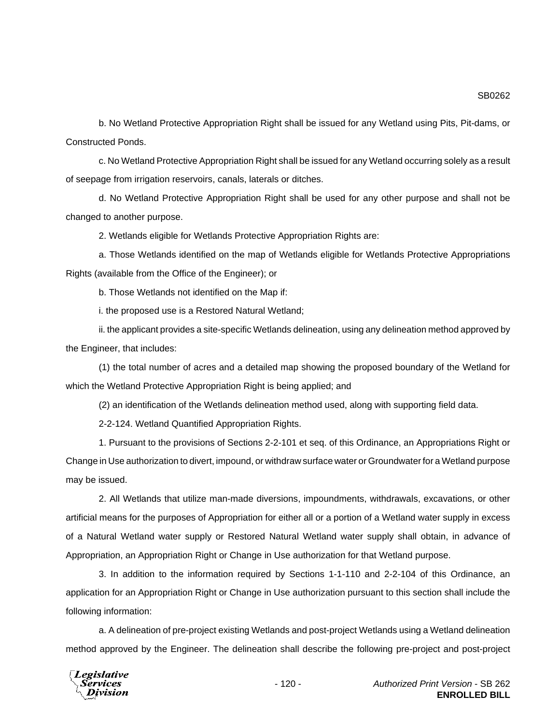b. No Wetland Protective Appropriation Right shall be issued for any Wetland using Pits, Pit-dams, or Constructed Ponds.

c. No Wetland Protective Appropriation Right shall be issued for any Wetland occurring solely as a result of seepage from irrigation reservoirs, canals, laterals or ditches.

d. No Wetland Protective Appropriation Right shall be used for any other purpose and shall not be changed to another purpose.

2. Wetlands eligible for Wetlands Protective Appropriation Rights are:

a. Those Wetlands identified on the map of Wetlands eligible for Wetlands Protective Appropriations Rights (available from the Office of the Engineer); or

b. Those Wetlands not identified on the Map if:

i. the proposed use is a Restored Natural Wetland;

ii. the applicant provides a site-specific Wetlands delineation, using any delineation method approved by the Engineer, that includes:

(1) the total number of acres and a detailed map showing the proposed boundary of the Wetland for which the Wetland Protective Appropriation Right is being applied; and

(2) an identification of the Wetlands delineation method used, along with supporting field data.

2-2-124. Wetland Quantified Appropriation Rights.

1. Pursuant to the provisions of Sections 2-2-101 et seq. of this Ordinance, an Appropriations Right or Change in Use authorization to divert, impound, or withdraw surface water or Groundwater for a Wetland purpose may be issued.

2. All Wetlands that utilize man-made diversions, impoundments, withdrawals, excavations, or other artificial means for the purposes of Appropriation for either all or a portion of a Wetland water supply in excess of a Natural Wetland water supply or Restored Natural Wetland water supply shall obtain, in advance of Appropriation, an Appropriation Right or Change in Use authorization for that Wetland purpose.

3. In addition to the information required by Sections 1-1-110 and 2-2-104 of this Ordinance, an application for an Appropriation Right or Change in Use authorization pursuant to this section shall include the following information:

a. A delineation of pre-project existing Wetlands and post-project Wetlands using a Wetland delineation method approved by the Engineer. The delineation shall describe the following pre-project and post-project

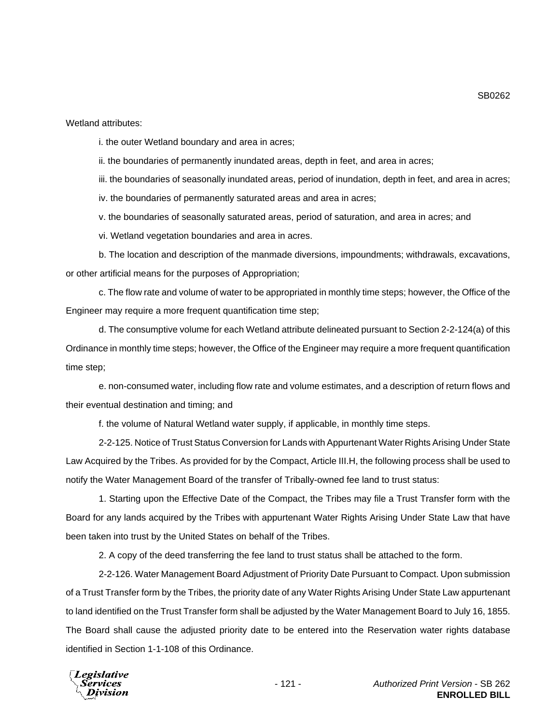i. the outer Wetland boundary and area in acres;

ii. the boundaries of permanently inundated areas, depth in feet, and area in acres;

iii. the boundaries of seasonally inundated areas, period of inundation, depth in feet, and area in acres;

iv. the boundaries of permanently saturated areas and area in acres;

v. the boundaries of seasonally saturated areas, period of saturation, and area in acres; and

vi. Wetland vegetation boundaries and area in acres.

b. The location and description of the manmade diversions, impoundments; withdrawals, excavations, or other artificial means for the purposes of Appropriation;

c. The flow rate and volume of water to be appropriated in monthly time steps; however, the Office of the Engineer may require a more frequent quantification time step;

d. The consumptive volume for each Wetland attribute delineated pursuant to Section 2-2-124(a) of this Ordinance in monthly time steps; however, the Office of the Engineer may require a more frequent quantification time step;

e. non-consumed water, including flow rate and volume estimates, and a description of return flows and their eventual destination and timing; and

f. the volume of Natural Wetland water supply, if applicable, in monthly time steps.

2-2-125. Notice of Trust Status Conversion for Lands with Appurtenant Water Rights Arising Under State Law Acquired by the Tribes. As provided for by the Compact, Article III.H, the following process shall be used to notify the Water Management Board of the transfer of Tribally-owned fee land to trust status:

1. Starting upon the Effective Date of the Compact, the Tribes may file a Trust Transfer form with the Board for any lands acquired by the Tribes with appurtenant Water Rights Arising Under State Law that have been taken into trust by the United States on behalf of the Tribes.

2. A copy of the deed transferring the fee land to trust status shall be attached to the form.

2-2-126. Water Management Board Adjustment of Priority Date Pursuant to Compact. Upon submission of a Trust Transfer form by the Tribes, the priority date of any Water Rights Arising Under State Law appurtenant to land identified on the Trust Transfer form shall be adjusted by the Water Management Board to July 16, 1855. The Board shall cause the adjusted priority date to be entered into the Reservation water rights database identified in Section 1-1-108 of this Ordinance.



SB0262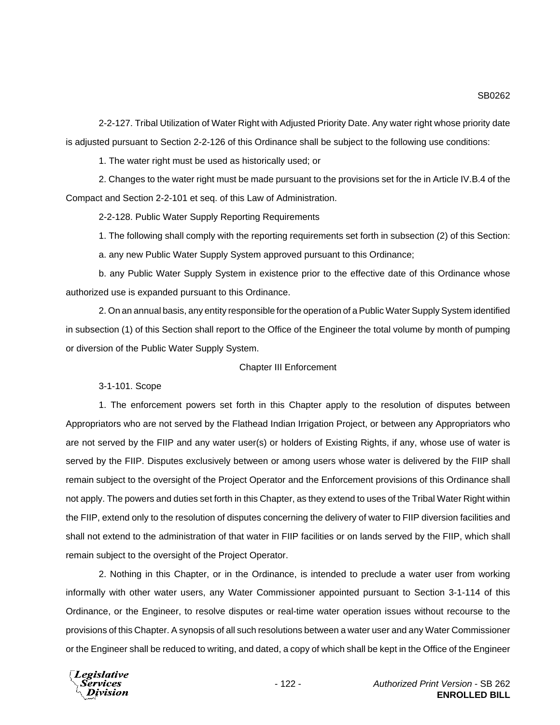2-2-127. Tribal Utilization of Water Right with Adjusted Priority Date. Any water right whose priority date

SB0262

is adjusted pursuant to Section 2-2-126 of this Ordinance shall be subject to the following use conditions:

1. The water right must be used as historically used; or

2. Changes to the water right must be made pursuant to the provisions set for the in Article IV.B.4 of the Compact and Section 2-2-101 et seq. of this Law of Administration.

2-2-128. Public Water Supply Reporting Requirements

1. The following shall comply with the reporting requirements set forth in subsection (2) of this Section:

a. any new Public Water Supply System approved pursuant to this Ordinance;

b. any Public Water Supply System in existence prior to the effective date of this Ordinance whose authorized use is expanded pursuant to this Ordinance.

2. On an annual basis, any entity responsible for the operation of a Public Water Supply System identified in subsection (1) of this Section shall report to the Office of the Engineer the total volume by month of pumping or diversion of the Public Water Supply System.

## Chapter III Enforcement

3-1-101. Scope

1. The enforcement powers set forth in this Chapter apply to the resolution of disputes between Appropriators who are not served by the Flathead Indian Irrigation Project, or between any Appropriators who are not served by the FIIP and any water user(s) or holders of Existing Rights, if any, whose use of water is served by the FIIP. Disputes exclusively between or among users whose water is delivered by the FIIP shall remain subject to the oversight of the Project Operator and the Enforcement provisions of this Ordinance shall not apply. The powers and duties set forth in this Chapter, as they extend to uses of the Tribal Water Right within the FIIP, extend only to the resolution of disputes concerning the delivery of water to FIIP diversion facilities and shall not extend to the administration of that water in FIIP facilities or on lands served by the FIIP, which shall remain subject to the oversight of the Project Operator.

2. Nothing in this Chapter, or in the Ordinance, is intended to preclude a water user from working informally with other water users, any Water Commissioner appointed pursuant to Section 3-1-114 of this Ordinance, or the Engineer, to resolve disputes or real-time water operation issues without recourse to the provisions of this Chapter. A synopsis of all such resolutions between a water user and any Water Commissioner or the Engineer shall be reduced to writing, and dated, a copy of which shall be kept in the Office of the Engineer

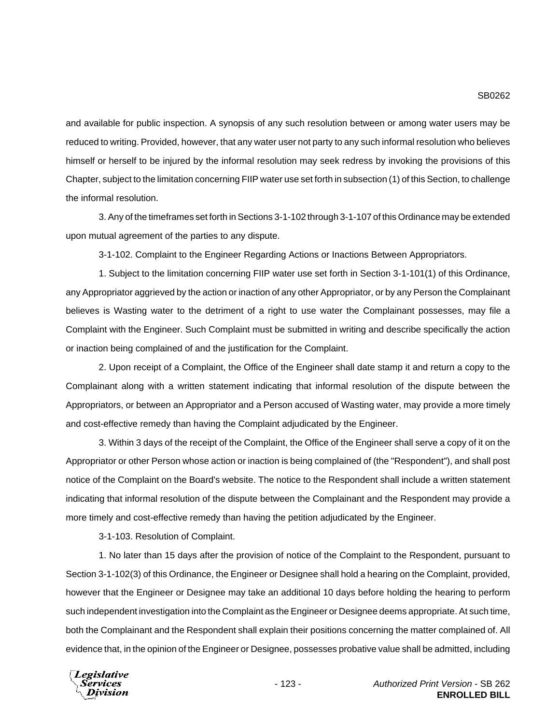and available for public inspection. A synopsis of any such resolution between or among water users may be reduced to writing. Provided, however, that any water user not party to any such informal resolution who believes himself or herself to be injured by the informal resolution may seek redress by invoking the provisions of this Chapter, subject to the limitation concerning FIIP water use set forth in subsection (1) of this Section, to challenge the informal resolution.

3. Any of the timeframes set forth in Sections 3-1-102 through 3-1-107 of this Ordinance may be extended upon mutual agreement of the parties to any dispute.

3-1-102. Complaint to the Engineer Regarding Actions or Inactions Between Appropriators.

1. Subject to the limitation concerning FIIP water use set forth in Section 3-1-101(1) of this Ordinance, any Appropriator aggrieved by the action or inaction of any other Appropriator, or by any Person the Complainant believes is Wasting water to the detriment of a right to use water the Complainant possesses, may file a Complaint with the Engineer. Such Complaint must be submitted in writing and describe specifically the action or inaction being complained of and the justification for the Complaint.

2. Upon receipt of a Complaint, the Office of the Engineer shall date stamp it and return a copy to the Complainant along with a written statement indicating that informal resolution of the dispute between the Appropriators, or between an Appropriator and a Person accused of Wasting water, may provide a more timely and cost-effective remedy than having the Complaint adjudicated by the Engineer.

3. Within 3 days of the receipt of the Complaint, the Office of the Engineer shall serve a copy of it on the Appropriator or other Person whose action or inaction is being complained of (the "Respondent"), and shall post notice of the Complaint on the Board's website. The notice to the Respondent shall include a written statement indicating that informal resolution of the dispute between the Complainant and the Respondent may provide a more timely and cost-effective remedy than having the petition adjudicated by the Engineer.

3-1-103. Resolution of Complaint.

1. No later than 15 days after the provision of notice of the Complaint to the Respondent, pursuant to Section 3-1-102(3) of this Ordinance, the Engineer or Designee shall hold a hearing on the Complaint, provided, however that the Engineer or Designee may take an additional 10 days before holding the hearing to perform such independent investigation into the Complaint as the Engineer or Designee deems appropriate. At such time, both the Complainant and the Respondent shall explain their positions concerning the matter complained of. All evidence that, in the opinion of the Engineer or Designee, possesses probative value shall be admitted, including

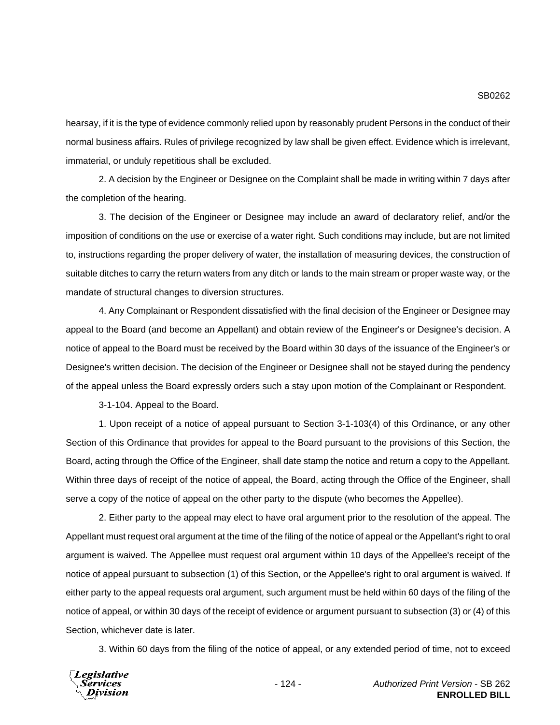hearsay, if it is the type of evidence commonly relied upon by reasonably prudent Persons in the conduct of their normal business affairs. Rules of privilege recognized by law shall be given effect. Evidence which is irrelevant, immaterial, or unduly repetitious shall be excluded.

2. A decision by the Engineer or Designee on the Complaint shall be made in writing within 7 days after the completion of the hearing.

3. The decision of the Engineer or Designee may include an award of declaratory relief, and/or the imposition of conditions on the use or exercise of a water right. Such conditions may include, but are not limited to, instructions regarding the proper delivery of water, the installation of measuring devices, the construction of suitable ditches to carry the return waters from any ditch or lands to the main stream or proper waste way, or the mandate of structural changes to diversion structures.

4. Any Complainant or Respondent dissatisfied with the final decision of the Engineer or Designee may appeal to the Board (and become an Appellant) and obtain review of the Engineer's or Designee's decision. A notice of appeal to the Board must be received by the Board within 30 days of the issuance of the Engineer's or Designee's written decision. The decision of the Engineer or Designee shall not be stayed during the pendency of the appeal unless the Board expressly orders such a stay upon motion of the Complainant or Respondent.

3-1-104. Appeal to the Board.

1. Upon receipt of a notice of appeal pursuant to Section 3-1-103(4) of this Ordinance, or any other Section of this Ordinance that provides for appeal to the Board pursuant to the provisions of this Section, the Board, acting through the Office of the Engineer, shall date stamp the notice and return a copy to the Appellant. Within three days of receipt of the notice of appeal, the Board, acting through the Office of the Engineer, shall serve a copy of the notice of appeal on the other party to the dispute (who becomes the Appellee).

2. Either party to the appeal may elect to have oral argument prior to the resolution of the appeal. The Appellant must request oral argument at the time of the filing of the notice of appeal or the Appellant's right to oral argument is waived. The Appellee must request oral argument within 10 days of the Appellee's receipt of the notice of appeal pursuant to subsection (1) of this Section, or the Appellee's right to oral argument is waived. If either party to the appeal requests oral argument, such argument must be held within 60 days of the filing of the notice of appeal, or within 30 days of the receipt of evidence or argument pursuant to subsection (3) or (4) of this Section, whichever date is later.

3. Within 60 days from the filing of the notice of appeal, or any extended period of time, not to exceed

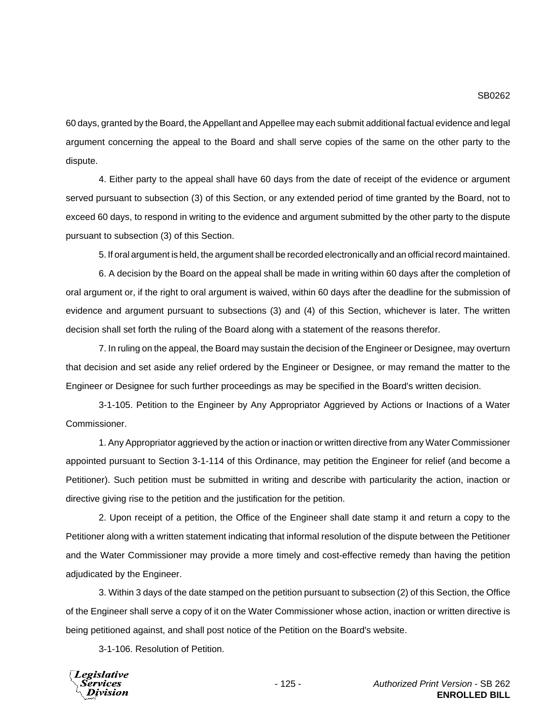60 days, granted by the Board, the Appellant and Appellee may each submit additional factual evidence and legal argument concerning the appeal to the Board and shall serve copies of the same on the other party to the dispute.

4. Either party to the appeal shall have 60 days from the date of receipt of the evidence or argument served pursuant to subsection (3) of this Section, or any extended period of time granted by the Board, not to exceed 60 days, to respond in writing to the evidence and argument submitted by the other party to the dispute pursuant to subsection (3) of this Section.

5. If oral argument is held, the argument shall be recorded electronically and an official record maintained.

6. A decision by the Board on the appeal shall be made in writing within 60 days after the completion of oral argument or, if the right to oral argument is waived, within 60 days after the deadline for the submission of evidence and argument pursuant to subsections (3) and (4) of this Section, whichever is later. The written decision shall set forth the ruling of the Board along with a statement of the reasons therefor.

7. In ruling on the appeal, the Board may sustain the decision of the Engineer or Designee, may overturn that decision and set aside any relief ordered by the Engineer or Designee, or may remand the matter to the Engineer or Designee for such further proceedings as may be specified in the Board's written decision.

3-1-105. Petition to the Engineer by Any Appropriator Aggrieved by Actions or Inactions of a Water Commissioner.

1. Any Appropriator aggrieved by the action or inaction or written directive from any Water Commissioner appointed pursuant to Section 3-1-114 of this Ordinance, may petition the Engineer for relief (and become a Petitioner). Such petition must be submitted in writing and describe with particularity the action, inaction or directive giving rise to the petition and the justification for the petition.

2. Upon receipt of a petition, the Office of the Engineer shall date stamp it and return a copy to the Petitioner along with a written statement indicating that informal resolution of the dispute between the Petitioner and the Water Commissioner may provide a more timely and cost-effective remedy than having the petition adjudicated by the Engineer.

3. Within 3 days of the date stamped on the petition pursuant to subsection (2) of this Section, the Office of the Engineer shall serve a copy of it on the Water Commissioner whose action, inaction or written directive is being petitioned against, and shall post notice of the Petition on the Board's website.

3-1-106. Resolution of Petition.

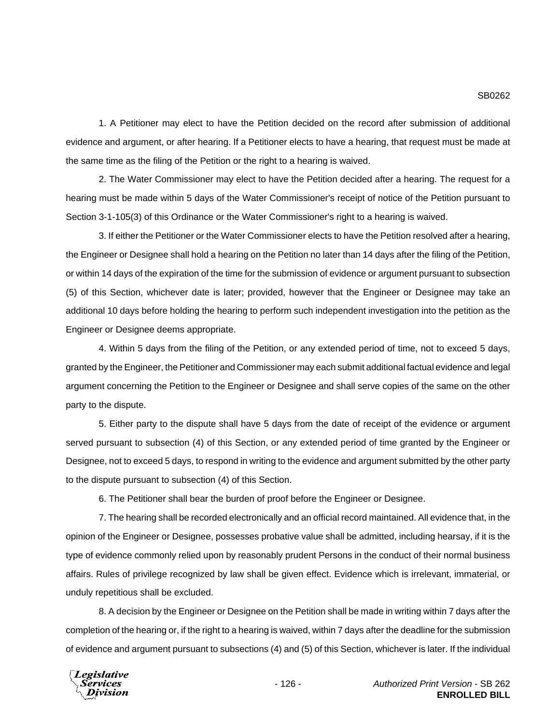1. A Petitioner may elect to have the Petition decided on the record after submission of additional evidence and argument, or after hearing. If a Petitioner elects to have a hearing, that request must be made at the same time as the filing of the Petition or the right to a hearing is waived.

2. The Water Commissioner may elect to have the Petition decided after a hearing. The request for a hearing must be made within 5 days of the Water Commissioner's receipt of notice of the Petition pursuant to Section 3-1-105(3) of this Ordinance or the Water Commissioner's right to a hearing is waived.

3. If either the Petitioner or the Water Commissioner elects to have the Petition resolved after a hearing, the Engineer or Designee shall hold a hearing on the Petition no later than 14 days after the filing of the Petition, or within 14 days of the expiration of the time for the submission of evidence or argument pursuant to subsection (5) of this Section, whichever date is later; provided, however that the Engineer or Designee may take an additional 10 days before holding the hearing to perform such independent investigation into the petition as the Engineer or Designee deems appropriate.

4. Within 5 days from the filing of the Petition, or any extended period of time, not to exceed 5 days, granted by the Engineer, the Petitioner and Commissioner may each submit additional factual evidence and legal argument concerning the Petition to the Engineer or Designee and shall serve copies of the same on the other party to the dispute.

5. Either party to the dispute shall have 5 days from the date of receipt of the evidence or argument served pursuant to subsection (4) of this Section, or any extended period of time granted by the Engineer or Designee, not to exceed 5 days, to respond in writing to the evidence and argument submitted by the other party to the dispute pursuant to subsection (4) of this Section.

6. The Petitioner shall bear the burden of proof before the Engineer or Designee.

7. The hearing shall be recorded electronically and an official record maintained. All evidence that, in the opinion of the Engineer or Designee, possesses probative value shall be admitted, including hearsay, if it is the type of evidence commonly relied upon by reasonably prudent Persons in the conduct of their normal business affairs. Rules of privilege recognized by law shall be given effect. Evidence which is irrelevant, immaterial, or unduly repetitious shall be excluded.

8. A decision by the Engineer or Designee on the Petition shall be made in writing within 7 days after the completion of the hearing or, if the right to a hearing is waived, within 7 days after the deadline for the submission of evidence and argument pursuant to subsections (4) and (5) of this Section, whichever is later. If the individual

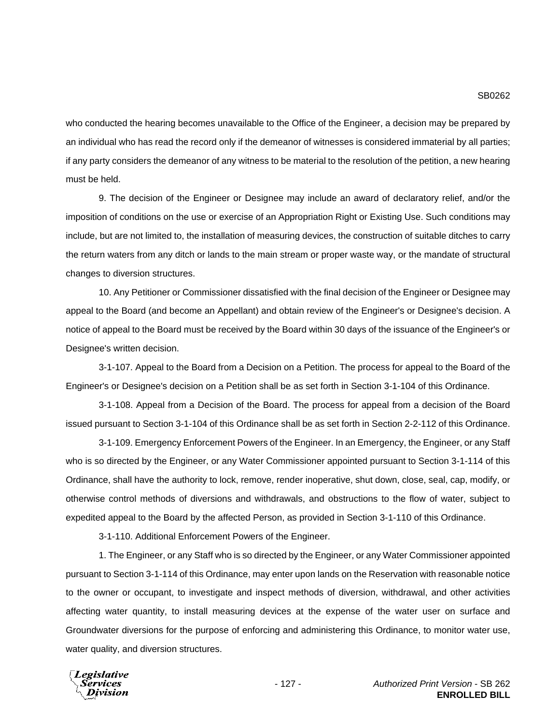who conducted the hearing becomes unavailable to the Office of the Engineer, a decision may be prepared by an individual who has read the record only if the demeanor of witnesses is considered immaterial by all parties; if any party considers the demeanor of any witness to be material to the resolution of the petition, a new hearing must be held.

9. The decision of the Engineer or Designee may include an award of declaratory relief, and/or the imposition of conditions on the use or exercise of an Appropriation Right or Existing Use. Such conditions may include, but are not limited to, the installation of measuring devices, the construction of suitable ditches to carry the return waters from any ditch or lands to the main stream or proper waste way, or the mandate of structural changes to diversion structures.

10. Any Petitioner or Commissioner dissatisfied with the final decision of the Engineer or Designee may appeal to the Board (and become an Appellant) and obtain review of the Engineer's or Designee's decision. A notice of appeal to the Board must be received by the Board within 30 days of the issuance of the Engineer's or Designee's written decision.

3-1-107. Appeal to the Board from a Decision on a Petition. The process for appeal to the Board of the Engineer's or Designee's decision on a Petition shall be as set forth in Section 3-1-104 of this Ordinance.

3-1-108. Appeal from a Decision of the Board. The process for appeal from a decision of the Board issued pursuant to Section 3-1-104 of this Ordinance shall be as set forth in Section 2-2-112 of this Ordinance.

3-1-109. Emergency Enforcement Powers of the Engineer. In an Emergency, the Engineer, or any Staff who is so directed by the Engineer, or any Water Commissioner appointed pursuant to Section 3-1-114 of this Ordinance, shall have the authority to lock, remove, render inoperative, shut down, close, seal, cap, modify, or otherwise control methods of diversions and withdrawals, and obstructions to the flow of water, subject to expedited appeal to the Board by the affected Person, as provided in Section 3-1-110 of this Ordinance.

3-1-110. Additional Enforcement Powers of the Engineer.

1. The Engineer, or any Staff who is so directed by the Engineer, or any Water Commissioner appointed pursuant to Section 3-1-114 of this Ordinance, may enter upon lands on the Reservation with reasonable notice to the owner or occupant, to investigate and inspect methods of diversion, withdrawal, and other activities affecting water quantity, to install measuring devices at the expense of the water user on surface and Groundwater diversions for the purpose of enforcing and administering this Ordinance, to monitor water use, water quality, and diversion structures.

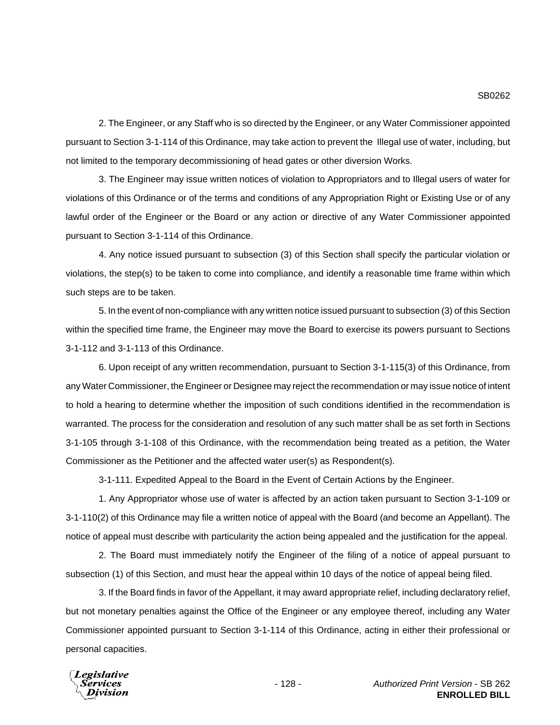2. The Engineer, or any Staff who is so directed by the Engineer, or any Water Commissioner appointed pursuant to Section 3-1-114 of this Ordinance, may take action to prevent the Illegal use of water, including, but not limited to the temporary decommissioning of head gates or other diversion Works.

3. The Engineer may issue written notices of violation to Appropriators and to Illegal users of water for violations of this Ordinance or of the terms and conditions of any Appropriation Right or Existing Use or of any lawful order of the Engineer or the Board or any action or directive of any Water Commissioner appointed pursuant to Section 3-1-114 of this Ordinance.

4. Any notice issued pursuant to subsection (3) of this Section shall specify the particular violation or violations, the step(s) to be taken to come into compliance, and identify a reasonable time frame within which such steps are to be taken.

5. In the event of non-compliance with any written notice issued pursuant to subsection (3) of this Section within the specified time frame, the Engineer may move the Board to exercise its powers pursuant to Sections 3-1-112 and 3-1-113 of this Ordinance.

6. Upon receipt of any written recommendation, pursuant to Section 3-1-115(3) of this Ordinance, from any Water Commissioner, the Engineer or Designee may reject the recommendation or may issue notice of intent to hold a hearing to determine whether the imposition of such conditions identified in the recommendation is warranted. The process for the consideration and resolution of any such matter shall be as set forth in Sections 3-1-105 through 3-1-108 of this Ordinance, with the recommendation being treated as a petition, the Water Commissioner as the Petitioner and the affected water user(s) as Respondent(s).

3-1-111. Expedited Appeal to the Board in the Event of Certain Actions by the Engineer.

1. Any Appropriator whose use of water is affected by an action taken pursuant to Section 3-1-109 or 3-1-110(2) of this Ordinance may file a written notice of appeal with the Board (and become an Appellant). The notice of appeal must describe with particularity the action being appealed and the justification for the appeal.

2. The Board must immediately notify the Engineer of the filing of a notice of appeal pursuant to subsection (1) of this Section, and must hear the appeal within 10 days of the notice of appeal being filed.

3. If the Board finds in favor of the Appellant, it may award appropriate relief, including declaratory relief, but not monetary penalties against the Office of the Engineer or any employee thereof, including any Water Commissioner appointed pursuant to Section 3-1-114 of this Ordinance, acting in either their professional or personal capacities.

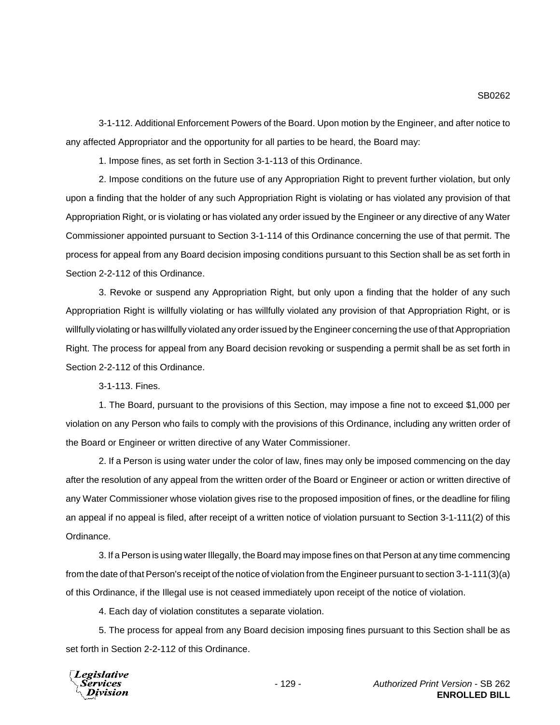3-1-112. Additional Enforcement Powers of the Board. Upon motion by the Engineer, and after notice to any affected Appropriator and the opportunity for all parties to be heard, the Board may:

1. Impose fines, as set forth in Section 3-1-113 of this Ordinance.

2. Impose conditions on the future use of any Appropriation Right to prevent further violation, but only upon a finding that the holder of any such Appropriation Right is violating or has violated any provision of that Appropriation Right, or is violating or has violated any order issued by the Engineer or any directive of any Water Commissioner appointed pursuant to Section 3-1-114 of this Ordinance concerning the use of that permit. The process for appeal from any Board decision imposing conditions pursuant to this Section shall be as set forth in Section 2-2-112 of this Ordinance.

3. Revoke or suspend any Appropriation Right, but only upon a finding that the holder of any such Appropriation Right is willfully violating or has willfully violated any provision of that Appropriation Right, or is willfully violating or has willfully violated any order issued by the Engineer concerning the use of that Appropriation Right. The process for appeal from any Board decision revoking or suspending a permit shall be as set forth in Section 2-2-112 of this Ordinance.

3-1-113. Fines.

1. The Board, pursuant to the provisions of this Section, may impose a fine not to exceed \$1,000 per violation on any Person who fails to comply with the provisions of this Ordinance, including any written order of the Board or Engineer or written directive of any Water Commissioner.

2. If a Person is using water under the color of law, fines may only be imposed commencing on the day after the resolution of any appeal from the written order of the Board or Engineer or action or written directive of any Water Commissioner whose violation gives rise to the proposed imposition of fines, or the deadline for filing an appeal if no appeal is filed, after receipt of a written notice of violation pursuant to Section 3-1-111(2) of this Ordinance.

3. If a Person is using water Illegally, the Board may impose fines on that Person at any time commencing from the date of that Person's receipt of the notice of violation from the Engineer pursuant to section 3-1-111(3)(a) of this Ordinance, if the Illegal use is not ceased immediately upon receipt of the notice of violation.

4. Each day of violation constitutes a separate violation.

5. The process for appeal from any Board decision imposing fines pursuant to this Section shall be as set forth in Section 2-2-112 of this Ordinance.

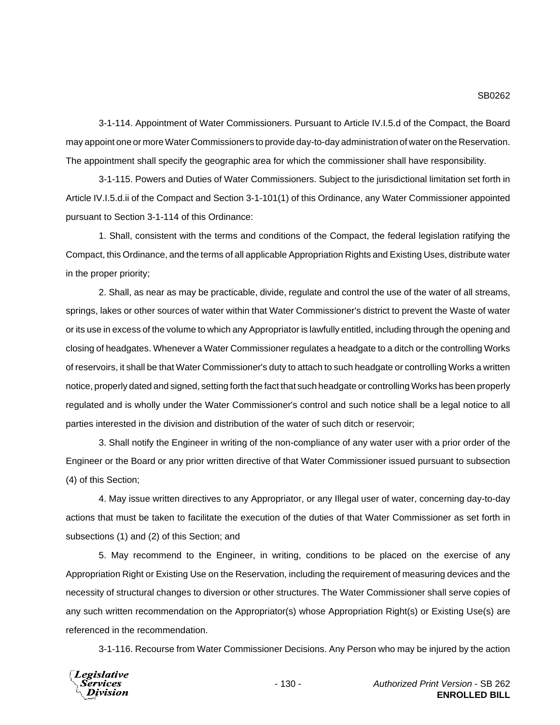3-1-114. Appointment of Water Commissioners. Pursuant to Article IV.I.5.d of the Compact, the Board may appoint one or more Water Commissioners to provide day-to-day administration of water on the Reservation. The appointment shall specify the geographic area for which the commissioner shall have responsibility.

3-1-115. Powers and Duties of Water Commissioners. Subject to the jurisdictional limitation set forth in Article IV.I.5.d.ii of the Compact and Section 3-1-101(1) of this Ordinance, any Water Commissioner appointed pursuant to Section 3-1-114 of this Ordinance:

1. Shall, consistent with the terms and conditions of the Compact, the federal legislation ratifying the Compact, this Ordinance, and the terms of all applicable Appropriation Rights and Existing Uses, distribute water in the proper priority;

2. Shall, as near as may be practicable, divide, regulate and control the use of the water of all streams, springs, lakes or other sources of water within that Water Commissioner's district to prevent the Waste of water or its use in excess of the volume to which any Appropriator is lawfully entitled, including through the opening and closing of headgates. Whenever a Water Commissioner regulates a headgate to a ditch or the controlling Works of reservoirs, it shall be that Water Commissioner's duty to attach to such headgate or controlling Works a written notice, properly dated and signed, setting forth the fact that such headgate or controlling Works has been properly regulated and is wholly under the Water Commissioner's control and such notice shall be a legal notice to all parties interested in the division and distribution of the water of such ditch or reservoir;

3. Shall notify the Engineer in writing of the non-compliance of any water user with a prior order of the Engineer or the Board or any prior written directive of that Water Commissioner issued pursuant to subsection (4) of this Section;

4. May issue written directives to any Appropriator, or any Illegal user of water, concerning day-to-day actions that must be taken to facilitate the execution of the duties of that Water Commissioner as set forth in subsections (1) and (2) of this Section; and

5. May recommend to the Engineer, in writing, conditions to be placed on the exercise of any Appropriation Right or Existing Use on the Reservation, including the requirement of measuring devices and the necessity of structural changes to diversion or other structures. The Water Commissioner shall serve copies of any such written recommendation on the Appropriator(s) whose Appropriation Right(s) or Existing Use(s) are referenced in the recommendation.

3-1-116. Recourse from Water Commissioner Decisions. Any Person who may be injured by the action

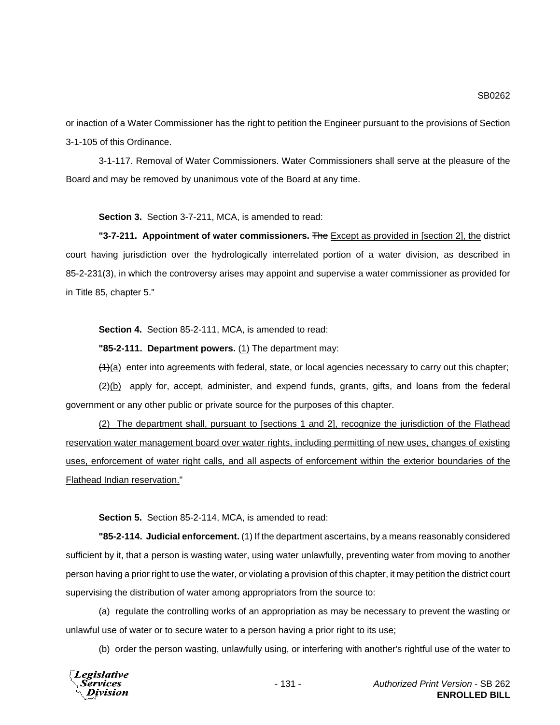SB0262

or inaction of a Water Commissioner has the right to petition the Engineer pursuant to the provisions of Section 3-1-105 of this Ordinance.

3-1-117. Removal of Water Commissioners. Water Commissioners shall serve at the pleasure of the Board and may be removed by unanimous vote of the Board at any time.

**Section 3.** Section 3-7-211, MCA, is amended to read:

**"3-7-211. Appointment of water commissioners.** The Except as provided in [section 2], the district court having jurisdiction over the hydrologically interrelated portion of a water division, as described in 85-2-231(3), in which the controversy arises may appoint and supervise a water commissioner as provided for in Title 85, chapter 5."

**Section 4.** Section 85-2-111, MCA, is amended to read:

**"85-2-111. Department powers.** (1) The department may:

 $(4)$ (a) enter into agreements with federal, state, or local agencies necessary to carry out this chapter;

 $(2)(b)$  apply for, accept, administer, and expend funds, grants, gifts, and loans from the federal government or any other public or private source for the purposes of this chapter.

(2) The department shall, pursuant to [sections 1 and 2], recognize the jurisdiction of the Flathead reservation water management board over water rights, including permitting of new uses, changes of existing uses, enforcement of water right calls, and all aspects of enforcement within the exterior boundaries of the Flathead Indian reservation."

**Section 5.** Section 85-2-114, MCA, is amended to read:

**"85-2-114. Judicial enforcement.** (1) If the department ascertains, by a means reasonably considered sufficient by it, that a person is wasting water, using water unlawfully, preventing water from moving to another person having a prior right to use the water, or violating a provision of this chapter, it may petition the district court supervising the distribution of water among appropriators from the source to:

(a) regulate the controlling works of an appropriation as may be necessary to prevent the wasting or unlawful use of water or to secure water to a person having a prior right to its use;

(b) order the person wasting, unlawfully using, or interfering with another's rightful use of the water to

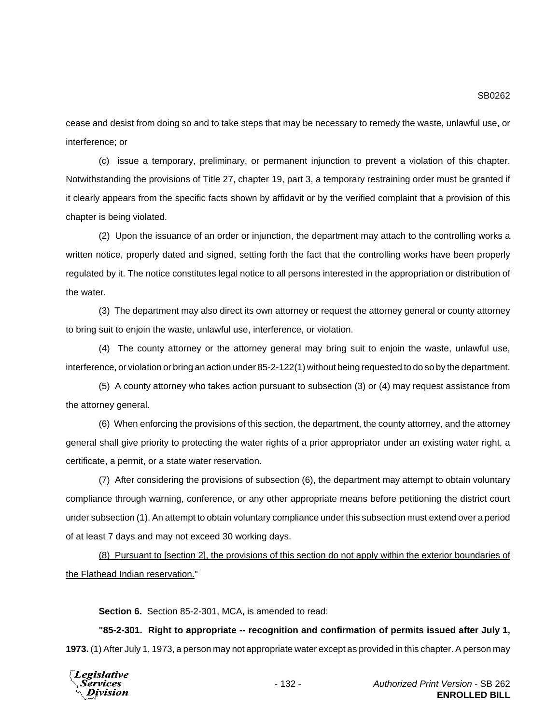cease and desist from doing so and to take steps that may be necessary to remedy the waste, unlawful use, or interference; or

(c) issue a temporary, preliminary, or permanent injunction to prevent a violation of this chapter. Notwithstanding the provisions of Title 27, chapter 19, part 3, a temporary restraining order must be granted if it clearly appears from the specific facts shown by affidavit or by the verified complaint that a provision of this chapter is being violated.

(2) Upon the issuance of an order or injunction, the department may attach to the controlling works a written notice, properly dated and signed, setting forth the fact that the controlling works have been properly regulated by it. The notice constitutes legal notice to all persons interested in the appropriation or distribution of the water.

(3) The department may also direct its own attorney or request the attorney general or county attorney to bring suit to enjoin the waste, unlawful use, interference, or violation.

(4) The county attorney or the attorney general may bring suit to enjoin the waste, unlawful use, interference, or violation or bring an action under 85-2-122(1) without being requested to do so by the department.

(5) A county attorney who takes action pursuant to subsection (3) or (4) may request assistance from the attorney general.

(6) When enforcing the provisions of this section, the department, the county attorney, and the attorney general shall give priority to protecting the water rights of a prior appropriator under an existing water right, a certificate, a permit, or a state water reservation.

(7) After considering the provisions of subsection (6), the department may attempt to obtain voluntary compliance through warning, conference, or any other appropriate means before petitioning the district court under subsection (1). An attempt to obtain voluntary compliance under this subsection must extend over a period of at least 7 days and may not exceed 30 working days.

(8) Pursuant to [section 2], the provisions of this section do not apply within the exterior boundaries of the Flathead Indian reservation."

**Section 6.** Section 85-2-301, MCA, is amended to read:

**"85-2-301. Right to appropriate -- recognition and confirmation of permits issued after July 1, 1973.** (1) After July 1, 1973, a person may not appropriate water except as provided in this chapter. A person may

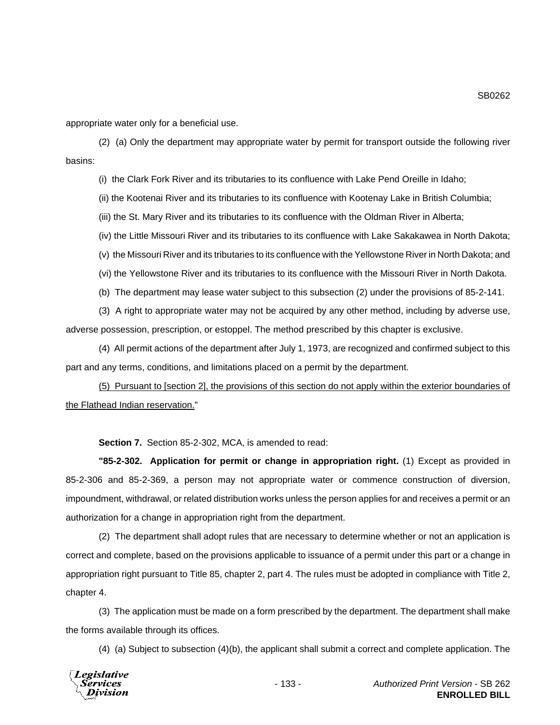SB0262

appropriate water only for a beneficial use.

(2) (a) Only the department may appropriate water by permit for transport outside the following river basins:

(i) the Clark Fork River and its tributaries to its confluence with Lake Pend Oreille in Idaho;

(ii) the Kootenai River and its tributaries to its confluence with Kootenay Lake in British Columbia;

(iii) the St. Mary River and its tributaries to its confluence with the Oldman River in Alberta;

(iv) the Little Missouri River and its tributaries to its confluence with Lake Sakakawea in North Dakota;

(v) the Missouri River and its tributaries to its confluence with the Yellowstone River in North Dakota; and

(vi) the Yellowstone River and its tributaries to its confluence with the Missouri River in North Dakota.

(b) The department may lease water subject to this subsection (2) under the provisions of 85-2-141.

(3) A right to appropriate water may not be acquired by any other method, including by adverse use, adverse possession, prescription, or estoppel. The method prescribed by this chapter is exclusive.

(4) All permit actions of the department after July 1, 1973, are recognized and confirmed subject to this part and any terms, conditions, and limitations placed on a permit by the department.

(5) Pursuant to [section 2], the provisions of this section do not apply within the exterior boundaries of the Flathead Indian reservation."

**Section 7.** Section 85-2-302, MCA, is amended to read:

**"85-2-302. Application for permit or change in appropriation right.** (1) Except as provided in 85-2-306 and 85-2-369, a person may not appropriate water or commence construction of diversion, impoundment, withdrawal, or related distribution works unless the person applies for and receives a permit or an authorization for a change in appropriation right from the department.

(2) The department shall adopt rules that are necessary to determine whether or not an application is correct and complete, based on the provisions applicable to issuance of a permit under this part or a change in appropriation right pursuant to Title 85, chapter 2, part 4. The rules must be adopted in compliance with Title 2, chapter 4.

(3) The application must be made on a form prescribed by the department. The department shall make the forms available through its offices.

(4) (a) Subject to subsection (4)(b), the applicant shall submit a correct and complete application. The

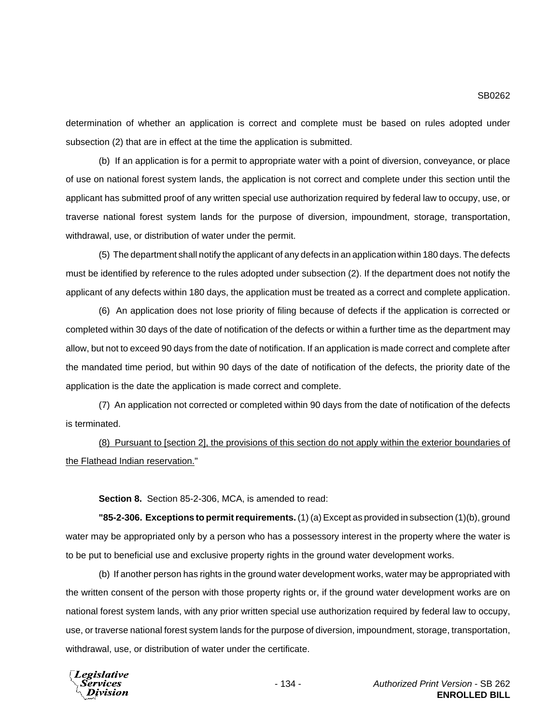determination of whether an application is correct and complete must be based on rules adopted under subsection (2) that are in effect at the time the application is submitted.

(b) If an application is for a permit to appropriate water with a point of diversion, conveyance, or place of use on national forest system lands, the application is not correct and complete under this section until the applicant has submitted proof of any written special use authorization required by federal law to occupy, use, or traverse national forest system lands for the purpose of diversion, impoundment, storage, transportation, withdrawal, use, or distribution of water under the permit.

(5) The department shall notify the applicant of any defects in an application within 180 days. The defects must be identified by reference to the rules adopted under subsection (2). If the department does not notify the applicant of any defects within 180 days, the application must be treated as a correct and complete application.

(6) An application does not lose priority of filing because of defects if the application is corrected or completed within 30 days of the date of notification of the defects or within a further time as the department may allow, but not to exceed 90 days from the date of notification. If an application is made correct and complete after the mandated time period, but within 90 days of the date of notification of the defects, the priority date of the application is the date the application is made correct and complete.

(7) An application not corrected or completed within 90 days from the date of notification of the defects is terminated.

(8) Pursuant to [section 2], the provisions of this section do not apply within the exterior boundaries of the Flathead Indian reservation."

**Section 8.** Section 85-2-306, MCA, is amended to read:

**"85-2-306. Exceptions to permit requirements.** (1) (a) Except as provided in subsection (1)(b), ground water may be appropriated only by a person who has a possessory interest in the property where the water is to be put to beneficial use and exclusive property rights in the ground water development works.

(b) If another person has rights in the ground water development works, water may be appropriated with the written consent of the person with those property rights or, if the ground water development works are on national forest system lands, with any prior written special use authorization required by federal law to occupy, use, or traverse national forest system lands for the purpose of diversion, impoundment, storage, transportation, withdrawal, use, or distribution of water under the certificate.

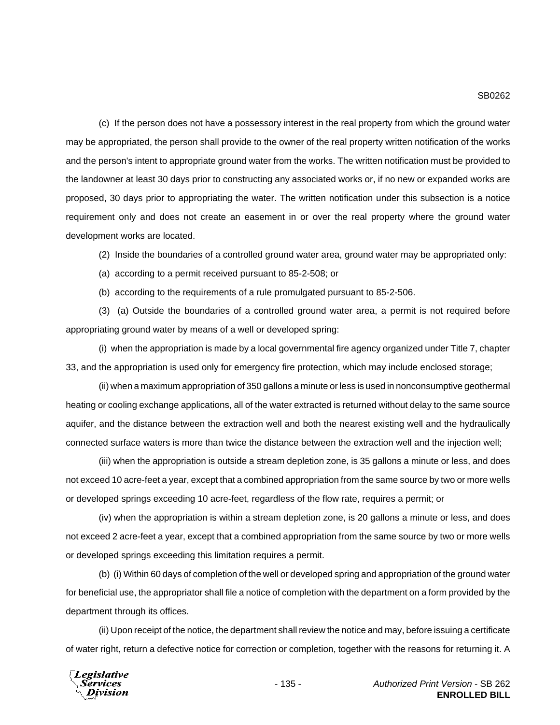(c) If the person does not have a possessory interest in the real property from which the ground water may be appropriated, the person shall provide to the owner of the real property written notification of the works and the person's intent to appropriate ground water from the works. The written notification must be provided to the landowner at least 30 days prior to constructing any associated works or, if no new or expanded works are proposed, 30 days prior to appropriating the water. The written notification under this subsection is a notice requirement only and does not create an easement in or over the real property where the ground water development works are located.

(2) Inside the boundaries of a controlled ground water area, ground water may be appropriated only:

(a) according to a permit received pursuant to 85-2-508; or

(b) according to the requirements of a rule promulgated pursuant to 85-2-506.

(3) (a) Outside the boundaries of a controlled ground water area, a permit is not required before appropriating ground water by means of a well or developed spring:

(i) when the appropriation is made by a local governmental fire agency organized under Title 7, chapter 33, and the appropriation is used only for emergency fire protection, which may include enclosed storage;

(ii) when a maximum appropriation of 350 gallons a minute or less is used in nonconsumptive geothermal heating or cooling exchange applications, all of the water extracted is returned without delay to the same source aquifer, and the distance between the extraction well and both the nearest existing well and the hydraulically connected surface waters is more than twice the distance between the extraction well and the injection well;

(iii) when the appropriation is outside a stream depletion zone, is 35 gallons a minute or less, and does not exceed 10 acre-feet a year, except that a combined appropriation from the same source by two or more wells or developed springs exceeding 10 acre-feet, regardless of the flow rate, requires a permit; or

(iv) when the appropriation is within a stream depletion zone, is 20 gallons a minute or less, and does not exceed 2 acre-feet a year, except that a combined appropriation from the same source by two or more wells or developed springs exceeding this limitation requires a permit.

(b) (i) Within 60 days of completion of the well or developed spring and appropriation of the ground water for beneficial use, the appropriator shall file a notice of completion with the department on a form provided by the department through its offices.

(ii) Upon receipt of the notice, the department shall review the notice and may, before issuing a certificate of water right, return a defective notice for correction or completion, together with the reasons for returning it. A

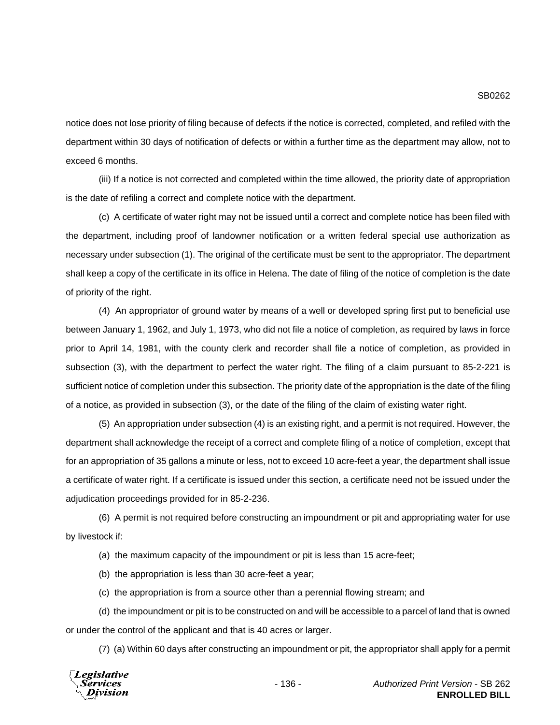notice does not lose priority of filing because of defects if the notice is corrected, completed, and refiled with the department within 30 days of notification of defects or within a further time as the department may allow, not to exceed 6 months.

(iii) If a notice is not corrected and completed within the time allowed, the priority date of appropriation is the date of refiling a correct and complete notice with the department.

(c) A certificate of water right may not be issued until a correct and complete notice has been filed with the department, including proof of landowner notification or a written federal special use authorization as necessary under subsection (1). The original of the certificate must be sent to the appropriator. The department shall keep a copy of the certificate in its office in Helena. The date of filing of the notice of completion is the date of priority of the right.

(4) An appropriator of ground water by means of a well or developed spring first put to beneficial use between January 1, 1962, and July 1, 1973, who did not file a notice of completion, as required by laws in force prior to April 14, 1981, with the county clerk and recorder shall file a notice of completion, as provided in subsection (3), with the department to perfect the water right. The filing of a claim pursuant to 85-2-221 is sufficient notice of completion under this subsection. The priority date of the appropriation is the date of the filing of a notice, as provided in subsection (3), or the date of the filing of the claim of existing water right.

(5) An appropriation under subsection (4) is an existing right, and a permit is not required. However, the department shall acknowledge the receipt of a correct and complete filing of a notice of completion, except that for an appropriation of 35 gallons a minute or less, not to exceed 10 acre-feet a year, the department shall issue a certificate of water right. If a certificate is issued under this section, a certificate need not be issued under the adjudication proceedings provided for in 85-2-236.

(6) A permit is not required before constructing an impoundment or pit and appropriating water for use by livestock if:

(a) the maximum capacity of the impoundment or pit is less than 15 acre-feet;

(b) the appropriation is less than 30 acre-feet a year;

(c) the appropriation is from a source other than a perennial flowing stream; and

(d) the impoundment or pit is to be constructed on and will be accessible to a parcel of land that is owned or under the control of the applicant and that is 40 acres or larger.

(7) (a) Within 60 days after constructing an impoundment or pit, the appropriator shall apply for a permit

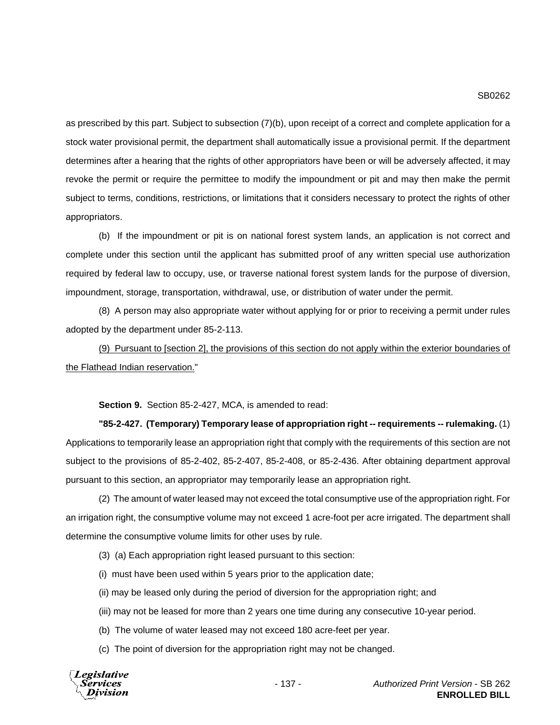as prescribed by this part. Subject to subsection (7)(b), upon receipt of a correct and complete application for a stock water provisional permit, the department shall automatically issue a provisional permit. If the department determines after a hearing that the rights of other appropriators have been or will be adversely affected, it may revoke the permit or require the permittee to modify the impoundment or pit and may then make the permit subject to terms, conditions, restrictions, or limitations that it considers necessary to protect the rights of other appropriators.

(b) If the impoundment or pit is on national forest system lands, an application is not correct and complete under this section until the applicant has submitted proof of any written special use authorization required by federal law to occupy, use, or traverse national forest system lands for the purpose of diversion, impoundment, storage, transportation, withdrawal, use, or distribution of water under the permit.

(8) A person may also appropriate water without applying for or prior to receiving a permit under rules adopted by the department under 85-2-113.

(9) Pursuant to [section 2], the provisions of this section do not apply within the exterior boundaries of the Flathead Indian reservation."

**Section 9.** Section 85-2-427, MCA, is amended to read:

**"85-2-427. (Temporary) Temporary lease of appropriation right -- requirements -- rulemaking.** (1) Applications to temporarily lease an appropriation right that comply with the requirements of this section are not subject to the provisions of 85-2-402, 85-2-407, 85-2-408, or 85-2-436. After obtaining department approval pursuant to this section, an appropriator may temporarily lease an appropriation right.

(2) The amount of water leased may not exceed the total consumptive use of the appropriation right. For an irrigation right, the consumptive volume may not exceed 1 acre-foot per acre irrigated. The department shall determine the consumptive volume limits for other uses by rule.

- (3) (a) Each appropriation right leased pursuant to this section:
- (i) must have been used within 5 years prior to the application date;
- (ii) may be leased only during the period of diversion for the appropriation right; and
- (iii) may not be leased for more than 2 years one time during any consecutive 10-year period.
- (b) The volume of water leased may not exceed 180 acre-feet per year.
- (c) The point of diversion for the appropriation right may not be changed.

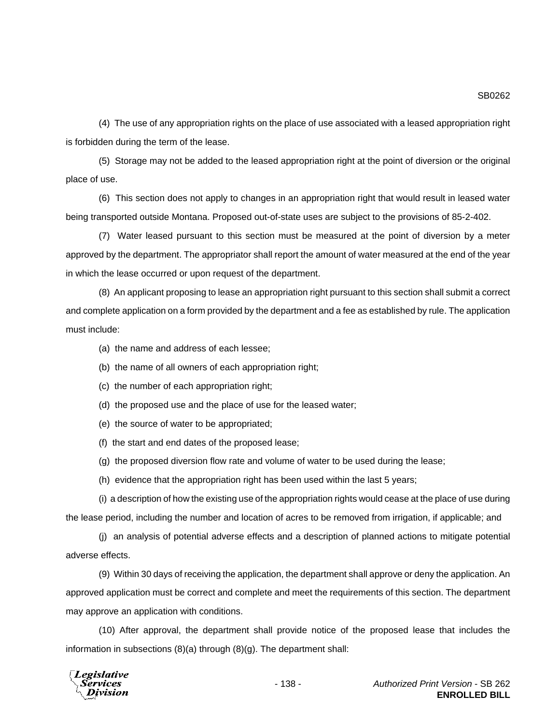(4) The use of any appropriation rights on the place of use associated with a leased appropriation right is forbidden during the term of the lease.

(5) Storage may not be added to the leased appropriation right at the point of diversion or the original place of use.

(6) This section does not apply to changes in an appropriation right that would result in leased water being transported outside Montana. Proposed out-of-state uses are subject to the provisions of 85-2-402.

(7) Water leased pursuant to this section must be measured at the point of diversion by a meter approved by the department. The appropriator shall report the amount of water measured at the end of the year in which the lease occurred or upon request of the department.

(8) An applicant proposing to lease an appropriation right pursuant to this section shall submit a correct and complete application on a form provided by the department and a fee as established by rule. The application must include:

(a) the name and address of each lessee;

(b) the name of all owners of each appropriation right;

(c) the number of each appropriation right;

(d) the proposed use and the place of use for the leased water;

(e) the source of water to be appropriated;

(f) the start and end dates of the proposed lease;

(g) the proposed diversion flow rate and volume of water to be used during the lease;

(h) evidence that the appropriation right has been used within the last 5 years;

(i) a description of how the existing use of the appropriation rights would cease at the place of use during the lease period, including the number and location of acres to be removed from irrigation, if applicable; and

(j) an analysis of potential adverse effects and a description of planned actions to mitigate potential adverse effects.

(9) Within 30 days of receiving the application, the department shall approve or deny the application. An approved application must be correct and complete and meet the requirements of this section. The department may approve an application with conditions.

(10) After approval, the department shall provide notice of the proposed lease that includes the information in subsections (8)(a) through (8)(g). The department shall:

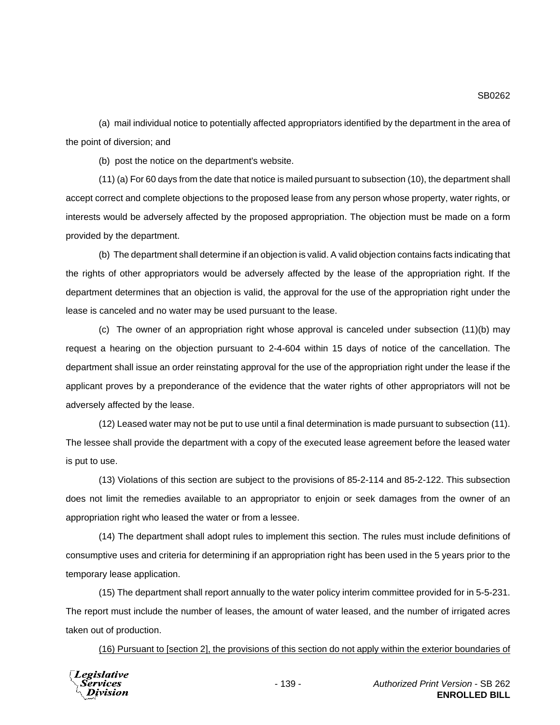(a) mail individual notice to potentially affected appropriators identified by the department in the area of the point of diversion; and

(b) post the notice on the department's website.

(11) (a) For 60 days from the date that notice is mailed pursuant to subsection (10), the department shall accept correct and complete objections to the proposed lease from any person whose property, water rights, or interests would be adversely affected by the proposed appropriation. The objection must be made on a form provided by the department.

(b) The department shall determine if an objection is valid. A valid objection contains facts indicating that the rights of other appropriators would be adversely affected by the lease of the appropriation right. If the department determines that an objection is valid, the approval for the use of the appropriation right under the lease is canceled and no water may be used pursuant to the lease.

(c) The owner of an appropriation right whose approval is canceled under subsection (11)(b) may request a hearing on the objection pursuant to 2-4-604 within 15 days of notice of the cancellation. The department shall issue an order reinstating approval for the use of the appropriation right under the lease if the applicant proves by a preponderance of the evidence that the water rights of other appropriators will not be adversely affected by the lease.

(12) Leased water may not be put to use until a final determination is made pursuant to subsection (11). The lessee shall provide the department with a copy of the executed lease agreement before the leased water is put to use.

(13) Violations of this section are subject to the provisions of 85-2-114 and 85-2-122. This subsection does not limit the remedies available to an appropriator to enjoin or seek damages from the owner of an appropriation right who leased the water or from a lessee.

(14) The department shall adopt rules to implement this section. The rules must include definitions of consumptive uses and criteria for determining if an appropriation right has been used in the 5 years prior to the temporary lease application.

(15) The department shall report annually to the water policy interim committee provided for in 5-5-231. The report must include the number of leases, the amount of water leased, and the number of irrigated acres taken out of production.

(16) Pursuant to [section 2], the provisions of this section do not apply within the exterior boundaries of

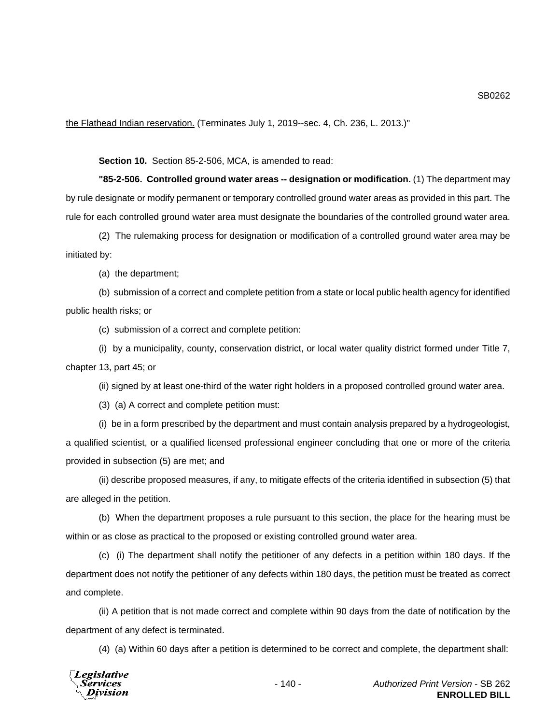the Flathead Indian reservation. (Terminates July 1, 2019--sec. 4, Ch. 236, L. 2013.)"

**Section 10.** Section 85-2-506, MCA, is amended to read:

**"85-2-506. Controlled ground water areas -- designation or modification.** (1) The department may by rule designate or modify permanent or temporary controlled ground water areas as provided in this part. The rule for each controlled ground water area must designate the boundaries of the controlled ground water area.

(2) The rulemaking process for designation or modification of a controlled ground water area may be initiated by:

(a) the department;

(b) submission of a correct and complete petition from a state or local public health agency for identified public health risks; or

(c) submission of a correct and complete petition:

(i) by a municipality, county, conservation district, or local water quality district formed under Title 7, chapter 13, part 45; or

(ii) signed by at least one-third of the water right holders in a proposed controlled ground water area.

(3) (a) A correct and complete petition must:

(i) be in a form prescribed by the department and must contain analysis prepared by a hydrogeologist, a qualified scientist, or a qualified licensed professional engineer concluding that one or more of the criteria provided in subsection (5) are met; and

(ii) describe proposed measures, if any, to mitigate effects of the criteria identified in subsection (5) that are alleged in the petition.

(b) When the department proposes a rule pursuant to this section, the place for the hearing must be within or as close as practical to the proposed or existing controlled ground water area.

(c) (i) The department shall notify the petitioner of any defects in a petition within 180 days. If the department does not notify the petitioner of any defects within 180 days, the petition must be treated as correct and complete.

(ii) A petition that is not made correct and complete within 90 days from the date of notification by the department of any defect is terminated.

(4) (a) Within 60 days after a petition is determined to be correct and complete, the department shall:

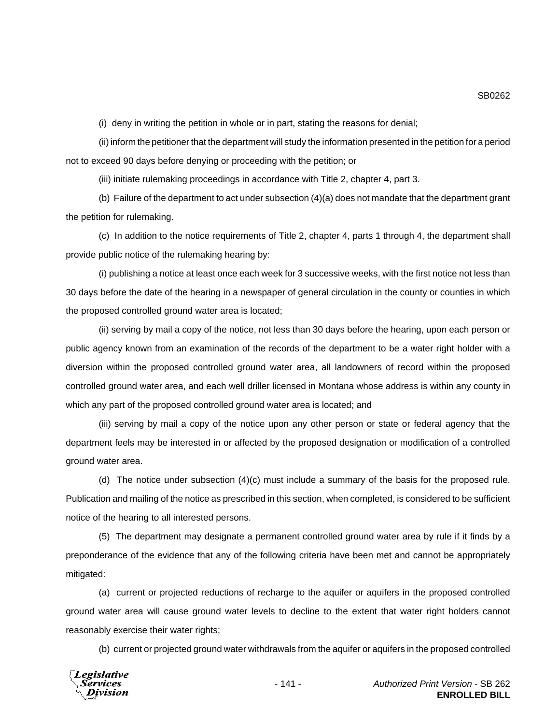(i) deny in writing the petition in whole or in part, stating the reasons for denial;

(ii) inform the petitioner that the department will study the information presented in the petition for a period not to exceed 90 days before denying or proceeding with the petition; or

(iii) initiate rulemaking proceedings in accordance with Title 2, chapter 4, part 3.

(b) Failure of the department to act under subsection (4)(a) does not mandate that the department grant the petition for rulemaking.

(c) In addition to the notice requirements of Title 2, chapter 4, parts 1 through 4, the department shall provide public notice of the rulemaking hearing by:

(i) publishing a notice at least once each week for 3 successive weeks, with the first notice not less than 30 days before the date of the hearing in a newspaper of general circulation in the county or counties in which the proposed controlled ground water area is located;

(ii) serving by mail a copy of the notice, not less than 30 days before the hearing, upon each person or public agency known from an examination of the records of the department to be a water right holder with a diversion within the proposed controlled ground water area, all landowners of record within the proposed controlled ground water area, and each well driller licensed in Montana whose address is within any county in which any part of the proposed controlled ground water area is located; and

(iii) serving by mail a copy of the notice upon any other person or state or federal agency that the department feels may be interested in or affected by the proposed designation or modification of a controlled ground water area.

(d) The notice under subsection (4)(c) must include a summary of the basis for the proposed rule. Publication and mailing of the notice as prescribed in this section, when completed, is considered to be sufficient notice of the hearing to all interested persons.

(5) The department may designate a permanent controlled ground water area by rule if it finds by a preponderance of the evidence that any of the following criteria have been met and cannot be appropriately mitigated:

(a) current or projected reductions of recharge to the aquifer or aquifers in the proposed controlled ground water area will cause ground water levels to decline to the extent that water right holders cannot reasonably exercise their water rights;

(b) current or projected ground water withdrawals from the aquifer or aquifers in the proposed controlled



SB0262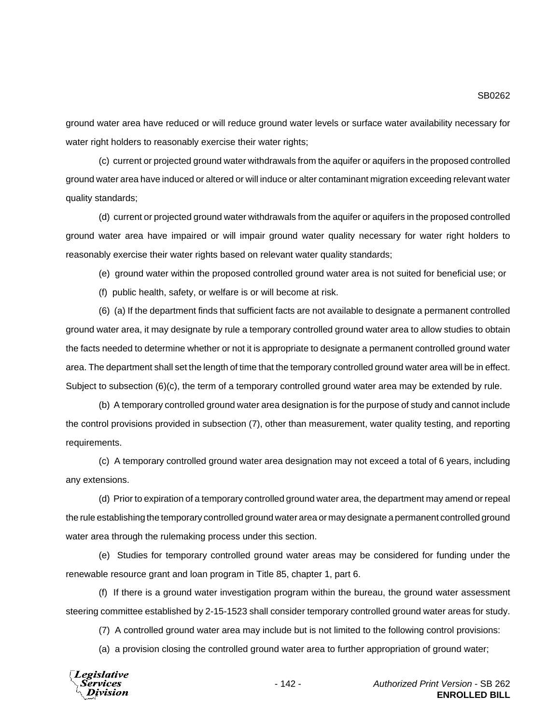ground water area have reduced or will reduce ground water levels or surface water availability necessary for water right holders to reasonably exercise their water rights;

(c) current or projected ground water withdrawals from the aquifer or aquifers in the proposed controlled ground water area have induced or altered or will induce or alter contaminant migration exceeding relevant water quality standards;

(d) current or projected ground water withdrawals from the aquifer or aquifers in the proposed controlled ground water area have impaired or will impair ground water quality necessary for water right holders to reasonably exercise their water rights based on relevant water quality standards;

(e) ground water within the proposed controlled ground water area is not suited for beneficial use; or

(f) public health, safety, or welfare is or will become at risk.

(6) (a) If the department finds that sufficient facts are not available to designate a permanent controlled ground water area, it may designate by rule a temporary controlled ground water area to allow studies to obtain the facts needed to determine whether or not it is appropriate to designate a permanent controlled ground water area. The department shall set the length of time that the temporary controlled ground water area will be in effect. Subject to subsection (6)(c), the term of a temporary controlled ground water area may be extended by rule.

(b) A temporary controlled ground water area designation is for the purpose of study and cannot include the control provisions provided in subsection (7), other than measurement, water quality testing, and reporting requirements.

(c) A temporary controlled ground water area designation may not exceed a total of 6 years, including any extensions.

(d) Prior to expiration of a temporary controlled ground water area, the department may amend or repeal the rule establishing the temporary controlled ground water area or may designate a permanent controlled ground water area through the rulemaking process under this section.

(e) Studies for temporary controlled ground water areas may be considered for funding under the renewable resource grant and loan program in Title 85, chapter 1, part 6.

(f) If there is a ground water investigation program within the bureau, the ground water assessment steering committee established by 2-15-1523 shall consider temporary controlled ground water areas for study.

(7) A controlled ground water area may include but is not limited to the following control provisions:

(a) a provision closing the controlled ground water area to further appropriation of ground water;

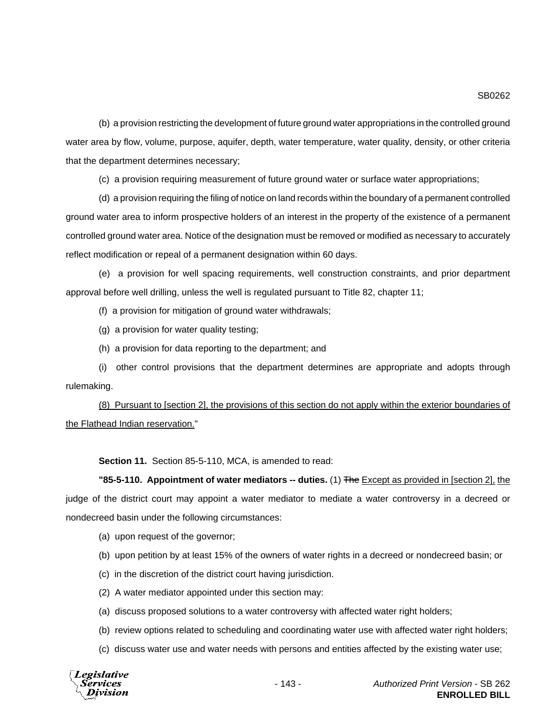(b) a provision restricting the development of future ground water appropriations in the controlled ground water area by flow, volume, purpose, aquifer, depth, water temperature, water quality, density, or other criteria that the department determines necessary;

(c) a provision requiring measurement of future ground water or surface water appropriations;

(d) a provision requiring the filing of notice on land records within the boundary of a permanent controlled ground water area to inform prospective holders of an interest in the property of the existence of a permanent controlled ground water area. Notice of the designation must be removed or modified as necessary to accurately reflect modification or repeal of a permanent designation within 60 days.

(e) a provision for well spacing requirements, well construction constraints, and prior department approval before well drilling, unless the well is regulated pursuant to Title 82, chapter 11;

(f) a provision for mitigation of ground water withdrawals;

(g) a provision for water quality testing;

(h) a provision for data reporting to the department; and

(i) other control provisions that the department determines are appropriate and adopts through rulemaking.

(8) Pursuant to [section 2], the provisions of this section do not apply within the exterior boundaries of the Flathead Indian reservation."

**Section 11.** Section 85-5-110, MCA, is amended to read:

## **"85-5-110. Appointment of water mediators -- duties.** (1) The Except as provided in [section 2], the judge of the district court may appoint a water mediator to mediate a water controversy in a decreed or nondecreed basin under the following circumstances:

(a) upon request of the governor;

- (b) upon petition by at least 15% of the owners of water rights in a decreed or nondecreed basin; or
- (c) in the discretion of the district court having jurisdiction.
- (2) A water mediator appointed under this section may:
- (a) discuss proposed solutions to a water controversy with affected water right holders;
- (b) review options related to scheduling and coordinating water use with affected water right holders;
- (c) discuss water use and water needs with persons and entities affected by the existing water use;

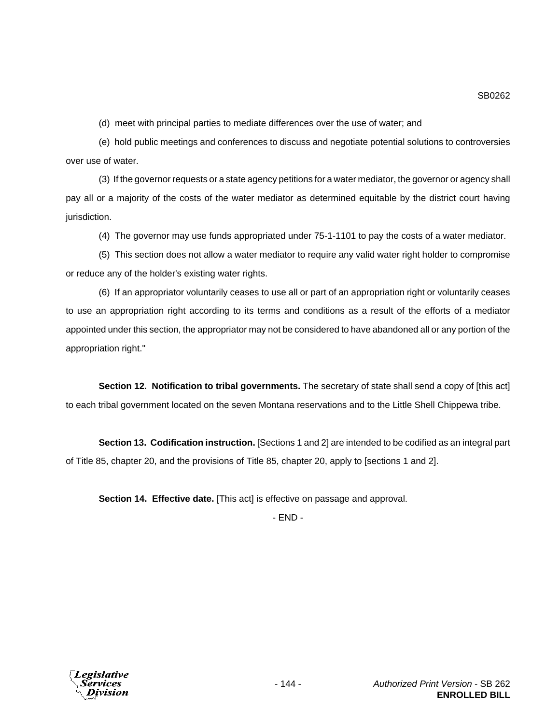(d) meet with principal parties to mediate differences over the use of water; and

(e) hold public meetings and conferences to discuss and negotiate potential solutions to controversies over use of water.

(3) If the governor requests or a state agency petitions for a water mediator, the governor or agency shall pay all or a majority of the costs of the water mediator as determined equitable by the district court having jurisdiction.

(4) The governor may use funds appropriated under 75-1-1101 to pay the costs of a water mediator.

(5) This section does not allow a water mediator to require any valid water right holder to compromise or reduce any of the holder's existing water rights.

(6) If an appropriator voluntarily ceases to use all or part of an appropriation right or voluntarily ceases to use an appropriation right according to its terms and conditions as a result of the efforts of a mediator appointed under this section, the appropriator may not be considered to have abandoned all or any portion of the appropriation right."

**Section 12. Notification to tribal governments.** The secretary of state shall send a copy of [this act] to each tribal government located on the seven Montana reservations and to the Little Shell Chippewa tribe.

**Section 13. Codification instruction.** [Sections 1 and 2] are intended to be codified as an integral part of Title 85, chapter 20, and the provisions of Title 85, chapter 20, apply to [sections 1 and 2].

**Section 14. Effective date.** [This act] is effective on passage and approval.

- END -

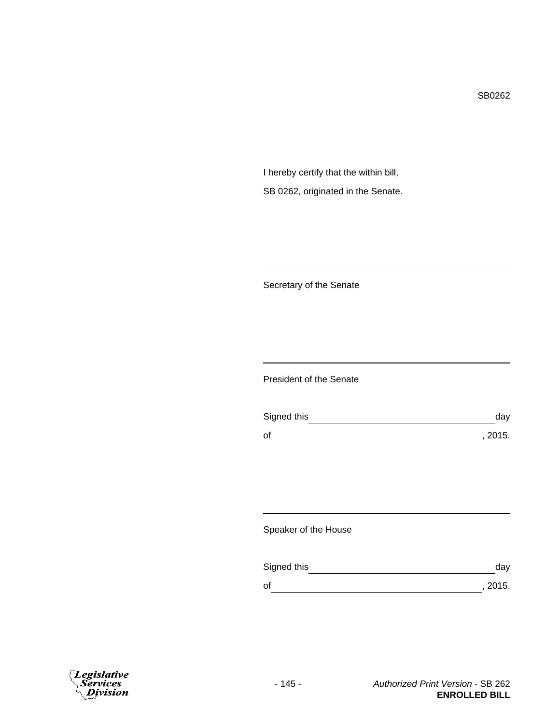SB0262

I hereby certify that the within bill, SB 0262, originated in the Senate.

Secretary of the Senate

President of the Senate

| Signed this | dav     |
|-------------|---------|
| of          | , 2015. |

Speaker of the House

| Signed this | dav     |
|-------------|---------|
| οf          | , 2015. |